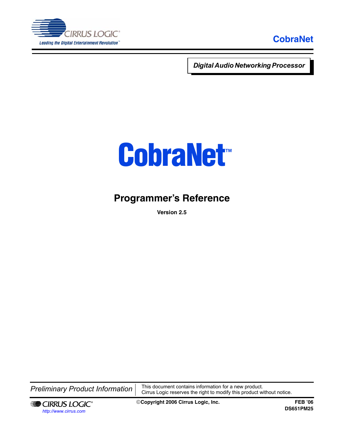

*Digital Audio Networking Processor* 

# **[CobraNet](http://www.cirrus.com/en/products/pro/areas/netaudio.html)** *™*

## **Programmer's Reference**

**Version 2.5**

**Preliminary Product Information**  $\begin{bmatrix}$  This document contains information for a new product. Cirrus Logic reserves the right to modify this product without notice.



©**Copyright 2006 Cirrus Logic, Inc. FEB '06**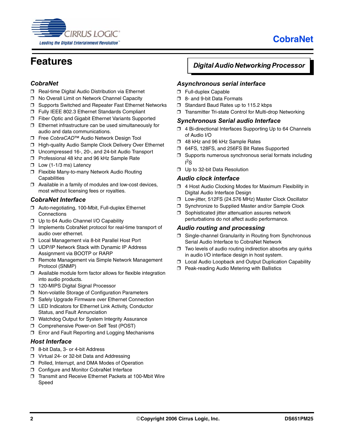



## <span id="page-1-0"></span>**Features**

#### *CobraNet*

- ❒ Real-time Digital Audio Distribution via Ethernet
- ❒ No Overall Limit on Network Channel Capacity
- ❒ Supports Switched and Repeater Fast Ethernet Networks
- ❒ Fully IEEE 802.3 Ethernet Standards Compliant
- ❒ Fiber Optic and Gigabit Ethernet Variants Supported
- ❒ Ethernet infrastructure can be used simultaneously for audio and data communications.
- ❒ Free *CobraCAD*™ Audio Network Design Tool
- ❒ High-quality Audio Sample Clock Delivery Over Ethernet
- ❒ Uncompressed 16-, 20-, and 24-bit Audio Transport
- ❒ Professional 48 khz and 96 kHz Sample Rate
- ❒ Low (1-1/3 ms) Latency
- ❒ Flexible Many-to-many Network Audio Routing **Capabilities**
- ❒ Available in a family of modules and low-cost devices, most without licensing fees or royalties.

#### *CobraNet Interface*

- ❒ Auto-negotiating, 100-Mbit, Full-duplex Ethernet **Connections**
- ❒ Up to 64 Audio Channel I/O Capability
- ❒ Implements CobraNet protocol for real-time transport of audio over ethernet.
- ❒ Local Management via 8-bit Parallel Host Port
- ❒ UDP/IP Network Stack with Dynamic IP Address Assignment via BOOTP or RARP
- ❒ Remote Management via Simple Network Management Protocol (SNMP)
- ❒ Available module form factor allows for flexible integration into audio products.
- ❒ 120-MIPS Digital Signal Processor
- ❒ Non-volatile Storage of Configuration Parameters
- ❒ Safely Upgrade Firmware over Ethernet Connection
- ❒ LED Indicators for Ethernet Link Activity, Conductor Status, and Fault Annunciation
- ❒ Watchdog Output for System Integrity Assurance
- ❒ Comprehensive Power-on Self Test (POST)
- ❒ Error and Fault Reporting and Logging Mechanisms

#### *Host Interface*

- ❒ 8-bit Data, 3- or 4-bit Address
- ❒ Virtual 24- or 32-bit Data and Addressing
- ❒ Polled, Interrupt, and DMA Modes of Operation
- ❒ Configure and Monitor CobraNet Interface
- ❒ Transmit and Receive Ethernet Packets at 100-Mbit Wire Speed

#### *Digital Audio Networking Processor*

#### *Asynchronous serial interface*

- ❒ Full-duplex Capable
- ❒ 8- and 9-bit Data Formats
- ❒ Standard Baud Rates up to 115.2 kbps
- ❒ Transmitter Tri-state Control for Multi-drop Networking

#### *Synchronous Serial audio Interface*

- ❒ 4 Bi-directional Interfaces Supporting Up to 64 Channels of Audio I/O
- ❒ 48 kHz and 96 kHz Sample Rates
- ❒ 64FS, 128FS, and 256FS Bit Rates Supported
- ❒ Supports numerous synchronous serial formats including  $l^2S$
- ❒ Up to 32-bit Data Resolution

#### *Audio clock interface*

- ❒ 4 Host Audio Clocking Modes for Maximum Flexibility in Digital Audio Interface Design
- ❒ Low-jitter, 512FS (24.576 MHz) Master Clock Oscillator
- ❒ Synchronize to Supplied Master and/or Sample Clock
- ❒ Sophisticated jitter attenuation assures network perturbations do not affect audio performance.

#### *Audio routing and processing*

- ❒ Single-channel Granularity in Routing from Synchronous Serial Audio Interface to CobraNet Network
- ❒ Two levels of audio routing indirection absorbs any quirks in audio I/O interface design in host system.
- ❒ Local Audio Loopback and Output Duplication Capability
- ❒ Peak-reading Audio Metering with Ballistics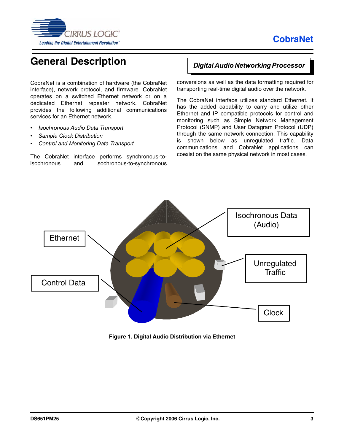

## <span id="page-2-0"></span>**General Description**

CobraNet is a combination of hardware (the CobraNet interface), network protocol, and firmware. CobraNet operates on a switched Ethernet network or on a dedicated Ethernet repeater network. CobraNet provides the following additional communications services for an Ethernet network.

- *Isochronous Audio Data Transport*
- *Sample Clock Distribution*
- *Control and Monitoring Data Transport*

The CobraNet interface performs synchronous-toisochronous and isochronous-to-synchronous

#### *Digital Audio Networking Processor*

conversions as well as the data formatting required for transporting real-time digital audio over the network.

The CobraNet interface utilizes standard Ethernet. It has the added capability to carry and utilize other Ethernet and IP compatible protocols for control and monitoring such as Simple Network Management Protocol (SNMP) and User Datagram Protocol (UDP) through the same network connection. This capability is shown below as unregulated traffic. Data communications and CobraNet applications can coexist on the same physical network in most cases.



**Figure 1. Digital Audio Distribution via Ethernet**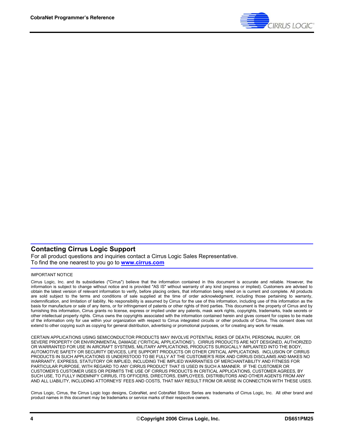

#### **Contacting Cirrus Logic Support**

[For all product questions and inquiries contact a Cirrus Logic Sales Representative.](http://www.cirrus.com)  To find the one nearest to you go to **www.cirrus.com**

#### IMPORTANT NOTICE

Cirrus Logic, Inc. and its subsidiaries ("Cirrus") believe that the information contained in this document is accurate and reliable. However, the information is subject to change without notice and is provided "AS IS" without warranty of any kind (express or implied). Customers are advised to obtain the latest version of relevant information to verify, before placing orders, that information being relied on is current and complete. All products are sold subject to the terms and conditions of sale supplied at the time of order acknowledgment, including those pertaining to warranty, indemnification, and limitation of liability. No responsibility is assumed by Cirrus for the use of this information, including use of this information as the basis for manufacture or sale of any items, or for infringement of patents or other rights of third parties. This document is the property of Cirrus and by furnishing this information, Cirrus grants no license, express or implied under any patents, mask work rights, copyrights, trademarks, trade secrets or other intellectual property rights. Cirrus owns the copyrights associated with the information contained herein and gives consent for copies to be made of the information only for use within your organization with respect to Cirrus integrated circuits or other products of Cirrus. This consent does not extend to other copying such as copying for general distribution, advertising or promotional purposes, or for creating any work for resale.

CERTAIN APPLICATIONS USING SEMICONDUCTOR PRODUCTS MAY INVOLVE POTENTIAL RISKS OF DEATH, PERSONAL INJURY, OR SEVERE PROPERTY OR ENVIRONMENTAL DAMAGE ("CRITICAL APPLICATIONS"). CIRRUS PRODUCTS ARE NOT DESIGNED, AUTHORIZED OR WARRANTED FOR USE IN AIRCRAFT SYSTEMS, MILITARY APPLICATIONS, PRODUCTS SURGICALLY IMPLANTED INTO THE BODY, AUTOMOTIVE SAFETY OR SECURITY DEVICES, LIFE SUPPORT PRODUCTS OR OTHER CRITICAL APPLICATIONS. INCLUSION OF CIRRUS PRODUCTS IN SUCH APPLICATIONS IS UNDERSTOOD TO BE FULLY AT THE CUSTOMER'S RISK AND CIRRUS DISCLAIMS AND MAKES NO WARRANTY, EXPRESS, STATUTORY OR IMPLIED, INCLUDING THE IMPLIED WARRANTIES OF MERCHANTABILITY AND FITNESS FOR PARTICULAR PURPOSE, WITH REGARD TO ANY CIRRUS PRODUCT THAT IS USED IN SUCH A MANNER. IF THE CUSTOMER OR CUSTOMER'S CUSTOMER USES OR PERMITS THE USE OF CIRRUS PRODUCTS IN CRITICAL APPLICATIONS, CUSTOMER AGREES, BY SUCH USE, TO FULLY INDEMNIFY CIRRUS, ITS OFFICERS, DIRECTORS, EMPLOYEES, DISTRIBUTORS AND OTHER AGENTS FROM ANY AND ALL LIABILITY, INCLUDING ATTORNEYS' FEES AND COSTS, THAT MAY RESULT FROM OR ARISE IN CONNECTION WITH THESE USES.

Cirrus Logic, Cirrus, the Cirrus Logic logo designs, CobraNet, and CobraNet Silicon Series are trademarks of Cirrus Logic, Inc. All other brand and product names in this document may be trademarks or service marks of their respective owners.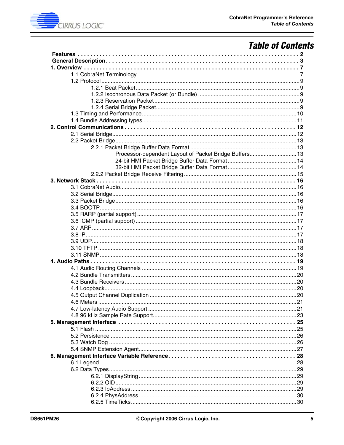

## **Table of Contents**

| Processor-dependent Layout of Packet Bridge Buffers 13 |
|--------------------------------------------------------|
|                                                        |
|                                                        |
|                                                        |
|                                                        |
|                                                        |
|                                                        |
|                                                        |
|                                                        |
|                                                        |
|                                                        |
|                                                        |
|                                                        |
|                                                        |
|                                                        |
|                                                        |
|                                                        |
|                                                        |
|                                                        |
|                                                        |
|                                                        |
|                                                        |
|                                                        |
|                                                        |
|                                                        |
|                                                        |
|                                                        |
|                                                        |
|                                                        |
|                                                        |
|                                                        |
|                                                        |
|                                                        |
|                                                        |
|                                                        |
|                                                        |
|                                                        |
|                                                        |
|                                                        |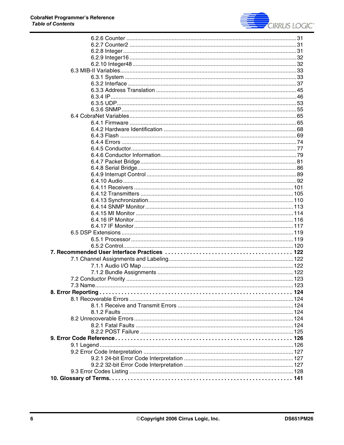

| 7.3 Name. |  |
|-----------|--|
|           |  |
|           |  |
|           |  |
|           |  |
|           |  |
|           |  |
|           |  |
|           |  |
|           |  |
|           |  |
|           |  |
|           |  |
|           |  |
|           |  |
|           |  |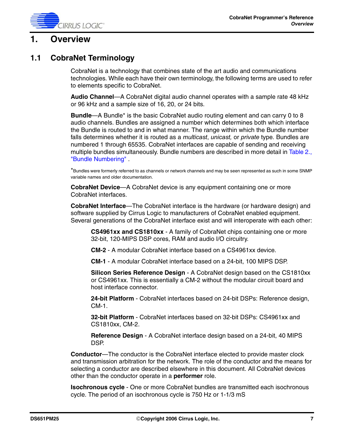

### <span id="page-6-0"></span>**1. Overview**

### <span id="page-6-1"></span>**1.1 CobraNet Terminology**

CobraNet is a technology that combines state of the art audio and communications technologies. While each have their own terminology, the following terms are used to refer to elements specific to CobraNet.

**Audio Channel**—A CobraNet digital audio channel operates with a sample rate 48 kHz or 96 kHz and a sample size of 16, 20, or 24 bits.

**Bundle**—A Bundle\* is the basic CobraNet audio routing element and can carry 0 to 8 audio channels. Bundles are assigned a number which determines both which interface the Bundle is routed to and in what manner. The range within which the Bundle number falls determines whether it is routed as a *multicast*, *unicast,* or *private* type*.* Bundles are numbered 1 through 65535. CobraNet interfaces are capable of sending and receiving multiple bundles simultaneously. Bundle numbers are described in more detail in Table 2., ["Bundle Numbering"](#page-10-1) .

\*Bundles were formerly referred to as channels or network channels and may be seen represented as such in some SNMP variable names and older documentation.

**CobraNet Device**—A CobraNet device is any equipment containing one or more CobraNet interfaces.

**CobraNet Interface**—The CobraNet interface is the hardware (or hardware design) and software supplied by Cirrus Logic to manufacturers of CobraNet enabled equipment. Several generations of the CobraNet interface exist and will interoperate with each other:

**CS4961xx and CS1810xx** - A family of CobraNet chips containing one or more 32-bit, 120-MIPS DSP cores, RAM and audio I/O circuitry.

**CM-2** - A modular CobraNet interface based on a CS4961xx device.

**CM-1** - A modular CobraNet interface based on a 24-bit, 100 MIPS DSP.

**Silicon Series Reference Design** - A CobraNet design based on the CS1810xx or CS4961xx. This is essentially a CM-2 without the modular circuit board and host interface connector.

**24-bit Platform** - CobraNet interfaces based on 24-bit DSPs: Reference design, CM-1.

**32-bit Platform** - CobraNet interfaces based on 32-bit DSPs: CS4961xx and CS1810xx, CM-2.

**Reference Design** - A CobraNet interface design based on a 24-bit, 40 MIPS DSP.

**Conductor**—The conductor is the CobraNet interface elected to provide master clock and transmission arbitration for the network. The role of the conductor and the means for selecting a conductor are described elsewhere in this document. All CobraNet devices other than the conductor operate in a **performer** role.

**Isochronous cycle** - One or more CobraNet bundles are transmitted each isochronous cycle. The period of an isochronous cycle is 750 Hz or 1-1/3 mS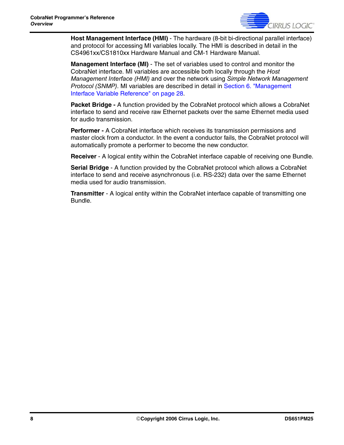

**Host Management Interface (HMI)** - The hardware (8-bit bi-directional parallel interface) and protocol for accessing MI variables locally. The HMI is described in detail in the CS4961xx/CS1810xx Hardware Manual and CM-1 Hardware Manual.

**Management Interface (MI)** - The set of variables used to control and monitor the CobraNet interface. MI variables are accessible both locally through the *Host Management Interface (HMI)* and over the network using *Simple Network Management Protocol (SNMP)*. MI variables are described in detail in [Section 6. "Management](#page-27-0)  [Interface Variable Reference" on page 28](#page-27-0).

**Packet Bridge -** A function provided by the CobraNet protocol which allows a CobraNet interface to send and receive raw Ethernet packets over the same Ethernet media used for audio transmission.

**Performer -** A CobraNet interface which receives its transmission permissions and master clock from a conductor. In the event a conductor fails, the CobraNet protocol will automatically promote a performer to become the new conductor.

**Receiver** - A logical entity within the CobraNet interface capable of receiving one Bundle.

**Serial Bridge** - A function provided by the CobraNet protocol which allows a CobraNet interface to send and receive asynchronous (i.e. RS-232) data over the same Ethernet media used for audio transmission.

**Transmitter** - A logical entity within the CobraNet interface capable of transmitting one Bundle.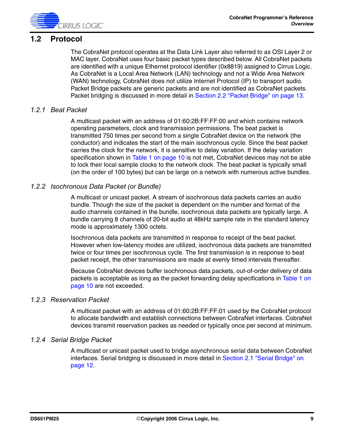

### <span id="page-8-0"></span>**1.2 Protocol**

The CobraNet protocol operates at the Data Link Layer also referred to as OSI Layer 2 or MAC layer. CobraNet uses four basic packet types described below. All CobraNet packets are identified with a unique Ethernet protocol identifier (0x8819) assigned to Cirrus Logic. As CobraNet is a Local Area Network (LAN) technology and not a Wide Area Network (WAN) technology, CobraNet does not utilize Internet Protocol (IP) to transport audio. Packet Bridge packets are generic packets and are not identified as CobraNet packets. Packet bridging is discussed in more detail in [Section 2.2 "Packet Bridge" on page 13](#page-12-0).

#### <span id="page-8-1"></span>*1.2.1 Beat Packet*

A multicast packet with an address of 01:60:2B:FF:FF:00 and which contains network operating parameters, clock and transmission permissions. The beat packet is transmitted 750 times per second from a single CobraNet device on the network (the conductor) and indicates the start of the main isochronous cycle. Since the beat packet carries the clock for the network, it is sensitive to delay variation. If the delay variation specification shown in [Table 1 on page 10](#page-9-1) is not met, CobraNet devices may not be able to lock their local sample clocks to the network clock. The beat packet is typically small (on the order of 100 bytes) but can be large on a network with numerous active bundles.

#### <span id="page-8-2"></span>*1.2.2 Isochronous Data Packet (or Bundle)*

A multicast or unicast packet. A stream of isochronous data packets carries an audio bundle. Though the size of the packet is dependent on the number and format of the audio channels contained in the bundle, isochronous data packets are typically large. A bundle carrying 8 channels of 20-bit audio at 48kHz sample rate in the standard latency mode is approximately 1300 octets.

Isochronous data packets are transmitted in response to receipt of the beat packet. However when low-latency modes are utilized, isochronous data packets are transmitted twice or four times per isochronous cycle. The first transmission is in response to beat packet receipt, the other transmissions are made at evenly timed intervals thereafter.

Because CobraNet devices buffer isochronous data packets, out-of-order delivery of data packets is acceptable as long as the packet forwarding delay specifications in Table 1 on [page 10](#page-9-1) are not exceeded.

#### <span id="page-8-3"></span>*1.2.3 Reservation Packet*

A multicast packet with an address of 01:60:2B:FF:FF:01 used by the CobraNet protocol to allocate bandwidth and establish connections between CobraNet interfaces. CobraNet devices transmit reservation packes as needed or typically once per second at minimum.

#### <span id="page-8-4"></span>*1.2.4 Serial Bridge Packet*

A multicast or unicast packet used to bridge asynchronous serial data between CobraNet interfaces. Serial bridging is discussed in more detail in Section 2.1 "Serial Bridge" on [page 12.](#page-11-1)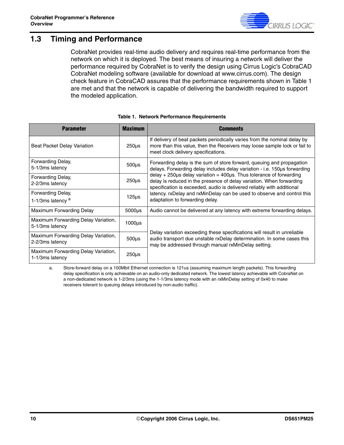

### <span id="page-9-0"></span>**1.3 Timing and Performance**

CobraNet provides real-time audio delivery and requires real-time performance from the network on which it is deployed. The best means of insuring a network will deliver the performance required by CobraNet is to verify the design using Cirrus Logic's CobraCAD CobraNet modeling software (available for download at www.cirrus.com). The design check feature in CobraCAD assures that the performance requirements shown in Table 1 are met and that the network is capable of delivering the bandwidth required to support the modeled application.

<span id="page-9-1"></span>

| <b>Parameter</b>                                       | <b>Maximum</b>     | Comments                                                                                                                                                                                                                          |
|--------------------------------------------------------|--------------------|-----------------------------------------------------------------------------------------------------------------------------------------------------------------------------------------------------------------------------------|
| <b>Beat Packet Delay Variation</b>                     | 250 <sub>µ</sub> s | If delivery of beat packets periodically varies from the nominal delay by<br>more than this value, then the Receivers may loose sample lock or fail to<br>meet clock delivery specifications.                                     |
| Forwarding Delay,<br>5-1/3ms latency                   | $500\mu s$         | Forwarding delay is the sum of store forward, queuing and propagation<br>delays. Forwarding delay includes delay variation - i.e. 150us forwarding                                                                                |
| Forwarding Delay,<br>2-2/3ms latency                   | 250 <sub>µ</sub> s | $delay + 250\mu s$ delay variation = 400 $\mu s$ . Thus tolerance of forwarding<br>delay is reduced in the presence of delay variation. When forwarding<br>specification is exceeded, audio is delivered reliably with additional |
| Forwarding Delay,<br>1-1/3ms latency <sup>a</sup>      | 125 <sub>µ</sub>   | latency. rxDelay and rxMinDelay can be used to observe and control this<br>adaptation to forwarding delay.                                                                                                                        |
| Maximum Forwarding Delay                               | $5000\mu s$        | Audio cannot be delivered at any latency with extreme forwarding delays.                                                                                                                                                          |
| Maximum Forwarding Delay Variation,<br>5-1/3ms latency | $1000\mu s$        |                                                                                                                                                                                                                                   |
| Maximum Forwarding Delay Variation,<br>2-2/3ms latency | $500\mu s$         | Delay variation exceeding these specifications will result in unreliable<br>audio transport due unstable rxDelay determination. In some cases this<br>may be addressed through manual rxMinDelay setting.                         |
| Maximum Forwarding Delay Variation,<br>1-1/3ms latency | $250µ$ s           |                                                                                                                                                                                                                                   |

#### **Table 1. Network Performance Requirements**

a. Store-forward delay on a 100Mbit Ethernet connection is 121us (assuming maximum length packets). This forwarding delay specification is only achievable on an audio-only dedicated network. The lowest latency achievable with CobraNet on a non-dedicated network is 1-2/3ms (using the 1-1/3ms latency mode with an rxMinDelay setting of 0x40 to make receivers tolerant to queuing delays introduced by non-audio traffic).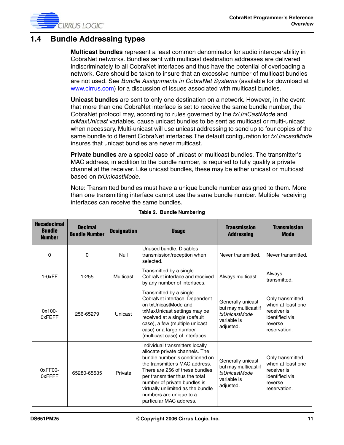### <span id="page-10-0"></span>**1.4 Bundle Addressing types**

**Multicast bundles** represent a least common denominator for audio interoperability in CobraNet networks. Bundles sent with multicast destination addresses are delivered indiscriminately to all CobraNet interfaces and thus have the potential of overloading a network. Care should be taken to insure that an excessive number of multicast bundles are not used. See *Bundle Assignments in CobraNet Systems* (available for download at [www.cirrus.com\)](http://www.cirrus.com/en/products/pro/areas/netaudio.html) for a discussion of issues associated with multicast bundles.

**Unicast bundles** are sent to only one destination on a network. However, in the event that more than one CobraNet interface is set to receive the same bundle number, the CobraNet protocol may, according to rules governed by the *txUniCastMode* and *txMaxUnicast* variables, cause unicast bundles to be sent as multicast or multi-unicast when necessary. Multi-unicast will use unicast addressing to send up to four copies of the same bundle to different CobraNet interfaces.The default configuration for *txUnicastMode* insures that unicast bundles are never multicast.

**Private bundles** are a special case of unicast or multicast bundles. The transmitter's MAC address, in addition to the bundle number, is required to fully qualify a private channel at the receiver. Like unicast bundles, these may be either unicast or multicast based on *txUnicastMode.*

Note: Transmitted bundles must have a unique bundle number assigned to them. More than one transmitting interface cannot use the same bundle number. Multiple receiving interfaces can receive the same bundles.

<span id="page-10-1"></span>

| <b>Hexadecimal</b><br><b>Bundle</b><br><b>Number</b> | <b>Decimal</b><br><b>Bundle Number</b> | <b>Designation</b> | <b>Usage</b>                                                                                                                                                                                                                                                                                                                          | <b>Transmission</b><br><b>Addressing</b>                                               | <b>Transmission</b><br><b>Mode</b>                                                                |
|------------------------------------------------------|----------------------------------------|--------------------|---------------------------------------------------------------------------------------------------------------------------------------------------------------------------------------------------------------------------------------------------------------------------------------------------------------------------------------|----------------------------------------------------------------------------------------|---------------------------------------------------------------------------------------------------|
| $\Omega$                                             | 0                                      | <b>Null</b>        | Unused bundle, Disables<br>transmission/reception when<br>selected.                                                                                                                                                                                                                                                                   | Never transmitted.                                                                     | Never transmitted.                                                                                |
| $1-0xFF$                                             | $1 - 255$                              | Multicast          | Transmitted by a single<br>CobraNet interface and received<br>by any number of interfaces.                                                                                                                                                                                                                                            | Always multicast                                                                       | Always<br>transmitted.                                                                            |
| $0x100 -$<br>0xFEFF                                  | 256-65279                              | Unicast            | Transmitted by a single<br>CobraNet interface. Dependent<br>on txUnicastMode and<br>txMaxUnicast settings may be<br>received at a single (default<br>case), a few (multiple unicast<br>case) or a large number<br>(multicast case) of interfaces.                                                                                     | Generally unicast<br>but may multicast if<br>txUnicastMode<br>variable is<br>adjusted. | Only transmitted<br>when at least one<br>receiver is<br>identified via<br>reverse<br>reservation. |
| 0xFF00-<br>0xFFFF                                    | 65280-65535                            | Private            | Individual transmitters locally<br>allocate private channels. The<br>bundle number is conditioned on<br>the transmitter's MAC address.<br>There are 256 of these bundles<br>per transmitter thus the total<br>number of private bundles is<br>virtually unlimited as the bundle<br>numbers are unique to a<br>particular MAC address. | Generally unicast<br>but may multicast if<br>txUnicastMode<br>variable is<br>adjusted. | Only transmitted<br>when at least one<br>receiver is<br>identified via<br>reverse<br>reservation. |

#### **Table 2. Bundle Numbering**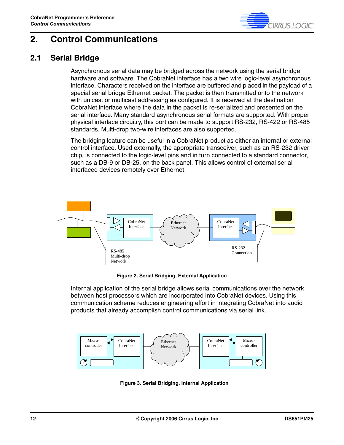

## <span id="page-11-0"></span>**2. Control Communications**

### <span id="page-11-1"></span>**2.1 Serial Bridge**

Asynchronous serial data may be bridged across the network using the serial bridge hardware and software. The CobraNet interface has a two wire logic-level asynchronous interface. Characters received on the interface are buffered and placed in the payload of a special serial bridge Ethernet packet. The packet is then transmitted onto the network with unicast or multicast addressing as configured. It is received at the destination CobraNet interface where the data in the packet is re-serialized and presented on the serial interface. Many standard asynchronous serial formats are supported. With proper physical interface circuitry, this port can be made to support RS-232, RS-422 or RS-485 standards. Multi-drop two-wire interfaces are also supported.

The bridging feature can be useful in a CobraNet product as either an internal or external control interface. Used externally, the appropriate transceiver, such as an RS-232 driver chip, is connected to the logic-level pins and in turn connected to a standard connector, such as a DB-9 or DB-25, on the back panel. This allows control of external serial interfaced devices remotely over Ethernet.



**Figure 2. Serial Bridging, External Application**

Internal application of the serial bridge allows serial communications over the network between host processors which are incorporated into CobraNet devices. Using this communication scheme reduces engineering effort in integrating CobraNet into audio products that already accomplish control communications via serial link.



**Figure 3. Serial Bridging, Internal Application**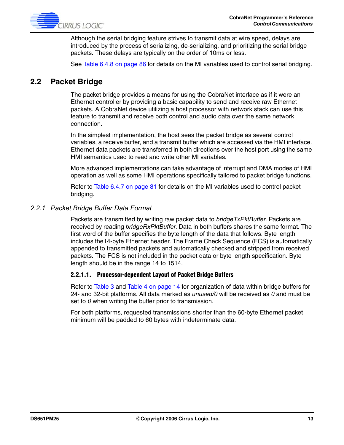

Although the serial bridging feature strives to transmit data at wire speed, delays are introduced by the process of serializing, de-serializing, and prioritizing the serial bridge packets. These delays are typically on the order of 10ms or less.

See [Table 6.4.8 on page 86](#page-85-0) for details on the MI variables used to control serial bridging.

### <span id="page-12-0"></span>**2.2 Packet Bridge**

The packet bridge provides a means for using the CobraNet interface as if it were an Ethernet controller by providing a basic capability to send and receive raw Ethernet packets. A CobraNet device utilizing a host processor with network stack can use this feature to transmit and receive both control and audio data over the same network connection.

In the simplest implementation, the host sees the packet bridge as several control variables, a receive buffer, and a transmit buffer which are accessed via the HMI interface. Ethernet data packets are transferred in both directions over the host port using the same HMI semantics used to read and write other MI variables.

More advanced implementations can take advantage of interrupt and DMA modes of HMI operation as well as some HMI operations specifically tailored to packet bridge functions.

Refer to [Table 6.4.7 on page 81](#page-80-0) for details on the MI variables used to control packet bridging.

#### <span id="page-12-1"></span>*2.2.1 Packet Bridge Buffer Data Format*

Packets are transmitted by writing raw packet data to *bridgeTxPktBuffer*. Packets are received by reading *bridgeRxPktBuffer*. Data in both buffers shares the same format. The first word of the buffer specifies the byte length of the data that follows. Byte length includes the14-byte Ethernet header. The Frame Check Sequence (FCS) is automatically appended to transmitted packets and automatically checked and stripped from received packets. The FCS is not included in the packet data or byte length specification. Byte length should be in the range 14 to 1514.

#### <span id="page-12-2"></span>**2.2.1.1. Processor-dependent Layout of Packet Bridge Buffers**

Refer to [Table 3](#page-13-2) and [Table 4 on page 14](#page-13-3) for organization of data within bridge buffers for 24- and 32-bit platforms. All data marked as *unused/0* will be received as *0* and must be set to *0* when writing the buffer prior to transmission.

For both platforms, requested transmissions shorter than the 60-byte Ethernet packet minimum will be padded to 60 bytes with indeterminate data.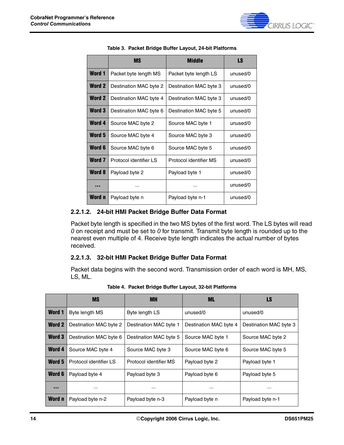

<span id="page-13-2"></span>

|               | <b>MS</b>              | Middle                 | LS       |
|---------------|------------------------|------------------------|----------|
| <b>Word 1</b> | Packet byte length MS  | Packet byte length LS  | unused/0 |
| Word 2        | Destination MAC byte 2 | Destination MAC byte 3 | unused/0 |
| <b>Word 2</b> | Destination MAC byte 4 | Destination MAC byte 3 | unused/0 |
| <b>Word 3</b> | Destination MAC byte 6 | Destination MAC byte 5 | unused/0 |
| Word 4        | Source MAC byte 2      | Source MAC byte 1      | unused/0 |
| Word 5        | Source MAC byte 4      | Source MAC byte 3      | unused/0 |
| Word 6        | Source MAC byte 6      | Source MAC byte 5      | unused/0 |
| Word 7        | Protocol identifier LS | Protocol identifier MS | unused/0 |
| <b>Word 8</b> | Payload byte 2         | Payload byte 1         | unused/0 |
|               |                        |                        | unused/0 |
| Word n        | Payload byte n         | Payload byte n-1       | unused/0 |

#### **Table 3. Packet Bridge Buffer Layout, 24-bit Platforms**

#### <span id="page-13-0"></span>**2.2.1.2. 24-bit HMI Packet Bridge Buffer Data Format**

Packet byte length is specified in the two MS bytes of the first word. The LS bytes will read *0* on receipt and must be set to *0* for transmit. Transmit byte length is rounded up to the nearest even multiple of 4. Receive byte length indicates the actual number of bytes received.

#### <span id="page-13-1"></span>**2.2.1.3. 32-bit HMI Packet Bridge Buffer Data Format**

Packet data begins with the second word. Transmission order of each word is MH, MS, LS, ML.

<span id="page-13-3"></span>

|               | <b>MS</b>              | <b>MH</b>              | <b>ML</b>              | LS                     |
|---------------|------------------------|------------------------|------------------------|------------------------|
| <b>Word 1</b> | Byte length MS         | Byte length LS         | unused/0               | unused/0               |
| <b>Word 2</b> | Destination MAC byte 2 | Destination MAC byte 1 | Destination MAC byte 4 | Destination MAC byte 3 |
| <b>Word 3</b> | Destination MAC byte 6 | Destination MAC byte 5 | Source MAC byte 1      | Source MAC byte 2      |
| <b>Word 4</b> | Source MAC byte 4      | Source MAC byte 3      | Source MAC byte 6      | Source MAC byte 5      |
| Word 5        | Protocol identifier LS | Protocol identifier MS | Payload byte 2         | Payload byte 1         |
| Word 6        | Payload byte 4         | Payload byte 3         | Payload byte 6         | Payload byte 5         |
|               | $\cdots$               |                        |                        | $\cdots$               |
| Word n        | Payload byte n-2       | Payload byte n-3       | Payload byte n         | Payload byte n-1       |

**Table 4. Packet Bridge Buffer Layout, 32-bit Platforms**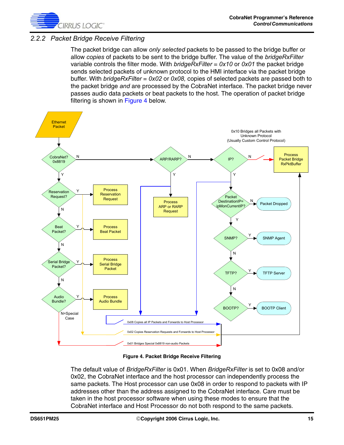

#### <span id="page-14-0"></span>*2.2.2 Packet Bridge Receive Filtering*

The packet bridge can allow *only selected* packets to be passed to the bridge buffer or allow *copies* of packets to be sent to the bridge buffer. The value of the *bridgeRxFilter* variable controls the filter mode. With *bridgeRxFilter* = *0x10* or *0x01* the packet bridge sends selected packets of unknown protocol to the HMI interface via the packet bridge buffer. With *bridgeRxFilter* = *0x02* or *0x08,* copies of selected packets are passed both to the packet bridge *and* are processed by the CobraNet interface. The packet bridge never passes audio data packets or beat packets to the host. The operation of packet bridge filtering is shown in [Figure 4](#page-14-1) below.



**Figure 4. Packet Bridge Receive Filtering**

<span id="page-14-1"></span>The default value of *BridgeRxFilter* is 0x01. When *BridgeRxFilter* is set to 0x08 and/or 0x02, the CobraNet interface and the host processor can independently process the same packets. The Host processor can use 0x08 in order to respond to packets with IP addresses other than the address assigned to the CobraNet interface. Care must be taken in the host processor software when using these modes to ensure that the CobraNet interface and Host Processor do not both respond to the same packets.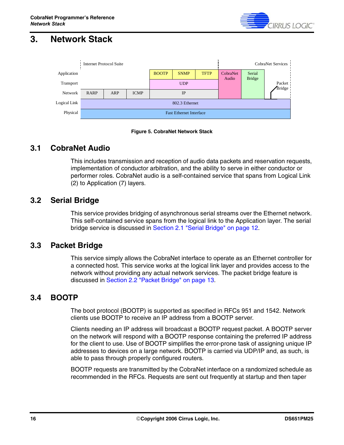

## <span id="page-15-0"></span>**3. Network Stack**





### <span id="page-15-1"></span>**3.1 CobraNet Audio**

This includes transmission and reception of audio data packets and reservation requests, implementation of conductor arbitration, and the ability to serve in either conductor or performer roles. CobraNet audio is a self-contained service that spans from Logical Link (2) to Application (7) layers.

### <span id="page-15-2"></span>**3.2 Serial Bridge**

This service provides bridging of asynchronous serial streams over the Ethernet network. This self-contained service spans from the logical link to the Application layer. The serial bridge service is discussed in [Section 2.1 "Serial Bridge" on page 12](#page-11-1).

### <span id="page-15-3"></span>**3.3 Packet Bridge**

This service simply allows the CobraNet interface to operate as an Ethernet controller for a connected host. This service works at the logical link layer and provides access to the network without providing any actual network services. The packet bridge feature is discussed in [Section 2.2 "Packet Bridge" on page 13.](#page-12-0)

### <span id="page-15-4"></span>**3.4 BOOTP**

The boot protocol (BOOTP) is supported as specified in RFCs 951 and 1542. Network clients use BOOTP to receive an IP address from a BOOTP server.

Clients needing an IP address will broadcast a BOOTP request packet. A BOOTP server on the network will respond with a BOOTP response containing the preferred IP address for the client to use. Use of BOOTP simplifies the error-prone task of assigning unique IP addresses to devices on a large network. BOOTP is carried via UDP/IP and, as such, is able to pass through properly configured routers.

BOOTP requests are transmitted by the CobraNet interface on a randomized schedule as recommended in the RFCs. Requests are sent out frequently at startup and then taper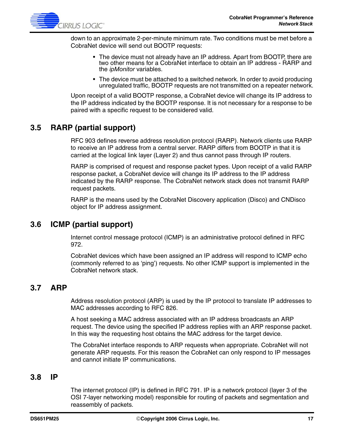

down to an approximate 2-per-minute minimum rate. Two conditions must be met before a CobraNet device will send out BOOTP requests:

- The device must not already have an IP address. Apart from BOOTP, there are two other means for a CobraNet interface to obtain an IP address - RARP and the *ipMonitor* variables.
- The device must be attached to a switched network. In order to avoid producing unregulated traffic, BOOTP requests are not transmitted on a repeater network.

Upon receipt of a valid BOOTP response, a CobraNet device will change its IP address to the IP address indicated by the BOOTP response. It is not necessary for a response to be paired with a specific request to be considered valid.

### <span id="page-16-0"></span>**3.5 RARP (partial support)**

RFC 903 defines reverse address resolution protocol (RARP). Network clients use RARP to receive an IP address from a central server. RARP differs from BOOTP in that it is carried at the logical link layer (Layer 2) and thus cannot pass through IP routers.

RARP is comprised of request and response packet types. Upon receipt of a valid RARP response packet, a CobraNet device will change its IP address to the IP address indicated by the RARP response. The CobraNet network stack does not transmit RARP request packets.

RARP is the means used by the CobraNet Discovery application (Disco) and CNDisco object for IP address assignment.

### <span id="page-16-1"></span>**3.6 ICMP (partial support)**

Internet control message protocol (ICMP) is an administrative protocol defined in RFC 972.

CobraNet devices which have been assigned an IP address will respond to ICMP echo (commonly referred to as 'ping') requests. No other ICMP support is implemented in the CobraNet network stack.

### <span id="page-16-2"></span>**3.7 ARP**

Address resolution protocol (ARP) is used by the IP protocol to translate IP addresses to MAC addresses according to RFC 826.

A host seeking a MAC address associated with an IP address broadcasts an ARP request. The device using the specified IP address replies with an ARP response packet. In this way the requesting host obtains the MAC address for the target device.

The CobraNet interface responds to ARP requests when appropriate. CobraNet will not generate ARP requests. For this reason the CobraNet can only respond to IP messages and cannot initiate IP communications.

### <span id="page-16-3"></span>**3.8 IP**

The internet protocol (IP) is defined in RFC 791. IP is a network protocol (layer 3 of the OSI 7-layer networking model) responsible for routing of packets and segmentation and reassembly of packets.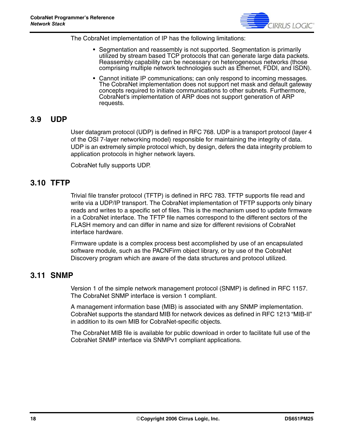

The CobraNet implementation of IP has the following limitations:

- Segmentation and reassembly is not supported. Segmentation is primarily utilized by stream based TCP protocols that can generate large data packets. Reassembly capability can be necessary on heterogeneous networks (those comprising multiple network technologies such as Ethernet, FDDI, and ISDN).
- Cannot initiate IP communications; can only respond to incoming messages. The CobraNet implementation does not support net mask and default gateway concepts required to initiate communications to other subnets. Furthermore, CobraNet's implementation of ARP does not support generation of ARP requests.

### <span id="page-17-0"></span>**3.9 UDP**

User datagram protocol (UDP) is defined in RFC 768. UDP is a transport protocol (layer 4 of the OSI 7-layer networking model) responsible for maintaining the integrity of data. UDP is an extremely simple protocol which, by design, defers the data integrity problem to application protocols in higher network layers.

CobraNet fully supports UDP.

### <span id="page-17-1"></span>**3.10 TFTP**

Trivial file transfer protocol (TFTP) is defined in RFC 783. TFTP supports file read and write via a UDP/IP transport. The CobraNet implementation of TFTP supports only binary reads and writes to a specific set of files. This is the mechanism used to update firmware in a CobraNet interface. The TFTP file names correspond to the different sectors of the FLASH memory and can differ in name and size for different revisions of CobraNet interface hardware.

Firmware update is a complex process best accomplished by use of an encapsulated software module, such as the PACNFirm object library, or by use of the CobraNet Discovery program which are aware of the data structures and protocol utilized.

### <span id="page-17-2"></span>**3.11 SNMP**

Version 1 of the simple network management protocol (SNMP) is defined in RFC 1157. The CobraNet SNMP interface is version 1 compliant.

A management information base (MIB) is associated with any SNMP implementation. CobraNet supports the standard MIB for network devices as defined in RFC 1213 "MIB-II" in addition to its own MIB for CobraNet-specific objects.

The CobraNet MIB file is available for public download in order to facilitate full use of the CobraNet SNMP interface via SNMPv1 compliant applications.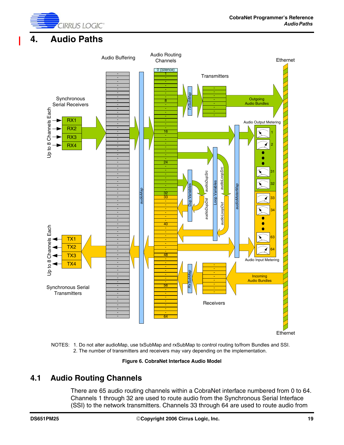

### <span id="page-18-0"></span>**4. Audio Paths**



NOTES: 1. Do not alter audioMap, use txSubMap and rxSubMap to control routing to/from Bundles and SSI.

**Figure 6. CobraNet Interface Audio Model**

### <span id="page-18-1"></span>**4.1 Audio Routing Channels**

There are 65 audio routing channels within a CobraNet interface numbered from 0 to 64. Channels 1 through 32 are used to route audio from the Synchronous Serial Interface (SSI) to the network transmitters. Channels 33 through 64 are used to route audio from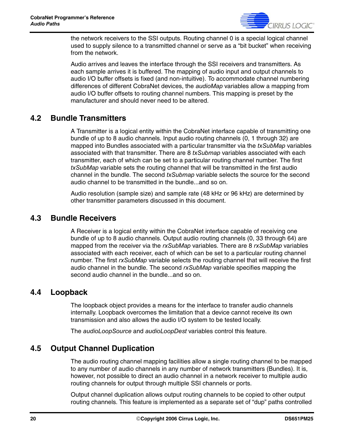

the network receivers to the SSI outputs. Routing channel 0 is a special logical channel used to supply silence to a transmitted channel or serve as a "bit bucket" when receiving from the network.

Audio arrives and leaves the interface through the SSI receivers and transmitters. As each sample arrives it is buffered. The mapping of audio input and output channels to audio I/O buffer offsets is fixed (and non-intuitive). To accommodate channel numbering differences of different CobraNet devices, the *audioMap* variables allow a mapping from audio I/O buffer offsets to routing channel numbers. This mapping is preset by the manufacturer and should never need to be altered.

### <span id="page-19-0"></span>**4.2 Bundle Transmitters**

A Transmitter is a logical entity within the CobraNet interface capable of transmitting one bundle of up to 8 audio channels. Input audio routing channels (0, 1 through 32) are mapped into Bundles associated with a particular transmitter via the *txSubMap* variables associated with that transmitter. There are 8 *txSubmap* variables associated with each transmitter, each of which can be set to a particular routing channel number. The first *txSubMap* variable sets the routing channel that will be transmitted in the first audio channel in the bundle. The second *txSubmap* variable selects the source for the second audio channel to be transmitted in the bundle...and so on.

Audio resolution (sample size) and sample rate (48 kHz or 96 kHz) are determined by other transmitter parameters discussed in this document.

### <span id="page-19-1"></span>**4.3 Bundle Receivers**

A Receiver is a logical entity within the CobraNet interface capable of receiving one bundle of up to 8 audio channels. Output audio routing channels (0, 33 through 64) are mapped from the receiver via the *rxSubMap* variables. There are 8 *rxSubMap* variables associated with each receiver, each of which can be set to a particular routing channel number. The first *rxSubMap* variable selects the routing channel that will receive the first audio channel in the bundle. The second *rxSubMap* variable specifies mapping the second audio channel in the bundle...and so on.

### <span id="page-19-2"></span>**4.4 Loopback**

The loopback object provides a means for the interface to transfer audio channels internally. Loopback overcomes the limitation that a device cannot receive its own transmission and also allows the audio I/O system to be tested locally.

The *audioLoopSource* and *audioLoopDest* variables control this feature.

### <span id="page-19-3"></span>**4.5 Output Channel Duplication**

The audio routing channel mapping facilities allow a single routing channel to be mapped to any number of audio channels in any number of network transmitters (Bundles). It is, however, not possible to direct an audio channel in a network receiver to multiple audio routing channels for output through multiple SSI channels or ports.

Output channel duplication allows output routing channels to be copied to other output routing channels. This feature is implemented as a separate set of "dup" paths controlled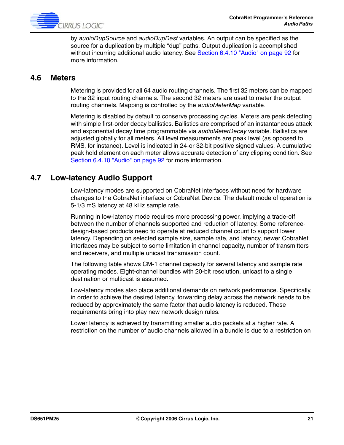

by *audioDupSource* and *audioDupDest* variables. An output can be specified as the source for a duplication by multiple "dup" paths. Output duplication is accomplished without incurring additional audio latency. See [Section 6.4.10 "Audio" on page 92](#page-91-0) for more information.

#### <span id="page-20-0"></span>**4.6 Meters**

Metering is provided for all 64 audio routing channels. The first 32 meters can be mapped to the 32 input routing channels. The second 32 meters are used to meter the output routing channels. Mapping is controlled by the *audioMeterMap* variable.

Metering is disabled by default to conserve processing cycles. Meters are peak detecting with simple first-order decay ballistics. Ballistics are comprised of an instantaneous attack and exponential decay time programmable via *audioMeterDecay* variable. Ballistics are adjusted globally for all meters. All level measurements are peak level (as opposed to RMS, for instance). Level is indicated in 24-or 32-bit positive signed values. A cumulative peak hold element on each meter allows accurate detection of any clipping condition. See [Section 6.4.10 "Audio" on page 92](#page-91-0) for more information.

### <span id="page-20-1"></span>**4.7 Low-latency Audio Support**

Low-latency modes are supported on CobraNet interfaces without need for hardware changes to the CobraNet interface or CobraNet Device. The default mode of operation is 5-1/3 mS latency at 48 kHz sample rate.

Running in low-latency mode requires more processing power, implying a trade-off between the number of channels supported and reduction of latency. Some referencedesign-based products need to operate at reduced channel count to support lower latency. Depending on selected sample size, sample rate, and latency, newer CobraNet interfaces may be subject to some limitation in channel capacity, number of transmitters and receivers, and multiple unicast transmission count.

The following table shows CM-1 channel capacity for several latency and sample rate operating modes. Eight-channel bundles with 20-bit resolution, unicast to a single destination or multicast is assumed.

Low-latency modes also place additional demands on network performance. Specifically, in order to achieve the desired latency, forwarding delay across the network needs to be reduced by approximately the same factor that audio latency is reduced. These requirements bring into play new network design rules.

Lower latency is achieved by transmitting smaller audio packets at a higher rate. A restriction on the number of audio channels allowed in a bundle is due to a restriction on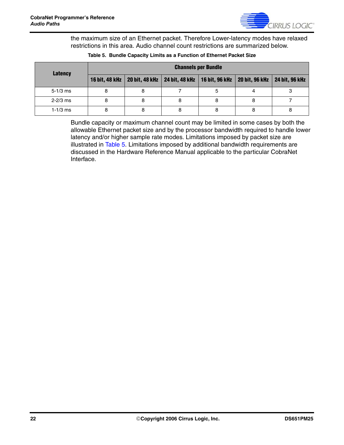

the maximum size of an Ethernet packet. Therefore Lower-latency modes have relaxed restrictions in this area. Audio channel count restrictions are summarized below.

<span id="page-21-0"></span>

| Latency      | <b>Channels per Bundle</b> |  |  |                                                                   |  |                       |
|--------------|----------------------------|--|--|-------------------------------------------------------------------|--|-----------------------|
|              | <b>16 bit, 48 kHz</b>      |  |  | 20 bit, 48 kHz   24 bit, 48 kHz   16 bit, 96 kHz   20 bit, 96 kHz |  | <b>24 bit, 96 kHz</b> |
| $5 - 1/3$ ms |                            |  |  |                                                                   |  |                       |
| $2 - 2/3$ ms |                            |  |  |                                                                   |  |                       |
| $1 - 1/3$ ms |                            |  |  |                                                                   |  |                       |

#### **Table 5. Bundle Capacity Limits as a Function of Ethernet Packet Size**

Bundle capacity or maximum channel count may be limited in some cases by both the allowable Ethernet packet size and by the processor bandwidth required to handle lower latency and/or higher sample rate modes. Limitations imposed by packet size are illustrated in [Table 5.](#page-21-0) Limitations imposed by additional bandwidth requirements are discussed in the Hardware Reference Manual applicable to the particular CobraNet Interface.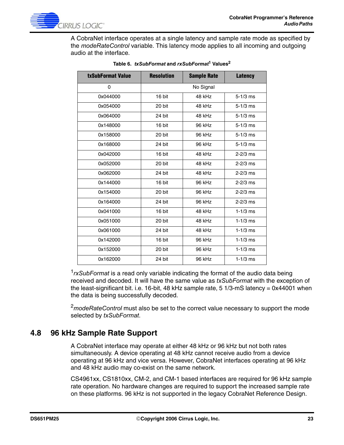

A CobraNet interface operates at a single latency and sample rate mode as specified by the *modeRateControl* variable. This latency mode applies to all incoming and outgoing audio at the interface.

| txSubFormat Value | <b>Resolution</b> | <b>Sample Rate</b> | <b>Latency</b> |
|-------------------|-------------------|--------------------|----------------|
| 0                 |                   | No Signal          |                |
| 0x044000          | 16 bit            | 48 kHz             | $5 - 1/3$ ms   |
| 0x054000          | 20 bit            | 48 kHz             | $5 - 1/3$ ms   |
| 0x064000          | 24 bit            | 48 kHz             | $5 - 1/3$ ms   |
| 0x148000          | 16 bit            | 96 kHz             | $5 - 1/3$ ms   |
| 0x158000          | 20 bit            | 96 kHz             | $5 - 1/3$ ms   |
| 0x168000          | 24 bit            | 96 kHz             | $5 - 1/3$ ms   |
| 0x042000          | 16 bit            | 48 kHz             | $2 - 2/3$ ms   |
| 0x052000          | 20 bit            | 48 kHz             | $2 - 2/3$ ms   |
| 0x062000          | 24 bit            | 48 kHz             | $2 - 2/3$ ms   |
| 0x144000          | 16 bit            | 96 kHz             | $2 - 2/3$ ms   |
| 0x154000          | 20 bit            | 96 kHz             | $2 - 2/3$ ms   |
| 0x164000          | 24 bit            | 96 kHz             | $2 - 2/3$ ms   |
| 0x041000          | 16 bit            | 48 kHz             | $1 - 1/3$ ms   |
| 0x051000          | 20 bit            | 48 kHz             | $1 - 1/3$ ms   |
| 0x061000          | 24 bit            | 48 kHz             | $1 - 1/3$ ms   |
| 0x142000          | 16 bit            | 96 kHz             | $1 - 1/3$ ms   |
| 0x152000          | 20 bit            | 96 kHz             | $1 - 1/3$ ms   |
| 0x162000          | 24 bit            | 96 kHz             | $1 - 1/3$ ms   |

| Table 6. <i>txSubFormat</i> and <i>rxSubFormat<sup>1</sup></i> Values <sup>2</sup> |  |
|------------------------------------------------------------------------------------|--|
|                                                                                    |  |

<sup>1</sup>*rxSubFormat* is a read only variable indicating the format of the audio data being received and decoded. It will have the same value as *txSubFormat* with the exception of the least-significant bit. i.e. 16-bit, 48 kHz sample rate, 5 1/3-mS latency = 0x44001 when the data is being successfully decoded.

<sup>2</sup>*modeRateControl* must also be set to the correct value necessary to support the mode selected by *txSubFormat*.

### <span id="page-22-0"></span>**4.8 96 kHz Sample Rate Support**

A CobraNet interface may operate at either 48 kHz or 96 kHz but not both rates simultaneously. A device operating at 48 kHz cannot receive audio from a device operating at 96 kHz and vice versa. However, CobraNet interfaces operating at 96 kHz and 48 kHz audio may co-exist on the same network.

CS4961xx, CS1810xx, CM-2, and CM-1 based interfaces are required for 96 kHz sample rate operation. No hardware changes are required to support the increased sample rate on these platforms. 96 kHz is not supported in the legacy CobraNet Reference Design.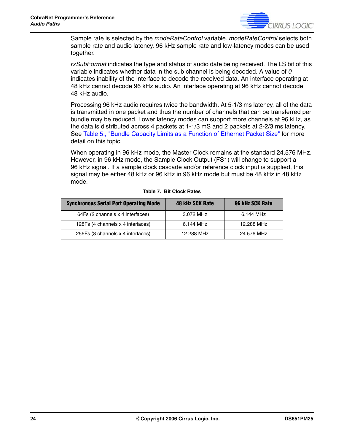

Sample rate is selected by the *modeRateControl* variable. *modeRateControl* selects both sample rate and audio latency. 96 kHz sample rate and low-latency modes can be used together.

*rxSubFormat* indicates the type and status of audio date being received. The LS bit of this variable indicates whether data in the sub channel is being decoded. A value of *0* indicates inability of the interface to decode the received data. An interface operating at 48 kHz cannot decode 96 kHz audio. An interface operating at 96 kHz cannot decode 48 kHz audio.

Processing 96 kHz audio requires twice the bandwidth. At 5-1/3 ms latency, all of the data is transmitted in one packet and thus the number of channels that can be transferred per bundle may be reduced. Lower latency modes can support more channels at 96 kHz, as the data is distributed across 4 packets at 1-1/3 mS and 2 packets at 2-2/3 ms latency. See [Table 5., "Bundle Capacity Limits as a Function of Ethernet Packet Size"](#page-21-0) for more detail on this topic.

When operating in 96 kHz mode, the Master Clock remains at the standard 24.576 MHz. However, in 96 kHz mode, the Sample Clock Output (FS1) will change to support a 96 kHz signal. If a sample clock cascade and/or reference clock input is supplied, this signal may be either 48 kHz or 96 kHz in 96 kHz mode but must be 48 kHz in 48 kHz mode.

| <b>Synchronous Serial Port Operating Mode</b> | 48 kHz SCK Rate | 96 kHz SCK Rate |
|-----------------------------------------------|-----------------|-----------------|
| 64Fs (2 channels x 4 interfaces)              | 3.072 MHz       | 6.144 MHz       |
| 128Fs (4 channels x 4 interfaces)             | 6.144 MHz       | 12.288 MHz      |
| 256Fs (8 channels x 4 interfaces)             | 12.288 MHz      | 24.576 MHz      |

#### **Table 7. Bit Clock Rates**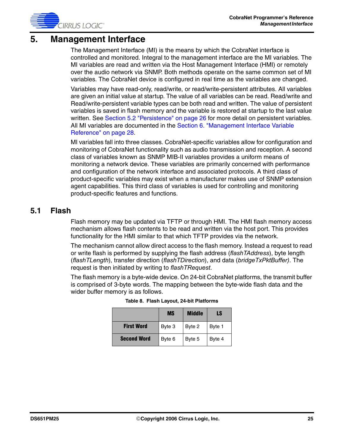

### <span id="page-24-0"></span>**5. Management Interface**

The Management Interface (MI) is the means by which the CobraNet interface is controlled and monitored. Integral to the management interface are the MI variables. The MI variables are read and written via the Host Management Interface (HMI) or remotely over the audio network via SNMP. Both methods operate on the same common set of MI variables. The CobraNet device is configured in real time as the variables are changed.

Variables may have read-only, read/write, or read/write-persistent attributes. All variables are given an initial value at startup. The value of all variables can be read. Read/write and Read/write-persistent variable types can be both read and written. The value of persistent variables is saved in flash memory and the variable is restored at startup to the last value written. See [Section 5.2 "Persistence" on page 26](#page-25-0) for more detail on persistent variables. All MI variables are documented in the [Section 6. "Management Interface Variable](#page-27-0)  [Reference" on page 28](#page-27-0).

MI variables fall into three classes. CobraNet-specific variables allow for configuration and monitoring of CobraNet functionality such as audio transmission and reception. A second class of variables known as SNMP MIB-II variables provides a uniform means of monitoring a network device. These variables are primarily concerned with performance and configuration of the network interface and associated protocols. A third class of product-specific variables may exist when a manufacturer makes use of SNMP extension agent capabilities. This third class of variables is used for controlling and monitoring product-specific features and functions.

### <span id="page-24-1"></span>**5.1 Flash**

Flash memory may be updated via TFTP or through HMI. The HMI flash memory access mechanism allows flash contents to be read and written via the host port. This provides functionality for the HMI similar to that which TFTP provides via the network.

The mechanism cannot allow direct access to the flash memory. Instead a request to read or write flash is performed by supplying the flash address (*flashTAddress*), byte length (*flashTLength*), transfer direction (*flashTDirection*), and data (*bridgeTxPktBuffer)*. The request is then initiated by writing to *flashTRequest*.

The flash memory is a byte-wide device. On 24-bit CobraNet platforms, the transmit buffer is comprised of 3-byte words. The mapping between the byte-wide flash data and the wider buffer memory is as follows.

|                    | <b>MS</b> | Middle | LS     |
|--------------------|-----------|--------|--------|
| <b>First Word</b>  | Byte 3    | Byte 2 | Byte 1 |
| <b>Second Word</b> | Byte 6    | Byte 5 | Byte 4 |

|  | Table 8. Flash Layout, 24-bit Platforms |  |
|--|-----------------------------------------|--|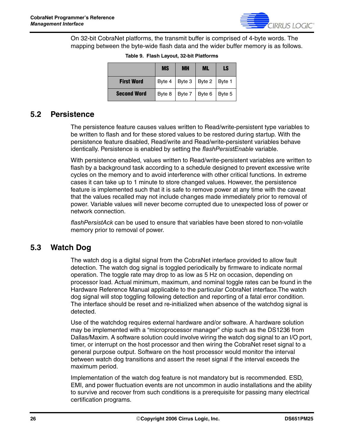

On 32-bit CobraNet platforms, the transmit buffer is comprised of 4-byte words. The mapping between the byte-wide flash data and the wider buffer memory is as follows.

|                    | <b>MS</b> | <b>MH</b>                         | <b>ML</b>                  | LS |
|--------------------|-----------|-----------------------------------|----------------------------|----|
| <b>First Word</b>  |           | Byte 4   Byte 3   Byte 2   Byte 1 |                            |    |
| <b>Second Word</b> | Byte 8    |                                   | Byte $7$   Byte 6   Byte 5 |    |

**Table 9. Flash Layout, 32-bit Platforms**

### <span id="page-25-0"></span>**5.2 Persistence**

The persistence feature causes values written to Read/write-persistent type variables to be written to flash and for these stored values to be restored during startup. With the persistence feature disabled, Read/write and Read/write-persistent variables behave identically. Persistence is enabled by setting the *flashPersistEnable* variable.

With persistence enabled, values written to Read/write-persistent variables are written to flash by a background task according to a schedule designed to prevent excessive write cycles on the memory and to avoid interference with other critical functions. In extreme cases it can take up to 1 minute to store changed values. However, the persistence feature is implemented such that it is safe to remove power at any time with the caveat that the values recalled may not include changes made immediately prior to removal of power. Variable values will never become corrupted due to unexpected loss of power or network connection.

*flashPersistAck* can be used to ensure that variables have been stored to non-volatile memory prior to removal of power.

### <span id="page-25-1"></span>**5.3 Watch Dog**

The watch dog is a digital signal from the CobraNet interface provided to allow fault detection. The watch dog signal is toggled periodically by firmware to indicate normal operation. The toggle rate may drop to as low as 5 Hz on occasion, depending on processor load. Actual minimum, maximum, and nominal toggle rates can be found in the Hardware Reference Manual applicable to the particular CobraNet interface.The watch dog signal will stop toggling following detection and reporting of a fatal error condition. The interface should be reset and re-initialized when absence of the watchdog signal is detected.

Use of the watchdog requires external hardware and/or software. A hardware solution may be implemented with a "microprocessor manager" chip such as the DS1236 from Dallas/Maxim. A software solution could involve wiring the watch dog signal to an I/O port, timer, or interrupt on the host processor and then wiring the CobraNet reset signal to a general purpose output. Software on the host processor would monitor the interval between watch dog transitions and assert the reset signal if the interval exceeds the maximum period.

Implementation of the watch dog feature is not mandatory but is recommended. ESD, EMI, and power fluctuation events are not uncommon in audio installations and the ability to survive and recover from such conditions is a prerequisite for passing many electrical certification programs.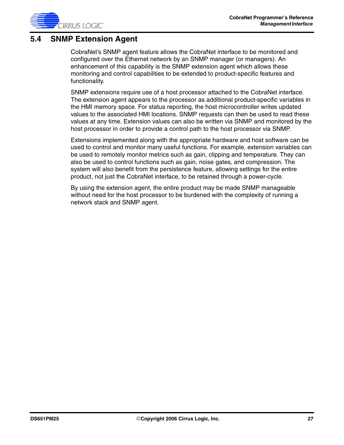

### <span id="page-26-0"></span>**5.4 SNMP Extension Agent**

CobraNet's SNMP agent feature allows the CobraNet interface to be monitored and configured over the Ethernet network by an SNMP manager (or managers). An enhancement of this capability is the SNMP extension agent which allows these monitoring and control capabilities to be extended to product-specific features and functionality.

SNMP extensions require use of a host processor attached to the CobraNet interface. The extension agent appears to the processor as additional product-specific variables in the HMI memory space. For status reporting, the host microcontroller writes updated values to the associated HMI locations. SNMP requests can then be used to read these values at any time. Extension values can also be written via SNMP and monitored by the host processor in order to provide a control path to the host processor via SNMP.

Extensions implemented along with the appropriate hardware and host software can be used to control and monitor many useful functions. For example, extension variables can be used to remotely monitor metrics such as gain, clipping and temperature. They can also be used to control functions such as gain, noise gates, and compression. The system will also benefit from the persistence feature, allowing settings for the entire product, not just the CobraNet interface, to be retained through a power-cycle.

By using the extension agent, the entire product may be made SNMP manageable without need for the host processor to be burdened with the complexity of running a network stack and SNMP agent.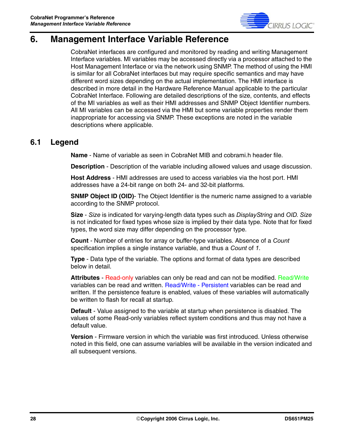

## <span id="page-27-0"></span>**6. Management Interface Variable Reference**

CobraNet interfaces are configured and monitored by reading and writing Management Interface variables. MI variables may be accessed directly via a processor attached to the Host Management Interface or via the network using SNMP. The method of using the HMI is similar for all CobraNet interfaces but may require specific semantics and may have different word sizes depending on the actual implementation. The HMI interface is described in more detail in the Hardware Reference Manual applicable to the particular CobraNet Interface. Following are detailed descriptions of the size, contents, and effects of the MI variables as well as their HMI addresses and SNMP Object Identifier numbers. All MI variables can be accessed via the HMI but some variable properties render them inappropriate for accessing via SNMP. These exceptions are noted in the variable descriptions where applicable.

### <span id="page-27-1"></span>**6.1 Legend**

**Name** - Name of variable as seen in CobraNet MIB and cobrami.h header file.

**Description** - Description of the variable including allowed values and usage discussion.

**Host Address** - HMI addresses are used to access variables via the host port. HMI addresses have a 24-bit range on both 24- and 32-bit platforms.

**SNMP Object ID (OID)**- The Object Identifier is the numeric name assigned to a variable according to the SNMP protocol.

**Size** - *Size* is indicated for varying-length data types such as *DisplayString* and *OID*. *Size* is not indicated for fixed types whose size is implied by their data type. Note that for fixed types, the word size may differ depending on the processor type.

**Count** - Number of entries for array or buffer-type variables. Absence of a *Count* specification implies a single instance variable, and thus a *Count* of *1*.

**Type** - Data type of the variable. The options and format of data types are described below in detail.

Attributes - Read-only variables can only be read and can not be modified. Read/Write variables can be read and written. Read/Write - Persistent variables can be read and written. If the persistence feature is enabled, values of these variables will automatically be written to flash for recall at startup.

**Default** - Value assigned to the variable at startup when persistence is disabled. The values of some Read-only variables reflect system conditions and thus may not have a default value.

**Version** - Firmware version in which the variable was first introduced. Unless otherwise noted in this field, one can assume variables will be available in the version indicated and all subsequent versions.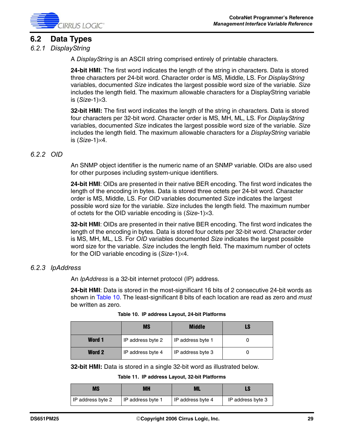

### <span id="page-28-0"></span>**6.2 Data Types**

#### <span id="page-28-1"></span>*6.2.1 DisplayString*

A *DisplayString* is an ASCII string comprised entirely of printable characters.

**24-bit HMI**: The first word indicates the length of the string in characters. Data is stored three characters per 24-bit word. Character order is MS, Middle, LS. For *DisplayString* variables, documented *Size* indicates the largest possible word size of the variable. *Size* includes the length field. The maximum allowable characters for a DisplayString variable is (*Size*-1)×3.

**32-bit HMI:** The first word indicates the length of the string in characters. Data is stored four characters per 32-bit word. Character order is MS, MH, ML, LS. For *DisplayString* variables, documented *Size* indicates the largest possible word size of the variable. *Size* includes the length field. The maximum allowable characters for a *DisplayString* variable is (*Size*-1)×4.

#### <span id="page-28-2"></span>*6.2.2 OID*

An SNMP object identifier is the numeric name of an SNMP variable. OIDs are also used for other purposes including system-unique identifiers.

**24-bit HMI**: OIDs are presented in their native BER encoding. The first word indicates the length of the encoding in bytes. Data is stored three octets per 24-bit word. Character order is MS, Middle, LS. For *OID* variables documented *Size* indicates the largest possible word size for the variable. *Size* includes the length field. The maximum number of octets for the OID variable encoding is (*Size*-1)×3.

**32-bit HMI**: OIDs are presented in their native BER encoding. The first word indicates the length of the encoding in bytes. Data is stored four octets per 32-bit word. Character order is MS, MH, ML, LS. For *OID* variables documented *Size* indicates the largest possible word size for the variable. *Size* includes the length field. The maximum number of octets for the OID variable encoding is (*Size*-1)×4.

#### <span id="page-28-3"></span>*6.2.3 IpAddress*

An *IpAddress* is a 32-bit internet protocol (IP) address.

**24-bit HMI**: Data is stored in the most-significant 16 bits of 2 consecutive 24-bit words as shown in [Table 10](#page-28-4). The least-significant 8 bits of each location are read as zero and *must* be written as zero.

<span id="page-28-4"></span>

|               | <b>MS</b>         | <b>Middle</b>     | LS |
|---------------|-------------------|-------------------|----|
| <b>Word 1</b> | IP address byte 2 | IP address byte 1 |    |
| <b>Word 2</b> | IP address byte 4 | IP address byte 3 |    |

**Table 10. IP address Layout, 24-bit Platforms**

**32-bit HMI:** Data is stored in a single 32-bit word as illustrated below.

**Table 11. IP address Layout, 32-bit Platforms**

| <b>MS</b>         | MН                | ML                |                   |
|-------------------|-------------------|-------------------|-------------------|
| IP address byte 2 | IP address byte 1 | IP address byte 4 | IP address byte 3 |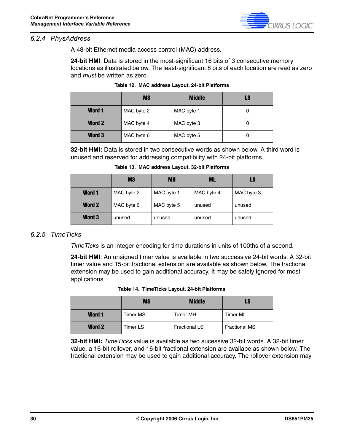

#### <span id="page-29-0"></span>*6.2.4 PhysAddress*

A 48-bit Ethernet media access control (MAC) address.

**24-bit HMI**: Data is stored in the most-significant 16 bits of 3 consecutive memory locations as illustrated below. The least-significant 8 bits of each location are read as zero and *must* be written as zero.

|               | <b>MS</b>  | <b>Middle</b> | LS |
|---------------|------------|---------------|----|
| <b>Word 1</b> | MAC byte 2 | MAC byte 1    |    |
| <b>Word 2</b> | MAC byte 4 | MAC byte 3    |    |
| <b>Word 3</b> | MAC byte 6 | MAC byte 5    | O  |

|  |  | Table 12.  MAC address Layout, 24-bit Platforms |
|--|--|-------------------------------------------------|
|--|--|-------------------------------------------------|

**32-bit HMI:** Data is stored in two consecutive words as shown below. A third word is unused and reserved for addressing compatibility with 24-bit platforms.

|               | <b>MS</b>  | <b>MH</b>  | ML         | LS         |
|---------------|------------|------------|------------|------------|
| <b>Word 1</b> | MAC byte 2 | MAC byte 1 | MAC byte 4 | MAC byte 3 |
| Word 2        | MAC byte 6 | MAC byte 5 | unused     | unused     |
| Word 3        | unused     | unused     | unused     | unused     |

**Table 13. MAC address Layout, 32-bit Platforms**

#### <span id="page-29-1"></span>*6.2.5 TimeTicks*

*TimeTicks* is an integer encoding for time durations in units of 100ths of a second.

**24-bit HMI**: An unsigned timer value is available in two successive 24-bit words. A 32-bit timer value and 15-bit fractional extension are available as shown below. The fractional extension may be used to gain additional accuracy. It may be safely ignored for most applications.

**Table 14. TimeTicks Layout, 24-bit Platforms**

|               | <b>MS</b> | <b>Middle</b>        | LS                   |
|---------------|-----------|----------------------|----------------------|
| <b>Word 1</b> | Timer MS  | <b>Timer MH</b>      | Timer ML             |
| <b>Word 2</b> | Timer LS  | <b>Fractional LS</b> | <b>Fractional MS</b> |

**32-bit HMI:** *TimeTicks* value is available as two sucessive 32-bit words. A 32-bit timer value, a 16-bit rollover, and 16-bit fractional extension are availabe as shown below. The fractional extension may be used to gain additional accuracy. The rollover extension may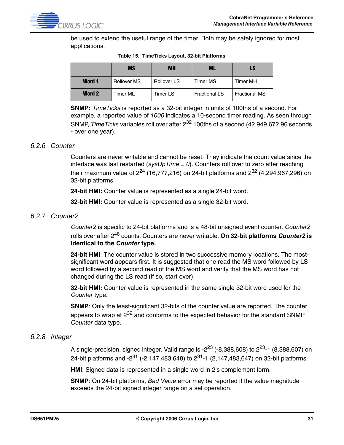

be used to extend the useful range of the timer. Both may be safely ignored for most applications.

|               | <b>MS</b>          | <b>MH</b>          | ML                   | LS                   |
|---------------|--------------------|--------------------|----------------------|----------------------|
| <b>Word 1</b> | <b>Rollover MS</b> | <b>Rollover LS</b> | Timer MS             | Timer MH             |
| <b>Word 2</b> | Timer ML           | Timer LS           | <b>Fractional LS</b> | <b>Fractional MS</b> |

**Table 15. TimeTicks Layout, 32-bit Platforms**

**SNMP:** *TimeTicks* is reported as a 32-bit integer in units of 100ths of a second. For example, a reported value of *1000* indicates a 10-second timer reading. As seen through SNMP, *Time Ticks* variables roll over after 2<sup>32</sup> 100ths of a second (42,949,672.96 seconds - over one year).

#### <span id="page-30-0"></span>*6.2.6 Counter*

Counters are never writable and cannot be reset. They indicate the count value since the interface was last restarted (*sysUpTime* = *0*). Counters roll over to zero after reaching their maximum value of  $2^{24}$  (16,777,216) on 24-bit platforms and  $2^{32}$  (4,294,967,296) on 32-bit platforms.

**24-bit HMI:** Counter value is represented as a single 24-bit word.

**32-bit HMI:** Counter value is represented as a single 32-bit word.

#### <span id="page-30-1"></span>*6.2.7 Counter2*

*Counter2* is specific to 24-bit platforms and is a 48-bit unsigned event counter. *Counter2* rolls over after 248 counts. Counters are never writable. **On 32-bit platforms** *Counter2* **is identical to the** *Counter* **type.**

**24-bit HMI**: The counter value is stored in two successive memory locations. The mostsignificant word appears first. It is suggested that one read the MS word followed by LS word followed by a second read of the MS word and verify that the MS word has not changed during the LS read (if so, start over).

**32-bit HMI:** Counter value is represented in the same single 32-bit word used for the *Counter* type.

**SNMP**: Only the least-significant 32-bits of the counter value are reported. The counter appears to wrap at  $2^{32}$  and conforms to the expected behavior for the standard SNMP *Counter* data type.

#### <span id="page-30-2"></span>*6.2.8 Integer*

A single-precision, signed integer. Valid range is - $2^{23}$  (-8,388,608) to  $2^{23}$ -1 (8,388,607) on 24-bit platforms and  $-2^{31}$  ( $-2,147,483,648$ ) to  $2^{31}$ -1 (2,147,483,647) on 32-bit platforms.

**HMI**: Signed data is represented in a single word in 2's complement form.

**SNMP**: On 24-bit platforms, *Bad Value* error may be reported if the value magnitude exceeds the 24-bit signed integer range on a set operation.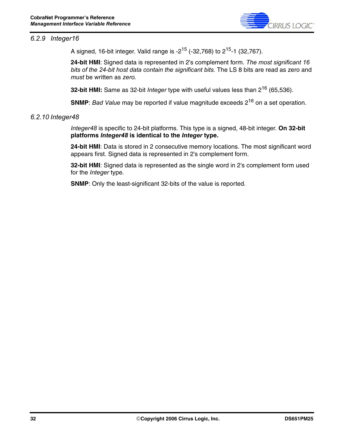

#### <span id="page-31-0"></span>*6.2.9 Integer16*

A signed, 16-bit integer. Valid range is  $-2^{15}$  (-32,768) to  $2^{15}$ -1 (32,767).

**24-bit HMI**: Signed data is represented in 2's complement form. *The most significant 16 bits of the 24-bit host data contain the significant bits.* The LS 8 bits are read as zero and *must* be written as *zero*.

**32-bit HMI:** Same as 32-bit *Integer* type with useful values less than 216 (65,536).

**SNMP**: *Bad Value* may be reported if value magnitude exceeds 2<sup>16</sup> on a set operation.

#### <span id="page-31-1"></span>*6.2.10 Integer48*

*Integer48* is specific to 24-bit platforms. This type is a signed, 48-bit integer. **On 32-bit platforms** *Integer48* **is identical to the** *Integer* **type.**

**24-bit HMI**: Data is stored in 2 consecutive memory locations. The most significant word appears first. Signed data is represented in 2's complement form.

**32-bit HMI**: Signed data is represented as the single word in 2's complement form used for the *Integer* type.

**SNMP**: Only the least-significant 32-bits of the value is reported.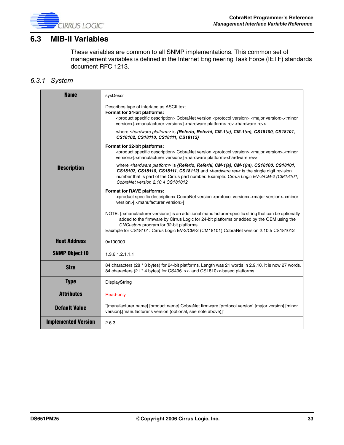

### <span id="page-32-0"></span>**6.3 MIB-II Variables**

These variables are common to all SNMP implementations. This common set of management variables is defined in the Internet Engineering Task Force (IETF) standards document RFC 1213.

#### <span id="page-32-1"></span>*6.3.1 System*

| <b>Name</b>                | sysDescr                                                                                                                                                                                                                                                                                                                                                   |
|----------------------------|------------------------------------------------------------------------------------------------------------------------------------------------------------------------------------------------------------------------------------------------------------------------------------------------------------------------------------------------------------|
|                            | Describes type of interface as ASCII text.<br>Format for 24-bit platforms:<br><product description="" specific=""> CobraNet version <protocol version="">.<major version="">.<minor<br>version&gt;[.<manufacturer version="">] <hardware platform=""> rev <hardware rev=""></hardware></hardware></manufacturer></minor<br></major></protocol></product>   |
|                            | where <hardware platform=""> is <math>\{Referlo, Referhi, CM-1(a), CM-1(m), CS18100, CS18101,</math><br/>CS18102, CS18110, CS18111, CS18112}</hardware>                                                                                                                                                                                                    |
|                            | Format for 32-bit platforms:<br><product description="" specific=""> CobraNet version <protocol version="">.<major version="">.<minor<br>version&gt;[.<manufacturer version="">] <hardware platform=""><hardware rev=""></hardware></hardware></manufacturer></minor<br></major></protocol></product>                                                      |
| <b>Description</b>         | where <hardware platform=""> is {Referio, Referhi, CM-1(a), CM-1(m), CS18100, CS18101,<br/>CS18102, CS18110, CS18111, CS18112} and <hardware rev=""> is the single digit revision<br/>number that is part of the Cirrus part number. Example: Cirrus Logic EV-2/CM-2 (CM18101)<br/>CobraNet version 2.10.4 CS181012</hardware></hardware>                  |
|                            | Format for RAVE platforms:<br><product description="" specific=""> CobraNet version <protocol version="">.<major version="">.<minor<br>version&gt;[.<manufacturer version="">]</manufacturer></minor<br></major></protocol></product>                                                                                                                      |
|                            | NOTE: [. <manufacturer version="">] is an additional manufacturer-specific string that can be optionally<br/>added to the firmware by Cirrus Logic for 24-bit platforms or added by the OEM using the<br/>CNCustom program for 32-bit platforms.<br/>Eaxmple for CS18101: Cirrus Logic EV-2/CM-2 (CM18101) CobraNet version 2.10.5 CS181012</manufacturer> |
| <b>Host Address</b>        | 0x100000                                                                                                                                                                                                                                                                                                                                                   |
| <b>SNMP Object ID</b>      | 1.3.6.1.2.1.1.1                                                                                                                                                                                                                                                                                                                                            |
| <b>Size</b>                | 84 characters (28 * 3 bytes) for 24-bit platforms. Length was 21 words in 2.9.10. It is now 27 words.<br>84 characters (21 * 4 bytes) for CS4961xx- and CS1810xx-based platforms.                                                                                                                                                                          |
| <b>Type</b>                | DisplayString                                                                                                                                                                                                                                                                                                                                              |
| <b>Attributes</b>          | Read-only                                                                                                                                                                                                                                                                                                                                                  |
| <b>Default Value</b>       | "[manufacturer name] [product name] CobraNet firmware [protocol version].[major version].[minor<br>version].[manufacturer's version (optional, see note above)]"                                                                                                                                                                                           |
| <b>Implemented Version</b> | 2.6.3                                                                                                                                                                                                                                                                                                                                                      |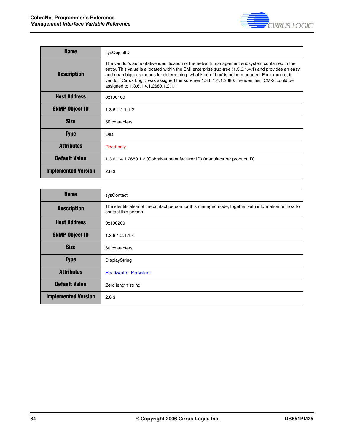

| <b>Name</b>                | sysObjectID                                                                                                                                                                                                                                                                                                                                                                                                                                       |
|----------------------------|---------------------------------------------------------------------------------------------------------------------------------------------------------------------------------------------------------------------------------------------------------------------------------------------------------------------------------------------------------------------------------------------------------------------------------------------------|
| <b>Description</b>         | The vendor's authoritative identification of the network management subsystem contained in the<br>entity. This value is allocated within the SMI enterprise sub-tree (1.3.6.1.4.1) and provides an easy<br>and unambiguous means for determining `what kind of box' is being managed. For example, if<br>vendor `Cirrus Logic' was assigned the sub-tree 1.3.6.1.4.1.2680, the identifier `CM-2' could be<br>assigned to 1.3.6.1.4.1.2680.1.2.1.1 |
| <b>Host Address</b>        | 0x100100                                                                                                                                                                                                                                                                                                                                                                                                                                          |
| <b>SNMP Object ID</b>      | 1.3.6.1.2.1.1.2                                                                                                                                                                                                                                                                                                                                                                                                                                   |
| <b>Size</b>                | 60 characters                                                                                                                                                                                                                                                                                                                                                                                                                                     |
| <b>Type</b>                | <b>OID</b>                                                                                                                                                                                                                                                                                                                                                                                                                                        |
| <b>Attributes</b>          | Read-only                                                                                                                                                                                                                                                                                                                                                                                                                                         |
| <b>Default Value</b>       | 1.3.6.1.4.1.2680.1.2. (CobraNet manufacturer ID). (manufacturer product ID)                                                                                                                                                                                                                                                                                                                                                                       |
| <b>Implemented Version</b> | 2.6.3                                                                                                                                                                                                                                                                                                                                                                                                                                             |

| <b>Name</b>                | sysContact                                                                                                                  |
|----------------------------|-----------------------------------------------------------------------------------------------------------------------------|
| <b>Description</b>         | The identification of the contact person for this managed node, together with information on how to<br>contact this person. |
| <b>Host Address</b>        | 0x100200                                                                                                                    |
| <b>SNMP Object ID</b>      | 1.3.6.1.2.1.1.4                                                                                                             |
| <b>Size</b>                | 60 characters                                                                                                               |
| <b>Type</b>                | DisplayString                                                                                                               |
| <b>Attributes</b>          | <b>Read/write - Persistent</b>                                                                                              |
| <b>Default Value</b>       | Zero length string                                                                                                          |
| <b>Implemented Version</b> | 2.6.3                                                                                                                       |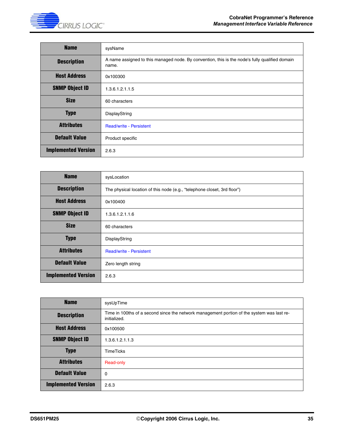

| <b>Name</b>                | sysName                                                                                                 |
|----------------------------|---------------------------------------------------------------------------------------------------------|
| <b>Description</b>         | A name assigned to this managed node. By convention, this is the node's fully qualified domain<br>name. |
| <b>Host Address</b>        | 0x100300                                                                                                |
| <b>SNMP Object ID</b>      | 1.3.6.1.2.1.1.5                                                                                         |
| <b>Size</b>                | 60 characters                                                                                           |
| <b>Type</b>                | DisplayString                                                                                           |
| <b>Attributes</b>          | <b>Read/write - Persistent</b>                                                                          |
| <b>Default Value</b>       | Product specific                                                                                        |
| <b>Implemented Version</b> | 2.6.3                                                                                                   |

| <b>Name</b>                | sysLocation                                                              |
|----------------------------|--------------------------------------------------------------------------|
| <b>Description</b>         | The physical location of this node (e.g., "telephone closet, 3rd floor") |
| <b>Host Address</b>        | 0x100400                                                                 |
| <b>SNMP Object ID</b>      | 1.3.6.1.2.1.1.6                                                          |
| <b>Size</b>                | 60 characters                                                            |
| <b>Type</b>                | DisplayString                                                            |
| <b>Attributes</b>          | <b>Read/write - Persistent</b>                                           |
| <b>Default Value</b>       | Zero length string                                                       |
| <b>Implemented Version</b> | 2.6.3                                                                    |

| <b>Name</b>                | sysUpTime                                                                                                  |
|----------------------------|------------------------------------------------------------------------------------------------------------|
| <b>Description</b>         | Time in 100ths of a second since the network management portion of the system was last re-<br>initialized. |
| <b>Host Address</b>        | 0x100500                                                                                                   |
| <b>SNMP Object ID</b>      | 1.3.6.1.2.1.1.3                                                                                            |
| <b>Type</b>                | <b>TimeTicks</b>                                                                                           |
| <b>Attributes</b>          | Read-only                                                                                                  |
| <b>Default Value</b>       | 0                                                                                                          |
| <b>Implemented Version</b> | 2.6.3                                                                                                      |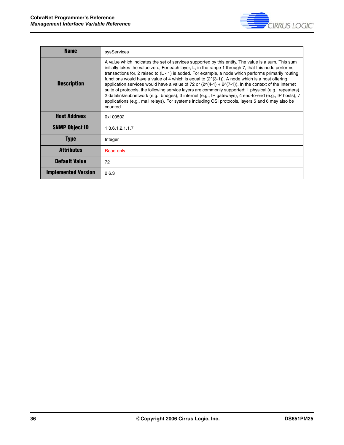

| <b>Name</b>                | sysServices                                                                                                                                                                                                                                                                                                                                                                                                                                                                                                                                                                                                                                                                                                                                                                                                                                                                               |
|----------------------------|-------------------------------------------------------------------------------------------------------------------------------------------------------------------------------------------------------------------------------------------------------------------------------------------------------------------------------------------------------------------------------------------------------------------------------------------------------------------------------------------------------------------------------------------------------------------------------------------------------------------------------------------------------------------------------------------------------------------------------------------------------------------------------------------------------------------------------------------------------------------------------------------|
| <b>Description</b>         | A value which indicates the set of services supported by this entity. The value is a sum. This sum<br>initially takes the value zero, For each layer, L, in the range 1 through 7, that this node performs<br>transactions for, 2 raised to $(L - 1)$ is added. For example, a node which performs primarily routing<br>functions would have a value of 4 which is equal to $(2\sqrt{3}-1)$ ). A node which is a host offering<br>application services would have a value of 72 or $(2\sqrt{4}-1) + 2\sqrt{7}-1)$ ). In the context of the Internet<br>suite of protocols, the following service layers are commonly supported: 1 physical (e.g., repeaters),<br>2 datalink/subnetwork (e.g., bridges), 3 internet (e.g., IP gateways), 4 end-to-end (e.g., IP hosts), 7<br>applications (e.g., mail relays). For systems including OSI protocols, layers 5 and 6 may also be<br>counted. |
| <b>Host Address</b>        | 0x100502                                                                                                                                                                                                                                                                                                                                                                                                                                                                                                                                                                                                                                                                                                                                                                                                                                                                                  |
| <b>SNMP Object ID</b>      | 1.3.6.1.2.1.1.7                                                                                                                                                                                                                                                                                                                                                                                                                                                                                                                                                                                                                                                                                                                                                                                                                                                                           |
| Type                       | Integer                                                                                                                                                                                                                                                                                                                                                                                                                                                                                                                                                                                                                                                                                                                                                                                                                                                                                   |
| <b>Attributes</b>          | Read-only                                                                                                                                                                                                                                                                                                                                                                                                                                                                                                                                                                                                                                                                                                                                                                                                                                                                                 |
| <b>Default Value</b>       | 72                                                                                                                                                                                                                                                                                                                                                                                                                                                                                                                                                                                                                                                                                                                                                                                                                                                                                        |
| <b>Implemented Version</b> | 2.6.3                                                                                                                                                                                                                                                                                                                                                                                                                                                                                                                                                                                                                                                                                                                                                                                                                                                                                     |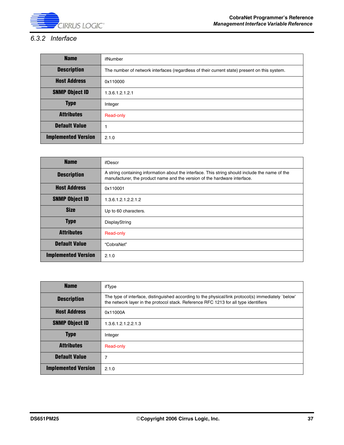

## *6.3.2 Interface*

| <b>Name</b>                | ifNumber                                                                                     |
|----------------------------|----------------------------------------------------------------------------------------------|
| <b>Description</b>         | The number of network interfaces (regardless of their current state) present on this system. |
| <b>Host Address</b>        | 0x110000                                                                                     |
| <b>SNMP Object ID</b>      | 1.3.6.1.2.1.2.1                                                                              |
| <b>Type</b>                | Integer                                                                                      |
| <b>Attributes</b>          | Read-only                                                                                    |
| <b>Default Value</b>       |                                                                                              |
| <b>Implemented Version</b> | 2.1.0                                                                                        |

| <b>Name</b>                | ifDescr                                                                                                                                                                      |
|----------------------------|------------------------------------------------------------------------------------------------------------------------------------------------------------------------------|
| <b>Description</b>         | A string containing information about the interface. This string should include the name of the<br>manufacturer, the product name and the version of the hardware interface. |
| <b>Host Address</b>        | 0x110001                                                                                                                                                                     |
| <b>SNMP Object ID</b>      | 1.3.6.1.2.1.2.2.1.2                                                                                                                                                          |
| <b>Size</b>                | Up to 60 characters.                                                                                                                                                         |
| <b>Type</b>                | DisplayString                                                                                                                                                                |
| <b>Attributes</b>          | Read-only                                                                                                                                                                    |
| <b>Default Value</b>       | "CobraNet"                                                                                                                                                                   |
| <b>Implemented Version</b> | 2.1.0                                                                                                                                                                        |

| <b>Name</b>                | ifType                                                                                                                                                                                      |
|----------------------------|---------------------------------------------------------------------------------------------------------------------------------------------------------------------------------------------|
| <b>Description</b>         | The type of interface, distinguished according to the physical/link protocol(s) immediately `below'<br>the network layer in the protocol stack. Reference RFC 1213 for all type identifiers |
| <b>Host Address</b>        | 0x11000A                                                                                                                                                                                    |
| <b>SNMP Object ID</b>      | 1.3.6.1.2.1.2.2.1.3                                                                                                                                                                         |
| <b>Type</b>                | Integer                                                                                                                                                                                     |
| <b>Attributes</b>          | Read-only                                                                                                                                                                                   |
| <b>Default Value</b>       | 7                                                                                                                                                                                           |
| <b>Implemented Version</b> | 2.1.0                                                                                                                                                                                       |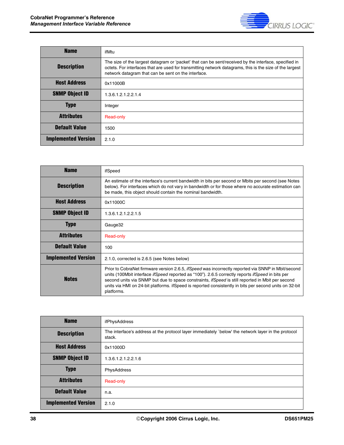

| <b>Name</b>                | ifMtu                                                                                                                                                                                                                                                                    |
|----------------------------|--------------------------------------------------------------------------------------------------------------------------------------------------------------------------------------------------------------------------------------------------------------------------|
| <b>Description</b>         | The size of the largest datagram or 'packet' that can be sent/received by the interface, specified in<br>octets. For interfaces that are used for transmitting network datagrams, this is the size of the largest<br>network datagram that can be sent on the interface. |
| <b>Host Address</b>        | 0x11000B                                                                                                                                                                                                                                                                 |
| <b>SNMP Object ID</b>      | 1.3.6.1.2.1.2.2.1.4                                                                                                                                                                                                                                                      |
| <b>Type</b>                | Integer                                                                                                                                                                                                                                                                  |
| <b>Attributes</b>          | Read-only                                                                                                                                                                                                                                                                |
| <b>Default Value</b>       | 1500                                                                                                                                                                                                                                                                     |
| <b>Implemented Version</b> | 2.1.0                                                                                                                                                                                                                                                                    |

| <b>Name</b>                | ifSpeed                                                                                                                                                                                                                                                                                                                                                                                                                                          |
|----------------------------|--------------------------------------------------------------------------------------------------------------------------------------------------------------------------------------------------------------------------------------------------------------------------------------------------------------------------------------------------------------------------------------------------------------------------------------------------|
| <b>Description</b>         | An estimate of the interface's current bandwidth in bits per second or Mbits per second (see Notes<br>below). For interfaces which do not vary in bandwidth or for those where no accurate estimation can<br>be made, this object should contain the nominal bandwidth.                                                                                                                                                                          |
| <b>Host Address</b>        | 0x11000C                                                                                                                                                                                                                                                                                                                                                                                                                                         |
| <b>SNMP Object ID</b>      | 1.3.6.1.2.1.2.2.1.5                                                                                                                                                                                                                                                                                                                                                                                                                              |
| Type                       | Gauge32                                                                                                                                                                                                                                                                                                                                                                                                                                          |
| <b>Attributes</b>          | Read-only                                                                                                                                                                                                                                                                                                                                                                                                                                        |
| <b>Default Value</b>       | 100                                                                                                                                                                                                                                                                                                                                                                                                                                              |
| <b>Implemented Version</b> | 2.1.0, corrected is 2.6.5 (see Notes below)                                                                                                                                                                                                                                                                                                                                                                                                      |
| <b>Notes</b>               | Prior to CobraNet firmware version 2.6.5, <i>ifSpeed</i> was incorrectly reported via SNNP in Mbit/second<br>units (100Mbit interface ifSpeed reported as "100"). 2.6.5 correctly reports ifSpeed in bits per<br>second units via SNMP but due to space constraints, <i>ifSpeed</i> is still reported in Mbit per second<br>units via HMI on 24-bit platforms. ifSpeed is reported consistently in bits per second units on 32-bit<br>platforms. |

| <b>Name</b>                | ifPhysAddress                                                                                                 |
|----------------------------|---------------------------------------------------------------------------------------------------------------|
| <b>Description</b>         | The interface's address at the protocol layer immediately `below' the network layer in the protocol<br>stack. |
| <b>Host Address</b>        | 0x11000D                                                                                                      |
| <b>SNMP Object ID</b>      | 1.3.6.1.2.1.2.2.1.6                                                                                           |
| <b>Type</b>                | PhysAddress                                                                                                   |
| <b>Attributes</b>          | Read-only                                                                                                     |
| <b>Default Value</b>       | n.a.                                                                                                          |
| <b>Implemented Version</b> | 2.1.0                                                                                                         |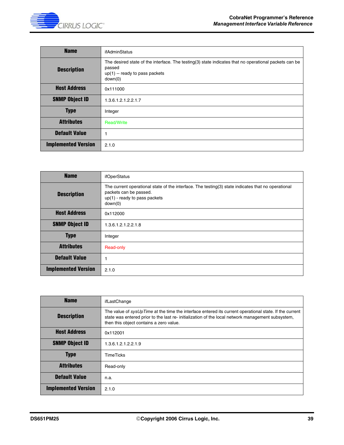| <b>Name</b>                | ifAdminStatus                                                                                                                                                 |
|----------------------------|---------------------------------------------------------------------------------------------------------------------------------------------------------------|
| <b>Description</b>         | The desired state of the interface. The testing(3) state indicates that no operational packets can be<br>passed<br>$up(1) - ready$ to pass packets<br>down(0) |
| <b>Host Address</b>        | 0x111000                                                                                                                                                      |
| <b>SNMP Object ID</b>      | 1.3.6.1.2.1.2.2.1.7                                                                                                                                           |
| <b>Type</b>                | Integer                                                                                                                                                       |
| <b>Attributes</b>          | <b>Read/Write</b>                                                                                                                                             |
| <b>Default Value</b>       | 1                                                                                                                                                             |
| <b>Implemented Version</b> | 2.1.0                                                                                                                                                         |

| <b>Name</b>                | ifOperStatus                                                                                                                                                               |
|----------------------------|----------------------------------------------------------------------------------------------------------------------------------------------------------------------------|
| <b>Description</b>         | The current operational state of the interface. The testing(3) state indicates that no operational<br>packets can be passed.<br>$up(1)$ - ready to pass packets<br>down(0) |
| <b>Host Address</b>        | 0x112000                                                                                                                                                                   |
| <b>SNMP Object ID</b>      | 1.3.6.1.2.1.2.2.1.8                                                                                                                                                        |
| <b>Type</b>                | Integer                                                                                                                                                                    |
| <b>Attributes</b>          | Read-only                                                                                                                                                                  |
| <b>Default Value</b>       |                                                                                                                                                                            |
| <b>Implemented Version</b> | 2.1.0                                                                                                                                                                      |

| <b>Name</b>                | ifLastChange                                                                                                                                                                                                                                          |
|----------------------------|-------------------------------------------------------------------------------------------------------------------------------------------------------------------------------------------------------------------------------------------------------|
| <b>Description</b>         | The value of sysUpTime at the time the interface entered its current operational state. If the current<br>state was entered prior to the last re-initialization of the local network management subsystem,<br>then this object contains a zero value. |
| <b>Host Address</b>        | 0x112001                                                                                                                                                                                                                                              |
| <b>SNMP Object ID</b>      | 1.3.6.1.2.1.2.2.1.9                                                                                                                                                                                                                                   |
| <b>Type</b>                | TimeTicks                                                                                                                                                                                                                                             |
| <b>Attributes</b>          | Read-only                                                                                                                                                                                                                                             |
| <b>Default Value</b>       | n.a.                                                                                                                                                                                                                                                  |
| <b>Implemented Version</b> | 2.1.0                                                                                                                                                                                                                                                 |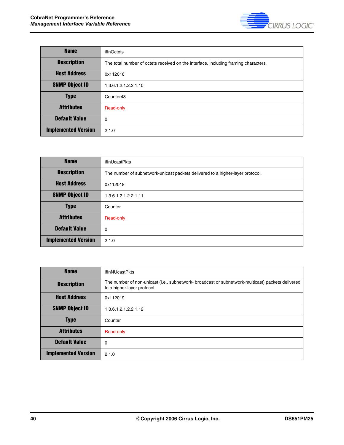

| <b>Name</b>                | ifInOctets                                                                          |
|----------------------------|-------------------------------------------------------------------------------------|
| <b>Description</b>         | The total number of octets received on the interface, including framing characters. |
| <b>Host Address</b>        | 0x112016                                                                            |
| <b>SNMP Object ID</b>      | 1.3.6.1.2.1.2.2.1.10                                                                |
| <b>Type</b>                | Counter48                                                                           |
| <b>Attributes</b>          | Read-only                                                                           |
| <b>Default Value</b>       | $\Omega$                                                                            |
| <b>Implemented Version</b> | 2.1.0                                                                               |

| <b>Name</b>                | <i>ifInUcastPkts</i>                                                           |
|----------------------------|--------------------------------------------------------------------------------|
| <b>Description</b>         | The number of subnetwork-unicast packets delivered to a higher-layer protocol. |
| <b>Host Address</b>        | 0x112018                                                                       |
| <b>SNMP Object ID</b>      | 1.3.6.1.2.1.2.2.1.11                                                           |
| <b>Type</b>                | Counter                                                                        |
| <b>Attributes</b>          | Read-only                                                                      |
| <b>Default Value</b>       | $\mathbf 0$                                                                    |
| <b>Implemented Version</b> | 2.1.0                                                                          |

| <b>Name</b>                | ifInNUcastPkts                                                                                                                   |
|----------------------------|----------------------------------------------------------------------------------------------------------------------------------|
| <b>Description</b>         | The number of non-unicast (i.e., subnetwork- broadcast or subnetwork-multicast) packets delivered<br>to a higher-layer protocol. |
| <b>Host Address</b>        | 0x112019                                                                                                                         |
| <b>SNMP Object ID</b>      | 1.3.6.1.2.1.2.2.1.12                                                                                                             |
| <b>Type</b>                | Counter                                                                                                                          |
| <b>Attributes</b>          | Read-only                                                                                                                        |
| <b>Default Value</b>       | 0                                                                                                                                |
| <b>Implemented Version</b> | 2.1.0                                                                                                                            |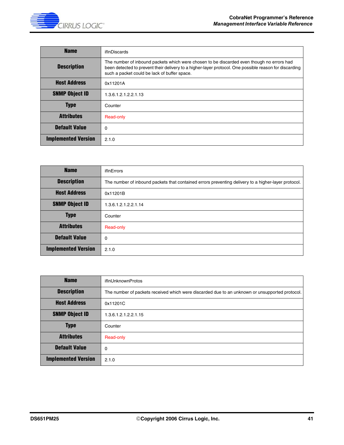

| <b>Name</b>                | ifInDiscards                                                                                                                                                                                                                                        |
|----------------------------|-----------------------------------------------------------------------------------------------------------------------------------------------------------------------------------------------------------------------------------------------------|
| <b>Description</b>         | The number of inbound packets which were chosen to be discarded even though no errors had<br>been detected to prevent their delivery to a higher-layer protocol. One possible reason for discarding<br>such a packet could be lack of buffer space. |
| <b>Host Address</b>        | 0x11201A                                                                                                                                                                                                                                            |
| <b>SNMP Object ID</b>      | 1.3.6.1.2.1.2.2.1.13                                                                                                                                                                                                                                |
| <b>Type</b>                | Counter                                                                                                                                                                                                                                             |
| <b>Attributes</b>          | Read-only                                                                                                                                                                                                                                           |
| <b>Default Value</b>       | $\Omega$                                                                                                                                                                                                                                            |
| <b>Implemented Version</b> | 2.1.0                                                                                                                                                                                                                                               |

| <b>Name</b>                | ifInErrors                                                                                          |
|----------------------------|-----------------------------------------------------------------------------------------------------|
| <b>Description</b>         | The number of inbound packets that contained errors preventing delivery to a higher-layer protocol. |
| <b>Host Address</b>        | 0x11201B                                                                                            |
| <b>SNMP Object ID</b>      | 1.3.6.1.2.1.2.2.1.14                                                                                |
| <b>Type</b>                | Counter                                                                                             |
| <b>Attributes</b>          | Read-only                                                                                           |
| <b>Default Value</b>       | $\Omega$                                                                                            |
| <b>Implemented Version</b> | 2.1.0                                                                                               |

| <b>Name</b>                | ifInUnknownProtos                                                                              |
|----------------------------|------------------------------------------------------------------------------------------------|
| <b>Description</b>         | The number of packets received which were discarded due to an unknown or unsupported protocol. |
| <b>Host Address</b>        | 0x11201C                                                                                       |
| <b>SNMP Object ID</b>      | 1.3.6.1.2.1.2.2.1.15                                                                           |
| <b>Type</b>                | Counter                                                                                        |
| <b>Attributes</b>          | Read-only                                                                                      |
| <b>Default Value</b>       | 0                                                                                              |
| <b>Implemented Version</b> | 2.1.0                                                                                          |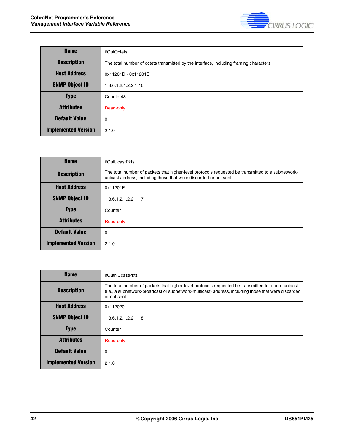

| <b>Name</b>                | <i>ifOutOctets</i>                                                                     |
|----------------------------|----------------------------------------------------------------------------------------|
| <b>Description</b>         | The total number of octets transmitted by the interface, including framing characters. |
| <b>Host Address</b>        | 0x11201D - 0x11201E                                                                    |
| <b>SNMP Object ID</b>      | 1.3.6.1.2.1.2.2.1.16                                                                   |
| <b>Type</b>                | Counter48                                                                              |
| <b>Attributes</b>          | Read-only                                                                              |
| <b>Default Value</b>       | 0                                                                                      |
| <b>Implemented Version</b> | 2.1.0                                                                                  |

| <b>Name</b>                | ifOutUcastPkts                                                                                                                                                         |
|----------------------------|------------------------------------------------------------------------------------------------------------------------------------------------------------------------|
| <b>Description</b>         | The total number of packets that higher-level protocols requested be transmitted to a subnetwork-<br>unicast address, including those that were discarded or not sent. |
| <b>Host Address</b>        | 0x11201F                                                                                                                                                               |
| <b>SNMP Object ID</b>      | 1.3.6.1.2.1.2.2.1.17                                                                                                                                                   |
| <b>Type</b>                | Counter                                                                                                                                                                |
| <b>Attributes</b>          | Read-only                                                                                                                                                              |
| <b>Default Value</b>       | $\Omega$                                                                                                                                                               |
| <b>Implemented Version</b> | 2.1.0                                                                                                                                                                  |

| <b>Name</b>                | <b>ifOutNUcastPkts</b>                                                                                                                                                                                                   |
|----------------------------|--------------------------------------------------------------------------------------------------------------------------------------------------------------------------------------------------------------------------|
| <b>Description</b>         | The total number of packets that higher-level protocols requested be transmitted to a non-unicast<br>(i.e., a subnetwork-broadcast or subnetwork-multicast) address, including those that were discarded<br>or not sent. |
| <b>Host Address</b>        | 0x112020                                                                                                                                                                                                                 |
| <b>SNMP Object ID</b>      | 1.3.6.1.2.1.2.2.1.18                                                                                                                                                                                                     |
| <b>Type</b>                | Counter                                                                                                                                                                                                                  |
| <b>Attributes</b>          | Read-only                                                                                                                                                                                                                |
| <b>Default Value</b>       | $\Omega$                                                                                                                                                                                                                 |
| <b>Implemented Version</b> | 2.1.0                                                                                                                                                                                                                    |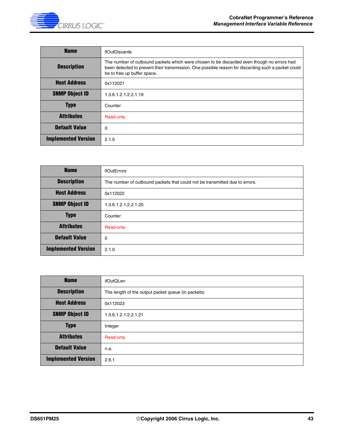

| <b>Name</b>                | ifOutDiscards                                                                                                                                                                                                                    |
|----------------------------|----------------------------------------------------------------------------------------------------------------------------------------------------------------------------------------------------------------------------------|
| <b>Description</b>         | The number of outbound packets which were chosen to be discarded even though no errors had<br>been detected to prevent their transmission. One possible reason for discarding such a packet could<br>be to free up buffer space. |
| <b>Host Address</b>        | 0x112021                                                                                                                                                                                                                         |
| <b>SNMP Object ID</b>      | 1.3.6.1.2.1.2.2.1.19                                                                                                                                                                                                             |
| <b>Type</b>                | Counter                                                                                                                                                                                                                          |
| <b>Attributes</b>          | Read-only                                                                                                                                                                                                                        |
| <b>Default Value</b>       | 0                                                                                                                                                                                                                                |
| <b>Implemented Version</b> | 2.1.0                                                                                                                                                                                                                            |

| <b>Name</b>                | ifOutErrors                                                                 |
|----------------------------|-----------------------------------------------------------------------------|
| <b>Description</b>         | The number of outbound packets that could not be transmitted due to errors. |
| <b>Host Address</b>        | 0x112022                                                                    |
| <b>SNMP Object ID</b>      | 1.3.6.1.2.1.2.2.1.20                                                        |
| <b>Type</b>                | Counter                                                                     |
| <b>Attributes</b>          | Read-only                                                                   |
| <b>Default Value</b>       | $\Omega$                                                                    |
| <b>Implemented Version</b> | 2.1.0                                                                       |

| <b>Name</b>                | ifOutQLen                                          |
|----------------------------|----------------------------------------------------|
| <b>Description</b>         | The length of the output packet queue (in packets) |
| <b>Host Address</b>        | 0x112023                                           |
| <b>SNMP Object ID</b>      | 1.3.6.1.2.1.2.2.1.21                               |
| <b>Type</b>                | Integer                                            |
| <b>Attributes</b>          | Read-only                                          |
| <b>Default Value</b>       | n.a.                                               |
| <b>Implemented Version</b> | 2.6.1                                              |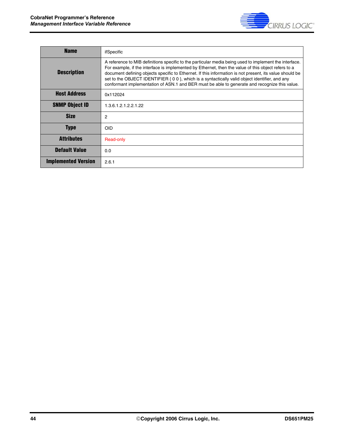

| <b>Name</b>                | ifSpecific                                                                                                                                                                                                                                                                                                                                                                                                                                                                                                                        |
|----------------------------|-----------------------------------------------------------------------------------------------------------------------------------------------------------------------------------------------------------------------------------------------------------------------------------------------------------------------------------------------------------------------------------------------------------------------------------------------------------------------------------------------------------------------------------|
| <b>Description</b>         | A reference to MIB definitions specific to the particular media being used to implement the interface.<br>For example, if the interface is implemented by Ethernet, then the value of this object refers to a<br>document defining objects specific to Ethernet. If this information is not present, its value should be<br>set to the OBJECT IDENTIFIER $\{ 0 0 \}$ , which is a syntactically valid object identifier, and any<br>conformant implementation of ASN.1 and BER must be able to generate and recognize this value. |
| <b>Host Address</b>        | 0x112024                                                                                                                                                                                                                                                                                                                                                                                                                                                                                                                          |
| <b>SNMP Object ID</b>      | 1.3.6.1.2.1.2.2.1.22                                                                                                                                                                                                                                                                                                                                                                                                                                                                                                              |
| <b>Size</b>                | 2                                                                                                                                                                                                                                                                                                                                                                                                                                                                                                                                 |
| <b>Type</b>                | <b>OID</b>                                                                                                                                                                                                                                                                                                                                                                                                                                                                                                                        |
| Attributes                 | Read-only                                                                                                                                                                                                                                                                                                                                                                                                                                                                                                                         |
| <b>Default Value</b>       | 0.0                                                                                                                                                                                                                                                                                                                                                                                                                                                                                                                               |
| <b>Implemented Version</b> | 2.6.1                                                                                                                                                                                                                                                                                                                                                                                                                                                                                                                             |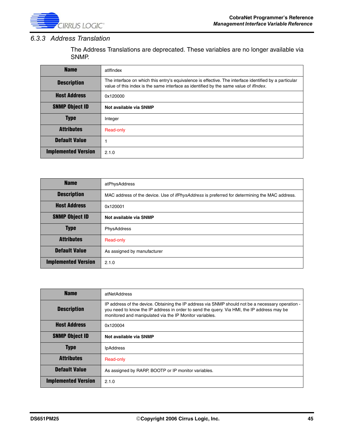

#### *6.3.3 Address Translation*

The Address Translations are deprecated. These variables are no longer available via SNMP.

| <b>Name</b>                | atlflndex                                                                                                                                                                                               |
|----------------------------|---------------------------------------------------------------------------------------------------------------------------------------------------------------------------------------------------------|
| <b>Description</b>         | The interface on which this entry's equivalence is effective. The interface identified by a particular<br>value of this index is the same interface as identified by the same value of <i>ifindex</i> . |
| <b>Host Address</b>        | 0x120000                                                                                                                                                                                                |
| <b>SNMP Object ID</b>      | Not available via SNMP                                                                                                                                                                                  |
| <b>Type</b>                | Integer                                                                                                                                                                                                 |
| <b>Attributes</b>          | Read-only                                                                                                                                                                                               |
| <b>Default Value</b>       |                                                                                                                                                                                                         |
| <b>Implemented Version</b> | 2.1.0                                                                                                                                                                                                   |

| <b>Name</b>                | atPhysAddress                                                                                        |
|----------------------------|------------------------------------------------------------------------------------------------------|
| <b>Description</b>         | MAC address of the device. Use of <i>ifPhysAddress</i> is preferred for determining the MAC address. |
| <b>Host Address</b>        | 0x120001                                                                                             |
| <b>SNMP Object ID</b>      | Not available via SNMP                                                                               |
| <b>Type</b>                | PhysAddress                                                                                          |
| <b>Attributes</b>          | Read-only                                                                                            |
| <b>Default Value</b>       | As assigned by manufacturer                                                                          |
| <b>Implemented Version</b> | 2.1.0                                                                                                |

| <b>Name</b>                | atNetAddress                                                                                                                                                                                                                                               |
|----------------------------|------------------------------------------------------------------------------------------------------------------------------------------------------------------------------------------------------------------------------------------------------------|
| <b>Description</b>         | IP address of the device. Obtaining the IP address via SNMP should not be a necessary operation -<br>you need to know the IP address in order to send the query. Via HMI, the IP address may be<br>monitored and manipulated via the IP Monitor variables. |
| <b>Host Address</b>        | 0x120004                                                                                                                                                                                                                                                   |
| <b>SNMP Object ID</b>      | Not available via SNMP                                                                                                                                                                                                                                     |
| <b>Type</b>                | <b>IpAddress</b>                                                                                                                                                                                                                                           |
| <b>Attributes</b>          | Read-only                                                                                                                                                                                                                                                  |
| <b>Default Value</b>       | As assigned by RARP, BOOTP or IP monitor variables.                                                                                                                                                                                                        |
| <b>Implemented Version</b> | 2.1.0                                                                                                                                                                                                                                                      |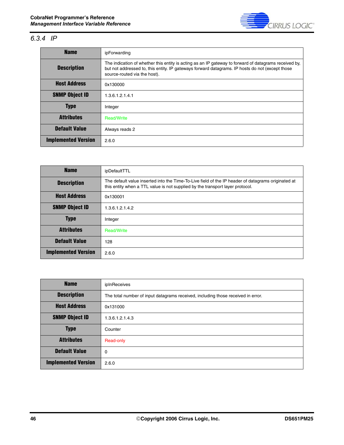

### *6.3.4 IP*

| <b>Name</b>                | ipForwarding                                                                                                                                                                                                                             |
|----------------------------|------------------------------------------------------------------------------------------------------------------------------------------------------------------------------------------------------------------------------------------|
| <b>Description</b>         | The indication of whether this entity is acting as an IP gateway to forward of datagrams received by,<br>but not addressed to, this entity. IP gateways forward datagrams. IP hosts do not (except those<br>source-routed via the host). |
| <b>Host Address</b>        | 0x130000                                                                                                                                                                                                                                 |
| <b>SNMP Object ID</b>      | 1.3.6.1.2.1.4.1                                                                                                                                                                                                                          |
| <b>Type</b>                | Integer                                                                                                                                                                                                                                  |
| <b>Attributes</b>          | <b>Read/Write</b>                                                                                                                                                                                                                        |
| <b>Default Value</b>       | Always reads 2                                                                                                                                                                                                                           |
| <b>Implemented Version</b> | 2.6.0                                                                                                                                                                                                                                    |

| <b>Name</b>                | ipDefaultTTL                                                                                                                                                                        |
|----------------------------|-------------------------------------------------------------------------------------------------------------------------------------------------------------------------------------|
| <b>Description</b>         | The default value inserted into the Time-To-Live field of the IP header of datagrams originated at<br>this entity when a TTL value is not supplied by the transport layer protocol. |
| <b>Host Address</b>        | 0x130001                                                                                                                                                                            |
| <b>SNMP Object ID</b>      | 1.3.6.1.2.1.4.2                                                                                                                                                                     |
| <b>Type</b>                | Integer                                                                                                                                                                             |
| <b>Attributes</b>          | <b>Read/Write</b>                                                                                                                                                                   |
| <b>Default Value</b>       | 128                                                                                                                                                                                 |
| <b>Implemented Version</b> | 2.6.0                                                                                                                                                                               |

| <b>Name</b>                | ipInReceives                                                                     |
|----------------------------|----------------------------------------------------------------------------------|
| <b>Description</b>         | The total number of input datagrams received, including those received in error. |
| <b>Host Address</b>        | 0x131000                                                                         |
| <b>SNMP Object ID</b>      | 1.3.6.1.2.1.4.3                                                                  |
| <b>Type</b>                | Counter                                                                          |
| <b>Attributes</b>          | Read-only                                                                        |
| <b>Default Value</b>       | $\mathbf 0$                                                                      |
| <b>Implemented Version</b> | 2.6.0                                                                            |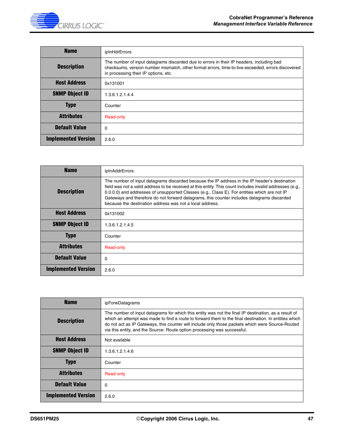| <b>Name</b>                | ipInHdrErrors                                                                                                                                                                                                                         |
|----------------------------|---------------------------------------------------------------------------------------------------------------------------------------------------------------------------------------------------------------------------------------|
| <b>Description</b>         | The number of input datagrams discarded due to errors in their IP headers, including bad<br>checksums, version number mismatch, other format errors, time-to-live exceeded, errors discovered<br>in processing their IP options, etc. |
| <b>Host Address</b>        | 0x131001                                                                                                                                                                                                                              |
| <b>SNMP Object ID</b>      | 1.3.6.1.2.1.4.4                                                                                                                                                                                                                       |
| <b>Type</b>                | Counter                                                                                                                                                                                                                               |
| <b>Attributes</b>          | Read-only                                                                                                                                                                                                                             |
| <b>Default Value</b>       | 0                                                                                                                                                                                                                                     |
| <b>Implemented Version</b> | 2.6.0                                                                                                                                                                                                                                 |

| <b>Name</b>                | ipInAddrErrors                                                                                                                                                                                                                                                                                                                                                                                                                                                       |
|----------------------------|----------------------------------------------------------------------------------------------------------------------------------------------------------------------------------------------------------------------------------------------------------------------------------------------------------------------------------------------------------------------------------------------------------------------------------------------------------------------|
| <b>Description</b>         | The number of input datagrams discarded because the IP address in the IP header's destination<br>field was not a valid address to be received at this entity. This count includes invalid addresses (e.g.,<br>0.0.0.0) and addresses of unsupported Classes (e.g., Class E). For entities which are not IP<br>Gateways and therefore do not forward datagrams, this counter includes datagrams discarded<br>because the destination address was not a local address. |
| <b>Host Address</b>        | 0x131002                                                                                                                                                                                                                                                                                                                                                                                                                                                             |
| <b>SNMP Object ID</b>      | 1.3.6.1.2.1.4.5                                                                                                                                                                                                                                                                                                                                                                                                                                                      |
| <b>Type</b>                | Counter                                                                                                                                                                                                                                                                                                                                                                                                                                                              |
| <b>Attributes</b>          | Read-only                                                                                                                                                                                                                                                                                                                                                                                                                                                            |
| <b>Default Value</b>       | $\mathbf 0$                                                                                                                                                                                                                                                                                                                                                                                                                                                          |
| <b>Implemented Version</b> | 2.6.0                                                                                                                                                                                                                                                                                                                                                                                                                                                                |

| <b>Name</b>                | ipForwDatagrams                                                                                                                                                                                                                                                                                                                                                                               |
|----------------------------|-----------------------------------------------------------------------------------------------------------------------------------------------------------------------------------------------------------------------------------------------------------------------------------------------------------------------------------------------------------------------------------------------|
| <b>Description</b>         | The number of input datagrams for which this entity was not the final IP destination, as a result of<br>which an attempt was made to find a route to forward them to the final destination. In entities which<br>do not act as IP Gateways, this counter will include only those packets which were Source-Routed<br>via this entity, and the Source- Route option processing was successful. |
| <b>Host Address</b>        | Not available                                                                                                                                                                                                                                                                                                                                                                                 |
| <b>SNMP Object ID</b>      | 1.3.6.1.2.1.4.6                                                                                                                                                                                                                                                                                                                                                                               |
| <b>Type</b>                | Counter                                                                                                                                                                                                                                                                                                                                                                                       |
| <b>Attributes</b>          | Read-only                                                                                                                                                                                                                                                                                                                                                                                     |
| <b>Default Value</b>       | 0                                                                                                                                                                                                                                                                                                                                                                                             |
| <b>Implemented Version</b> | 2.6.0                                                                                                                                                                                                                                                                                                                                                                                         |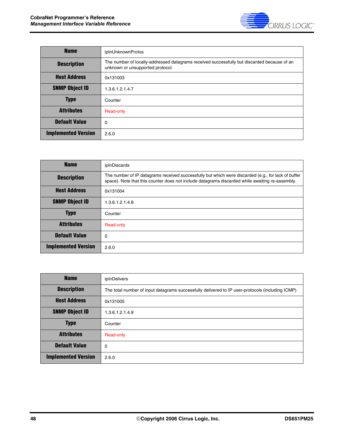

| <b>Name</b>                | ipInUnknownProtos                                                                                                               |
|----------------------------|---------------------------------------------------------------------------------------------------------------------------------|
| <b>Description</b>         | The number of locally-addressed datagrams received successfully but discarded because of an<br>unknown or unsupported protocol. |
| <b>Host Address</b>        | 0x131003                                                                                                                        |
| <b>SNMP Object ID</b>      | 1.3.6.1.2.1.4.7                                                                                                                 |
| <b>Type</b>                | Counter                                                                                                                         |
| <b>Attributes</b>          | Read-only                                                                                                                       |
| <b>Default Value</b>       | 0                                                                                                                               |
| <b>Implemented Version</b> | 2.6.0                                                                                                                           |

| <b>Name</b>                | ipInDiscards                                                                                                                                                                                           |
|----------------------------|--------------------------------------------------------------------------------------------------------------------------------------------------------------------------------------------------------|
| <b>Description</b>         | The number of IP datagrams received successfully but which were discarded (e.g., for lack of buffer<br>space). Note that this counter does not include datagrams discarded while awaiting re-assembly. |
| <b>Host Address</b>        | 0x131004                                                                                                                                                                                               |
| <b>SNMP Object ID</b>      | 1.3.6.1.2.1.4.8                                                                                                                                                                                        |
| <b>Type</b>                | Counter                                                                                                                                                                                                |
| <b>Attributes</b>          | Read-only                                                                                                                                                                                              |
| <b>Default Value</b>       | 0                                                                                                                                                                                                      |
| <b>Implemented Version</b> | 2.6.0                                                                                                                                                                                                  |

| <b>Name</b>                | ipInDelivers                                                                                     |
|----------------------------|--------------------------------------------------------------------------------------------------|
| <b>Description</b>         | The total number of input datagrams successfully delivered to IP user-protocols (including ICMP) |
| <b>Host Address</b>        | 0x131005                                                                                         |
| <b>SNMP Object ID</b>      | 1.3.6.1.2.1.4.9                                                                                  |
| <b>Type</b>                | Counter                                                                                          |
| <b>Attributes</b>          | Read-only                                                                                        |
| <b>Default Value</b>       | $\mathbf 0$                                                                                      |
| <b>Implemented Version</b> | 2.6.0                                                                                            |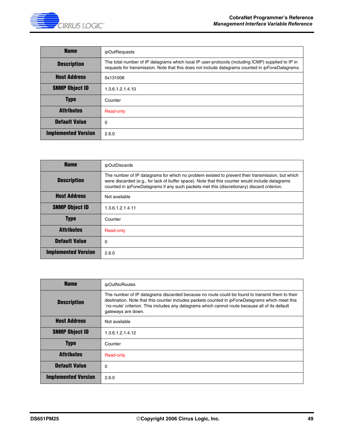

| <b>Name</b>                | ipOutRequests                                                                                                                                                                                                 |
|----------------------------|---------------------------------------------------------------------------------------------------------------------------------------------------------------------------------------------------------------|
| <b>Description</b>         | The total number of IP datagrams which local IP user-protocols (including ICMP) supplied to IP in<br>requests for transmission. Note that this does not include datagrams counted in <i>ipForwDatagrams</i> . |
| <b>Host Address</b>        | 0x131006                                                                                                                                                                                                      |
| <b>SNMP Object ID</b>      | 1.3.6.1.2.1.4.10                                                                                                                                                                                              |
| <b>Type</b>                | Counter                                                                                                                                                                                                       |
| <b>Attributes</b>          | Read-only                                                                                                                                                                                                     |
| <b>Default Value</b>       | 0                                                                                                                                                                                                             |
| <b>Implemented Version</b> | 2.6.0                                                                                                                                                                                                         |

| <b>Name</b>                | ipOutDiscards                                                                                                                                                                                                                                                                                            |
|----------------------------|----------------------------------------------------------------------------------------------------------------------------------------------------------------------------------------------------------------------------------------------------------------------------------------------------------|
| <b>Description</b>         | The number of IP datagrams for which no problem existed to prevent their transmission, but which<br>were discarded (e.g., for lack of buffer space). Note that this counter would include datagrams<br>counted in <i>ipForwDatagrams</i> if any such packets met this (discretionary) discard criterion. |
| <b>Host Address</b>        | Not available                                                                                                                                                                                                                                                                                            |
| <b>SNMP Object ID</b>      | 1.3.6.1.2.1.4.11                                                                                                                                                                                                                                                                                         |
| <b>Type</b>                | Counter                                                                                                                                                                                                                                                                                                  |
| <b>Attributes</b>          | Read-only                                                                                                                                                                                                                                                                                                |
| <b>Default Value</b>       | $\Omega$                                                                                                                                                                                                                                                                                                 |
| <b>Implemented Version</b> | 2.6.0                                                                                                                                                                                                                                                                                                    |

| <b>Name</b>                | ipOutNoRoutes                                                                                                                                                                                                                                                                                                                    |
|----------------------------|----------------------------------------------------------------------------------------------------------------------------------------------------------------------------------------------------------------------------------------------------------------------------------------------------------------------------------|
| <b>Description</b>         | The number of IP datagrams discarded because no route could be found to transmit them to their<br>destination. Note that this counter includes packets counted in <i>ipForwDatagrams</i> which meet this<br>no-route' criterion. This includes any datagrams which cannot route because all of its default<br>gateways are down. |
| <b>Host Address</b>        | Not available                                                                                                                                                                                                                                                                                                                    |
| <b>SNMP Object ID</b>      | 1.3.6.1.2.1.4.12                                                                                                                                                                                                                                                                                                                 |
| <b>Type</b>                | Counter                                                                                                                                                                                                                                                                                                                          |
| <b>Attributes</b>          | Read-only                                                                                                                                                                                                                                                                                                                        |
| <b>Default Value</b>       | 0                                                                                                                                                                                                                                                                                                                                |
| <b>Implemented Version</b> | 2.6.0                                                                                                                                                                                                                                                                                                                            |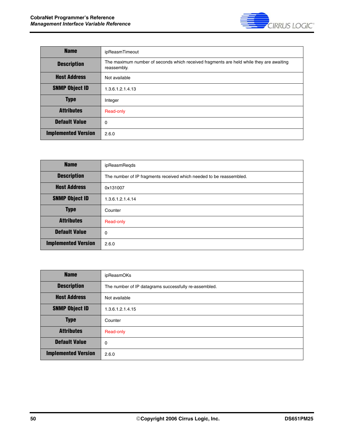

| <b>Name</b>                | ipReasmTimeout                                                                                         |
|----------------------------|--------------------------------------------------------------------------------------------------------|
| <b>Description</b>         | The maximum number of seconds which received fragments are held while they are awaiting<br>reassembly. |
| <b>Host Address</b>        | Not available                                                                                          |
| <b>SNMP Object ID</b>      | 1.3.6.1.2.1.4.13                                                                                       |
| <b>Type</b>                | Integer                                                                                                |
| <b>Attributes</b>          | Read-only                                                                                              |
| <b>Default Value</b>       | 0                                                                                                      |
| <b>Implemented Version</b> | 2.6.0                                                                                                  |

| <b>Name</b>                | ipReasmRegds                                                        |
|----------------------------|---------------------------------------------------------------------|
| <b>Description</b>         | The number of IP fragments received which needed to be reassembled. |
| <b>Host Address</b>        | 0x131007                                                            |
| <b>SNMP Object ID</b>      | 1.3.6.1.2.1.4.14                                                    |
| <b>Type</b>                | Counter                                                             |
| <b>Attributes</b>          | Read-only                                                           |
| <b>Default Value</b>       | 0                                                                   |
| <b>Implemented Version</b> | 2.6.0                                                               |

| <b>Name</b>                | ipReasmOKs                                            |
|----------------------------|-------------------------------------------------------|
| <b>Description</b>         | The number of IP datagrams successfully re-assembled. |
| <b>Host Address</b>        | Not available                                         |
| <b>SNMP Object ID</b>      | 1.3.6.1.2.1.4.15                                      |
| <b>Type</b>                | Counter                                               |
| <b>Attributes</b>          | Read-only                                             |
| <b>Default Value</b>       | 0                                                     |
| <b>Implemented Version</b> | 2.6.0                                                 |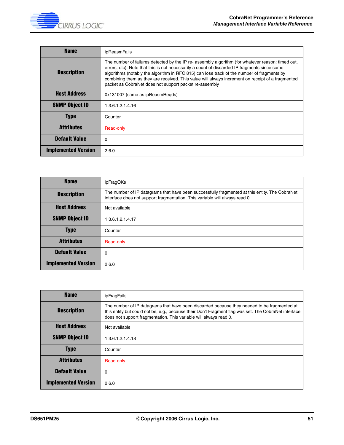

| <b>Name</b>                | ipReasmFails                                                                                                                                                                                                                                                                                                                                                                                                                                                  |
|----------------------------|---------------------------------------------------------------------------------------------------------------------------------------------------------------------------------------------------------------------------------------------------------------------------------------------------------------------------------------------------------------------------------------------------------------------------------------------------------------|
| <b>Description</b>         | The number of failures detected by the IP re- assembly algorithm (for whatever reason: timed out,<br>errors, etc). Note that this is not necessarily a count of discarded IP fragments since some<br>algorithms (notably the algorithm in RFC 815) can lose track of the number of fragments by<br>combining them as they are received. This value will always increment on receipt of a fragmented<br>packet as CobraNet does not support packet re-assembly |
| <b>Host Address</b>        | 0x131007 (same as ipReasmRegds)                                                                                                                                                                                                                                                                                                                                                                                                                               |
| <b>SNMP Object ID</b>      | 1.3.6.1.2.1.4.16                                                                                                                                                                                                                                                                                                                                                                                                                                              |
| <b>Type</b>                | Counter                                                                                                                                                                                                                                                                                                                                                                                                                                                       |
| <b>Attributes</b>          | Read-only                                                                                                                                                                                                                                                                                                                                                                                                                                                     |
| <b>Default Value</b>       | $\Omega$                                                                                                                                                                                                                                                                                                                                                                                                                                                      |
| <b>Implemented Version</b> | 2.6.0                                                                                                                                                                                                                                                                                                                                                                                                                                                         |

| <b>Name</b>                | ipFragOKs                                                                                                                                                                     |
|----------------------------|-------------------------------------------------------------------------------------------------------------------------------------------------------------------------------|
| <b>Description</b>         | The number of IP datagrams that have been successfully fragmented at this entity. The CobraNet<br>interface does not support fragmentation. This variable will always read 0. |
| <b>Host Address</b>        | Not available                                                                                                                                                                 |
| <b>SNMP Object ID</b>      | 1.3.6.1.2.1.4.17                                                                                                                                                              |
| <b>Type</b>                | Counter                                                                                                                                                                       |
| <b>Attributes</b>          | Read-only                                                                                                                                                                     |
| <b>Default Value</b>       | $\Omega$                                                                                                                                                                      |
| <b>Implemented Version</b> | 2.6.0                                                                                                                                                                         |

| <b>Name</b>                | ipFragFails                                                                                                                                                                                                                                                               |
|----------------------------|---------------------------------------------------------------------------------------------------------------------------------------------------------------------------------------------------------------------------------------------------------------------------|
| <b>Description</b>         | The number of IP datagrams that have been discarded because they needed to be fragmented at<br>this entity but could not be, e.g., because their Don't Fragment flag was set. The CobraNet interface<br>does not support fragmentation. This variable will always read 0. |
| <b>Host Address</b>        | Not available                                                                                                                                                                                                                                                             |
| <b>SNMP Object ID</b>      | 1.3.6.1.2.1.4.18                                                                                                                                                                                                                                                          |
| <b>Type</b>                | Counter                                                                                                                                                                                                                                                                   |
| <b>Attributes</b>          | Read-only                                                                                                                                                                                                                                                                 |
| <b>Default Value</b>       | 0                                                                                                                                                                                                                                                                         |
| <b>Implemented Version</b> | 2.6.0                                                                                                                                                                                                                                                                     |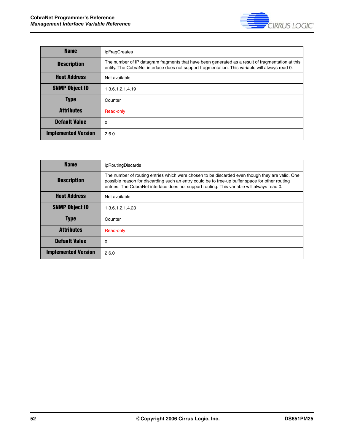

| <b>Name</b>                | ipFragCreates                                                                                                                                                                                         |
|----------------------------|-------------------------------------------------------------------------------------------------------------------------------------------------------------------------------------------------------|
| <b>Description</b>         | The number of IP datagram fragments that have been generated as a result of fragmentation at this<br>entity. The CobraNet interface does not support fragmentation. This variable will always read 0. |
| <b>Host Address</b>        | Not available                                                                                                                                                                                         |
| <b>SNMP Object ID</b>      | 1.3.6.1.2.1.4.19                                                                                                                                                                                      |
| <b>Type</b>                | Counter                                                                                                                                                                                               |
| <b>Attributes</b>          | Read-only                                                                                                                                                                                             |
| <b>Default Value</b>       | 0                                                                                                                                                                                                     |
| <b>Implemented Version</b> | 2.6.0                                                                                                                                                                                                 |

| <b>Name</b>                | ipRoutingDiscards                                                                                                                                                                                                                                                                                 |
|----------------------------|---------------------------------------------------------------------------------------------------------------------------------------------------------------------------------------------------------------------------------------------------------------------------------------------------|
| <b>Description</b>         | The number of routing entries which were chosen to be discarded even though they are valid. One<br>possible reason for discarding such an entry could be to free-up buffer space for other routing<br>entries. The CobraNet interface does not support routing. This variable will always read 0. |
| <b>Host Address</b>        | Not available                                                                                                                                                                                                                                                                                     |
| <b>SNMP Object ID</b>      | 1.3.6.1.2.1.4.23                                                                                                                                                                                                                                                                                  |
| Type                       | Counter                                                                                                                                                                                                                                                                                           |
| <b>Attributes</b>          | Read-only                                                                                                                                                                                                                                                                                         |
| <b>Default Value</b>       | 0                                                                                                                                                                                                                                                                                                 |
| <b>Implemented Version</b> | 2.6.0                                                                                                                                                                                                                                                                                             |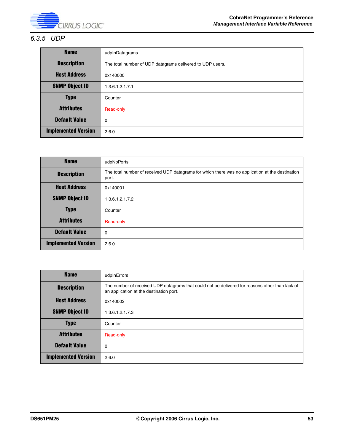

#### *6.3.5 UDP*

| <b>Name</b>                | udpInDatagrams                                            |
|----------------------------|-----------------------------------------------------------|
| <b>Description</b>         | The total number of UDP datagrams delivered to UDP users. |
| <b>Host Address</b>        | 0x140000                                                  |
| <b>SNMP Object ID</b>      | 1.3.6.1.2.1.7.1                                           |
| <b>Type</b>                | Counter                                                   |
| <b>Attributes</b>          | Read-only                                                 |
| <b>Default Value</b>       | 0                                                         |
| <b>Implemented Version</b> | 2.6.0                                                     |

| <b>Name</b>                | udpNoPorts                                                                                                |
|----------------------------|-----------------------------------------------------------------------------------------------------------|
| <b>Description</b>         | The total number of received UDP datagrams for which there was no application at the destination<br>port. |
| <b>Host Address</b>        | 0x140001                                                                                                  |
| <b>SNMP Object ID</b>      | 1.3.6.1.2.1.7.2                                                                                           |
| <b>Type</b>                | Counter                                                                                                   |
| <b>Attributes</b>          | Read-only                                                                                                 |
| <b>Default Value</b>       | 0                                                                                                         |
| <b>Implemented Version</b> | 2.6.0                                                                                                     |

| <b>Name</b>                | udpInErrors                                                                                                                                |
|----------------------------|--------------------------------------------------------------------------------------------------------------------------------------------|
| <b>Description</b>         | The number of received UDP datagrams that could not be delivered for reasons other than lack of<br>an application at the destination port. |
| <b>Host Address</b>        | 0x140002                                                                                                                                   |
| <b>SNMP Object ID</b>      | 1.3.6.1.2.1.7.3                                                                                                                            |
| <b>Type</b>                | Counter                                                                                                                                    |
| <b>Attributes</b>          | Read-only                                                                                                                                  |
| <b>Default Value</b>       | 0                                                                                                                                          |
| <b>Implemented Version</b> | 2.6.0                                                                                                                                      |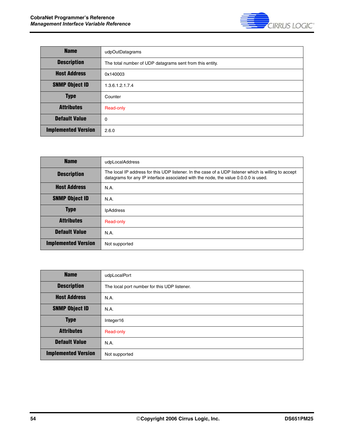

| <b>Name</b>                | udpOutDatagrams                                          |
|----------------------------|----------------------------------------------------------|
| <b>Description</b>         | The total number of UDP datagrams sent from this entity. |
| <b>Host Address</b>        | 0x140003                                                 |
| <b>SNMP Object ID</b>      | 1.3.6.1.2.1.7.4                                          |
| <b>Type</b>                | Counter                                                  |
| <b>Attributes</b>          | Read-only                                                |
| <b>Default Value</b>       | $\mathbf 0$                                              |
| <b>Implemented Version</b> | 2.6.0                                                    |

| <b>Name</b>                | udpLocalAddress                                                                                                                                                                             |
|----------------------------|---------------------------------------------------------------------------------------------------------------------------------------------------------------------------------------------|
| <b>Description</b>         | The local IP address for this UDP listener. In the case of a UDP listener which is willing to accept<br>datagrams for any IP interface associated with the node, the value 0.0.0.0 is used. |
| <b>Host Address</b>        | <b>N.A.</b>                                                                                                                                                                                 |
| <b>SNMP Object ID</b>      | N.A.                                                                                                                                                                                        |
| <b>Type</b>                | <b>IpAddress</b>                                                                                                                                                                            |
| <b>Attributes</b>          | Read-only                                                                                                                                                                                   |
| <b>Default Value</b>       | N.A.                                                                                                                                                                                        |
| <b>Implemented Version</b> | Not supported                                                                                                                                                                               |

| <b>Name</b>                | udpLocalPort                                 |
|----------------------------|----------------------------------------------|
| <b>Description</b>         | The local port number for this UDP listener. |
| <b>Host Address</b>        | N.A.                                         |
| <b>SNMP Object ID</b>      | N.A.                                         |
| <b>Type</b>                | Integer16                                    |
| <b>Attributes</b>          | Read-only                                    |
| <b>Default Value</b>       | N.A.                                         |
| <b>Implemented Version</b> | Not supported                                |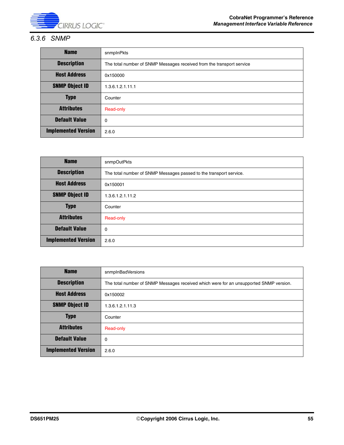

#### *6.3.6 SNMP*

| <b>Name</b>                | snmplnPkts                                                            |
|----------------------------|-----------------------------------------------------------------------|
| <b>Description</b>         | The total number of SNMP Messages received from the transport service |
| <b>Host Address</b>        | 0x150000                                                              |
| <b>SNMP Object ID</b>      | 1.3.6.1.2.1.11.1                                                      |
| <b>Type</b>                | Counter                                                               |
| <b>Attributes</b>          | Read-only                                                             |
| <b>Default Value</b>       | 0                                                                     |
| <b>Implemented Version</b> | 2.6.0                                                                 |

| <b>Name</b>                | snmpOutPkts                                                        |
|----------------------------|--------------------------------------------------------------------|
| <b>Description</b>         | The total number of SNMP Messages passed to the transport service. |
| <b>Host Address</b>        | 0x150001                                                           |
| <b>SNMP Object ID</b>      | 1.3.6.1.2.1.11.2                                                   |
| <b>Type</b>                | Counter                                                            |
| <b>Attributes</b>          | Read-only                                                          |
| <b>Default Value</b>       | 0                                                                  |
| <b>Implemented Version</b> | 2.6.0                                                              |

| <b>Name</b>                | snmpInBadVersions                                                                      |
|----------------------------|----------------------------------------------------------------------------------------|
| <b>Description</b>         | The total number of SNMP Messages received which were for an unsupported SNMP version. |
| <b>Host Address</b>        | 0x150002                                                                               |
| <b>SNMP Object ID</b>      | 1.3.6.1.2.1.11.3                                                                       |
| <b>Type</b>                | Counter                                                                                |
| <b>Attributes</b>          | Read-only                                                                              |
| <b>Default Value</b>       | $\Omega$                                                                               |
| <b>Implemented Version</b> | 2.6.0                                                                                  |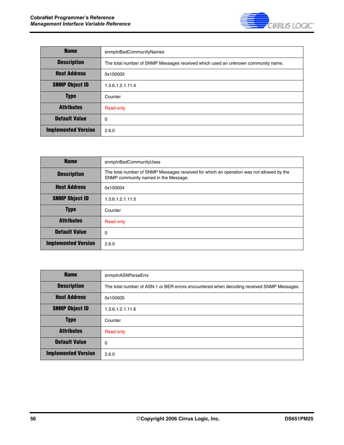

| <b>Name</b>                | snmpInBadCommunityNames                                                          |
|----------------------------|----------------------------------------------------------------------------------|
| <b>Description</b>         | The total number of SNMP Messages received which used an unknown community name. |
| <b>Host Address</b>        | 0x150003                                                                         |
| <b>SNMP Object ID</b>      | 1.3.6.1.2.1.11.4                                                                 |
| <b>Type</b>                | Counter                                                                          |
| <b>Attributes</b>          | Read-only                                                                        |
| <b>Default Value</b>       | $\Omega$                                                                         |
| <b>Implemented Version</b> | 2.6.0                                                                            |

| <b>Name</b>                | snmpInBadCommunityUses                                                                                                           |
|----------------------------|----------------------------------------------------------------------------------------------------------------------------------|
| <b>Description</b>         | The total number of SNMP Messages received for which an operation was not allowed by the<br>SNMP community named in the Message. |
| <b>Host Address</b>        | 0x150004                                                                                                                         |
| <b>SNMP Object ID</b>      | 1.3.6.1.2.1.11.5                                                                                                                 |
| <b>Type</b>                | Counter                                                                                                                          |
| <b>Attributes</b>          | Read-only                                                                                                                        |
| <b>Default Value</b>       | 0                                                                                                                                |
| <b>Implemented Version</b> | 2.6.0                                                                                                                            |

| <b>Name</b>                | snmpInASNParseErrs                                                                        |
|----------------------------|-------------------------------------------------------------------------------------------|
| <b>Description</b>         | The total number of ASN.1 or BER errors encountered when decoding received SNMP Messages. |
| <b>Host Address</b>        | 0x150005                                                                                  |
| <b>SNMP Object ID</b>      | 1.3.6.1.2.1.11.6                                                                          |
| <b>Type</b>                | Counter                                                                                   |
| <b>Attributes</b>          | Read-only                                                                                 |
| <b>Default Value</b>       | $\Omega$                                                                                  |
| <b>Implemented Version</b> | 2.6.0                                                                                     |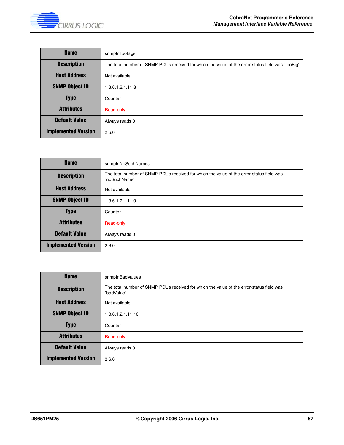

| <b>Name</b>                | snmpInTooBigs                                                                                      |
|----------------------------|----------------------------------------------------------------------------------------------------|
| <b>Description</b>         | The total number of SNMP PDUs received for which the value of the error-status field was 'tooBig'. |
| <b>Host Address</b>        | Not available                                                                                      |
| <b>SNMP Object ID</b>      | 1.3.6.1.2.1.11.8                                                                                   |
| <b>Type</b>                | Counter                                                                                            |
| <b>Attributes</b>          | Read-only                                                                                          |
| <b>Default Value</b>       | Always reads 0                                                                                     |
| <b>Implemented Version</b> | 2.6.0                                                                                              |

| <b>Name</b>                | snmpInNoSuchNames                                                                                         |
|----------------------------|-----------------------------------------------------------------------------------------------------------|
| <b>Description</b>         | The total number of SNMP PDUs received for which the value of the error-status field was<br>`noSuchName'. |
| <b>Host Address</b>        | Not available                                                                                             |
| <b>SNMP Object ID</b>      | 1.3.6.1.2.1.11.9                                                                                          |
| <b>Type</b>                | Counter                                                                                                   |
| <b>Attributes</b>          | Read-only                                                                                                 |
| <b>Default Value</b>       | Always reads 0                                                                                            |
| <b>Implemented Version</b> | 2.6.0                                                                                                     |

| <b>Name</b>                | snmpInBadValues                                                                                         |
|----------------------------|---------------------------------------------------------------------------------------------------------|
| <b>Description</b>         | The total number of SNMP PDUs received for which the value of the error-status field was<br>`badValue'. |
| <b>Host Address</b>        | Not available                                                                                           |
| <b>SNMP Object ID</b>      | 1.3.6.1.2.1.11.10                                                                                       |
| <b>Type</b>                | Counter                                                                                                 |
| <b>Attributes</b>          | Read-only                                                                                               |
| <b>Default Value</b>       | Always reads 0                                                                                          |
| <b>Implemented Version</b> | 2.6.0                                                                                                   |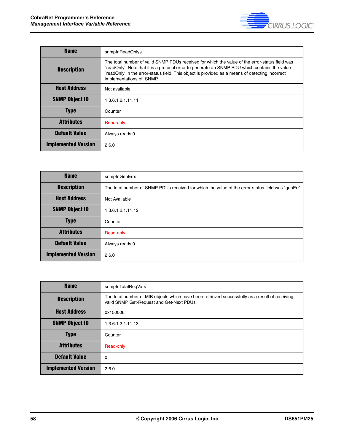

| <b>Name</b>                | snmpInReadOnlys                                                                                                                                                                                                                                                                                                               |
|----------------------------|-------------------------------------------------------------------------------------------------------------------------------------------------------------------------------------------------------------------------------------------------------------------------------------------------------------------------------|
| <b>Description</b>         | The total number of valid SNMP PDUs received for which the value of the error-status field was<br>`readOnly'. Note that it is a protocol error to generate an SNMP PDU which contains the value<br>readOnly' in the error-status field. This object is provided as a means of detecting incorrect<br>implementations of SNMP. |
| <b>Host Address</b>        | Not available                                                                                                                                                                                                                                                                                                                 |
| <b>SNMP Object ID</b>      | 1.3.6.1.2.1.11.11                                                                                                                                                                                                                                                                                                             |
| <b>Type</b>                | Counter                                                                                                                                                                                                                                                                                                                       |
| <b>Attributes</b>          | Read-only                                                                                                                                                                                                                                                                                                                     |
| <b>Default Value</b>       | Always reads 0                                                                                                                                                                                                                                                                                                                |
| <b>Implemented Version</b> | 2.6.0                                                                                                                                                                                                                                                                                                                         |

| <b>Name</b>                | snmpInGenErrs                                                                                      |
|----------------------------|----------------------------------------------------------------------------------------------------|
| <b>Description</b>         | The total number of SNMP PDUs received for which the value of the error-status field was `genErr'. |
| <b>Host Address</b>        | Not Available                                                                                      |
| <b>SNMP Object ID</b>      | 1.3.6.1.2.1.11.12                                                                                  |
| <b>Type</b>                | Counter                                                                                            |
| <b>Attributes</b>          | Read-only                                                                                          |
| <b>Default Value</b>       | Always reads 0                                                                                     |
| <b>Implemented Version</b> | 2.6.0                                                                                              |

| <b>Name</b>                | snmpInTotalRegVars                                                                                                                           |
|----------------------------|----------------------------------------------------------------------------------------------------------------------------------------------|
| <b>Description</b>         | The total number of MIB objects which have been retrieved successfully as a result of receiving<br>valid SNMP Get-Request and Get-Next PDUs. |
| <b>Host Address</b>        | 0x150006                                                                                                                                     |
| <b>SNMP Object ID</b>      | 1.3.6.1.2.1.11.13                                                                                                                            |
| <b>Type</b>                | Counter                                                                                                                                      |
| <b>Attributes</b>          | Read-only                                                                                                                                    |
| <b>Default Value</b>       | $\Omega$                                                                                                                                     |
| <b>Implemented Version</b> | 2.6.0                                                                                                                                        |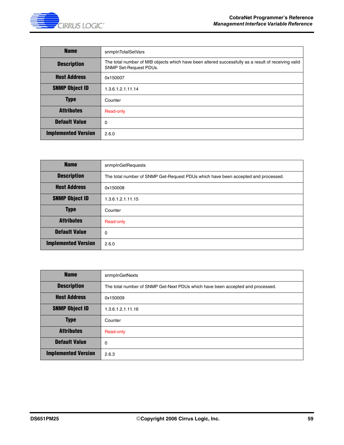

| <b>Name</b>                | snmpInTotalSetVars                                                                                                                   |
|----------------------------|--------------------------------------------------------------------------------------------------------------------------------------|
| <b>Description</b>         | The total number of MIB objects which have been altered successfully as a result of receiving valid<br><b>SNMP Set-Request PDUs.</b> |
| <b>Host Address</b>        | 0x150007                                                                                                                             |
| <b>SNMP Object ID</b>      | 1.3.6.1.2.1.11.14                                                                                                                    |
| <b>Type</b>                | Counter                                                                                                                              |
| <b>Attributes</b>          | Read-only                                                                                                                            |
| <b>Default Value</b>       | 0                                                                                                                                    |
| <b>Implemented Version</b> | 2.6.0                                                                                                                                |

| <b>Name</b>                | snmpInGetRequests                                                                 |
|----------------------------|-----------------------------------------------------------------------------------|
| <b>Description</b>         | The total number of SNMP Get-Request PDUs which have been accepted and processed. |
| <b>Host Address</b>        | 0x150008                                                                          |
| <b>SNMP Object ID</b>      | 1.3.6.1.2.1.11.15                                                                 |
| <b>Type</b>                | Counter                                                                           |
| <b>Attributes</b>          | Read-only                                                                         |
| <b>Default Value</b>       | 0                                                                                 |
| <b>Implemented Version</b> | 2.6.0                                                                             |

| <b>Name</b>                | snmpInGetNexts                                                                 |
|----------------------------|--------------------------------------------------------------------------------|
| <b>Description</b>         | The total number of SNMP Get-Next PDUs which have been accepted and processed. |
| <b>Host Address</b>        | 0x150009                                                                       |
| <b>SNMP Object ID</b>      | 1.3.6.1.2.1.11.16                                                              |
| <b>Type</b>                | Counter                                                                        |
| <b>Attributes</b>          | Read-only                                                                      |
| <b>Default Value</b>       | 0                                                                              |
| <b>Implemented Version</b> | 2.6.3                                                                          |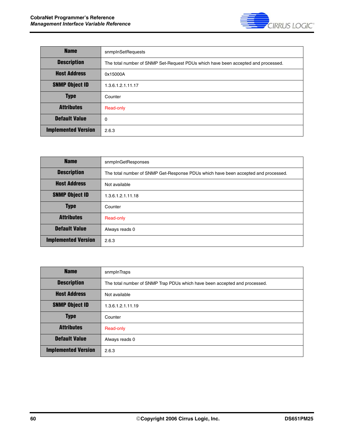

| <b>Name</b>                | snmpInSetRequests                                                                 |
|----------------------------|-----------------------------------------------------------------------------------|
| <b>Description</b>         | The total number of SNMP Set-Request PDUs which have been accepted and processed. |
| <b>Host Address</b>        | 0x15000A                                                                          |
| <b>SNMP Object ID</b>      | 1.3.6.1.2.1.11.17                                                                 |
| <b>Type</b>                | Counter                                                                           |
| <b>Attributes</b>          | Read-only                                                                         |
| <b>Default Value</b>       | 0                                                                                 |
| <b>Implemented Version</b> | 2.6.3                                                                             |

| <b>Name</b>                | snmpInGetResponses                                                                 |
|----------------------------|------------------------------------------------------------------------------------|
| <b>Description</b>         | The total number of SNMP Get-Response PDUs which have been accepted and processed. |
| <b>Host Address</b>        | Not available                                                                      |
| <b>SNMP Object ID</b>      | 1.3.6.1.2.1.11.18                                                                  |
| <b>Type</b>                | Counter                                                                            |
| <b>Attributes</b>          | Read-only                                                                          |
| <b>Default Value</b>       | Always reads 0                                                                     |
| <b>Implemented Version</b> | 2.6.3                                                                              |

| <b>Name</b>                | snmplnTraps                                                                |
|----------------------------|----------------------------------------------------------------------------|
| <b>Description</b>         | The total number of SNMP Trap PDUs which have been accepted and processed. |
| <b>Host Address</b>        | Not available                                                              |
| <b>SNMP Object ID</b>      | 1.3.6.1.2.1.11.19                                                          |
| <b>Type</b>                | Counter                                                                    |
| <b>Attributes</b>          | Read-only                                                                  |
| <b>Default Value</b>       | Always reads 0                                                             |
| <b>Implemented Version</b> | 2.6.3                                                                      |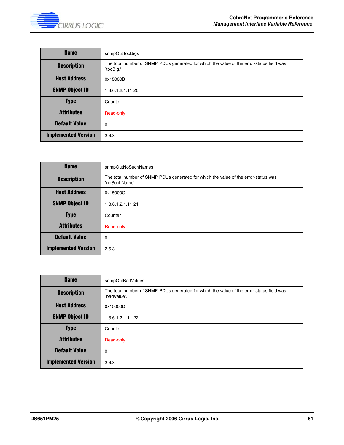

| <b>Name</b>                | snmpOutTooBigs                                                                                         |
|----------------------------|--------------------------------------------------------------------------------------------------------|
| <b>Description</b>         | The total number of SNMP PDUs generated for which the value of the error-status field was<br>`tooBig.' |
| <b>Host Address</b>        | 0x15000B                                                                                               |
| <b>SNMP Object ID</b>      | 1.3.6.1.2.1.11.20                                                                                      |
| <b>Type</b>                | Counter                                                                                                |
| <b>Attributes</b>          | Read-only                                                                                              |
| <b>Default Value</b>       | $\Omega$                                                                                               |
| <b>Implemented Version</b> | 2.6.3                                                                                                  |

| <b>Name</b>                | snmpOutNoSuchNames                                                                                   |
|----------------------------|------------------------------------------------------------------------------------------------------|
| <b>Description</b>         | The total number of SNMP PDUs generated for which the value of the error-status was<br>`noSuchName'. |
| <b>Host Address</b>        | 0x15000C                                                                                             |
| <b>SNMP Object ID</b>      | 1.3.6.1.2.1.11.21                                                                                    |
| <b>Type</b>                | Counter                                                                                              |
| <b>Attributes</b>          | Read-only                                                                                            |
| <b>Default Value</b>       | $\mathbf 0$                                                                                          |
| <b>Implemented Version</b> | 2.6.3                                                                                                |

| <b>Name</b>                | snmpOutBadValues                                                                                         |
|----------------------------|----------------------------------------------------------------------------------------------------------|
| <b>Description</b>         | The total number of SNMP PDUs generated for which the value of the error-status field was<br>`badValue'. |
| <b>Host Address</b>        | 0x15000D                                                                                                 |
| <b>SNMP Object ID</b>      | 1.3.6.1.2.1.11.22                                                                                        |
| <b>Type</b>                | Counter                                                                                                  |
| <b>Attributes</b>          | Read-only                                                                                                |
| <b>Default Value</b>       | 0                                                                                                        |
| <b>Implemented Version</b> | 2.6.3                                                                                                    |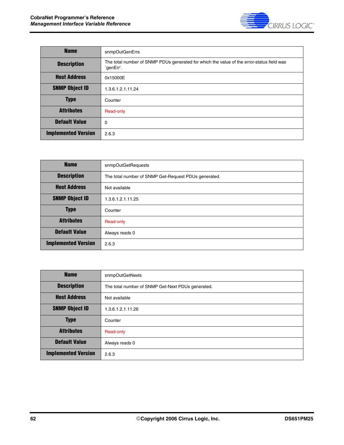

| <b>Name</b>                | snmpOutGenErrs                                                                                         |
|----------------------------|--------------------------------------------------------------------------------------------------------|
| <b>Description</b>         | The total number of SNMP PDUs generated for which the value of the error-status field was<br>`genErr'. |
| <b>Host Address</b>        | 0x15000E                                                                                               |
| <b>SNMP Object ID</b>      | 1.3.6.1.2.1.11.24                                                                                      |
| <b>Type</b>                | Counter                                                                                                |
| <b>Attributes</b>          | Read-only                                                                                              |
| <b>Default Value</b>       | 0                                                                                                      |
| <b>Implemented Version</b> | 2.6.3                                                                                                  |

| <b>Name</b>                | snmpOutGetRequests                                   |
|----------------------------|------------------------------------------------------|
| <b>Description</b>         | The total number of SNMP Get-Request PDUs generated. |
| <b>Host Address</b>        | Not available                                        |
| <b>SNMP Object ID</b>      | 1.3.6.1.2.1.11.25                                    |
| <b>Type</b>                | Counter                                              |
| <b>Attributes</b>          | Read-only                                            |
| <b>Default Value</b>       | Always reads 0                                       |
| <b>Implemented Version</b> | 2.6.3                                                |

| <b>Name</b>                | snmpOutGetNexts                                   |
|----------------------------|---------------------------------------------------|
| <b>Description</b>         | The total number of SNMP Get-Next PDUs generated. |
| <b>Host Address</b>        | Not available                                     |
| <b>SNMP Object ID</b>      | 1.3.6.1.2.1.11.26                                 |
| <b>Type</b>                | Counter                                           |
| <b>Attributes</b>          | Read-only                                         |
| <b>Default Value</b>       | Always reads 0                                    |
| <b>Implemented Version</b> | 2.6.3                                             |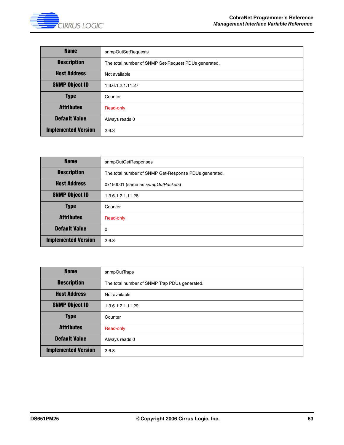

| <b>Name</b>                | snmpOutSetRequests                                   |
|----------------------------|------------------------------------------------------|
| <b>Description</b>         | The total number of SNMP Set-Request PDUs generated. |
| <b>Host Address</b>        | Not available                                        |
| <b>SNMP Object ID</b>      | 1.3.6.1.2.1.11.27                                    |
| <b>Type</b>                | Counter                                              |
| <b>Attributes</b>          | Read-only                                            |
| <b>Default Value</b>       | Always reads 0                                       |
| <b>Implemented Version</b> | 2.6.3                                                |

| <b>Name</b>                | snmpOutGetResponses                                   |
|----------------------------|-------------------------------------------------------|
| <b>Description</b>         | The total number of SNMP Get-Response PDUs generated. |
| <b>Host Address</b>        | 0x150001 (same as snmpOutPackets)                     |
| <b>SNMP Object ID</b>      | 1.3.6.1.2.1.11.28                                     |
| <b>Type</b>                | Counter                                               |
| <b>Attributes</b>          | Read-only                                             |
| <b>Default Value</b>       | $\mathbf 0$                                           |
| <b>Implemented Version</b> | 2.6.3                                                 |

| <b>Name</b>                | snmpOutTraps                                  |
|----------------------------|-----------------------------------------------|
| <b>Description</b>         | The total number of SNMP Trap PDUs generated. |
| <b>Host Address</b>        | Not available                                 |
| <b>SNMP Object ID</b>      | 1.3.6.1.2.1.11.29                             |
| <b>Type</b>                | Counter                                       |
| <b>Attributes</b>          | Read-only                                     |
| <b>Default Value</b>       | Always reads 0                                |
| <b>Implemented Version</b> | 2.6.3                                         |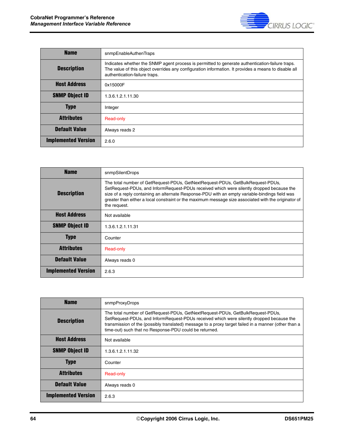

| <b>Name</b>                | snmpEnableAuthenTraps                                                                                                                                                                                                                    |
|----------------------------|------------------------------------------------------------------------------------------------------------------------------------------------------------------------------------------------------------------------------------------|
| <b>Description</b>         | Indicates whether the SNMP agent process is permitted to generate authentication-failure traps.<br>The value of this object overrides any configuration information. It provides a means to disable all<br>authentication-failure traps. |
| <b>Host Address</b>        | 0x15000F                                                                                                                                                                                                                                 |
| <b>SNMP Object ID</b>      | 1.3.6.1.2.1.11.30                                                                                                                                                                                                                        |
| <b>Type</b>                | Integer                                                                                                                                                                                                                                  |
| <b>Attributes</b>          | Read-only                                                                                                                                                                                                                                |
| <b>Default Value</b>       | Always reads 2                                                                                                                                                                                                                           |
| <b>Implemented Version</b> | 2.6.0                                                                                                                                                                                                                                    |

| <b>Name</b>                | snmpSilentDrops                                                                                                                                                                                                                                                                                                                                                                                      |
|----------------------------|------------------------------------------------------------------------------------------------------------------------------------------------------------------------------------------------------------------------------------------------------------------------------------------------------------------------------------------------------------------------------------------------------|
| <b>Description</b>         | The total number of GetRequest-PDUs, GetNextRequest-PDUs, GetBulkRequest-PDUs,<br>SetRequest-PDUs, and InformRequest-PDUs received which were silently dropped because the<br>size of a reply containing an alternate Response-PDU with an empty variable-bindings field was<br>greater than either a local constraint or the maximum message size associated with the originator of<br>the request. |
| <b>Host Address</b>        | Not available                                                                                                                                                                                                                                                                                                                                                                                        |
| <b>SNMP Object ID</b>      | 1.3.6.1.2.1.11.31                                                                                                                                                                                                                                                                                                                                                                                    |
| <b>Type</b>                | Counter                                                                                                                                                                                                                                                                                                                                                                                              |
| <b>Attributes</b>          | Read-only                                                                                                                                                                                                                                                                                                                                                                                            |
| <b>Default Value</b>       | Always reads 0                                                                                                                                                                                                                                                                                                                                                                                       |
| <b>Implemented Version</b> | 2.6.3                                                                                                                                                                                                                                                                                                                                                                                                |

| <b>Name</b>                | snmpProxyDrops                                                                                                                                                                                                                                                                                                                               |
|----------------------------|----------------------------------------------------------------------------------------------------------------------------------------------------------------------------------------------------------------------------------------------------------------------------------------------------------------------------------------------|
| <b>Description</b>         | The total number of GetRequest-PDUs, GetNextRequest-PDUs, GetBulkRequest-PDUs,<br>SetRequest-PDUs, and InformRequest-PDUs received which were silently dropped because the<br>transmission of the (possibly translated) message to a proxy target failed in a manner (other than a<br>time-out) such that no Response-PDU could be returned. |
| <b>Host Address</b>        | Not available                                                                                                                                                                                                                                                                                                                                |
| <b>SNMP Object ID</b>      | 1.3.6.1.2.1.11.32                                                                                                                                                                                                                                                                                                                            |
| <b>Type</b>                | Counter                                                                                                                                                                                                                                                                                                                                      |
| <b>Attributes</b>          | Read-only                                                                                                                                                                                                                                                                                                                                    |
| <b>Default Value</b>       | Always reads 0                                                                                                                                                                                                                                                                                                                               |
| <b>Implemented Version</b> | 2.6.3                                                                                                                                                                                                                                                                                                                                        |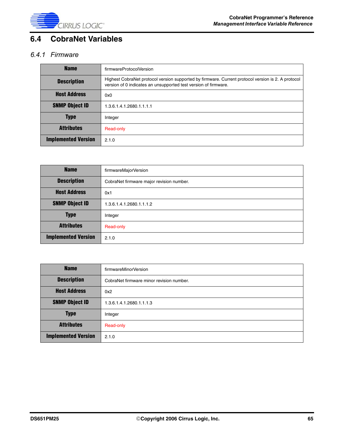

# **6.4 CobraNet Variables**

#### *6.4.1 Firmware*

| <b>Name</b>                | firmwareProtocolVersion                                                                                                                                               |
|----------------------------|-----------------------------------------------------------------------------------------------------------------------------------------------------------------------|
| <b>Description</b>         | Highest CobraNet protocol version supported by firmware. Current protocol version is 2. A protocol<br>version of 0 indicates an unsupported test version of firmware. |
| <b>Host Address</b>        | 0x0                                                                                                                                                                   |
| <b>SNMP Object ID</b>      | 1.3.6.1.4.1.2680.1.1.1.1                                                                                                                                              |
| <b>Type</b>                | Integer                                                                                                                                                               |
| <b>Attributes</b>          | Read-only                                                                                                                                                             |
| <b>Implemented Version</b> | 2.1.0                                                                                                                                                                 |

| <b>Name</b>                | firmwareMajorVersion                     |
|----------------------------|------------------------------------------|
| <b>Description</b>         | CobraNet firmware major revision number. |
| <b>Host Address</b>        | 0x1                                      |
| <b>SNMP Object ID</b>      | 1.3.6.1.4.1.2680.1.1.1.2                 |
| <b>Type</b>                | Integer                                  |
| <b>Attributes</b>          | Read-only                                |
| <b>Implemented Version</b> | 2.1.0                                    |

| <b>Name</b>                | firmwareMinorVersion                     |
|----------------------------|------------------------------------------|
| <b>Description</b>         | CobraNet firmware minor revision number. |
| <b>Host Address</b>        | 0x2                                      |
| <b>SNMP Object ID</b>      | 1.3.6.1.4.1.2680.1.1.1.3                 |
| <b>Type</b>                | Integer                                  |
| <b>Attributes</b>          | Read-only                                |
| <b>Implemented Version</b> | 2.1.0                                    |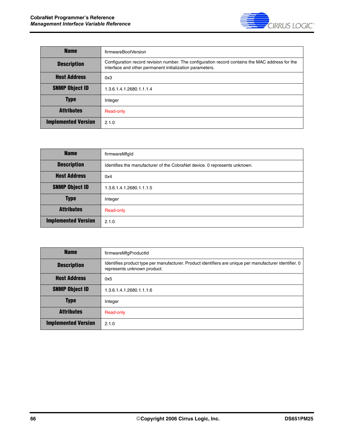

| <b>Name</b>                | firmwareBootVersion                                                                                                                                         |
|----------------------------|-------------------------------------------------------------------------------------------------------------------------------------------------------------|
| <b>Description</b>         | Configuration record revision number. The configuration record contains the MAC address for the<br>interface and other permanent initialization parameters. |
| <b>Host Address</b>        | 0x3                                                                                                                                                         |
| <b>SNMP Object ID</b>      | 1.3.6.1.4.1.2680.1.1.1.4                                                                                                                                    |
| <b>Type</b>                | Integer                                                                                                                                                     |
| <b>Attributes</b>          | Read-only                                                                                                                                                   |
| <b>Implemented Version</b> | 2.1.0                                                                                                                                                       |

| <b>Name</b>                | firmwareMfgld                                                             |
|----------------------------|---------------------------------------------------------------------------|
| <b>Description</b>         | Identifies the manufacturer of the CobraNet device. O represents unknown. |
| <b>Host Address</b>        | 0x4                                                                       |
| <b>SNMP Object ID</b>      | 1.3.6.1.4.1.2680.1.1.1.5                                                  |
| <b>Type</b>                | Integer                                                                   |
| <b>Attributes</b>          | Read-only                                                                 |
| <b>Implemented Version</b> | 2.1.0                                                                     |

| <b>Name</b>                | firmwareMfgProductId                                                                                                                   |
|----------------------------|----------------------------------------------------------------------------------------------------------------------------------------|
| <b>Description</b>         | Identifies product type per manufacturer. Product identifiers are unique per manufacturer identifier. 0<br>represents unknown product. |
| <b>Host Address</b>        | 0x5                                                                                                                                    |
| <b>SNMP Object ID</b>      | 1.3.6.1.4.1.2680.1.1.1.6                                                                                                               |
| <b>Type</b>                | Integer                                                                                                                                |
| <b>Attributes</b>          | Read-only                                                                                                                              |
| <b>Implemented Version</b> | 2.1.0                                                                                                                                  |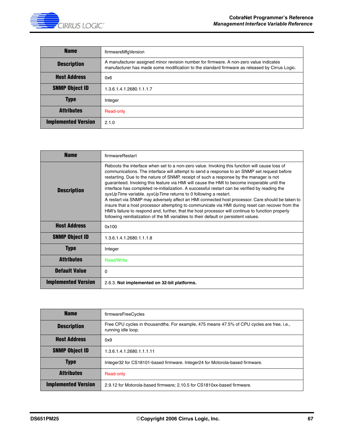

| <b>Name</b>                | firmwareMfgVersion                                                                                                                                                                      |
|----------------------------|-----------------------------------------------------------------------------------------------------------------------------------------------------------------------------------------|
| <b>Description</b>         | A manufacturer assigned minor revision number for firmware. A non-zero value indicates<br>manufacturer has made some modification to the standard firmware as released by Cirrus Logic. |
| <b>Host Address</b>        | 0x6                                                                                                                                                                                     |
| <b>SNMP Object ID</b>      | 1.3.6.1.4.1.2680.1.1.1.7                                                                                                                                                                |
| <b>Type</b>                | Integer                                                                                                                                                                                 |
| <b>Attributes</b>          | Read-only                                                                                                                                                                               |
| <b>Implemented Version</b> | 2.1.0                                                                                                                                                                                   |

| <b>Name</b>                | firmwareRestart                                                                                                                                                                                                                                                                                                                                                                                                                                                                                                                                                                                                                                                                                                                                                                                                                                                                                                                                                   |
|----------------------------|-------------------------------------------------------------------------------------------------------------------------------------------------------------------------------------------------------------------------------------------------------------------------------------------------------------------------------------------------------------------------------------------------------------------------------------------------------------------------------------------------------------------------------------------------------------------------------------------------------------------------------------------------------------------------------------------------------------------------------------------------------------------------------------------------------------------------------------------------------------------------------------------------------------------------------------------------------------------|
| <b>Description</b>         | Reboots the interface when set to a non-zero value. Invoking this function will cause loss of<br>communications. The interface will attempt to send a response to an SNMP set request before<br>restarting. Due to the nature of SNMP, receipt of such a response by the manager is not<br>guaranteed. Invoking this feature via HMI will cause the HMI to become inoperable until the<br>interface has completed re-initialization. A successful restart can be verified by reading the<br>sysUpTime variable. sysUpTime returns to 0 following a restart.<br>A restart via SNMP may adversely affect an HMI connected host processor. Care should be taken to<br>insure that a host processor attempting to communicate via HMI during reset can recover from the<br>HMI's failure to respond and, further, that the host processor will continue to function properly<br>following reinitialization of the MI variables to their default or persistent values. |
| <b>Host Address</b>        | 0x100                                                                                                                                                                                                                                                                                                                                                                                                                                                                                                                                                                                                                                                                                                                                                                                                                                                                                                                                                             |
| <b>SNMP Object ID</b>      | 1.3.6.1.4.1.2680.1.1.1.8                                                                                                                                                                                                                                                                                                                                                                                                                                                                                                                                                                                                                                                                                                                                                                                                                                                                                                                                          |
| <b>Type</b>                | Integer                                                                                                                                                                                                                                                                                                                                                                                                                                                                                                                                                                                                                                                                                                                                                                                                                                                                                                                                                           |
| <b>Attributes</b>          | <b>Read/Write</b>                                                                                                                                                                                                                                                                                                                                                                                                                                                                                                                                                                                                                                                                                                                                                                                                                                                                                                                                                 |
| <b>Default Value</b>       | 0                                                                                                                                                                                                                                                                                                                                                                                                                                                                                                                                                                                                                                                                                                                                                                                                                                                                                                                                                                 |
| <b>Implemented Version</b> | 2.6.3. Not implemented on 32-bit platforms.                                                                                                                                                                                                                                                                                                                                                                                                                                                                                                                                                                                                                                                                                                                                                                                                                                                                                                                       |

| <b>Name</b>                | firmwareFreeCycles                                                                                               |
|----------------------------|------------------------------------------------------------------------------------------------------------------|
| <b>Description</b>         | Free CPU cycles in thousandths. For example, 475 means 47.5% of CPU cycles are free, i.e.,<br>running idle loop. |
| <b>Host Address</b>        | 0x9                                                                                                              |
| <b>SNMP Object ID</b>      | 1.3.6.1.4.1.2680.1.1.1.11                                                                                        |
| <b>Type</b>                | Integer32 for CS18101-based firmware. Integer24 for Motorola-based firmware.                                     |
| <b>Attributes</b>          | Read-only                                                                                                        |
| <b>Implemented Version</b> | 2.9.12 for Motorola-based firmware; 2.10.5 for CS1810xx-based firmware.                                          |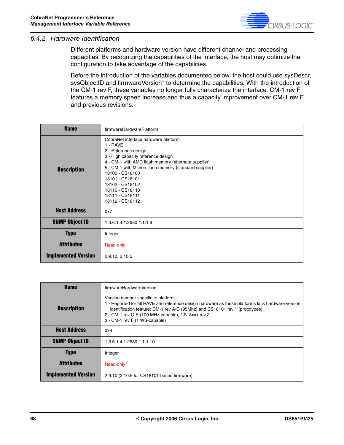

#### *6.4.2 Hardware Identification*

Different platforms and hardware version have different channel and processing capacities. By recognizing the capabilities of the interface, the host may optimize the configuration to take advantage of the capabilities.

Before the introduction of the variables documented below, the host could use sysDescr, sysObjectID and firmwareVersion\* to determine the capabilities. With the introduction of the CM-1 rev F, these variables no longer fully characterize the interface. CM-1 rev F features a memory speed increase and thus a capacity improvement over CM-1 rev E and previous revisions.

| <b>Name</b>                | firmwareHardwarePlatform                                                                                                                                                                                                                                                                                                                          |
|----------------------------|---------------------------------------------------------------------------------------------------------------------------------------------------------------------------------------------------------------------------------------------------------------------------------------------------------------------------------------------------|
| <b>Description</b>         | CobraNet interface hardware platform.<br>1 - RAVE<br>2 - Reference design<br>3 - High capacity reference design<br>4 - CM-1 with AMD flash memory (alternate supplier)<br>5 - CM-1 with Micron flash memory (standard supplier)<br>18100 - CS18100<br>18101 - CS18101<br>18102 - CS18102<br>18110 - CS18110<br>18111 - CS18111<br>18112 - CS18112 |
| <b>Host Address</b>        | 0x7                                                                                                                                                                                                                                                                                                                                               |
| <b>SNMP Object ID</b>      | 1.3.6.1.4.1.2680.1.1.1.9                                                                                                                                                                                                                                                                                                                          |
| <b>Type</b>                | Integer                                                                                                                                                                                                                                                                                                                                           |
| <b>Attributes</b>          | Read-only                                                                                                                                                                                                                                                                                                                                         |
| <b>Implemented Version</b> | 2.9.10, 2.10.5                                                                                                                                                                                                                                                                                                                                    |

| <b>Name</b>                | firmwareHardwareVersion                                                                                                                                                                                                                                                                                         |
|----------------------------|-----------------------------------------------------------------------------------------------------------------------------------------------------------------------------------------------------------------------------------------------------------------------------------------------------------------|
| <b>Description</b>         | Version number specific to platform.<br>1 - Reported for all RAVE and reference design hardware as these platforms lack hardware version<br>identification feature: CM-1 rev A-C (95Mhz) and CS18101 rev 1 (prototypes).<br>2 - CM-1 rev C-E (100 MHz-capable), CS18xxx rev 2.<br>3 - CM-1 rev F (1 WS-capable) |
| <b>Host Address</b>        | 0x8                                                                                                                                                                                                                                                                                                             |
| <b>SNMP Object ID</b>      | 1.3.6.1.4.1.2680.1.1.1.10                                                                                                                                                                                                                                                                                       |
| <b>Type</b>                | Integer                                                                                                                                                                                                                                                                                                         |
| <b>Attributes</b>          | Read-only                                                                                                                                                                                                                                                                                                       |
| <b>Implemented Version</b> | 2.9.10 (2.10.5 for CS18101-based firmware)                                                                                                                                                                                                                                                                      |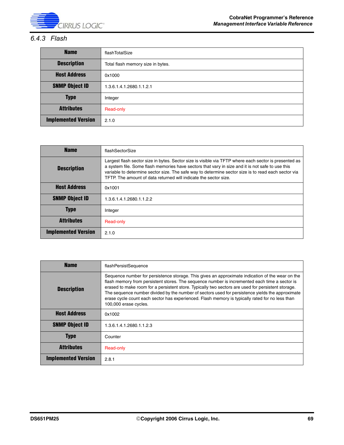

#### *6.4.3 Flash*

| <b>Name</b>                | flashTotalSize                    |
|----------------------------|-----------------------------------|
| <b>Description</b>         | Total flash memory size in bytes. |
| <b>Host Address</b>        | 0x1000                            |
| <b>SNMP Object ID</b>      | 1.3.6.1.4.1.2680.1.1.2.1          |
| <b>Type</b>                | Integer                           |
| <b>Attributes</b>          | Read-only                         |
| <b>Implemented Version</b> | 2.1.0                             |

| <b>Name</b>                | flashSectorSize                                                                                                                                                                                                                                                                                                                                                                      |
|----------------------------|--------------------------------------------------------------------------------------------------------------------------------------------------------------------------------------------------------------------------------------------------------------------------------------------------------------------------------------------------------------------------------------|
| <b>Description</b>         | Largest flash sector size in bytes. Sector size is visible via TFTP where each sector is presented as<br>a system file. Some flash memories have sectors that vary in size and it is not safe to use this<br>variable to determine sector size. The safe way to determine sector size is to read each sector via<br>TFTP. The amount of data returned will indicate the sector size. |
| <b>Host Address</b>        | 0x1001                                                                                                                                                                                                                                                                                                                                                                               |
| <b>SNMP Object ID</b>      | 1.3.6.1.4.1.2680.1.1.2.2                                                                                                                                                                                                                                                                                                                                                             |
| <b>Type</b>                | Integer                                                                                                                                                                                                                                                                                                                                                                              |
| <b>Attributes</b>          | Read-only                                                                                                                                                                                                                                                                                                                                                                            |
| <b>Implemented Version</b> | 2.1.0                                                                                                                                                                                                                                                                                                                                                                                |

| <b>Name</b>                | flashPersistSequence                                                                                                                                                                                                                                                                                                                                                                                                                                                                                                                    |
|----------------------------|-----------------------------------------------------------------------------------------------------------------------------------------------------------------------------------------------------------------------------------------------------------------------------------------------------------------------------------------------------------------------------------------------------------------------------------------------------------------------------------------------------------------------------------------|
| <b>Description</b>         | Sequence number for persistence storage. This gives an approximate indication of the wear on the<br>flash memory from persistent stores. The sequence number is incremented each time a sector is<br>erased to make room for a persistent store. Typically two sectors are used for persistent storage.<br>The sequence number divided by the number of sectors used for persistence yields the approximate<br>erase cycle count each sector has experienced. Flash memory is typically rated for no less than<br>100,000 erase cycles. |
| <b>Host Address</b>        | 0x1002                                                                                                                                                                                                                                                                                                                                                                                                                                                                                                                                  |
| <b>SNMP Object ID</b>      | 1.3.6.1.4.1.2680.1.1.2.3                                                                                                                                                                                                                                                                                                                                                                                                                                                                                                                |
| <b>Type</b>                | Counter                                                                                                                                                                                                                                                                                                                                                                                                                                                                                                                                 |
| <b>Attributes</b>          | Read-only                                                                                                                                                                                                                                                                                                                                                                                                                                                                                                                               |
| <b>Implemented Version</b> | 2.8.1                                                                                                                                                                                                                                                                                                                                                                                                                                                                                                                                   |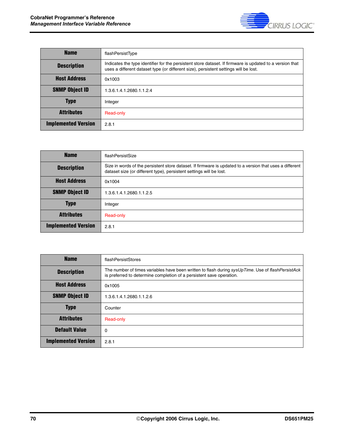

| <b>Name</b>                | flashPersistType                                                                                                                                                                                 |
|----------------------------|--------------------------------------------------------------------------------------------------------------------------------------------------------------------------------------------------|
| <b>Description</b>         | Indicates the type identifier for the persistent store dataset. If firmware is updated to a version that<br>uses a different dataset type (or different size), persistent settings will be lost. |
| <b>Host Address</b>        | 0x1003                                                                                                                                                                                           |
| <b>SNMP Object ID</b>      | 1.3.6.1.4.1.2680.1.1.2.4                                                                                                                                                                         |
| <b>Type</b>                | Integer                                                                                                                                                                                          |
| <b>Attributes</b>          | Read-only                                                                                                                                                                                        |
| <b>Implemented Version</b> | 2.8.1                                                                                                                                                                                            |

| <b>Name</b>                | flashPersistSize                                                                                                                                                                |
|----------------------------|---------------------------------------------------------------------------------------------------------------------------------------------------------------------------------|
| <b>Description</b>         | Size in words of the persistent store dataset. If firmware is updated to a version that uses a different<br>dataset size (or different type), persistent settings will be lost. |
| <b>Host Address</b>        | 0x1004                                                                                                                                                                          |
| <b>SNMP Object ID</b>      | 1.3.6.1.4.1.2680.1.1.2.5                                                                                                                                                        |
| <b>Type</b>                | Integer                                                                                                                                                                         |
| <b>Attributes</b>          | Read-only                                                                                                                                                                       |
| <b>Implemented Version</b> | 2.8.1                                                                                                                                                                           |

| <b>Name</b>                | flashPersistStores                                                                                                                                                        |
|----------------------------|---------------------------------------------------------------------------------------------------------------------------------------------------------------------------|
| <b>Description</b>         | The number of times variables have been written to flash during sysUpTime. Use of flashPersistAck<br>is preferred to determine completion of a persistent save operation. |
| <b>Host Address</b>        | 0x1005                                                                                                                                                                    |
| <b>SNMP Object ID</b>      | 1.3.6.1.4.1.2680.1.1.2.6                                                                                                                                                  |
| <b>Type</b>                | Counter                                                                                                                                                                   |
| <b>Attributes</b>          | Read-only                                                                                                                                                                 |
| <b>Default Value</b>       | 0                                                                                                                                                                         |
| <b>Implemented Version</b> | 2.8.1                                                                                                                                                                     |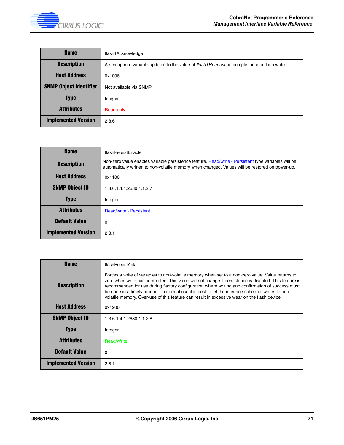

| <b>Name</b>                   | flashTAcknowledge                                                                           |
|-------------------------------|---------------------------------------------------------------------------------------------|
| <b>Description</b>            | A semaphore variable updated to the value of flash TRequest on completion of a flash write. |
| <b>Host Address</b>           | 0x1006                                                                                      |
| <b>SNMP Object Identifier</b> | Not available via SNMP                                                                      |
| <b>Type</b>                   | Integer                                                                                     |
| <b>Attributes</b>             | Read-only                                                                                   |
| <b>Implemented Version</b>    | 2.8.6                                                                                       |

| <b>Name</b>                | flashPersistEnable                                                                                                                                                                                     |
|----------------------------|--------------------------------------------------------------------------------------------------------------------------------------------------------------------------------------------------------|
| <b>Description</b>         | Non-zero value enables variable persistence feature. Read/write - Persistent type variables will be<br>automatically written to non-volatile memory when changed. Values will be restored on power-up. |
| <b>Host Address</b>        | 0x1100                                                                                                                                                                                                 |
| <b>SNMP Object ID</b>      | 1.3.6.1.4.1.2680.1.1.2.7                                                                                                                                                                               |
| <b>Type</b>                | Integer                                                                                                                                                                                                |
| <b>Attributes</b>          | <b>Read/write - Persistent</b>                                                                                                                                                                         |
| <b>Default Value</b>       | $\Omega$                                                                                                                                                                                               |
| <b>Implemented Version</b> | 2.8.1                                                                                                                                                                                                  |

| <b>Name</b>                | flashPersistAck                                                                                                                                                                                                                                                                                                                                                                                                                                                                                                   |
|----------------------------|-------------------------------------------------------------------------------------------------------------------------------------------------------------------------------------------------------------------------------------------------------------------------------------------------------------------------------------------------------------------------------------------------------------------------------------------------------------------------------------------------------------------|
| <b>Description</b>         | Forces a write of variables to non-volatile memory when set to a non-zero value. Value returns to<br>zero when write has completed. This value will not change if persistence is disabled. This feature is<br>recommended for use during factory configuration where writing and confirmation of success must<br>be done in a timely manner. In normal use it is best to let the interface schedule writes to non-<br>volatile memory. Over-use of this feature can result in excessive wear on the flash device. |
| <b>Host Address</b>        | 0x1200                                                                                                                                                                                                                                                                                                                                                                                                                                                                                                            |
| <b>SNMP Object ID</b>      | 1.3.6.1.4.1.2680.1.1.2.8                                                                                                                                                                                                                                                                                                                                                                                                                                                                                          |
| <b>Type</b>                | Integer                                                                                                                                                                                                                                                                                                                                                                                                                                                                                                           |
| <b>Attributes</b>          | <b>Read/Write</b>                                                                                                                                                                                                                                                                                                                                                                                                                                                                                                 |
| <b>Default Value</b>       | 0                                                                                                                                                                                                                                                                                                                                                                                                                                                                                                                 |
| <b>Implemented Version</b> | 2.8.1                                                                                                                                                                                                                                                                                                                                                                                                                                                                                                             |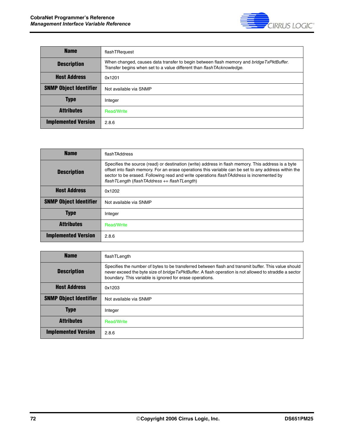

| <b>Name</b>                   | flashTRequest                                                                                                                                                      |
|-------------------------------|--------------------------------------------------------------------------------------------------------------------------------------------------------------------|
| <b>Description</b>            | When changed, causes data transfer to begin between flash memory and bridge TxPktBuffer.<br>Transfer begins when set to a value different than flash TAcknowledge. |
| <b>Host Address</b>           | 0x1201                                                                                                                                                             |
| <b>SNMP Object Identifier</b> | Not available via SNMP                                                                                                                                             |
| <b>Type</b>                   | Integer                                                                                                                                                            |
| <b>Attributes</b>             | <b>Read/Write</b>                                                                                                                                                  |
| <b>Implemented Version</b>    | 2.8.6                                                                                                                                                              |

| <b>Name</b>                   | flashTAddress                                                                                                                                                                                                                                                                                                                                                |
|-------------------------------|--------------------------------------------------------------------------------------------------------------------------------------------------------------------------------------------------------------------------------------------------------------------------------------------------------------------------------------------------------------|
| <b>Description</b>            | Specifies the source (read) or destination (write) address in flash memory. This address is a byte<br>offset into flash memory. For an erase operations this variable can be set to any address within the<br>sector to be erased. Following read and write operations flash TAddress is incremented by<br>$flashTLength$ (flashTAddress $+= flashTLength$ ) |
| <b>Host Address</b>           | 0x1202                                                                                                                                                                                                                                                                                                                                                       |
| <b>SNMP Object Identifier</b> | Not available via SNMP                                                                                                                                                                                                                                                                                                                                       |
| <b>Type</b>                   | Integer                                                                                                                                                                                                                                                                                                                                                      |
| <b>Attributes</b>             | <b>Read/Write</b>                                                                                                                                                                                                                                                                                                                                            |
| <b>Implemented Version</b>    | 2.8.6                                                                                                                                                                                                                                                                                                                                                        |

| <b>Name</b>                   | flashTLength                                                                                                                                                                                                                                                                |
|-------------------------------|-----------------------------------------------------------------------------------------------------------------------------------------------------------------------------------------------------------------------------------------------------------------------------|
| <b>Description</b>            | Specifies the number of bytes to be transferred between flash and transmit buffer. This value should<br>never exceed the byte size of bridge TxPktBuffer. A flash operation is not allowed to straddle a sector<br>boundary. This variable is ignored for erase operations. |
| <b>Host Address</b>           | 0x1203                                                                                                                                                                                                                                                                      |
| <b>SNMP Object Identifier</b> | Not available via SNMP                                                                                                                                                                                                                                                      |
| <b>Type</b>                   | Integer                                                                                                                                                                                                                                                                     |
| <b>Attributes</b>             | <b>Read/Write</b>                                                                                                                                                                                                                                                           |
| <b>Implemented Version</b>    | 2.8.6                                                                                                                                                                                                                                                                       |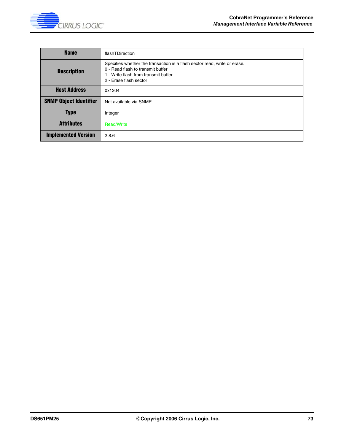

| <b>Name</b>                   | flashTDirection                                                                                                                                                                  |
|-------------------------------|----------------------------------------------------------------------------------------------------------------------------------------------------------------------------------|
| <b>Description</b>            | Specifies whether the transaction is a flash sector read, write or erase.<br>0 - Read flash to transmit buffer<br>1 - Write flash from transmit buffer<br>2 - Erase flash sector |
| <b>Host Address</b>           | 0x1204                                                                                                                                                                           |
| <b>SNMP Object Identifier</b> | Not available via SNMP                                                                                                                                                           |
| <b>Type</b>                   | Integer                                                                                                                                                                          |
| <b>Attributes</b>             | <b>Read/Write</b>                                                                                                                                                                |
| <b>Implemented Version</b>    | 2.8.6                                                                                                                                                                            |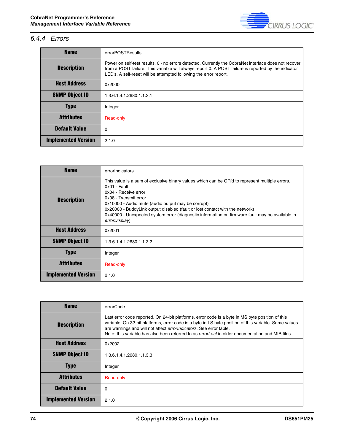

### *6.4.4 Errors*

| <b>Name</b>                | errorPOSTResults                                                                                                                                                                                                                                                                   |
|----------------------------|------------------------------------------------------------------------------------------------------------------------------------------------------------------------------------------------------------------------------------------------------------------------------------|
| <b>Description</b>         | Power on self-test results. 0 - no errors detected. Currently the CobraNet interface does not recover<br>from a POST failure. This variable will always report 0. A POST failure is reported by the indicator<br>LED's. A self-reset will be attempted following the error report. |
| <b>Host Address</b>        | 0x2000                                                                                                                                                                                                                                                                             |
| <b>SNMP Object ID</b>      | 1.3.6.1.4.1.2680.1.1.3.1                                                                                                                                                                                                                                                           |
| <b>Type</b>                | Integer                                                                                                                                                                                                                                                                            |
| <b>Attributes</b>          | Read-only                                                                                                                                                                                                                                                                          |
| <b>Default Value</b>       | $\Omega$                                                                                                                                                                                                                                                                           |
| <b>Implemented Version</b> | 2.1.0                                                                                                                                                                                                                                                                              |

| <b>Name</b>                | errorIndicators                                                                                                                                                                                                                                                                                                                                                                                                             |
|----------------------------|-----------------------------------------------------------------------------------------------------------------------------------------------------------------------------------------------------------------------------------------------------------------------------------------------------------------------------------------------------------------------------------------------------------------------------|
| <b>Description</b>         | This value is a sum of exclusive binary values which can be OR'd to represent multiple errors.<br>$0x01 - Fault$<br>0x04 - Receive error<br>0x08 - Transmit error<br>0x10000 - Audio mute (audio output may be corrupt)<br>0x20000 - BuddyLink output disabled (fault or lost contact with the network)<br>0x40000 - Unexpected system error (diagnostic information on firmware fault may be available in<br>errorDisplay) |
| <b>Host Address</b>        | 0x2001                                                                                                                                                                                                                                                                                                                                                                                                                      |
| <b>SNMP Object ID</b>      | 1.3.6.1.4.1.2680.1.1.3.2                                                                                                                                                                                                                                                                                                                                                                                                    |
| <b>Type</b>                | Integer                                                                                                                                                                                                                                                                                                                                                                                                                     |
| <b>Attributes</b>          | Read-only                                                                                                                                                                                                                                                                                                                                                                                                                   |
| <b>Implemented Version</b> | 2.1.0                                                                                                                                                                                                                                                                                                                                                                                                                       |

| <b>Name</b>                | errorCode                                                                                                                                                                                                                                                                                                                                                                                 |
|----------------------------|-------------------------------------------------------------------------------------------------------------------------------------------------------------------------------------------------------------------------------------------------------------------------------------------------------------------------------------------------------------------------------------------|
| <b>Description</b>         | Last error code reported. On 24-bit platforms, error code is a byte in MS byte position of this<br>variable. On 32-bit platforms, error code is a byte in LS byte position of this variable. Some values<br>are warnings and will not affect errorIndicators. See error table.<br>Note: this variable has also been referred to as <i>errorLast</i> in older documentation and MIB files. |
| <b>Host Address</b>        | 0x2002                                                                                                                                                                                                                                                                                                                                                                                    |
| <b>SNMP Object ID</b>      | 1.3.6.1.4.1.2680.1.1.3.3                                                                                                                                                                                                                                                                                                                                                                  |
| <b>Type</b>                | Integer                                                                                                                                                                                                                                                                                                                                                                                   |
| <b>Attributes</b>          | Read-only                                                                                                                                                                                                                                                                                                                                                                                 |
| <b>Default Value</b>       | 0                                                                                                                                                                                                                                                                                                                                                                                         |
| <b>Implemented Version</b> | 2.1.0                                                                                                                                                                                                                                                                                                                                                                                     |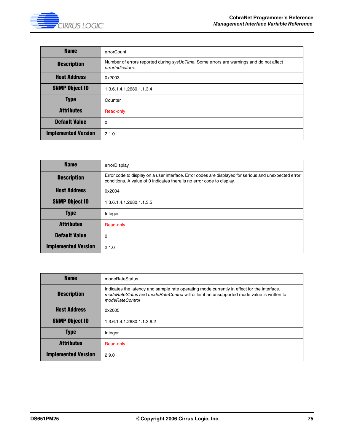

| <b>Name</b>                | errorCount                                                                                                 |
|----------------------------|------------------------------------------------------------------------------------------------------------|
| <b>Description</b>         | Number of errors reported during sysUpTime. Some errors are warnings and do not affect<br>errorIndicators. |
| <b>Host Address</b>        | 0x2003                                                                                                     |
| <b>SNMP Object ID</b>      | 1.3.6.1.4.1.2680.1.1.3.4                                                                                   |
| <b>Type</b>                | Counter                                                                                                    |
| <b>Attributes</b>          | Read-only                                                                                                  |
| <b>Default Value</b>       | 0                                                                                                          |
| <b>Implemented Version</b> | 2.1.0                                                                                                      |

| <b>Name</b>                | errorDisplay                                                                                                                                                                   |
|----------------------------|--------------------------------------------------------------------------------------------------------------------------------------------------------------------------------|
| <b>Description</b>         | Error code to display on a user interface. Error codes are displayed for serious and unexpected error<br>conditions. A value of 0 indicates there is no error code to display. |
| <b>Host Address</b>        | 0x2004                                                                                                                                                                         |
| <b>SNMP Object ID</b>      | 1.3.6.1.4.1.2680.1.1.3.5                                                                                                                                                       |
| <b>Type</b>                | Integer                                                                                                                                                                        |
| <b>Attributes</b>          | Read-only                                                                                                                                                                      |
| <b>Default Value</b>       | $\Omega$                                                                                                                                                                       |
| <b>Implemented Version</b> | 2.1.0                                                                                                                                                                          |

| <b>Name</b>                | modeRateStatus                                                                                                                                                                                              |
|----------------------------|-------------------------------------------------------------------------------------------------------------------------------------------------------------------------------------------------------------|
| <b>Description</b>         | Indicates the latency and sample rate operating mode currently in effect for the interface.<br>modeRateStatus and modeRateControl will differ if an unsupported mode value is written to<br>modeRateControl |
| <b>Host Address</b>        | 0x2005                                                                                                                                                                                                      |
| <b>SNMP Object ID</b>      | 1.3.6.1.4.1.2680.1.1.3.6.2                                                                                                                                                                                  |
| <b>Type</b>                | Integer                                                                                                                                                                                                     |
| <b>Attributes</b>          | Read-only                                                                                                                                                                                                   |
| <b>Implemented Version</b> | 2.9.0                                                                                                                                                                                                       |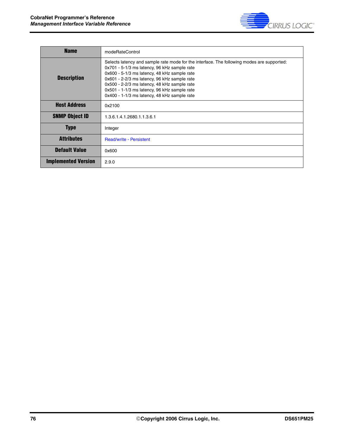

| <b>Name</b>                | modeRateControl                                                                                                                                                                                                                                                                                                                                                                            |
|----------------------------|--------------------------------------------------------------------------------------------------------------------------------------------------------------------------------------------------------------------------------------------------------------------------------------------------------------------------------------------------------------------------------------------|
| <b>Description</b>         | Selects latency and sample rate mode for the interface. The following modes are supported:<br>0x701 - 5-1/3 ms latency, 96 kHz sample rate<br>0x600 - 5-1/3 ms latency, 48 kHz sample rate<br>0x601 - 2-2/3 ms latency, 96 kHz sample rate<br>0x500 - 2-2/3 ms latency, 48 kHz sample rate<br>0x501 - 1-1/3 ms latency, 96 kHz sample rate<br>0x400 - 1-1/3 ms latency, 48 kHz sample rate |
| <b>Host Address</b>        | 0x2100                                                                                                                                                                                                                                                                                                                                                                                     |
| <b>SNMP Object ID</b>      | 1.3.6.1.4.1.2680.1.1.3.6.1                                                                                                                                                                                                                                                                                                                                                                 |
| <b>Type</b>                | Integer                                                                                                                                                                                                                                                                                                                                                                                    |
| Attributes                 | <b>Read/write - Persistent</b>                                                                                                                                                                                                                                                                                                                                                             |
| <b>Default Value</b>       | 0x600                                                                                                                                                                                                                                                                                                                                                                                      |
| <b>Implemented Version</b> | 2.9.0                                                                                                                                                                                                                                                                                                                                                                                      |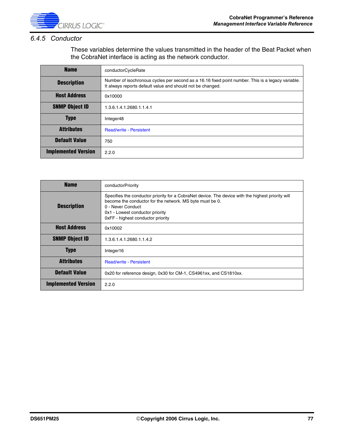

#### *6.4.5 Conductor*

These variables determine the values transmitted in the header of the Beat Packet when the CobraNet interface is acting as the network conductor.

| <b>Name</b>                | conductorCycleRate                                                                                                                                              |
|----------------------------|-----------------------------------------------------------------------------------------------------------------------------------------------------------------|
| <b>Description</b>         | Number of isochronous cycles per second as a 16.16 fixed point number. This is a legacy variable.<br>It always reports default value and should not be changed. |
| <b>Host Address</b>        | 0x10000                                                                                                                                                         |
| <b>SNMP Object ID</b>      | 1.3.6.1.4.1.2680.1.1.4.1                                                                                                                                        |
| <b>Type</b>                | Integer48                                                                                                                                                       |
| <b>Attributes</b>          | <b>Read/write - Persistent</b>                                                                                                                                  |
| <b>Default Value</b>       | 750                                                                                                                                                             |
| <b>Implemented Version</b> | 2.2.0                                                                                                                                                           |

| <b>Name</b>                | conductorPriority                                                                                                                                                                                                                                          |
|----------------------------|------------------------------------------------------------------------------------------------------------------------------------------------------------------------------------------------------------------------------------------------------------|
| <b>Description</b>         | Specifies the conductor priority for a CobraNet device. The device with the highest priority will<br>become the conductor for the network. MS byte must be 0.<br>0 - Never Conduct<br>0x1 - Lowest conductor priority<br>OxFF - highest conductor priority |
| <b>Host Address</b>        | 0x10002                                                                                                                                                                                                                                                    |
| <b>SNMP Object ID</b>      | 1.3.6.1.4.1.2680.1.1.4.2                                                                                                                                                                                                                                   |
| <b>Type</b>                | Integer16                                                                                                                                                                                                                                                  |
| <b>Attributes</b>          | <b>Read/write - Persistent</b>                                                                                                                                                                                                                             |
| <b>Default Value</b>       | 0x20 for reference design, 0x30 for CM-1, CS4961xx, and CS1810xx.                                                                                                                                                                                          |
| <b>Implemented Version</b> | 2.2.0                                                                                                                                                                                                                                                      |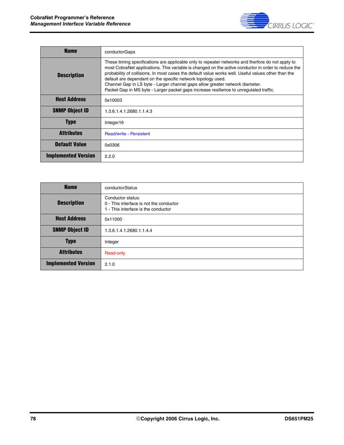

| <b>Name</b>                | conductorGaps                                                                                                                                                                                                                                                                                                                                                                                                                                                                                                                                             |
|----------------------------|-----------------------------------------------------------------------------------------------------------------------------------------------------------------------------------------------------------------------------------------------------------------------------------------------------------------------------------------------------------------------------------------------------------------------------------------------------------------------------------------------------------------------------------------------------------|
| <b>Description</b>         | These timing specifications are applicable only to repeater networks and therfore do not apply to<br>most CobraNet applications. This variable is changed on the active conductor in order to reduce the<br>probability of collisions. In most cases the default value works well. Useful values other than the<br>default are dependant on the specific network topology used.<br>Channel Gap in LS byte - Larger channel gaps allow greater network diameter.<br>Packet Gap in MS byte - Larger packet gaps increase resilience to unregulated traffic. |
| <b>Host Address</b>        | 0x10003                                                                                                                                                                                                                                                                                                                                                                                                                                                                                                                                                   |
| <b>SNMP Object ID</b>      | 1.3.6.1.4.1.2680.1.1.4.3                                                                                                                                                                                                                                                                                                                                                                                                                                                                                                                                  |
| <b>Type</b>                | Integer16                                                                                                                                                                                                                                                                                                                                                                                                                                                                                                                                                 |
| Attributes                 | <b>Read/write - Persistent</b>                                                                                                                                                                                                                                                                                                                                                                                                                                                                                                                            |
| <b>Default Value</b>       | 0x0306                                                                                                                                                                                                                                                                                                                                                                                                                                                                                                                                                    |
| <b>Implemented Version</b> | 2.2.0                                                                                                                                                                                                                                                                                                                                                                                                                                                                                                                                                     |

| <b>Name</b>                | conductorStatus                                                                                     |
|----------------------------|-----------------------------------------------------------------------------------------------------|
| <b>Description</b>         | Conductor status:<br>0 - This interface is not the conductor<br>1 - This interface is the conductor |
| <b>Host Address</b>        | 0x11000                                                                                             |
| <b>SNMP Object ID</b>      | 1.3.6.1.4.1.2680.1.1.4.4                                                                            |
| <b>Type</b>                | Integer                                                                                             |
| <b>Attributes</b>          | Read-only                                                                                           |
| <b>Implemented Version</b> | 2.1.0                                                                                               |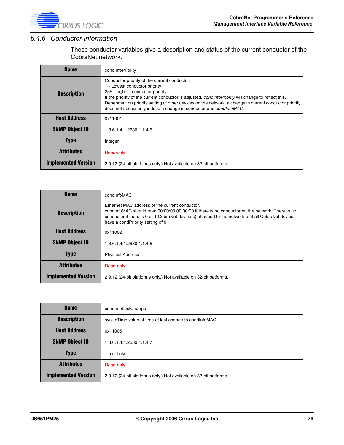

#### *6.4.6 Conductor Information*

These conductor variables give a description and status of the current conductor of the CobraNet network.

| <b>Name</b>                | condinfoPriority                                                                                                                                                                                                                                                                                                                                                                                               |
|----------------------------|----------------------------------------------------------------------------------------------------------------------------------------------------------------------------------------------------------------------------------------------------------------------------------------------------------------------------------------------------------------------------------------------------------------|
| <b>Description</b>         | Conductor priority of the current conductor.<br>1 - Lowest conductor priority<br>255 - highest conductor priority<br>If the priority of the current conductor is adjusted, <i>condinfoPriority</i> will change to reflect this.<br>Dependent on priority setting of other devices on the network, a change in current conductor priority<br>does not necessarily induce a change in conductor and condinfoMAC. |
| <b>Host Address</b>        | 0x11001                                                                                                                                                                                                                                                                                                                                                                                                        |
| <b>SNMP Object ID</b>      | 1.3.6.1.4.1.2680.1.1.4.5                                                                                                                                                                                                                                                                                                                                                                                       |
| <b>Type</b>                | Integer                                                                                                                                                                                                                                                                                                                                                                                                        |
| <b>Attributes</b>          | Read-only                                                                                                                                                                                                                                                                                                                                                                                                      |
| <b>Implemented Version</b> | 2.9.12 (24-bit platforms only.) Not available on 32-bit patforms.                                                                                                                                                                                                                                                                                                                                              |

| <b>Name</b>                | condinfoMAC                                                                                                                                                                                                                                                                                 |
|----------------------------|---------------------------------------------------------------------------------------------------------------------------------------------------------------------------------------------------------------------------------------------------------------------------------------------|
| <b>Description</b>         | Ethernet MAC address of the current conductor.<br>condinfoMAC should read 00:00:00:00:00:00 if there is no conductor on the network. There is no<br>conductor if there is 0 or 1 CobraNet device(s) attached to the network or if all CobraNet devices<br>have a condPriority setting of 0. |
| <b>Host Address</b>        | 0x11002                                                                                                                                                                                                                                                                                     |
| <b>SNMP Object ID</b>      | 1.3.6.1.4.1.2680.1.1.4.6                                                                                                                                                                                                                                                                    |
| <b>Type</b>                | <b>Physical Address</b>                                                                                                                                                                                                                                                                     |
| <b>Attributes</b>          | Read-only                                                                                                                                                                                                                                                                                   |
| <b>Implemented Version</b> | 2.9.12 (24-bit platforms only.) Not available on 32-bit patforms.                                                                                                                                                                                                                           |

| <b>Name</b>                | condinfoLastChange                                                |
|----------------------------|-------------------------------------------------------------------|
| <b>Description</b>         | sysUpTime value at time of last change to condinfoMAC.            |
| <b>Host Address</b>        | 0x11005                                                           |
| <b>SNMP Object ID</b>      | 1.3.6.1.4.1.2680.1.1.4.7                                          |
| <b>Type</b>                | <b>Time Ticks</b>                                                 |
| <b>Attributes</b>          | Read-only                                                         |
| <b>Implemented Version</b> | 2.9.12 (24-bit platforms only.) Not available on 32-bit patforms. |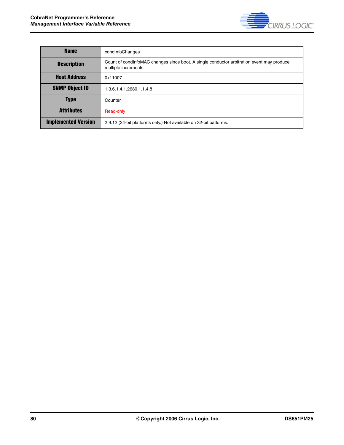

| <b>Name</b>                | condInfoChanges                                                                                                   |
|----------------------------|-------------------------------------------------------------------------------------------------------------------|
| <b>Description</b>         | Count of condinfoMAC changes since boot. A single conductor arbitration event may produce<br>multiple increments. |
| <b>Host Address</b>        | 0x11007                                                                                                           |
| <b>SNMP Object ID</b>      | 1.3.6.1.4.1.2680.1.1.4.8                                                                                          |
| <b>Type</b>                | Counter                                                                                                           |
| <b>Attributes</b>          | Read-only                                                                                                         |
| <b>Implemented Version</b> | 2.9.12 (24-bit platforms only.) Not available on 32-bit patforms.                                                 |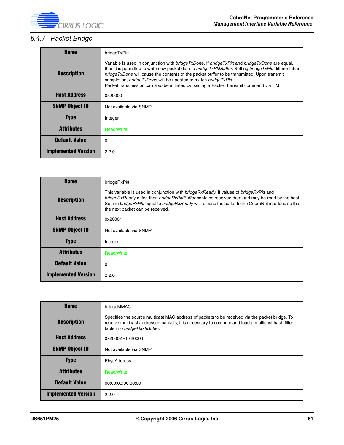

# *6.4.7 Packet Bridge*

| <b>Name</b>                | bridgeTxPkt                                                                                                                                                                                                                                                                                                                                                                                                                                                                                   |
|----------------------------|-----------------------------------------------------------------------------------------------------------------------------------------------------------------------------------------------------------------------------------------------------------------------------------------------------------------------------------------------------------------------------------------------------------------------------------------------------------------------------------------------|
| <b>Description</b>         | Variable is used in conjunction with <i>bridgeTxDone</i> . If <i>bridgeTxPkt</i> and <i>bridgeTxDone</i> are equal,<br>then it is permitted to write new packet data to bridge TxPktBuffer. Setting bridge TxPkt different than<br>bridge TxDone will cause the contents of the packet buffer to be transmitted. Upon transmit<br>completion, bridge TxDone will be updated to match bridge TxPkt.<br>Packet transmission can also be initiated by issuing a Packet Transmit command via HMI. |
| <b>Host Address</b>        | 0x20000                                                                                                                                                                                                                                                                                                                                                                                                                                                                                       |
| <b>SNMP Object ID</b>      | Not available via SNMP                                                                                                                                                                                                                                                                                                                                                                                                                                                                        |
| <b>Type</b>                | Integer                                                                                                                                                                                                                                                                                                                                                                                                                                                                                       |
| <b>Attributes</b>          | <b>Read/Write</b>                                                                                                                                                                                                                                                                                                                                                                                                                                                                             |
| <b>Default Value</b>       | 0                                                                                                                                                                                                                                                                                                                                                                                                                                                                                             |
| <b>Implemented Version</b> | 2.2.0                                                                                                                                                                                                                                                                                                                                                                                                                                                                                         |

| <b>Name</b>                | bridgeRxPkt                                                                                                                                                                                                                                                                                                                                          |
|----------------------------|------------------------------------------------------------------------------------------------------------------------------------------------------------------------------------------------------------------------------------------------------------------------------------------------------------------------------------------------------|
| <b>Description</b>         | This variable is used in conjunction with <i>bridgeRxReady</i> . If values of <i>bridgeRxPkt</i> and<br>bridgeRxReady differ, then bridgeRxPktBuffer contains received data and may be read by the host.<br>Setting bridgeRxPkt equal to bridgeRxReady will release the buffer to the CobraNet interface so that<br>the next packet can be received. |
| <b>Host Address</b>        | 0x20001                                                                                                                                                                                                                                                                                                                                              |
| <b>SNMP Object ID</b>      | Not available via SNMP                                                                                                                                                                                                                                                                                                                               |
| <b>Type</b>                | Integer                                                                                                                                                                                                                                                                                                                                              |
| <b>Attributes</b>          | <b>Read/Write</b>                                                                                                                                                                                                                                                                                                                                    |
| <b>Default Value</b>       | 0                                                                                                                                                                                                                                                                                                                                                    |
| <b>Implemented Version</b> | 2.2.0                                                                                                                                                                                                                                                                                                                                                |

| <b>Name</b>                | bridgeMMAC                                                                                                                                                                                                                         |
|----------------------------|------------------------------------------------------------------------------------------------------------------------------------------------------------------------------------------------------------------------------------|
| <b>Description</b>         | Specifies the source multicast MAC address of packets to be received via the packet bridge. To<br>receive multicast addressed packets, it is necessary to compute and load a multicast hash filter<br>table into bridgeHashBuffer. |
| <b>Host Address</b>        | 0x20002 - 0x20004                                                                                                                                                                                                                  |
| <b>SNMP Object ID</b>      | Not available via SNMP                                                                                                                                                                                                             |
| <b>Type</b>                | PhysAddress                                                                                                                                                                                                                        |
| <b>Attributes</b>          | <b>Read/Write</b>                                                                                                                                                                                                                  |
| <b>Default Value</b>       | 00:00:00:00:00:00                                                                                                                                                                                                                  |
| <b>Implemented Version</b> | 2.2.0                                                                                                                                                                                                                              |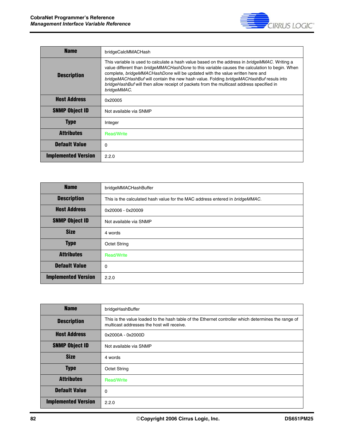

| <b>Name</b>                | bridgeCalcMMACHash                                                                                                                                                                                                                                                                                                                                                                                                                                                                                  |
|----------------------------|-----------------------------------------------------------------------------------------------------------------------------------------------------------------------------------------------------------------------------------------------------------------------------------------------------------------------------------------------------------------------------------------------------------------------------------------------------------------------------------------------------|
| <b>Description</b>         | This variable is used to calculate a hash value based on the address in <i>bridgeMMAC</i> . Writing a<br>value different than <i>bridgeMMACHashDone</i> to this variable causes the calculation to begin. When<br>complete, bridgeMMACHashDone will be updated with the value written here and<br>bridgeMACHashBuf will contain the new hash value. Folding bridgeMACHashBuf resuls into<br>bridgeHashBuf will then allow receipt of packets from the multicast address specified in<br>bridgeMMAC. |
| <b>Host Address</b>        | 0x20005                                                                                                                                                                                                                                                                                                                                                                                                                                                                                             |
| <b>SNMP Object ID</b>      | Not available via SNMP                                                                                                                                                                                                                                                                                                                                                                                                                                                                              |
| <b>Type</b>                | Integer                                                                                                                                                                                                                                                                                                                                                                                                                                                                                             |
| <b>Attributes</b>          | <b>Read/Write</b>                                                                                                                                                                                                                                                                                                                                                                                                                                                                                   |
| <b>Default Value</b>       | 0                                                                                                                                                                                                                                                                                                                                                                                                                                                                                                   |
| <b>Implemented Version</b> | 2.2.0                                                                                                                                                                                                                                                                                                                                                                                                                                                                                               |

| <b>Name</b>                | bridgeMMACHashBuffer                                                         |
|----------------------------|------------------------------------------------------------------------------|
| <b>Description</b>         | This is the calculated hash value for the MAC address entered in bridgeMMAC. |
| <b>Host Address</b>        | 0x20006 - 0x20009                                                            |
| <b>SNMP Object ID</b>      | Not available via SNMP                                                       |
| <b>Size</b>                | 4 words                                                                      |
| <b>Type</b>                | <b>Octet String</b>                                                          |
| <b>Attributes</b>          | <b>Read/Write</b>                                                            |
| <b>Default Value</b>       | 0                                                                            |
| <b>Implemented Version</b> | 2.2.0                                                                        |

| <b>Name</b>                | bridgeHashBuffer                                                                                                                                  |
|----------------------------|---------------------------------------------------------------------------------------------------------------------------------------------------|
| <b>Description</b>         | This is the value loaded to the hash table of the Ethernet controller which determines the range of<br>multicast addresses the host will receive. |
| <b>Host Address</b>        | 0x2000A - 0x2000D                                                                                                                                 |
| <b>SNMP Object ID</b>      | Not available via SNMP                                                                                                                            |
| <b>Size</b>                | 4 words                                                                                                                                           |
| <b>Type</b>                | <b>Octet String</b>                                                                                                                               |
| <b>Attributes</b>          | <b>Read/Write</b>                                                                                                                                 |
| <b>Default Value</b>       | $\Omega$                                                                                                                                          |
| <b>Implemented Version</b> | 2.2.0                                                                                                                                             |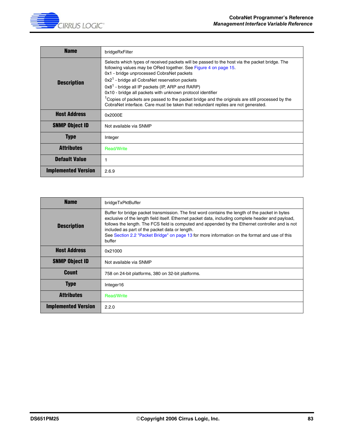

| <b>Name</b>                | bridgeRxFilter                                                                                                                                                                                                                                                                                                                                                                                                                                                                                                                                                                                    |
|----------------------------|---------------------------------------------------------------------------------------------------------------------------------------------------------------------------------------------------------------------------------------------------------------------------------------------------------------------------------------------------------------------------------------------------------------------------------------------------------------------------------------------------------------------------------------------------------------------------------------------------|
| <b>Description</b>         | Selects which types of received packets will be passed to the host via the packet bridge. The<br>following values may be ORed together. See Figure 4 on page 15.<br>0x1 - bridge unprocessed CobraNet packets<br>$0x21$ - bridge all CobraNet reservation packets<br>0x8 <sup>1</sup> - bridge all IP packets (IP, ARP and RARP)<br>0x10 - bridge all packets with unknown protocol identifier<br><sup>1</sup> Copies of packets are passed to the packet bridge and the originals are still processed by the<br>CobraNet interface. Care must be taken that redundant replies are not generated. |
| <b>Host Address</b>        | 0x2000E                                                                                                                                                                                                                                                                                                                                                                                                                                                                                                                                                                                           |
| <b>SNMP Object ID</b>      | Not available via SNMP                                                                                                                                                                                                                                                                                                                                                                                                                                                                                                                                                                            |
| <b>Type</b>                | Integer                                                                                                                                                                                                                                                                                                                                                                                                                                                                                                                                                                                           |
| <b>Attributes</b>          | <b>Read/Write</b>                                                                                                                                                                                                                                                                                                                                                                                                                                                                                                                                                                                 |
| <b>Default Value</b>       |                                                                                                                                                                                                                                                                                                                                                                                                                                                                                                                                                                                                   |
| <b>Implemented Version</b> | 2.6.9                                                                                                                                                                                                                                                                                                                                                                                                                                                                                                                                                                                             |

| <b>Name</b>                | bridgeTxPktBuffer                                                                                                                                                                                                                                                                                                                                                                                                                                                       |
|----------------------------|-------------------------------------------------------------------------------------------------------------------------------------------------------------------------------------------------------------------------------------------------------------------------------------------------------------------------------------------------------------------------------------------------------------------------------------------------------------------------|
| <b>Description</b>         | Buffer for bridge packet transmission. The first word contains the length of the packet in bytes<br>exclusive of the length field itself. Ethernet packet data, including complete header and payload,<br>follows the length. The FCS field is computed and appended by the Ethernet controller and is not<br>included as part of the packet data or length.<br>See Section 2.2 "Packet Bridge" on page 13 for more information on the format and use of this<br>buffer |
| <b>Host Address</b>        | 0x21000                                                                                                                                                                                                                                                                                                                                                                                                                                                                 |
| <b>SNMP Object ID</b>      | Not available via SNMP                                                                                                                                                                                                                                                                                                                                                                                                                                                  |
| <b>Count</b>               | 758 on 24-bit platforms, 380 on 32-bit platforms.                                                                                                                                                                                                                                                                                                                                                                                                                       |
| <b>Type</b>                | Integer16                                                                                                                                                                                                                                                                                                                                                                                                                                                               |
| <b>Attributes</b>          | <b>Read/Write</b>                                                                                                                                                                                                                                                                                                                                                                                                                                                       |
| <b>Implemented Version</b> | 2.2.0                                                                                                                                                                                                                                                                                                                                                                                                                                                                   |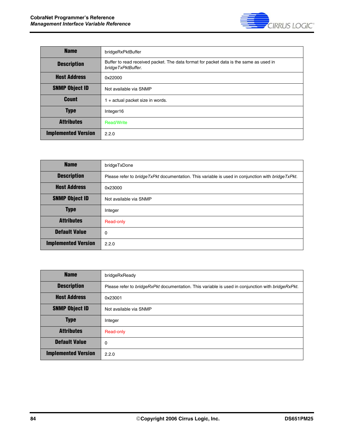

| <b>Name</b>                | bridgeRxPktBuffer                                                                                            |
|----------------------------|--------------------------------------------------------------------------------------------------------------|
| <b>Description</b>         | Buffer to read received packet. The data format for packet data is the same as used in<br>bridgeTxPktBuffer. |
| <b>Host Address</b>        | 0x22000                                                                                                      |
| <b>SNMP Object ID</b>      | Not available via SNMP                                                                                       |
| <b>Count</b>               | 1 + actual packet size in words.                                                                             |
| <b>Type</b>                | Integer16                                                                                                    |
| <b>Attributes</b>          | <b>Read/Write</b>                                                                                            |
| <b>Implemented Version</b> | 2.2.0                                                                                                        |

| <b>Name</b>                | bridgeTxDone                                                                                        |
|----------------------------|-----------------------------------------------------------------------------------------------------|
| <b>Description</b>         | Please refer to bridge TxPkt documentation. This variable is used in conjunction with bridge TxPkt. |
| <b>Host Address</b>        | 0x23000                                                                                             |
| <b>SNMP Object ID</b>      | Not available via SNMP                                                                              |
| <b>Type</b>                | Integer                                                                                             |
| <b>Attributes</b>          | Read-only                                                                                           |
| <b>Default Value</b>       | 0                                                                                                   |
| <b>Implemented Version</b> | 2.2.0                                                                                               |

| <b>Name</b>                | bridgeRxReady                                                                                     |
|----------------------------|---------------------------------------------------------------------------------------------------|
| <b>Description</b>         | Please refer to bridgeRxPkt documentation. This variable is used in conjunction with bridgeRxPkt. |
| <b>Host Address</b>        | 0x23001                                                                                           |
| <b>SNMP Object ID</b>      | Not available via SNMP                                                                            |
| <b>Type</b>                | Integer                                                                                           |
| <b>Attributes</b>          | Read-only                                                                                         |
| <b>Default Value</b>       | 0                                                                                                 |
| <b>Implemented Version</b> | 2.2.0                                                                                             |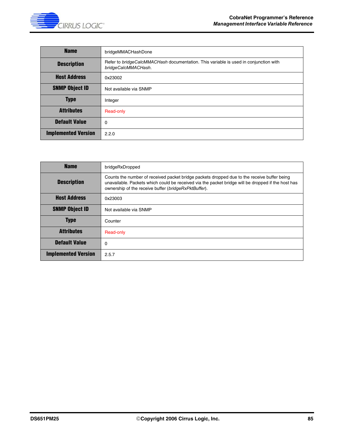

| <b>Name</b>                | bridgeMMACHashDone                                                                                          |
|----------------------------|-------------------------------------------------------------------------------------------------------------|
| <b>Description</b>         | Refer to bridgeCalcMMACHash documentation. This variable is used in conjunction with<br>bridgeCalcMMACHash. |
| <b>Host Address</b>        | 0x23002                                                                                                     |
| <b>SNMP Object ID</b>      | Not available via SNMP                                                                                      |
| <b>Type</b>                | Integer                                                                                                     |
| <b>Attributes</b>          | Read-only                                                                                                   |
| <b>Default Value</b>       | 0                                                                                                           |
| <b>Implemented Version</b> | 2.2.0                                                                                                       |

| <b>Name</b>                | bridgeRxDropped                                                                                                                                                                                                                                           |
|----------------------------|-----------------------------------------------------------------------------------------------------------------------------------------------------------------------------------------------------------------------------------------------------------|
| <b>Description</b>         | Counts the number of received packet bridge packets dropped due to the receive buffer being<br>unavailable. Packets which could be received via the packet bridge will be dropped if the host has<br>ownership of the receive buffer (bridgeRxPktBuffer). |
| <b>Host Address</b>        | 0x23003                                                                                                                                                                                                                                                   |
| <b>SNMP Object ID</b>      | Not available via SNMP                                                                                                                                                                                                                                    |
| <b>Type</b>                | Counter                                                                                                                                                                                                                                                   |
| <b>Attributes</b>          | Read-only                                                                                                                                                                                                                                                 |
| <b>Default Value</b>       | 0                                                                                                                                                                                                                                                         |
| <b>Implemented Version</b> | 2.5.7                                                                                                                                                                                                                                                     |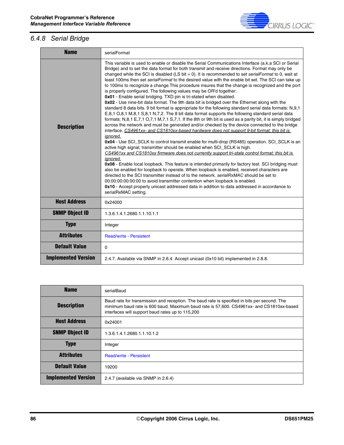

### *6.4.8 Serial Bridge*

 $\blacksquare$ 

| <b>Name</b>                | serialFormat                                                                                                                                                                                                                                                                                                                                                                                                                                                                                                                                                                                                                                                                                                                                                                                                                                                                                                                                                                                                                                                                                                                                                                                                                                                                                                                                                                                                                                                                                                                                                                                                                                                                                                                                                                                                                                                                                                                                                                                                                                                                                                            |
|----------------------------|-------------------------------------------------------------------------------------------------------------------------------------------------------------------------------------------------------------------------------------------------------------------------------------------------------------------------------------------------------------------------------------------------------------------------------------------------------------------------------------------------------------------------------------------------------------------------------------------------------------------------------------------------------------------------------------------------------------------------------------------------------------------------------------------------------------------------------------------------------------------------------------------------------------------------------------------------------------------------------------------------------------------------------------------------------------------------------------------------------------------------------------------------------------------------------------------------------------------------------------------------------------------------------------------------------------------------------------------------------------------------------------------------------------------------------------------------------------------------------------------------------------------------------------------------------------------------------------------------------------------------------------------------------------------------------------------------------------------------------------------------------------------------------------------------------------------------------------------------------------------------------------------------------------------------------------------------------------------------------------------------------------------------------------------------------------------------------------------------------------------------|
| <b>Description</b>         | This variable is used to enable or disable the Serial Communications Interface (a.k.a SCI or Serial<br>Bridge) and to set the data format for both transmit and receive directions. Format may only be<br>changed while the SCI is disabled (LS bit = 0). It is recommended to set serialFormat to 0, wait at<br>least 100ms then set serialFormat to the desired value with the enable bit set. The SCI can take up<br>to 100ms to recognize a change. This procedure insures that the change is recognized and the port<br>is properly configured. The following values may be OR'd together:<br>0x01 - Enable serial bridging. TXD pin is tri-stated when disabled.<br>0x02 - Use nine-bit data format. The 9th data bit is bridged over the Ethernet along with the<br>standard 8 data bits. 9 bit format is appropriate for the following standard serial data formats: N,9,1<br>E,8,1 O,8,1 M,8,1 S,8,1 N,7,2. The 8 bit data format supports the following standard serial data<br>formats: N,8,1 E,7,1 O,7,1 M,7,1 S,7,1. If the 8th or 9th bit is used as a parity bit, it is simply bridged<br>across the network and must be generated and/or checked by the device connected to the bridge<br>interface. CS4961xx- and CS1810xx-based hardware does not support 9-bit format; this bit is<br>ignored.<br>0x04 - Use SCI_SCLK to control transmit enable for multi-drop (RS485) operation. SCI_SCLK is an<br>active high signal; transmitter should be enabled when SCI_SCLK is high.<br>CS4961xx and CS1810xx firmware does not currently support tri-state control format; this bit is<br>ignored.<br>0x08 - Enable local loopback. This feature is intended primarily for factory test. SCI bridging must<br>also be enabled for loopback to operate. When loopback is enabled, received characters are<br>directed to the SCI transmitter instead of to the network, serialRxMAC should be set to<br>00:00:00:00:00:00 to avoid transmitter contention when loopback is enabled.<br>0x10 - Accept properly unicast addressed data in addition to data addressed in accordance to<br>serialRxMAC setting. |
| <b>Host Address</b>        | 0x24000                                                                                                                                                                                                                                                                                                                                                                                                                                                                                                                                                                                                                                                                                                                                                                                                                                                                                                                                                                                                                                                                                                                                                                                                                                                                                                                                                                                                                                                                                                                                                                                                                                                                                                                                                                                                                                                                                                                                                                                                                                                                                                                 |
| <b>SNMP Object ID</b>      | 1.3.6.1.4.1.2680.1.1.10.1.1                                                                                                                                                                                                                                                                                                                                                                                                                                                                                                                                                                                                                                                                                                                                                                                                                                                                                                                                                                                                                                                                                                                                                                                                                                                                                                                                                                                                                                                                                                                                                                                                                                                                                                                                                                                                                                                                                                                                                                                                                                                                                             |
| <b>Type</b>                | Integer                                                                                                                                                                                                                                                                                                                                                                                                                                                                                                                                                                                                                                                                                                                                                                                                                                                                                                                                                                                                                                                                                                                                                                                                                                                                                                                                                                                                                                                                                                                                                                                                                                                                                                                                                                                                                                                                                                                                                                                                                                                                                                                 |
| <b>Attributes</b>          | <b>Read/write - Persistent</b>                                                                                                                                                                                                                                                                                                                                                                                                                                                                                                                                                                                                                                                                                                                                                                                                                                                                                                                                                                                                                                                                                                                                                                                                                                                                                                                                                                                                                                                                                                                                                                                                                                                                                                                                                                                                                                                                                                                                                                                                                                                                                          |
| <b>Default Value</b>       | $\Omega$                                                                                                                                                                                                                                                                                                                                                                                                                                                                                                                                                                                                                                                                                                                                                                                                                                                                                                                                                                                                                                                                                                                                                                                                                                                                                                                                                                                                                                                                                                                                                                                                                                                                                                                                                                                                                                                                                                                                                                                                                                                                                                                |
| <b>Implemented Version</b> | 2.4.7. Available via SNMP in 2.6.4. Accept unicast (0x10 bit) implemented in 2.8.8.                                                                                                                                                                                                                                                                                                                                                                                                                                                                                                                                                                                                                                                                                                                                                                                                                                                                                                                                                                                                                                                                                                                                                                                                                                                                                                                                                                                                                                                                                                                                                                                                                                                                                                                                                                                                                                                                                                                                                                                                                                     |

| <b>Name</b>                | serialBaud                                                                                                                                                                                                                                   |
|----------------------------|----------------------------------------------------------------------------------------------------------------------------------------------------------------------------------------------------------------------------------------------|
| <b>Description</b>         | Baud rate for transmission and reception. The baud rate is specified in bits per second. The<br>minimum baud rate is 600 baud. Maximum baud rate is 57,600. CS4961xx- and CS1810xx-based<br>interfaces will support baud rates up to 115,200 |
| <b>Host Address</b>        | 0x24001                                                                                                                                                                                                                                      |
| <b>SNMP Object ID</b>      | 1.3.6.1.4.1.2680.1.1.10.1.2                                                                                                                                                                                                                  |
| <b>Type</b>                | Integer                                                                                                                                                                                                                                      |
| <b>Attributes</b>          | <b>Read/write - Persistent</b>                                                                                                                                                                                                               |
| <b>Default Value</b>       | 19200                                                                                                                                                                                                                                        |
| <b>Implemented Version</b> | 2.4.7 (available via SNMP in 2.6.4)                                                                                                                                                                                                          |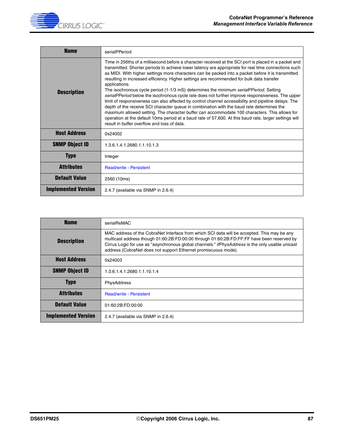

| <b>Name</b>                | serialPPeriod                                                                                                                                                                                                                                                                                                                                                                                                                                                                                                                                                                                                                                                                                                                                                                                                                                                                                                                                                                                                                                                                                 |
|----------------------------|-----------------------------------------------------------------------------------------------------------------------------------------------------------------------------------------------------------------------------------------------------------------------------------------------------------------------------------------------------------------------------------------------------------------------------------------------------------------------------------------------------------------------------------------------------------------------------------------------------------------------------------------------------------------------------------------------------------------------------------------------------------------------------------------------------------------------------------------------------------------------------------------------------------------------------------------------------------------------------------------------------------------------------------------------------------------------------------------------|
| <b>Description</b>         | Time in 256ths of a millisecond before a character received at the SCI port is placed in a packet and<br>transmitted. Shorter periods to achieve lower latency are appropriate for real time connections such<br>as MIDI. With higher settings more characters can be packed into a packet before it is transmitted<br>resulting in increased efficiency. Higher settings are recommended for bulk data transfer<br>applications.<br>The isochronous cycle period (1-1/3 mS) determines the minimum serialPPeriod. Setting<br>serialPPeriod below the isochronous cycle rate does not further improve responsiveness. The upper<br>limit of responsiveness can also affected by control channel accessibility and pipeline delays. The<br>depth of the receive SCI character queue in combination with the baud rate determines the<br>maximum allowed setting. The character buffer can accommodate 100 characters. This allows for<br>operation at the default 10ms period at a baud rate of 57,600. At this baud rate, larger settings will<br>result in buffer overflow and loss of data. |
| <b>Host Address</b>        | 0x24002                                                                                                                                                                                                                                                                                                                                                                                                                                                                                                                                                                                                                                                                                                                                                                                                                                                                                                                                                                                                                                                                                       |
| <b>SNMP Object ID</b>      | 1.3.6.1.4.1.2680.1.1.10.1.3                                                                                                                                                                                                                                                                                                                                                                                                                                                                                                                                                                                                                                                                                                                                                                                                                                                                                                                                                                                                                                                                   |
| <b>Type</b>                | Integer                                                                                                                                                                                                                                                                                                                                                                                                                                                                                                                                                                                                                                                                                                                                                                                                                                                                                                                                                                                                                                                                                       |
| <b>Attributes</b>          | <b>Read/write - Persistent</b>                                                                                                                                                                                                                                                                                                                                                                                                                                                                                                                                                                                                                                                                                                                                                                                                                                                                                                                                                                                                                                                                |
| <b>Default Value</b>       | 2560 (10ms)                                                                                                                                                                                                                                                                                                                                                                                                                                                                                                                                                                                                                                                                                                                                                                                                                                                                                                                                                                                                                                                                                   |
| <b>Implemented Version</b> | 2.4.7 (available via SNMP in 2.6.4)                                                                                                                                                                                                                                                                                                                                                                                                                                                                                                                                                                                                                                                                                                                                                                                                                                                                                                                                                                                                                                                           |

| <b>Name</b>                | serialRxMAC                                                                                                                                                                                                                                                                                                                                                            |
|----------------------------|------------------------------------------------------------------------------------------------------------------------------------------------------------------------------------------------------------------------------------------------------------------------------------------------------------------------------------------------------------------------|
| <b>Description</b>         | MAC address of the CobraNet Interface from which SCI data will be accepted. This may be any<br>multicast address though 01:60:2B:FD:00:00 through 01:60:2B:FD:FF:FF have been reserved by<br>Cirrus Logic for use as "asynchronous global channels." <i>ifPhysAddress</i> is the only usable unicast<br>address (CobraNet does not support Ethernet promiscuous mode). |
| <b>Host Address</b>        | 0x24003                                                                                                                                                                                                                                                                                                                                                                |
| <b>SNMP Object ID</b>      | 1.3.6.1.4.1.2680.1.1.10.1.4                                                                                                                                                                                                                                                                                                                                            |
| <b>Type</b>                | <b>PhysAddress</b>                                                                                                                                                                                                                                                                                                                                                     |
| <b>Attributes</b>          | <b>Read/write - Persistent</b>                                                                                                                                                                                                                                                                                                                                         |
| <b>Default Value</b>       | 01:60:2B:FD:00:00                                                                                                                                                                                                                                                                                                                                                      |
| <b>Implemented Version</b> | 2.4.7 (available via SNMP in 2.6.4)                                                                                                                                                                                                                                                                                                                                    |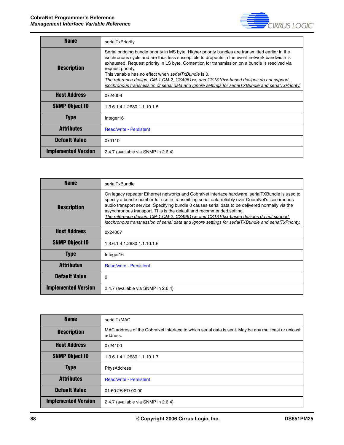Ē.



| <b>Name</b>                | serialTxPriority                                                                                                                                                                                                                                                                                                                                                                                                                                                                                                                                                                      |
|----------------------------|---------------------------------------------------------------------------------------------------------------------------------------------------------------------------------------------------------------------------------------------------------------------------------------------------------------------------------------------------------------------------------------------------------------------------------------------------------------------------------------------------------------------------------------------------------------------------------------|
| <b>Description</b>         | Serial bridging bundle priority in MS byte. Higher priority bundles are transmitted earlier in the<br>isochronous cycle and are thus less susceptible to dropouts in the event network bandwidth is<br>exhausted. Request priority in LS byte. Contention for transmission on a bundle is resolved via<br>request priority.<br>This variable has no effect when serialTxBundle is 0.<br>The reference design, CM-1, CM-2, CS4961xx, and CS1810xx-based designs do not support<br>isochronous transmission of serial data and ignore settings for serialTXBundle and serialTxPriority. |
| <b>Host Address</b>        | 0x24006                                                                                                                                                                                                                                                                                                                                                                                                                                                                                                                                                                               |
| <b>SNMP Object ID</b>      | 1.3.6.1.4.1.2680.1.1.10.1.5                                                                                                                                                                                                                                                                                                                                                                                                                                                                                                                                                           |
| <b>Type</b>                | Integer16                                                                                                                                                                                                                                                                                                                                                                                                                                                                                                                                                                             |
| <b>Attributes</b>          | <b>Read/write - Persistent</b>                                                                                                                                                                                                                                                                                                                                                                                                                                                                                                                                                        |
| <b>Default Value</b>       | 0x0110                                                                                                                                                                                                                                                                                                                                                                                                                                                                                                                                                                                |
| <b>Implemented Version</b> | 2.4.7 (available via SNMP in 2.6.4)                                                                                                                                                                                                                                                                                                                                                                                                                                                                                                                                                   |

| <b>Name</b>                | serialTxBundle                                                                                                                                                                                                                                                                                                                                                                                                                                                                                                                                                                         |
|----------------------------|----------------------------------------------------------------------------------------------------------------------------------------------------------------------------------------------------------------------------------------------------------------------------------------------------------------------------------------------------------------------------------------------------------------------------------------------------------------------------------------------------------------------------------------------------------------------------------------|
| <b>Description</b>         | On legacy repeater Ethernet networks and CobraNet interface hardware, serialTXBundle is used to<br>specify a bundle number for use in transmitting serial data reliably over CobraNet's isochronous<br>audio transport service. Specifying bundle 0 causes serial data to be delivered normally via the<br>asynchronous transport. This is the default and recommended setting.<br>The reference design, CM-1,CM-2, CS4961xx- and CS1810xx-based designs do not support<br><u>isochronous transmission of serial data and ignore settings for serialTXBundle and serialTxPriority.</u> |
| <b>Host Address</b>        | 0x24007                                                                                                                                                                                                                                                                                                                                                                                                                                                                                                                                                                                |
| <b>SNMP Object ID</b>      | 1.3.6.1.4.1.2680.1.1.10.1.6                                                                                                                                                                                                                                                                                                                                                                                                                                                                                                                                                            |
| <b>Type</b>                | Integer16                                                                                                                                                                                                                                                                                                                                                                                                                                                                                                                                                                              |
| <b>Attributes</b>          | <b>Read/write - Persistent</b>                                                                                                                                                                                                                                                                                                                                                                                                                                                                                                                                                         |
| <b>Default Value</b>       | 0                                                                                                                                                                                                                                                                                                                                                                                                                                                                                                                                                                                      |
| <b>Implemented Version</b> | 2.4.7 (available via SNMP in 2.6.4)                                                                                                                                                                                                                                                                                                                                                                                                                                                                                                                                                    |

| <b>Name</b>                | serialTxMAC                                                                                                     |
|----------------------------|-----------------------------------------------------------------------------------------------------------------|
| <b>Description</b>         | MAC address of the CobraNet interface to which serial data is sent. May be any multicast or unicast<br>address. |
| <b>Host Address</b>        | 0x24100                                                                                                         |
| <b>SNMP Object ID</b>      | 1.3.6.1.4.1.2680.1.1.10.1.7                                                                                     |
| <b>Type</b>                | PhysAddress                                                                                                     |
| <b>Attributes</b>          | <b>Read/write - Persistent</b>                                                                                  |
| <b>Default Value</b>       | 01:60:2B:FD:00:00                                                                                               |
| <b>Implemented Version</b> | 2.4.7 (available via SNMP in 2.6.4)                                                                             |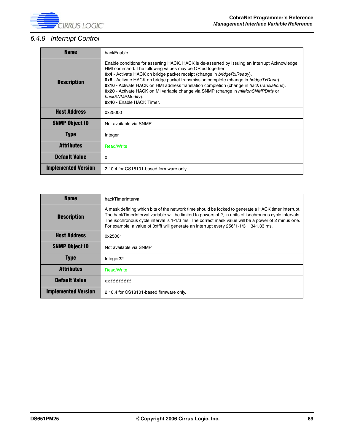

### *6.4.9 Interrupt Control*

| <b>Name</b>                | hackEnable                                                                                                                                                                                                                                                                                                                                                                                                                                                                                                                                                                                |
|----------------------------|-------------------------------------------------------------------------------------------------------------------------------------------------------------------------------------------------------------------------------------------------------------------------------------------------------------------------------------------------------------------------------------------------------------------------------------------------------------------------------------------------------------------------------------------------------------------------------------------|
| <b>Description</b>         | Enable conditions for asserting HACK. HACK is de-asserted by issuing an Interrupt Acknowledge<br>HMI command. The following values may be OR'ed together<br>0x4 - Activate HACK on bridge packet receipt (change in bridgeRxReady).<br><b>0x8</b> - Activate HACK on bridge packet transmission complete (change in <i>bridgeTxDone</i> ).<br><b>0x10</b> - Activate HACK on HMI address translation completion (change in hackTranslations).<br>0x20 - Activate HACK on MI variable change via SNMP (change in <i>miMonSNMPDirty</i> or<br>hackSNMPModify).<br>0x40 - Enable HACK Timer. |
| <b>Host Address</b>        | 0x25000                                                                                                                                                                                                                                                                                                                                                                                                                                                                                                                                                                                   |
| <b>SNMP Object ID</b>      | Not available via SNMP                                                                                                                                                                                                                                                                                                                                                                                                                                                                                                                                                                    |
| <b>Type</b>                | Integer                                                                                                                                                                                                                                                                                                                                                                                                                                                                                                                                                                                   |
| <b>Attributes</b>          | <b>Read/Write</b>                                                                                                                                                                                                                                                                                                                                                                                                                                                                                                                                                                         |
| <b>Default Value</b>       | $\Omega$                                                                                                                                                                                                                                                                                                                                                                                                                                                                                                                                                                                  |
| <b>Implemented Version</b> | 2.10.4 for CS18101-based formware only.                                                                                                                                                                                                                                                                                                                                                                                                                                                                                                                                                   |

| <b>Name</b>                | hackTimerInterval                                                                                                                                                                                                                                                                                                                                                                                                |
|----------------------------|------------------------------------------------------------------------------------------------------------------------------------------------------------------------------------------------------------------------------------------------------------------------------------------------------------------------------------------------------------------------------------------------------------------|
| <b>Description</b>         | A mask defining which bits of the network time should be locked to generate a HACK timer interrupt.<br>The hackTimerInterval variable will be limited to powers of 2, in units of isochronous cycle intervals.<br>The isochronous cycle interval is 1-1/3 ms. The correct mask value will be a power of 2 minus one.<br>For example, a value of 0xffff will generate an interrupt every $256*1-1/3 = 341.33$ ms. |
| <b>Host Address</b>        | 0x25001                                                                                                                                                                                                                                                                                                                                                                                                          |
| <b>SNMP Object ID</b>      | Not available via SNMP                                                                                                                                                                                                                                                                                                                                                                                           |
| <b>Type</b>                | Integer32                                                                                                                                                                                                                                                                                                                                                                                                        |
| <b>Attributes</b>          | <b>Read/Write</b>                                                                                                                                                                                                                                                                                                                                                                                                |
| <b>Default Value</b>       | 0xfffffffff                                                                                                                                                                                                                                                                                                                                                                                                      |
| <b>Implemented Version</b> | 2.10.4 for CS18101-based firmware only.                                                                                                                                                                                                                                                                                                                                                                          |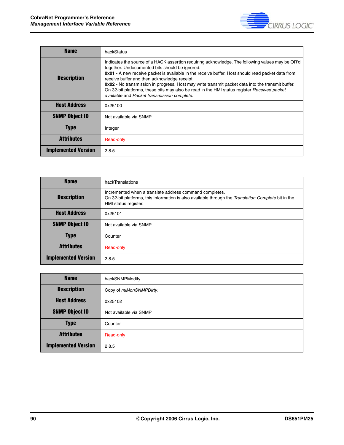

| <b>Name</b>                | hackStatus                                                                                                                                                                                                                                                                                                                                                                                                                                                                                                                                                 |
|----------------------------|------------------------------------------------------------------------------------------------------------------------------------------------------------------------------------------------------------------------------------------------------------------------------------------------------------------------------------------------------------------------------------------------------------------------------------------------------------------------------------------------------------------------------------------------------------|
| <b>Description</b>         | Indicates the source of a HACK assertion requiring acknowledge. The following values may be OR'd<br>together. Undocumented bits should be ignored:<br>0x01 - A new receive packet is available in the receive buffer. Host should read packet data from<br>receive buffer and then acknowledge receipt.<br>0x02 - No transmission in progress. Host may write transmit packet data into the transmit buffer.<br>On 32-bit platforms, these bits may also be read in the HMI status register Received packet<br>available and Packet transmission complete. |
| <b>Host Address</b>        | 0x25100                                                                                                                                                                                                                                                                                                                                                                                                                                                                                                                                                    |
| <b>SNMP Object ID</b>      | Not available via SNMP                                                                                                                                                                                                                                                                                                                                                                                                                                                                                                                                     |
| <b>Type</b>                | Integer                                                                                                                                                                                                                                                                                                                                                                                                                                                                                                                                                    |
| Attributes                 | Read-only                                                                                                                                                                                                                                                                                                                                                                                                                                                                                                                                                  |
| <b>Implemented Version</b> | 2.8.5                                                                                                                                                                                                                                                                                                                                                                                                                                                                                                                                                      |

| <b>Name</b>                | hackTranslations                                                                                                                                                                       |
|----------------------------|----------------------------------------------------------------------------------------------------------------------------------------------------------------------------------------|
| <b>Description</b>         | Incremented when a translate address command completes.<br>On 32-bit platforms, this information is also available through the Translation Complete bit in the<br>HMI status register. |
| <b>Host Address</b>        | 0x25101                                                                                                                                                                                |
| <b>SNMP Object ID</b>      | Not available via SNMP                                                                                                                                                                 |
| <b>Type</b>                | Counter                                                                                                                                                                                |
| <b>Attributes</b>          | Read-only                                                                                                                                                                              |
| <b>Implemented Version</b> | 2.8.5                                                                                                                                                                                  |

| <b>Name</b>                | hackSNMPModify          |
|----------------------------|-------------------------|
| <b>Description</b>         | Copy of miMonSNMPDirty. |
| <b>Host Address</b>        | 0x25102                 |
| <b>SNMP Object ID</b>      | Not available via SNMP  |
| <b>Type</b>                | Counter                 |
| <b>Attributes</b>          | Read-only               |
| <b>Implemented Version</b> | 2.8.5                   |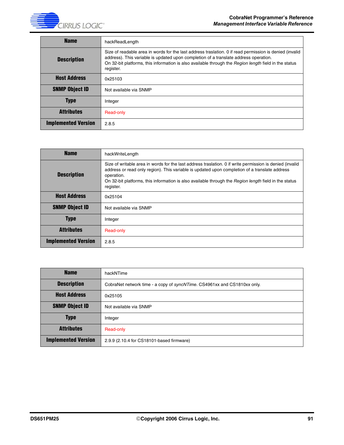**CIRRUS LOGIC** 

| <b>Name</b>                | hackReadLength                                                                                                                                                                                                                                                                                                        |
|----------------------------|-----------------------------------------------------------------------------------------------------------------------------------------------------------------------------------------------------------------------------------------------------------------------------------------------------------------------|
| <b>Description</b>         | Size of readable area in words for the last address traslation. 0 if read permission is denied (invalid<br>address). This variable is updated upon completion of a translate address operation.<br>On 32-bit platforms, this information is also available through the Region length field in the status<br>register. |
| <b>Host Address</b>        | 0x25103                                                                                                                                                                                                                                                                                                               |
| <b>SNMP Object ID</b>      | Not available via SNMP                                                                                                                                                                                                                                                                                                |
| <b>Type</b>                | Integer                                                                                                                                                                                                                                                                                                               |
| <b>Attributes</b>          | Read-only                                                                                                                                                                                                                                                                                                             |
| <b>Implemented Version</b> | 2.8.5                                                                                                                                                                                                                                                                                                                 |

| <b>Name</b>                | hackWriteLength                                                                                                                                                                                                                                                                                                                               |
|----------------------------|-----------------------------------------------------------------------------------------------------------------------------------------------------------------------------------------------------------------------------------------------------------------------------------------------------------------------------------------------|
| <b>Description</b>         | Size of writable area in words for the last address traslation. O if write permission is denied (invalid<br>address or read only region). This variable is updated upon completion of a translate address<br>operation.<br>On 32-bit platforms, this information is also available through the Region length field in the status<br>register. |
| <b>Host Address</b>        | 0x25104                                                                                                                                                                                                                                                                                                                                       |
| <b>SNMP Object ID</b>      | Not available via SNMP                                                                                                                                                                                                                                                                                                                        |
| <b>Type</b>                | Integer                                                                                                                                                                                                                                                                                                                                       |
| <b>Attributes</b>          | Read-only                                                                                                                                                                                                                                                                                                                                     |
| <b>Implemented Version</b> | 2.8.5                                                                                                                                                                                                                                                                                                                                         |

| <b>Name</b>                | hackNTime                                                                        |
|----------------------------|----------------------------------------------------------------------------------|
| <b>Description</b>         | CobraNet network time - a copy of <i>syncNTime</i> . CS4961xx and CS1810xx only. |
| <b>Host Address</b>        | 0x25105                                                                          |
| <b>SNMP Object ID</b>      | Not available via SNMP                                                           |
| <b>Type</b>                | Integer                                                                          |
| <b>Attributes</b>          | Read-only                                                                        |
| <b>Implemented Version</b> | 2.9.9 (2.10.4 for CS18101-based firmware)                                        |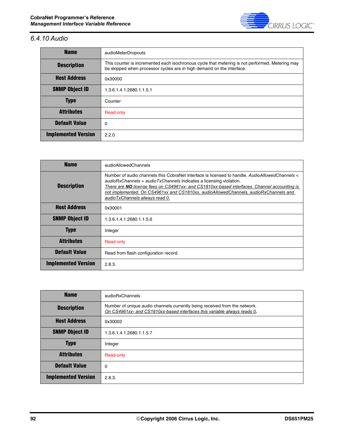

# *6.4.10 Audio*

| <b>Name</b>                | audioMeterDropouts                                                                                                                                                       |
|----------------------------|--------------------------------------------------------------------------------------------------------------------------------------------------------------------------|
| <b>Description</b>         | This counter is incremented each isochronous cycle that metering is not performed. Metering may<br>be skipped when processor cycles are in high demand on the interface. |
| <b>Host Address</b>        | 0x30000                                                                                                                                                                  |
| <b>SNMP Object ID</b>      | 1.3.6.1.4.1.2680.1.1.5.1                                                                                                                                                 |
| <b>Type</b>                | Counter                                                                                                                                                                  |
| <b>Attributes</b>          | Read-only                                                                                                                                                                |
| <b>Default Value</b>       | 0                                                                                                                                                                        |
| <b>Implemented Version</b> | 2.2.0                                                                                                                                                                    |

| <b>Name</b>                | audioAllowedChannels                                                                                                                                                                                                                                                                                                                                                                          |
|----------------------------|-----------------------------------------------------------------------------------------------------------------------------------------------------------------------------------------------------------------------------------------------------------------------------------------------------------------------------------------------------------------------------------------------|
| <b>Description</b>         | Number of audio channels this CobraNet interface is licensed to handle. AudioAllowedChannels <<br>audioRxChannels + audioTxChannels indicates a licensing violation.<br>There are NO license fees on CS4961xx- and CS1810xx-based interfaces. Channel accounting is<br>not implemented. On CS4961xx and CS1810xx, audioAllowedChannels, audioRxChannels and<br>audioTxChannels always read 0. |
| <b>Host Address</b>        | 0x30001                                                                                                                                                                                                                                                                                                                                                                                       |
| <b>SNMP Object ID</b>      | 1.3.6.1.4.1.2680.1.1.5.6                                                                                                                                                                                                                                                                                                                                                                      |
| <b>Type</b>                | Integer                                                                                                                                                                                                                                                                                                                                                                                       |
| <b>Attributes</b>          | Read-only                                                                                                                                                                                                                                                                                                                                                                                     |
| <b>Default Value</b>       | Read from flash configuration record.                                                                                                                                                                                                                                                                                                                                                         |
| <b>Implemented Version</b> | 2.8.3.                                                                                                                                                                                                                                                                                                                                                                                        |

| <b>Name</b>                | audioRxChannels                                                                                                                                        |
|----------------------------|--------------------------------------------------------------------------------------------------------------------------------------------------------|
| <b>Description</b>         | Number of unique audio channels currently being received from the network.<br>On CS4961xx- and CS1810xx-based interfaces this variable always reads 0. |
| <b>Host Address</b>        | 0x30002                                                                                                                                                |
| <b>SNMP Object ID</b>      | 1.3.6.1.4.1.2680.1.1.5.7                                                                                                                               |
| <b>Type</b>                | Integer                                                                                                                                                |
| <b>Attributes</b>          | Read-only                                                                                                                                              |
| <b>Default Value</b>       | $\Omega$                                                                                                                                               |
| <b>Implemented Version</b> | 2.8.3.                                                                                                                                                 |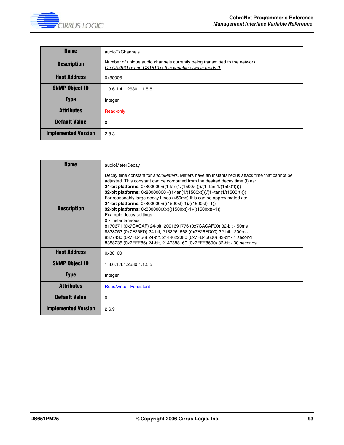

| <b>Name</b>                | audioTxChannels                                                                                                                       |
|----------------------------|---------------------------------------------------------------------------------------------------------------------------------------|
| <b>Description</b>         | Number of unique audio channels currently being transmitted to the network.<br>On CS4961xx and CS1810xx this variable always reads 0. |
| <b>Host Address</b>        | 0x30003                                                                                                                               |
| <b>SNMP Object ID</b>      | 1.3.6.1.4.1.2680.1.1.5.8                                                                                                              |
| <b>Type</b>                | Integer                                                                                                                               |
| <b>Attributes</b>          | Read-only                                                                                                                             |
| <b>Default Value</b>       | 0                                                                                                                                     |
| <b>Implemented Version</b> | 2.8.3.                                                                                                                                |

| <b>Name</b>                | audioMeterDecay                                                                                                                                                                                                                                                                                                                                                                                                                                                                                                                                                                                                                                                                                                                                                                                                                                                                                                                                                                                  |
|----------------------------|--------------------------------------------------------------------------------------------------------------------------------------------------------------------------------------------------------------------------------------------------------------------------------------------------------------------------------------------------------------------------------------------------------------------------------------------------------------------------------------------------------------------------------------------------------------------------------------------------------------------------------------------------------------------------------------------------------------------------------------------------------------------------------------------------------------------------------------------------------------------------------------------------------------------------------------------------------------------------------------------------|
| <b>Description</b>         | Decay time constant for <i>audioMeters</i> . Meters have an instantaneous attack time that cannot be<br>adjusted. This constant can be computed from the desired decay time (t) as:<br><b>24-bit platforms:</b> $0x800000 \times ((1-tan(1/(1500 \times t)))/(1+tan(1/(1500 \times t))))$<br>32-bit platforms: $0x80000000 \times ((1-tan(1/(1500 \times t)))/(1+tan(1/(1500 \times t))))$<br>For reasonably large decay times (>50ms) this can be approximated as:<br><b>24-bit platforms:</b> $0x800000 \times (((1500 \times t) - 1) / ((1500 \times t) + 1))$<br><b>32-bit platforms:</b> $0x80000000\times(((1500\times1)-1)/((1500\times1)+1))$<br>Example decay settings:<br>0 - Instantaneous<br>8170671 (0x7CACAF) 24-bit, 2091691776 (0x7CACAF00) 32-bit - 50ms<br>8333053 (0x7F26FD) 24-bit, 2133261568 (0x7F26FD00) 32-bit - 200ms<br>8377430 (0x7FD456) 24-bit, 2144622080 (0x7FD45600) 32-bit - 1 second<br>8388235 (0x7FFE86) 24-bit, 2147388160 (0x7FFE8600) 32-bit - 30 seconds |
| <b>Host Address</b>        | 0x30100                                                                                                                                                                                                                                                                                                                                                                                                                                                                                                                                                                                                                                                                                                                                                                                                                                                                                                                                                                                          |
| <b>SNMP Object ID</b>      | 1.3.6.1.4.1.2680.1.1.5.5                                                                                                                                                                                                                                                                                                                                                                                                                                                                                                                                                                                                                                                                                                                                                                                                                                                                                                                                                                         |
| <b>Type</b>                | Integer                                                                                                                                                                                                                                                                                                                                                                                                                                                                                                                                                                                                                                                                                                                                                                                                                                                                                                                                                                                          |
| <b>Attributes</b>          | <b>Read/write - Persistent</b>                                                                                                                                                                                                                                                                                                                                                                                                                                                                                                                                                                                                                                                                                                                                                                                                                                                                                                                                                                   |
| <b>Default Value</b>       | 0                                                                                                                                                                                                                                                                                                                                                                                                                                                                                                                                                                                                                                                                                                                                                                                                                                                                                                                                                                                                |
| <b>Implemented Version</b> | 2.6.9                                                                                                                                                                                                                                                                                                                                                                                                                                                                                                                                                                                                                                                                                                                                                                                                                                                                                                                                                                                            |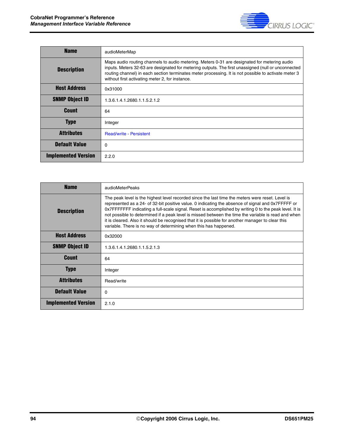

| <b>Name</b>                | audioMeterMap                                                                                                                                                                                                                                                                                                                                                  |
|----------------------------|----------------------------------------------------------------------------------------------------------------------------------------------------------------------------------------------------------------------------------------------------------------------------------------------------------------------------------------------------------------|
| <b>Description</b>         | Maps audio routing channels to audio metering. Meters 0-31 are designated for metering audio<br>inputs. Meters 32-63 are designated for metering outputs. The first unassigned (null or unconnected<br>routing channel) in each section terminates meter processing. It is not possible to activate meter 3<br>without first activating meter 2, for instance. |
| <b>Host Address</b>        | 0x31000                                                                                                                                                                                                                                                                                                                                                        |
| <b>SNMP Object ID</b>      | 1.3.6.1.4.1.2680.1.1.5.2.1.2                                                                                                                                                                                                                                                                                                                                   |
| <b>Count</b>               | 64                                                                                                                                                                                                                                                                                                                                                             |
| <b>Type</b>                | Integer                                                                                                                                                                                                                                                                                                                                                        |
| Attributes                 | <b>Read/write - Persistent</b>                                                                                                                                                                                                                                                                                                                                 |
| <b>Default Value</b>       | $\Omega$                                                                                                                                                                                                                                                                                                                                                       |
| <b>Implemented Version</b> | 2.2.0                                                                                                                                                                                                                                                                                                                                                          |

| <b>Name</b>                | audioMeterPeaks                                                                                                                                                                                                                                                                                                                                                                                                                                                                                                                                                                                 |
|----------------------------|-------------------------------------------------------------------------------------------------------------------------------------------------------------------------------------------------------------------------------------------------------------------------------------------------------------------------------------------------------------------------------------------------------------------------------------------------------------------------------------------------------------------------------------------------------------------------------------------------|
| <b>Description</b>         | The peak level is the highest level recorded since the last time the meters were reset. Level is<br>represented as a 24- of 32-bit positive value. 0 indicating the absence of signal and 0x7FFFFF or<br>0x7FFFFFFF indicating a full-scale signal. Reset is accomplished by writing 0 to the peak level. It is<br>not possible to determined if a peak level is missed between the time the variable is read and when<br>it is cleared. Also it should be recognised that it is possible for another manager to clear this<br>variable. There is no way of determining when this has happened. |
| <b>Host Address</b>        | 0x32000                                                                                                                                                                                                                                                                                                                                                                                                                                                                                                                                                                                         |
| <b>SNMP Object ID</b>      | 1.3.6.1.4.1.2680.1.1.5.2.1.3                                                                                                                                                                                                                                                                                                                                                                                                                                                                                                                                                                    |
| Count                      | 64                                                                                                                                                                                                                                                                                                                                                                                                                                                                                                                                                                                              |
| <b>Type</b>                | Integer                                                                                                                                                                                                                                                                                                                                                                                                                                                                                                                                                                                         |
| <b>Attributes</b>          | Read/write                                                                                                                                                                                                                                                                                                                                                                                                                                                                                                                                                                                      |
| <b>Default Value</b>       | $\Omega$                                                                                                                                                                                                                                                                                                                                                                                                                                                                                                                                                                                        |
| <b>Implemented Version</b> | 2.1.0                                                                                                                                                                                                                                                                                                                                                                                                                                                                                                                                                                                           |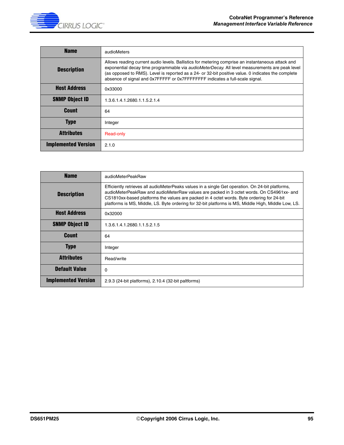| <b>Name</b>                | audioMeters                                                                                                                                                                                                                                                                                                                                                                               |
|----------------------------|-------------------------------------------------------------------------------------------------------------------------------------------------------------------------------------------------------------------------------------------------------------------------------------------------------------------------------------------------------------------------------------------|
| <b>Description</b>         | Allows reading current audio levels. Ballistics for metering comprise an instantaneous attack and<br>exponential decay time programmable via audioMeterDecay. All level measurements are peak level<br>(as opposed to RMS). Level is reported as a 24- or 32-bit positive value. 0 indicates the complete<br>absence of signal and 0x7FFFFF or 0x7FFFFFFFF indicates a full-scale signal. |
| <b>Host Address</b>        | 0x33000                                                                                                                                                                                                                                                                                                                                                                                   |
| <b>SNMP Object ID</b>      | 1.3.6.1.4.1.2680.1.1.5.2.1.4                                                                                                                                                                                                                                                                                                                                                              |
| <b>Count</b>               | 64                                                                                                                                                                                                                                                                                                                                                                                        |
| <b>Type</b>                | Integer                                                                                                                                                                                                                                                                                                                                                                                   |
| <b>Attributes</b>          | Read-only                                                                                                                                                                                                                                                                                                                                                                                 |
| <b>Implemented Version</b> | 2.1.0                                                                                                                                                                                                                                                                                                                                                                                     |

| <b>Name</b>                | audioMeterPeakRaw                                                                                                                                                                                                                                                                                                                                                                                |
|----------------------------|--------------------------------------------------------------------------------------------------------------------------------------------------------------------------------------------------------------------------------------------------------------------------------------------------------------------------------------------------------------------------------------------------|
| <b>Description</b>         | Efficiently retrieves all audioMeterPeaks values in a single Get operation. On 24-bit platforms,<br>audioMeterPeakRaw and audioMeterRaw values are packed in 3 octet words. On CS4961xx- and<br>CS1810xx-based platforms the values are packed in 4 octet words. Byte ordering for 24-bit<br>platforms is MS, Middle, LS. Byte ordering for 32-bit platforms is MS, Middle High, Middle Low, LS. |
| <b>Host Address</b>        | 0x32000                                                                                                                                                                                                                                                                                                                                                                                          |
| <b>SNMP Object ID</b>      | 1.3.6.1.4.1.2680.1.1.5.2.1.5                                                                                                                                                                                                                                                                                                                                                                     |
| Count                      | 64                                                                                                                                                                                                                                                                                                                                                                                               |
| <b>Type</b>                | Integer                                                                                                                                                                                                                                                                                                                                                                                          |
| <b>Attributes</b>          | Read/write                                                                                                                                                                                                                                                                                                                                                                                       |
| <b>Default Value</b>       | 0                                                                                                                                                                                                                                                                                                                                                                                                |
| <b>Implemented Version</b> | 2.9.3 (24-bit platforms), 2.10.4 (32-bit paltforms)                                                                                                                                                                                                                                                                                                                                              |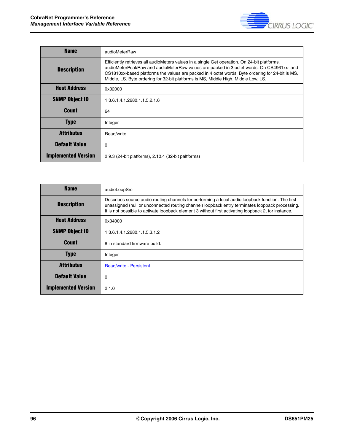

| <b>Name</b>                | audioMeterRaw                                                                                                                                                                                                                                                                                                                                                                      |
|----------------------------|------------------------------------------------------------------------------------------------------------------------------------------------------------------------------------------------------------------------------------------------------------------------------------------------------------------------------------------------------------------------------------|
| <b>Description</b>         | Efficiently retrieves all audioMeters values in a single Get operation. On 24-bit platforms,<br>audioMeterPeakRaw and audioMeterRaw values are packed in 3 octet words. On CS4961xx- and<br>CS1810xx-based platforms the values are packed in 4 octet words. Byte ordering for 24-bit is MS,<br>Middle, LS. Byte ordering for 32-bit platforms is MS, Middle High, Middle Low, LS. |
| <b>Host Address</b>        | 0x32000                                                                                                                                                                                                                                                                                                                                                                            |
| <b>SNMP Object ID</b>      | 1.3.6.1.4.1.2680.1.1.5.2.1.6                                                                                                                                                                                                                                                                                                                                                       |
| <b>Count</b>               | 64                                                                                                                                                                                                                                                                                                                                                                                 |
| <b>Type</b>                | Integer                                                                                                                                                                                                                                                                                                                                                                            |
| Attributes                 | Read/write                                                                                                                                                                                                                                                                                                                                                                         |
| <b>Default Value</b>       | 0                                                                                                                                                                                                                                                                                                                                                                                  |
| <b>Implemented Version</b> | 2.9.3 (24-bit platforms), 2.10.4 (32-bit paltforms)                                                                                                                                                                                                                                                                                                                                |

| <b>Name</b>                | audioLoopSrc                                                                                                                                                                                                                                                                                                 |
|----------------------------|--------------------------------------------------------------------------------------------------------------------------------------------------------------------------------------------------------------------------------------------------------------------------------------------------------------|
| <b>Description</b>         | Describes source audio routing channels for performing a local audio loopback function. The first<br>unassigned (null or unconnected routing channel) loopback entry terminates loopback processing.<br>It is not possible to activate loopback element 3 without first activating loopback 2, for instance. |
| <b>Host Address</b>        | 0x34000                                                                                                                                                                                                                                                                                                      |
| <b>SNMP Object ID</b>      | 1.3.6.1.4.1.2680.1.1.5.3.1.2                                                                                                                                                                                                                                                                                 |
| <b>Count</b>               | 8 in standard firmware build.                                                                                                                                                                                                                                                                                |
| <b>Type</b>                | Integer                                                                                                                                                                                                                                                                                                      |
| <b>Attributes</b>          | <b>Read/write - Persistent</b>                                                                                                                                                                                                                                                                               |
| <b>Default Value</b>       | 0                                                                                                                                                                                                                                                                                                            |
| <b>Implemented Version</b> | 2.1.0                                                                                                                                                                                                                                                                                                        |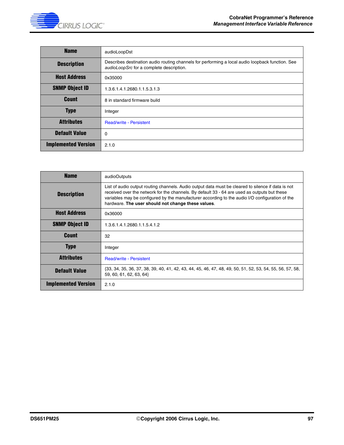

| <b>Name</b>                | audioLoopDst                                                                                                                                 |
|----------------------------|----------------------------------------------------------------------------------------------------------------------------------------------|
| <b>Description</b>         | Describes destination audio routing channels for performing a local audio loopback function. See<br>audioLoopSrc for a complete description. |
| <b>Host Address</b>        | 0x35000                                                                                                                                      |
| <b>SNMP Object ID</b>      | 1.3.6.1.4.1.2680.1.1.5.3.1.3                                                                                                                 |
| <b>Count</b>               | 8 in standard firmware build                                                                                                                 |
| <b>Type</b>                | Integer                                                                                                                                      |
| <b>Attributes</b>          | <b>Read/write - Persistent</b>                                                                                                               |
| <b>Default Value</b>       | 0                                                                                                                                            |
| <b>Implemented Version</b> | 2.1.0                                                                                                                                        |

| <b>Name</b>                | audioOutputs                                                                                                                                                                                                                                                                                                                                                |
|----------------------------|-------------------------------------------------------------------------------------------------------------------------------------------------------------------------------------------------------------------------------------------------------------------------------------------------------------------------------------------------------------|
| <b>Description</b>         | List of audio output routing channels. Audio output data must be cleared to silence if data is not<br>received over the network for the channels. By default 33 - 64 are used as outputs but these<br>variables may be configured by the manufacturer according to the audio I/O configuration of the<br>hardware. The user should not change these values. |
| <b>Host Address</b>        | 0x36000                                                                                                                                                                                                                                                                                                                                                     |
| <b>SNMP Object ID</b>      | 1.3.6.1.4.1.2680.1.1.5.4.1.2                                                                                                                                                                                                                                                                                                                                |
| <b>Count</b>               | 32                                                                                                                                                                                                                                                                                                                                                          |
| <b>Type</b>                | Integer                                                                                                                                                                                                                                                                                                                                                     |
| <b>Attributes</b>          | <b>Read/write - Persistent</b>                                                                                                                                                                                                                                                                                                                              |
| <b>Default Value</b>       | {33, 34, 35, 36, 37, 38, 39, 40, 41, 42, 43, 44, 45, 46, 47, 48, 49, 50, 51, 52, 53, 54, 55, 56, 57, 58,<br>59, 60, 61, 62, 63, 64}                                                                                                                                                                                                                         |
| <b>Implemented Version</b> | 2.1.0                                                                                                                                                                                                                                                                                                                                                       |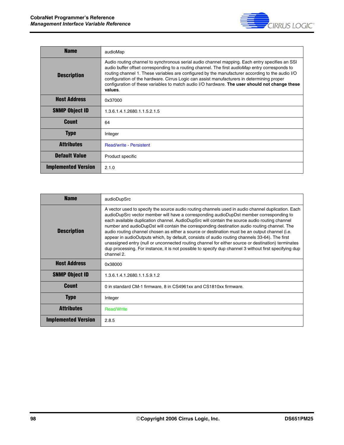

| <b>Name</b>                | audioMap                                                                                                                                                                                                                                                                                                                                                                                                                                                                                                                |
|----------------------------|-------------------------------------------------------------------------------------------------------------------------------------------------------------------------------------------------------------------------------------------------------------------------------------------------------------------------------------------------------------------------------------------------------------------------------------------------------------------------------------------------------------------------|
| <b>Description</b>         | Audio routing channel to synchronous serial audio channel mapping. Each entry specifies an SSI<br>audio buffer offset corresponding to a routing channel. The first <i>audioMap</i> entry corresponds to<br>routing channel 1. These variables are configured by the manufacturer according to the audio I/O<br>configuration of the hardware. Cirrus Logic can assist manufacturers in determining proper<br>configuration of these variables to match audio I/O hardware. The user should not change these<br>values. |
| <b>Host Address</b>        | 0x37000                                                                                                                                                                                                                                                                                                                                                                                                                                                                                                                 |
| <b>SNMP Object ID</b>      | 1.3.6.1.4.1.2680.1.1.5.2.1.5                                                                                                                                                                                                                                                                                                                                                                                                                                                                                            |
| <b>Count</b>               | 64                                                                                                                                                                                                                                                                                                                                                                                                                                                                                                                      |
| <b>Type</b>                | Integer                                                                                                                                                                                                                                                                                                                                                                                                                                                                                                                 |
| <b>Attributes</b>          | <b>Read/write - Persistent</b>                                                                                                                                                                                                                                                                                                                                                                                                                                                                                          |
| <b>Default Value</b>       | Product specific                                                                                                                                                                                                                                                                                                                                                                                                                                                                                                        |
| <b>Implemented Version</b> | 2.1.0                                                                                                                                                                                                                                                                                                                                                                                                                                                                                                                   |

| <b>Name</b>                | audioDupSrc                                                                                                                                                                                                                                                                                                                                                                                                                                                                                                                                                                                                                                                                                                                                                                                                                      |
|----------------------------|----------------------------------------------------------------------------------------------------------------------------------------------------------------------------------------------------------------------------------------------------------------------------------------------------------------------------------------------------------------------------------------------------------------------------------------------------------------------------------------------------------------------------------------------------------------------------------------------------------------------------------------------------------------------------------------------------------------------------------------------------------------------------------------------------------------------------------|
| <b>Description</b>         | A vector used to specify the source audio routing channels used in audio channel duplication. Each<br>audioDupSrc vector member will have a corresponding audioDupDst member corresponding to<br>each available duplication channel. AudioDupSrc will contain the source audio routing channel<br>number and audioDupDst will contain the corresponding destination audio routing channel. The<br>audio routing channel chosen as either a source or destination must be an output channel (i.e.<br>appear in audioOutputs which, by default, consists of audio routing channels 33-64). The first<br>unassigned entry (null or unconnected routing channel for either source or destination) terminates<br>dup processing. For instance, it is not possible to specify dup channel 3 without first specifying dup<br>channel 2. |
| <b>Host Address</b>        | 0x38000                                                                                                                                                                                                                                                                                                                                                                                                                                                                                                                                                                                                                                                                                                                                                                                                                          |
| <b>SNMP Object ID</b>      | 1.3.6.1.4.1.2680.1.1.5.9.1.2                                                                                                                                                                                                                                                                                                                                                                                                                                                                                                                                                                                                                                                                                                                                                                                                     |
| <b>Count</b>               | 0 in standard CM-1 firmware, 8 in CS4961xx and CS1810xx firmware.                                                                                                                                                                                                                                                                                                                                                                                                                                                                                                                                                                                                                                                                                                                                                                |
| <b>Type</b>                | Integer                                                                                                                                                                                                                                                                                                                                                                                                                                                                                                                                                                                                                                                                                                                                                                                                                          |
| <b>Attributes</b>          | <b>Read/Write</b>                                                                                                                                                                                                                                                                                                                                                                                                                                                                                                                                                                                                                                                                                                                                                                                                                |
| <b>Implemented Version</b> | 2.8.5                                                                                                                                                                                                                                                                                                                                                                                                                                                                                                                                                                                                                                                                                                                                                                                                                            |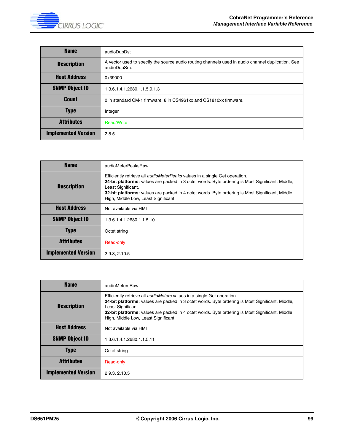

| <b>Name</b>                | audioDupDst                                                                                                       |
|----------------------------|-------------------------------------------------------------------------------------------------------------------|
| <b>Description</b>         | A vector used to specify the source audio routing channels used in audio channel duplication. See<br>audioDupSrc. |
| <b>Host Address</b>        | 0x39000                                                                                                           |
| <b>SNMP Object ID</b>      | 1.3.6.1.4.1.2680.1.1.5.9.1.3                                                                                      |
| <b>Count</b>               | 0 in standard CM-1 firmware, 8 in CS4961xx and CS1810xx firmware.                                                 |
| <b>Type</b>                | Integer                                                                                                           |
| <b>Attributes</b>          | <b>Read/Write</b>                                                                                                 |
| <b>Implemented Version</b> | 2.8.5                                                                                                             |

| <b>Name</b>                | audioMeterPeaksRaw                                                                                                                                                                                                                                                                                                                                     |
|----------------------------|--------------------------------------------------------------------------------------------------------------------------------------------------------------------------------------------------------------------------------------------------------------------------------------------------------------------------------------------------------|
| <b>Description</b>         | Efficiently retrieve all <i>audioMeterPeaks</i> values in a single Get operation.<br>24-bit platforms: values are packed in 3 octet words. Byte ordering is Most Significant, Middle,<br>Least Significant.<br>32-bit platforms: values are packed in 4 octet words. Byte ordering is Most Significant, Middle<br>High, Middle Low, Least Significant. |
| <b>Host Address</b>        | Not available via HMI                                                                                                                                                                                                                                                                                                                                  |
| <b>SNMP Object ID</b>      | 1.3.6.1.4.1.2680.1.1.5.10                                                                                                                                                                                                                                                                                                                              |
| Type                       | Octet string                                                                                                                                                                                                                                                                                                                                           |
| <b>Attributes</b>          | Read-only                                                                                                                                                                                                                                                                                                                                              |
| <b>Implemented Version</b> | 2.9.3.2.10.5                                                                                                                                                                                                                                                                                                                                           |

| <b>Name</b>                | audioMetersRaw                                                                                                                                                                                                                                                                                                                                     |
|----------------------------|----------------------------------------------------------------------------------------------------------------------------------------------------------------------------------------------------------------------------------------------------------------------------------------------------------------------------------------------------|
| <b>Description</b>         | Efficiently retrieve all <i>audioMeters</i> values in a single Get operation.<br>24-bit platforms: values are packed in 3 octet words. Byte ordering is Most Significant, Middle,<br>Least Significant.<br>32-bit platforms: values are packed in 4 octet words. Byte ordering is Most Significant, Middle<br>High, Middle Low, Least Significant. |
| <b>Host Address</b>        | Not available via HMI                                                                                                                                                                                                                                                                                                                              |
| <b>SNMP Object ID</b>      | 1.3.6.1.4.1.2680.1.1.5.11                                                                                                                                                                                                                                                                                                                          |
| <b>Type</b>                | Octet string                                                                                                                                                                                                                                                                                                                                       |
| <b>Attributes</b>          | Read-only                                                                                                                                                                                                                                                                                                                                          |
| <b>Implemented Version</b> | 2.9.3.2.10.5                                                                                                                                                                                                                                                                                                                                       |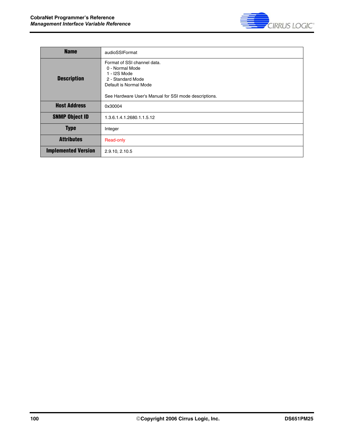

| <b>Name</b>                | audioSSIFormat                                                                                                                                                         |
|----------------------------|------------------------------------------------------------------------------------------------------------------------------------------------------------------------|
| <b>Description</b>         | Format of SSI channel data.<br>0 - Normal Mode<br>1 - I2S Mode<br>2 - Standard Mode<br>Default is Normal Mode<br>See Hardware User's Manual for SSI mode descriptions. |
| <b>Host Address</b>        | 0x30004                                                                                                                                                                |
| <b>SNMP Object ID</b>      | 1.3.6.1.4.1.2680.1.1.5.12                                                                                                                                              |
| <b>Type</b>                | Integer                                                                                                                                                                |
| <b>Attributes</b>          | Read-only                                                                                                                                                              |
| <b>Implemented Version</b> | 2.9.10, 2.10.5                                                                                                                                                         |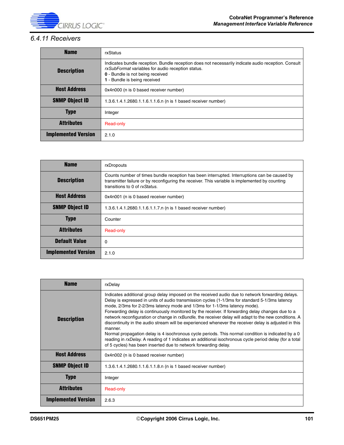

# *6.4.11 Receivers*

| <b>Name</b>                | rxStatus                                                                                                                                                                                                                     |
|----------------------------|------------------------------------------------------------------------------------------------------------------------------------------------------------------------------------------------------------------------------|
| <b>Description</b>         | Indicates bundle reception. Bundle reception does not necessarily indicate audio reception. Consult<br>rxSubFormat variables for audio reception status.<br>0 - Bundle is not being received<br>1 - Bundle is being received |
| <b>Host Address</b>        | 0x4n000 (n is 0 based receiver number)                                                                                                                                                                                       |
| <b>SNMP Object ID</b>      | 1.3.6.1.4.1.2680.1.1.6.1.1.6.n (n is 1 based receiver number)                                                                                                                                                                |
| <b>Type</b>                | Integer                                                                                                                                                                                                                      |
| <b>Attributes</b>          | Read-only                                                                                                                                                                                                                    |
| <b>Implemented Version</b> | 2.1.0                                                                                                                                                                                                                        |

| <b>Name</b>                | rxDropouts                                                                                                                                                                                                                      |
|----------------------------|---------------------------------------------------------------------------------------------------------------------------------------------------------------------------------------------------------------------------------|
| <b>Description</b>         | Counts number of times bundle reception has been interrupted. Interruptions can be caused by<br>transmitter failure or by reconfiguring the receiver. This variable is implemented by counting<br>transitions to 0 of rxStatus. |
| <b>Host Address</b>        | 0x4n001 (n is 0 based receiver number)                                                                                                                                                                                          |
| <b>SNMP Object ID</b>      | 1.3.6.1.4.1.2680.1.1.6.1.1.7.n (n is 1 based receiver number)                                                                                                                                                                   |
| <b>Type</b>                | Counter                                                                                                                                                                                                                         |
| <b>Attributes</b>          | Read-only                                                                                                                                                                                                                       |
| <b>Default Value</b>       | 0                                                                                                                                                                                                                               |
| <b>Implemented Version</b> | 2.1.0                                                                                                                                                                                                                           |

| <b>Name</b>                | rxDelay                                                                                                                                                                                                                                                                                                                                                                                                                                                                                                                                                                                                                                                                                                                                                                                                                                                                                             |
|----------------------------|-----------------------------------------------------------------------------------------------------------------------------------------------------------------------------------------------------------------------------------------------------------------------------------------------------------------------------------------------------------------------------------------------------------------------------------------------------------------------------------------------------------------------------------------------------------------------------------------------------------------------------------------------------------------------------------------------------------------------------------------------------------------------------------------------------------------------------------------------------------------------------------------------------|
| <b>Description</b>         | Indicates additional group delay imposed on the received audio due to network forwarding delays.<br>Delay is expressed in units of audio transmission cycles (1-1/3ms for standard 5-1/3ms latency<br>mode, 2/3ms for 2-2/3ms latency mode and 1/3ms for 1-1/3ms latency mode).<br>Forwarding delay is continuously monitored by the receiver. If forwarding delay changes due to a<br>network reconfiguration or change in rxBundle, the receiver delay will adapt to the new conditions. A<br>discontinuity in the audio stream will be experienced whenever the receiver delay is adjusted in this<br>manner.<br>Normal propagation delay is 4 isochronous cycle periods. This normal condition is indicated by a 0<br>reading in rxDelay. A reading of 1 indicates an additional isochronous cycle period delay (for a total<br>of 5 cycles) has been inserted due to network forwarding delay. |
| <b>Host Address</b>        | 0x4n002 (n is 0 based receiver number)                                                                                                                                                                                                                                                                                                                                                                                                                                                                                                                                                                                                                                                                                                                                                                                                                                                              |
| <b>SNMP Object ID</b>      | 1.3.6.1.4.1.2680.1.1.6.1.1.8.n (n is 1 based receiver number)                                                                                                                                                                                                                                                                                                                                                                                                                                                                                                                                                                                                                                                                                                                                                                                                                                       |
| <b>Type</b>                | Integer                                                                                                                                                                                                                                                                                                                                                                                                                                                                                                                                                                                                                                                                                                                                                                                                                                                                                             |
| <b>Attributes</b>          | Read-only                                                                                                                                                                                                                                                                                                                                                                                                                                                                                                                                                                                                                                                                                                                                                                                                                                                                                           |
| <b>Implemented Version</b> | 2.6.3                                                                                                                                                                                                                                                                                                                                                                                                                                                                                                                                                                                                                                                                                                                                                                                                                                                                                               |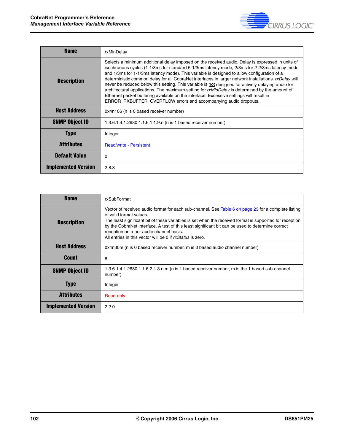

| <b>Name</b>                | rxMinDelay                                                                                                                                                                                                                                                                                                                                                                                                                                                                                                                                                                                                                                                                                                                                                                   |
|----------------------------|------------------------------------------------------------------------------------------------------------------------------------------------------------------------------------------------------------------------------------------------------------------------------------------------------------------------------------------------------------------------------------------------------------------------------------------------------------------------------------------------------------------------------------------------------------------------------------------------------------------------------------------------------------------------------------------------------------------------------------------------------------------------------|
| <b>Description</b>         | Selects a minimum additional delay imposed on the received audio. Delay is expressed in units of<br>isochronous cycles (1-1/3ms for standard 5-1/3ms latency mode, 2/3ms for 2-2/3ms latency mode<br>and 1/3ms for 1-1/3ms latency mode). This variable is designed to allow configuration of a<br>deterministic common delay for all CobraNet interfaces in larger network installations. rxDelay will<br>never be reduced below this setting. This variable is not designed for actively delaying audio for<br>architectural applications. The maximum setting for rxMinDelay is determined by the amount of<br>Ethernet packet buffering available on the interface. Excessive settings will result in<br>ERROR_RXBUFFER_OVERFLOW errors and accompanying audio dropouts. |
| <b>Host Address</b>        | 0x4n106 (n is 0 based receiver number)                                                                                                                                                                                                                                                                                                                                                                                                                                                                                                                                                                                                                                                                                                                                       |
| <b>SNMP Object ID</b>      | 1.3.6.1.4.1.2680.1.1.6.1.1.9.n (n is 1 based receiver number)                                                                                                                                                                                                                                                                                                                                                                                                                                                                                                                                                                                                                                                                                                                |
| <b>Type</b>                | Integer                                                                                                                                                                                                                                                                                                                                                                                                                                                                                                                                                                                                                                                                                                                                                                      |
| <b>Attributes</b>          | <b>Read/write - Persistent</b>                                                                                                                                                                                                                                                                                                                                                                                                                                                                                                                                                                                                                                                                                                                                               |
| <b>Default Value</b>       | $\Omega$                                                                                                                                                                                                                                                                                                                                                                                                                                                                                                                                                                                                                                                                                                                                                                     |
| <b>Implemented Version</b> | 2.8.3                                                                                                                                                                                                                                                                                                                                                                                                                                                                                                                                                                                                                                                                                                                                                                        |

| <b>Name</b>                | rxSubFormat                                                                                                                                                                                                                                                                                                                                                                                                                                           |
|----------------------------|-------------------------------------------------------------------------------------------------------------------------------------------------------------------------------------------------------------------------------------------------------------------------------------------------------------------------------------------------------------------------------------------------------------------------------------------------------|
| <b>Description</b>         | Vector of received audio format for each sub-channel. See Table 6 on page 23 for a complete listing<br>of valid format values.<br>The least significant bit of these variables is set when the received format is supported for reception<br>by the CobraNet interface. A test of this least significant bit can be used to determine correct<br>reception on a per audio channel basis.<br>All entries in this vector will be 0 if rxStatus is zero. |
| <b>Host Address</b>        | 0x4n30m (n is 0 based receiver number, m is 0 based audio channel number)                                                                                                                                                                                                                                                                                                                                                                             |
| Count                      | 8                                                                                                                                                                                                                                                                                                                                                                                                                                                     |
| <b>SNMP Object ID</b>      | 1.3.6.1.4.1.2680.1.1.6.2.1.3.n.m (n is 1 based receiver number, m is the 1 based sub-channel<br>number)                                                                                                                                                                                                                                                                                                                                               |
| <b>Type</b>                | Integer                                                                                                                                                                                                                                                                                                                                                                                                                                               |
| <b>Attributes</b>          | Read-only                                                                                                                                                                                                                                                                                                                                                                                                                                             |
| <b>Implemented Version</b> | 2.2.0                                                                                                                                                                                                                                                                                                                                                                                                                                                 |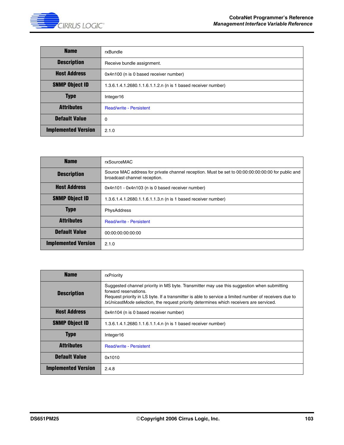

| <b>Name</b>                | rxBundle                                                      |
|----------------------------|---------------------------------------------------------------|
| <b>Description</b>         | Receive bundle assignment.                                    |
| <b>Host Address</b>        | 0x4n100 (n is 0 based receiver number)                        |
| <b>SNMP Object ID</b>      | 1.3.6.1.4.1.2680.1.1.6.1.1.2.n (n is 1 based receiver number) |
| <b>Type</b>                | Integer16                                                     |
| <b>Attributes</b>          | <b>Read/write - Persistent</b>                                |
| <b>Default Value</b>       | 0                                                             |
| <b>Implemented Version</b> | 2.1.0                                                         |

| <b>Name</b>                | rxSourceMAC                                                                                                                       |
|----------------------------|-----------------------------------------------------------------------------------------------------------------------------------|
| <b>Description</b>         | Source MAC address for private channel reception. Must be set to 00:00:00:00:00:00 for public and<br>broadcast channel reception. |
| <b>Host Address</b>        | 0x4n101 - 0x4n103 (n is 0 based receiver number)                                                                                  |
| <b>SNMP Object ID</b>      | 1.3.6.1.4.1.2680.1.1.6.1.1.3.n (n is 1 based receiver number)                                                                     |
| <b>Type</b>                | PhysAddress                                                                                                                       |
| <b>Attributes</b>          | <b>Read/write - Persistent</b>                                                                                                    |
| <b>Default Value</b>       | 00:00:00:00:00:00                                                                                                                 |
| <b>Implemented Version</b> | 2.1.0                                                                                                                             |

| <b>Name</b>                | rxPriority                                                                                                                                                                                                                                                                                                             |
|----------------------------|------------------------------------------------------------------------------------------------------------------------------------------------------------------------------------------------------------------------------------------------------------------------------------------------------------------------|
| <b>Description</b>         | Suggested channel priority in MS byte. Transmitter may use this suggestion when submitting<br>forward reservations.<br>Request priority in LS byte. If a transmitter is able to service a limited number of receivers due to<br>txUnicastMode selection, the request priority determines which receivers are serviced. |
| <b>Host Address</b>        | 0x4n104 (n is 0 based receiver number)                                                                                                                                                                                                                                                                                 |
| <b>SNMP Object ID</b>      | 1.3.6.1.4.1.2680.1.1.6.1.1.4.n (n is 1 based receiver number)                                                                                                                                                                                                                                                          |
| <b>Type</b>                | Integer16                                                                                                                                                                                                                                                                                                              |
| <b>Attributes</b>          | <b>Read/write - Persistent</b>                                                                                                                                                                                                                                                                                         |
| <b>Default Value</b>       | 0x1010                                                                                                                                                                                                                                                                                                                 |
| <b>Implemented Version</b> | 2.4.8                                                                                                                                                                                                                                                                                                                  |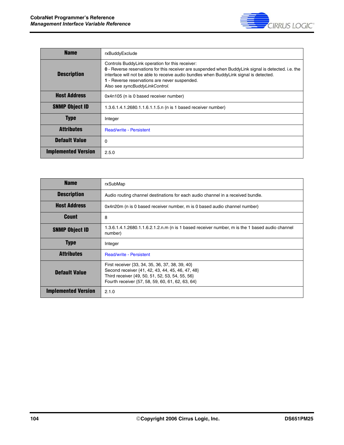

| <b>Name</b>                | rxBuddyExclude                                                                                                                                                                                                                                                                                                                        |
|----------------------------|---------------------------------------------------------------------------------------------------------------------------------------------------------------------------------------------------------------------------------------------------------------------------------------------------------------------------------------|
| <b>Description</b>         | Controls BuddyLink operation for this receiver:<br>0 - Reverse reservations for this receiver are suspended when Buddy Link signal is detected. i.e. the<br>interface will not be able to receive audio bundles when BuddyLink signal is detected.<br>1 - Reverse reservations are never suspended.<br>Also see syncBuddyLinkControl. |
| <b>Host Address</b>        | 0x4n105 (n is 0 based receiver number)                                                                                                                                                                                                                                                                                                |
| <b>SNMP Object ID</b>      | 1.3.6.1.4.1.2680.1.1.6.1.1.5.n (n is 1 based receiver number)                                                                                                                                                                                                                                                                         |
| <b>Type</b>                | Integer                                                                                                                                                                                                                                                                                                                               |
| <b>Attributes</b>          | <b>Read/write - Persistent</b>                                                                                                                                                                                                                                                                                                        |
| <b>Default Value</b>       | 0                                                                                                                                                                                                                                                                                                                                     |
| <b>Implemented Version</b> | 2.5.0                                                                                                                                                                                                                                                                                                                                 |

| <b>Name</b>                | rxSubMap                                                                                                                                                                                                   |
|----------------------------|------------------------------------------------------------------------------------------------------------------------------------------------------------------------------------------------------------|
| <b>Description</b>         | Audio routing channel destinations for each audio channel in a received bundle.                                                                                                                            |
| <b>Host Address</b>        | 0x4n20m (n is 0 based receiver number, m is 0 based audio channel number)                                                                                                                                  |
| <b>Count</b>               | 8                                                                                                                                                                                                          |
| <b>SNMP Object ID</b>      | 1.3.6.1.4.1.2680.1.1.6.2.1.2.n.m (n is 1 based receiver number, m is the 1 based audio channel<br>number)                                                                                                  |
| <b>Type</b>                | Integer                                                                                                                                                                                                    |
| <b>Attributes</b>          | <b>Read/write - Persistent</b>                                                                                                                                                                             |
| <b>Default Value</b>       | First receiver {33, 34, 35, 36, 37, 38, 39, 40}<br>Second receiver {41, 42, 43, 44, 45, 46, 47, 48}<br>Third receiver {49, 50, 51, 52, 53, 54, 55, 56}<br>Fourth receiver {57, 58, 59, 60, 61, 62, 63, 64} |
| <b>Implemented Version</b> | 2.1.0                                                                                                                                                                                                      |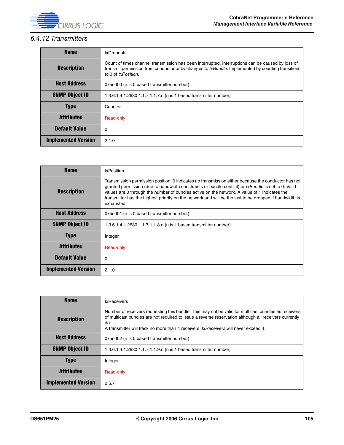

# *6.4.12 Transmitters*

| <b>Name</b>                | txDropouts                                                                                                                                                                                                                   |
|----------------------------|------------------------------------------------------------------------------------------------------------------------------------------------------------------------------------------------------------------------------|
| <b>Description</b>         | Count of times channel transmission has been interrupted. Interruptions can be caused by loss of<br>transmit permission from conductor or by changes to txBundle. Implemented by counting transitions<br>to 0 of txPosition. |
| <b>Host Address</b>        | 0x5n000 (n is 0 based transmitter number)                                                                                                                                                                                    |
| <b>SNMP Object ID</b>      | 1.3.6.1.4.1.2680.1.1.7.1.1.7.n (n is 1 based transmitter number)                                                                                                                                                             |
| <b>Type</b>                | Counter                                                                                                                                                                                                                      |
| <b>Attributes</b>          | Read-only                                                                                                                                                                                                                    |
| <b>Default Value</b>       | 0                                                                                                                                                                                                                            |
| <b>Implemented Version</b> | 2.1.0                                                                                                                                                                                                                        |

| <b>Name</b>                | txPosition                                                                                                                                                                                                                                                                                                                                                                                                                        |
|----------------------------|-----------------------------------------------------------------------------------------------------------------------------------------------------------------------------------------------------------------------------------------------------------------------------------------------------------------------------------------------------------------------------------------------------------------------------------|
| <b>Description</b>         | Transmission permission position. 0 indicates no transmission either because the conductor has not<br>granted permission (due to bandwidth constraints or bundle conflict) or txBundle is set to 0. Valid<br>values are 0 through the number of bundles active on the network. A value of 1 indicates the<br>transmitter has the highest priority on the network and will be the last to be dropped if bandwidth is<br>exhausted. |
| <b>Host Address</b>        | 0x5n001 (n is 0 based transmitter number)                                                                                                                                                                                                                                                                                                                                                                                         |
| <b>SNMP Object ID</b>      | 1.3.6.1.4.1.2680.1.1.7.1.1.8.n (n is 1 based transmitter number)                                                                                                                                                                                                                                                                                                                                                                  |
| <b>Type</b>                | Integer                                                                                                                                                                                                                                                                                                                                                                                                                           |
| <b>Attributes</b>          | Read-only                                                                                                                                                                                                                                                                                                                                                                                                                         |
| <b>Default Value</b>       | 0                                                                                                                                                                                                                                                                                                                                                                                                                                 |
| <b>Implemented Version</b> | 2.1.0                                                                                                                                                                                                                                                                                                                                                                                                                             |

| <b>Name</b>                | txReceivers                                                                                                                                                                                                                                                                                                 |
|----------------------------|-------------------------------------------------------------------------------------------------------------------------------------------------------------------------------------------------------------------------------------------------------------------------------------------------------------|
| <b>Description</b>         | Number of receivers requesting this bundle. This may not be valid for multicast bundles as receivers<br>of multicast bundles are not required to issue a reverse reservation although all receivers currently<br>do.<br>A transmitter will track no more than 4 receivers, txReceivers will never exceed 4. |
| <b>Host Address</b>        | 0x5n002 (n is 0 based transmitter number)                                                                                                                                                                                                                                                                   |
| <b>SNMP Object ID</b>      | 1.3.6.1.4.1.2680.1.1.7.1.1.9.n (n is 1 based transmitter number)                                                                                                                                                                                                                                            |
| <b>Type</b>                | Integer                                                                                                                                                                                                                                                                                                     |
| <b>Attributes</b>          | Read-only                                                                                                                                                                                                                                                                                                   |
| <b>Implemented Version</b> | 2.5.7                                                                                                                                                                                                                                                                                                       |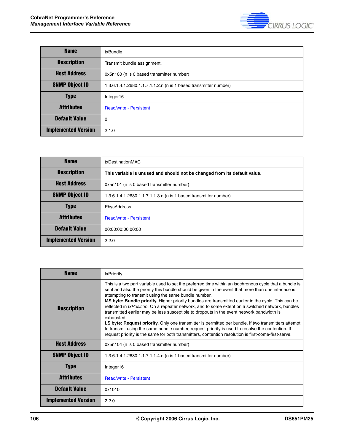

| <b>Name</b>                | txBundle                                                         |
|----------------------------|------------------------------------------------------------------|
| <b>Description</b>         | Transmit bundle assignment.                                      |
| <b>Host Address</b>        | 0x5n100 (n is 0 based transmitter number)                        |
| <b>SNMP Object ID</b>      | 1.3.6.1.4.1.2680.1.1.7.1.1.2.n (n is 1 based transmitter number) |
| <b>Type</b>                | Integer16                                                        |
| <b>Attributes</b>          | <b>Read/write - Persistent</b>                                   |
| <b>Default Value</b>       | $\mathbf 0$                                                      |
| <b>Implemented Version</b> | 2.1.0                                                            |

| <b>Name</b>                | txDestinationMAC                                                          |
|----------------------------|---------------------------------------------------------------------------|
| <b>Description</b>         | This variable is unused and should not be changed from its default value. |
| <b>Host Address</b>        | 0x5n101 (n is 0 based transmitter number)                                 |
| <b>SNMP Object ID</b>      | 1.3.6.1.4.1.2680.1.1.7.1.1.3.n (n is 1 based transmitter number)          |
| <b>Type</b>                | PhysAddress                                                               |
| <b>Attributes</b>          | <b>Read/write - Persistent</b>                                            |
| <b>Default Value</b>       | 00:00:00:00:00:00                                                         |
| <b>Implemented Version</b> | 2.2.0                                                                     |

| <b>Name</b>                | txPriority                                                                                                                                                                                                                                                                                                                                                                                                                                                                                                                                                                                                                                                                                                                                                                                                                                                                                                                |
|----------------------------|---------------------------------------------------------------------------------------------------------------------------------------------------------------------------------------------------------------------------------------------------------------------------------------------------------------------------------------------------------------------------------------------------------------------------------------------------------------------------------------------------------------------------------------------------------------------------------------------------------------------------------------------------------------------------------------------------------------------------------------------------------------------------------------------------------------------------------------------------------------------------------------------------------------------------|
| <b>Description</b>         | This is a two part variable used to set the preferred time within an isochronous cycle that a bundle is<br>sent and also the priority this bundle should be given in the event that more than one interface is<br>attempting to transmit using the same bundle number.<br>MS byte: Bundle priority. Higher priority bundles are transmitted earlier in the cycle. This can be<br>reflected in <i>txPosition</i> . On a repeater network, and to some extent on a switched network, bundles<br>transmitted earlier may be less susceptible to dropouts in the event network bandwidth is<br>exhausted.<br>LS byte: Request priority. Only one transmitter is permitted per bundle. If two transmitters attempt<br>to transmit using the same bundle number, request priority is used to resolve the contention. If<br>request priority is the same for both transmitters, contention resolution is first-come-first-serve. |
| <b>Host Address</b>        | 0x5n104 (n is 0 based transmitter number)                                                                                                                                                                                                                                                                                                                                                                                                                                                                                                                                                                                                                                                                                                                                                                                                                                                                                 |
| <b>SNMP Object ID</b>      | 1.3.6.1.4.1.2680.1.1.7.1.1.4.n (n is 1 based transmitter number)                                                                                                                                                                                                                                                                                                                                                                                                                                                                                                                                                                                                                                                                                                                                                                                                                                                          |
| <b>Type</b>                | Integer16                                                                                                                                                                                                                                                                                                                                                                                                                                                                                                                                                                                                                                                                                                                                                                                                                                                                                                                 |
| <b>Attributes</b>          | <b>Read/write - Persistent</b>                                                                                                                                                                                                                                                                                                                                                                                                                                                                                                                                                                                                                                                                                                                                                                                                                                                                                            |
| <b>Default Value</b>       | 0x1010                                                                                                                                                                                                                                                                                                                                                                                                                                                                                                                                                                                                                                                                                                                                                                                                                                                                                                                    |
| <b>Implemented Version</b> | 2.2.0                                                                                                                                                                                                                                                                                                                                                                                                                                                                                                                                                                                                                                                                                                                                                                                                                                                                                                                     |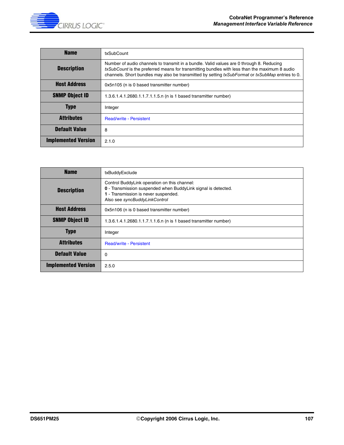

| <b>Name</b>                | txSubCount                                                                                                                                                                                                                                                                                    |
|----------------------------|-----------------------------------------------------------------------------------------------------------------------------------------------------------------------------------------------------------------------------------------------------------------------------------------------|
| <b>Description</b>         | Number of audio channels to transmit in a bundle. Valid values are 0 through 8. Reducing<br>txSubCount is the preferred means for transmitting bundles with less than the maximum 8 audio<br>channels. Short bundles may also be transmitted by setting txSubFormat or txSubMap entries to 0. |
| <b>Host Address</b>        | 0x5n105 (n is 0 based transmitter number)                                                                                                                                                                                                                                                     |
| <b>SNMP Object ID</b>      | 1.3.6.1.4.1.2680.1.1.7.1.1.5.n (n is 1 based transmitter number)                                                                                                                                                                                                                              |
| <b>Type</b>                | Integer                                                                                                                                                                                                                                                                                       |
| <b>Attributes</b>          | <b>Read/write - Persistent</b>                                                                                                                                                                                                                                                                |
| <b>Default Value</b>       | 8                                                                                                                                                                                                                                                                                             |
| <b>Implemented Version</b> | 2.1.0                                                                                                                                                                                                                                                                                         |

| <b>Name</b>                | txBuddyExclude                                                                                                                                                                         |
|----------------------------|----------------------------------------------------------------------------------------------------------------------------------------------------------------------------------------|
| <b>Description</b>         | Control BuddyLink operation on this channel:<br>0 - Transmission suspended when BuddyLink signal is detected.<br>1 - Transmission is never suspended.<br>Also see syncBuddyLinkControl |
| <b>Host Address</b>        | 0x5n106 (n is 0 based transmitter number)                                                                                                                                              |
| <b>SNMP Object ID</b>      | 1.3.6.1.4.1.2680.1.1.7.1.1.6.n (n is 1 based transmitter number)                                                                                                                       |
| <b>Type</b>                | Integer                                                                                                                                                                                |
| <b>Attributes</b>          | <b>Read/write - Persistent</b>                                                                                                                                                         |
| <b>Default Value</b>       | 0                                                                                                                                                                                      |
| <b>Implemented Version</b> | 2.5.0                                                                                                                                                                                  |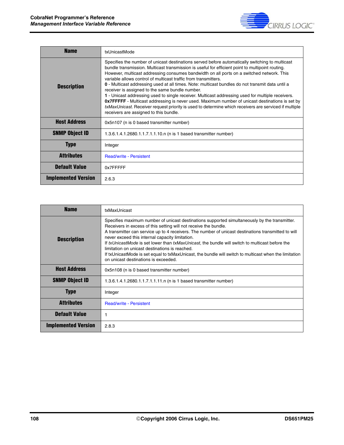

| <b>Name</b>                | txUnicastMode                                                                                                                                                                                                                                                                                                                                                                                                                                                                                                                                                                                                                                                                                                                                                                                                                                                                                |
|----------------------------|----------------------------------------------------------------------------------------------------------------------------------------------------------------------------------------------------------------------------------------------------------------------------------------------------------------------------------------------------------------------------------------------------------------------------------------------------------------------------------------------------------------------------------------------------------------------------------------------------------------------------------------------------------------------------------------------------------------------------------------------------------------------------------------------------------------------------------------------------------------------------------------------|
| <b>Description</b>         | Specifies the number of unicast destinations served before automatically switching to multicast<br>bundle transmission. Multicast transmission is useful for efficient point to multipoint routing.<br>However, multicast addressing consumes bandwidth on all ports on a switched network. This<br>variable allows control of multicast traffic from transmitters.<br>0 - Multicast addressing used at all times. Note: multicast bundles do not transmit data until a<br>receiver is assigned to the same bundle number.<br>1 - Unicast addressing used to single receiver. Multicast addressing used for multiple receivers.<br><b>Ox7FFFFF</b> - Multicast addressing is never used. Maximum number of unicast destinations is set by<br>txMaxUnicast. Receiver request priority is used to determine which receivers are serviced if multiple<br>receivers are assigned to this bundle. |
| <b>Host Address</b>        | 0x5n107 (n is 0 based transmitter number)                                                                                                                                                                                                                                                                                                                                                                                                                                                                                                                                                                                                                                                                                                                                                                                                                                                    |
| <b>SNMP Object ID</b>      | 1.3.6.1.4.1.2680.1.1.7.1.1.10.n (n is 1 based transmitter number)                                                                                                                                                                                                                                                                                                                                                                                                                                                                                                                                                                                                                                                                                                                                                                                                                            |
| <b>Type</b>                | Integer                                                                                                                                                                                                                                                                                                                                                                                                                                                                                                                                                                                                                                                                                                                                                                                                                                                                                      |
| <b>Attributes</b>          | <b>Read/write - Persistent</b>                                                                                                                                                                                                                                                                                                                                                                                                                                                                                                                                                                                                                                                                                                                                                                                                                                                               |
| <b>Default Value</b>       | 0x7FFFFF                                                                                                                                                                                                                                                                                                                                                                                                                                                                                                                                                                                                                                                                                                                                                                                                                                                                                     |
| <b>Implemented Version</b> | 2.6.3                                                                                                                                                                                                                                                                                                                                                                                                                                                                                                                                                                                                                                                                                                                                                                                                                                                                                        |

| <b>Name</b>                | txMaxUnicast                                                                                                                                                                                                                                                                                                                                                                                                                                                                                                                                                                                                                       |
|----------------------------|------------------------------------------------------------------------------------------------------------------------------------------------------------------------------------------------------------------------------------------------------------------------------------------------------------------------------------------------------------------------------------------------------------------------------------------------------------------------------------------------------------------------------------------------------------------------------------------------------------------------------------|
| <b>Description</b>         | Specifies maximum number of unicast destinations supported simultaneously by the transmitter.<br>Receivers in excess of this setting will not receive the bundle.<br>A transmitter can service up to 4 receivers. The number of unicast destinations transmitted to will<br>never exceed this internal capacity limitation.<br>If txUnicastMode is set lower than txMaxUnicast, the bundle will switch to multicast before the<br>limitation on unicast destinations is reached.<br>If txUnicastMode is set equal to txMaxUnicast, the bundle will switch to multicast when the limitation<br>on unicast destinations is exceeded. |
| <b>Host Address</b>        | 0x5n108 (n is 0 based transmitter number)                                                                                                                                                                                                                                                                                                                                                                                                                                                                                                                                                                                          |
| <b>SNMP Object ID</b>      | 1.3.6.1.4.1.2680.1.1.7.1.1.11.n (n is 1 based transmitter number)                                                                                                                                                                                                                                                                                                                                                                                                                                                                                                                                                                  |
| <b>Type</b>                | Integer                                                                                                                                                                                                                                                                                                                                                                                                                                                                                                                                                                                                                            |
| <b>Attributes</b>          | <b>Read/write - Persistent</b>                                                                                                                                                                                                                                                                                                                                                                                                                                                                                                                                                                                                     |
| <b>Default Value</b>       |                                                                                                                                                                                                                                                                                                                                                                                                                                                                                                                                                                                                                                    |
| <b>Implemented Version</b> | 2.8.3                                                                                                                                                                                                                                                                                                                                                                                                                                                                                                                                                                                                                              |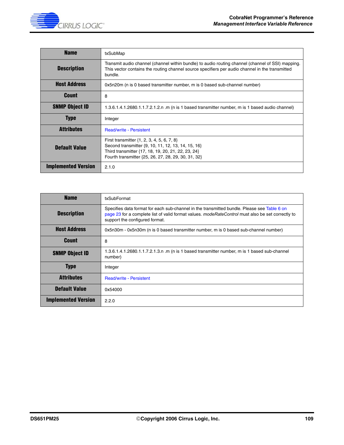

| <b>Name</b>                | txSubMap                                                                                                                                                                                                          |
|----------------------------|-------------------------------------------------------------------------------------------------------------------------------------------------------------------------------------------------------------------|
| <b>Description</b>         | Transmit audio channel (channel within bundle) to audio routing channel (channel of SSI) mapping.<br>This vector contains the routing channel source specifiers per audio channel in the transmitted<br>bundle.   |
| <b>Host Address</b>        | 0x5n20m (n is 0 based transmitter number, m is 0 based sub-channel number)                                                                                                                                        |
| Count                      | 8                                                                                                                                                                                                                 |
| <b>SNMP Object ID</b>      | 1.3.6.1.4.1.2680.1.1.7.2.1.2.n .m (n is 1 based transmitter number, m is 1 based audio channel)                                                                                                                   |
| <b>Type</b>                | Integer                                                                                                                                                                                                           |
| <b>Attributes</b>          | <b>Read/write - Persistent</b>                                                                                                                                                                                    |
| <b>Default Value</b>       | First transmitter $\{1, 2, 3, 4, 5, 6, 7, 8\}$<br>Second transmitter {9, 10, 11, 12, 13, 14, 15, 16}<br>Third transmitter {17, 18, 19, 20, 21, 22, 23, 24}<br>Fourth transmitter {25, 26, 27, 28, 29, 30, 31, 32} |
| <b>Implemented Version</b> | 2.1.0                                                                                                                                                                                                             |

| <b>Name</b>                | txSubFormat                                                                                                                                                                                                                        |
|----------------------------|------------------------------------------------------------------------------------------------------------------------------------------------------------------------------------------------------------------------------------|
| <b>Description</b>         | Specifies data format for each sub-channel in the transmitted bundle. Please see Table 6 on<br>page 23 for a complete list of valid format values. modeRateControl must also be set correctly to<br>support the configured format. |
| <b>Host Address</b>        | 0x5n30m - 0x5n30m (n is 0 based transmitter number, m is 0 based sub-channel number)                                                                                                                                               |
| <b>Count</b>               | 8                                                                                                                                                                                                                                  |
| <b>SNMP Object ID</b>      | 1.3.6.1.4.1.2680.1.1.7.2.1.3.n .m (n is 1 based transmitter number, m is 1 based sub-channel<br>number)                                                                                                                            |
| <b>Type</b>                | Integer                                                                                                                                                                                                                            |
| <b>Attributes</b>          | <b>Read/write - Persistent</b>                                                                                                                                                                                                     |
| <b>Default Value</b>       | 0x54000                                                                                                                                                                                                                            |
| <b>Implemented Version</b> | 2.2.0                                                                                                                                                                                                                              |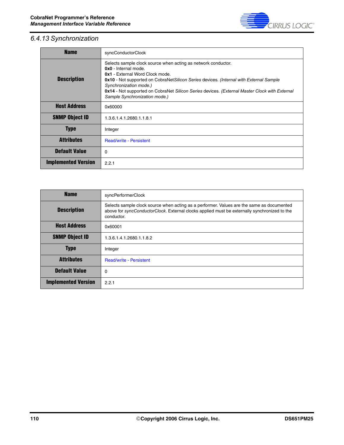

# *6.4.13 Synchronization*

| <b>Name</b>                | syncConductorClock                                                                                                                                                                                                                                                                                                                                                                           |
|----------------------------|----------------------------------------------------------------------------------------------------------------------------------------------------------------------------------------------------------------------------------------------------------------------------------------------------------------------------------------------------------------------------------------------|
| <b>Description</b>         | Selects sample clock source when acting as network conductor.<br>0x0 - Internal mode.<br><b>0x1 - External Word Clock mode.</b><br><b>0x10</b> - Not supported on CobraNetSilicon Series devices. (Internal with External Sample<br>Synchronization mode.)<br>0x14 - Not supported on CobraNet Silicon Series devices. (External Master Clock with External<br>Sample Synchronization mode.) |
| <b>Host Address</b>        | 0x60000                                                                                                                                                                                                                                                                                                                                                                                      |
| <b>SNMP Object ID</b>      | 1.3.6.1.4.1.2680.1.1.8.1                                                                                                                                                                                                                                                                                                                                                                     |
| <b>Type</b>                | Integer                                                                                                                                                                                                                                                                                                                                                                                      |
| <b>Attributes</b>          | <b>Read/write - Persistent</b>                                                                                                                                                                                                                                                                                                                                                               |
| <b>Default Value</b>       | 0                                                                                                                                                                                                                                                                                                                                                                                            |
| <b>Implemented Version</b> | 2.2.1                                                                                                                                                                                                                                                                                                                                                                                        |

| <b>Name</b>                | syncPerformerClock                                                                                                                                                                                      |
|----------------------------|---------------------------------------------------------------------------------------------------------------------------------------------------------------------------------------------------------|
| <b>Description</b>         | Selects sample clock source when acting as a performer. Values are the same as documented<br>above for syncConductorClock. External clocks applied must be externally synchronized to the<br>conductor. |
| <b>Host Address</b>        | 0x60001                                                                                                                                                                                                 |
| <b>SNMP Object ID</b>      | 1.3.6.1.4.1.2680.1.1.8.2                                                                                                                                                                                |
| <b>Type</b>                | Integer                                                                                                                                                                                                 |
| <b>Attributes</b>          | <b>Read/write - Persistent</b>                                                                                                                                                                          |
| <b>Default Value</b>       | 0                                                                                                                                                                                                       |
| <b>Implemented Version</b> | 2.2.1                                                                                                                                                                                                   |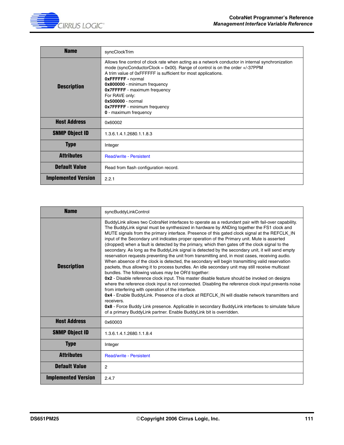

| <b>Name</b>                | syncClockTrim                                                                                                                                                                                                                                                                                                                                                                                                                                                    |
|----------------------------|------------------------------------------------------------------------------------------------------------------------------------------------------------------------------------------------------------------------------------------------------------------------------------------------------------------------------------------------------------------------------------------------------------------------------------------------------------------|
| <b>Description</b>         | Allows fine control of clock rate when acting as a network conductor in internal synchronization<br>mode (syncConductorClock = $0x00$ ). Range of control is on the order $+/-37$ PPM<br>A trim value of 0xFFFFFF is sufficient for most applications.<br><b>OXFFFFFF</b> - normal<br>0x800000 - minimum frequency<br><b>Ox7FFFFF</b> - maximum frequency<br>For RAVE only:<br>0x500000 - normal<br><b>Ox7FFFFF</b> - minimum frequency<br>0 - maximum frequency |
| <b>Host Address</b>        | 0x60002                                                                                                                                                                                                                                                                                                                                                                                                                                                          |
| <b>SNMP Object ID</b>      | 1.3.6.1.4.1.2680.1.1.8.3                                                                                                                                                                                                                                                                                                                                                                                                                                         |
| <b>Type</b>                | Integer                                                                                                                                                                                                                                                                                                                                                                                                                                                          |
| <b>Attributes</b>          | <b>Read/write - Persistent</b>                                                                                                                                                                                                                                                                                                                                                                                                                                   |
| <b>Default Value</b>       | Read from flash configuration record.                                                                                                                                                                                                                                                                                                                                                                                                                            |
| <b>Implemented Version</b> | 2.2.1                                                                                                                                                                                                                                                                                                                                                                                                                                                            |

| <b>Name</b>                | syncBuddyLinkControl                                                                                                                                                                                                                                                                                                                                                                                                                                                                                                                                                                                                                                                                                                                                                                                                                                                                                                                                                                                                                                                                                                                                                                                                                                                                                                                                                                                                                                                                                                              |
|----------------------------|-----------------------------------------------------------------------------------------------------------------------------------------------------------------------------------------------------------------------------------------------------------------------------------------------------------------------------------------------------------------------------------------------------------------------------------------------------------------------------------------------------------------------------------------------------------------------------------------------------------------------------------------------------------------------------------------------------------------------------------------------------------------------------------------------------------------------------------------------------------------------------------------------------------------------------------------------------------------------------------------------------------------------------------------------------------------------------------------------------------------------------------------------------------------------------------------------------------------------------------------------------------------------------------------------------------------------------------------------------------------------------------------------------------------------------------------------------------------------------------------------------------------------------------|
| <b>Description</b>         | BuddyLink allows two CobraNet interfaces to operate as a redundant pair with fail-over capability.<br>The BuddyLink signal must be synthesized in hardware by ANDing together the FS1 clock and<br>MUTE signals from the primary interface. Presence of this gated clock signal at the REFCLK IN<br>input of the Secondary unit indicates proper operation of the Primary unit. Mute is asserted<br>(dropped) when a fault is detected by the primary, which then gates off the clock signal to the<br>secondary. As long as the BuddyLink signal is detected by the secondary unit, it will send empty<br>reservation requests preventing the unit from transmitting and, in most cases, receiving audio.<br>When absence of the clock is detected, the secondary will begin transmitting valid reservation<br>packets, thus allowing it to process bundles. An idle secondary unit may still receive multicast<br>bundles. The following values may be OR'd together:<br>0x2 - Disable reference clock input. This master disable feature should be invoked on designs<br>where the reference clock input is not connected. Disabling the reference clock input prevents noise<br>from interfering with operation of the interface.<br>0x4 - Enable BuddyLink. Presence of a clock at REFCLK IN will disable network transmitters and<br>receivers.<br>0x8 - Force Buddy Link presence. Applicable in secondary BuddyLink interfaces to simulate failure<br>of a primary BuddyLink partner. Enable BuddyLink bit is overridden. |
| <b>Host Address</b>        | 0x60003                                                                                                                                                                                                                                                                                                                                                                                                                                                                                                                                                                                                                                                                                                                                                                                                                                                                                                                                                                                                                                                                                                                                                                                                                                                                                                                                                                                                                                                                                                                           |
| <b>SNMP Object ID</b>      | 1.3.6.1.4.1.2680.1.1.8.4                                                                                                                                                                                                                                                                                                                                                                                                                                                                                                                                                                                                                                                                                                                                                                                                                                                                                                                                                                                                                                                                                                                                                                                                                                                                                                                                                                                                                                                                                                          |
| <b>Type</b>                | Integer                                                                                                                                                                                                                                                                                                                                                                                                                                                                                                                                                                                                                                                                                                                                                                                                                                                                                                                                                                                                                                                                                                                                                                                                                                                                                                                                                                                                                                                                                                                           |
| <b>Attributes</b>          | <b>Read/write - Persistent</b>                                                                                                                                                                                                                                                                                                                                                                                                                                                                                                                                                                                                                                                                                                                                                                                                                                                                                                                                                                                                                                                                                                                                                                                                                                                                                                                                                                                                                                                                                                    |
| <b>Default Value</b>       | 2                                                                                                                                                                                                                                                                                                                                                                                                                                                                                                                                                                                                                                                                                                                                                                                                                                                                                                                                                                                                                                                                                                                                                                                                                                                                                                                                                                                                                                                                                                                                 |
| <b>Implemented Version</b> | 2.4.7                                                                                                                                                                                                                                                                                                                                                                                                                                                                                                                                                                                                                                                                                                                                                                                                                                                                                                                                                                                                                                                                                                                                                                                                                                                                                                                                                                                                                                                                                                                             |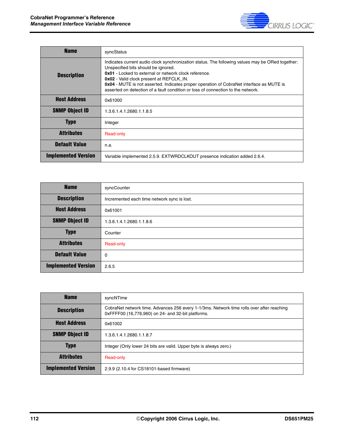

| <b>Name</b>                | syncStatus                                                                                                                                                                                                                                                                                                                                                                                                                   |
|----------------------------|------------------------------------------------------------------------------------------------------------------------------------------------------------------------------------------------------------------------------------------------------------------------------------------------------------------------------------------------------------------------------------------------------------------------------|
| <b>Description</b>         | Indicates current audio clock synchronization status. The following values may be ORed together:<br>Unspecified bits should be ignored.<br>0x01 - Locked to external or network clock reference.<br>0x02 - Valid clock present at REFCLK_IN.<br>0x04 - MUTE is not asserted. Indicates proper operation of CobraNet interface as MUTE is<br>asserted on detection of a fault condition or loss of connection to the network. |
| <b>Host Address</b>        | 0x61000                                                                                                                                                                                                                                                                                                                                                                                                                      |
| <b>SNMP Object ID</b>      | 1.3.6.1.4.1.2680.1.1.8.5                                                                                                                                                                                                                                                                                                                                                                                                     |
| <b>Type</b>                | Integer                                                                                                                                                                                                                                                                                                                                                                                                                      |
| <b>Attributes</b>          | Read-only                                                                                                                                                                                                                                                                                                                                                                                                                    |
| <b>Default Value</b>       | n.a.                                                                                                                                                                                                                                                                                                                                                                                                                         |
| <b>Implemented Version</b> | Variable implemented 2.5.9. EXTWRDCLKOUT presence indication added 2.6.4.                                                                                                                                                                                                                                                                                                                                                    |

| <b>Name</b>                | syncCounter                                 |
|----------------------------|---------------------------------------------|
| <b>Description</b>         | Incremented each time network sync is lost. |
| <b>Host Address</b>        | 0x61001                                     |
| <b>SNMP Object ID</b>      | 1.3.6.1.4.1.2680.1.1.8.6                    |
| <b>Type</b>                | Counter                                     |
| <b>Attributes</b>          | Read-only                                   |
| <b>Default Value</b>       | 0                                           |
| <b>Implemented Version</b> | 2.6.5                                       |

| <b>Name</b>                | syncNTime                                                                                                                                       |
|----------------------------|-------------------------------------------------------------------------------------------------------------------------------------------------|
| <b>Description</b>         | CobraNet network time. Advances 256 every 1-1/3ms. Network time rolls over after reaching<br>0xFFFF00 (16,776,960) on 24- and 32-bit platforms. |
| <b>Host Address</b>        | 0x61002                                                                                                                                         |
| <b>SNMP Object ID</b>      | 1.3.6.1.4.1.2680.1.1.8.7                                                                                                                        |
| <b>Type</b>                | Integer (Only lower 24 bits are valid. Upper byte is always zero.)                                                                              |
| <b>Attributes</b>          | Read-only                                                                                                                                       |
| <b>Implemented Version</b> | 2.9.9 (2.10.4 for CS18101-based firmware)                                                                                                       |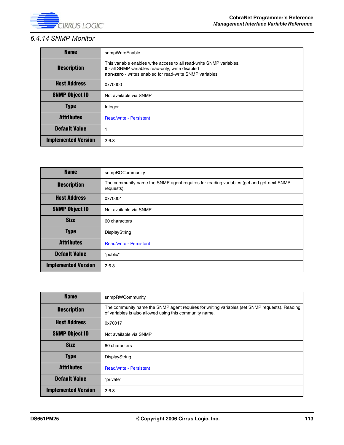

## *6.4.14 SNMP Monitor*

| <b>Name</b>                | snmpWriteEnable                                                                                                                                                                     |
|----------------------------|-------------------------------------------------------------------------------------------------------------------------------------------------------------------------------------|
| <b>Description</b>         | This variable enables write access to all read-write SNMP variables.<br>0 - all SNMP variables read-only; write disabled<br>non-zero - writes enabled for read-write SNMP variables |
| <b>Host Address</b>        | 0x70000                                                                                                                                                                             |
| <b>SNMP Object ID</b>      | Not available via SNMP                                                                                                                                                              |
| <b>Type</b>                | Integer                                                                                                                                                                             |
| <b>Attributes</b>          | <b>Read/write - Persistent</b>                                                                                                                                                      |
| <b>Default Value</b>       |                                                                                                                                                                                     |
| <b>Implemented Version</b> | 2.6.3                                                                                                                                                                               |

| <b>Name</b>                | snmpROCommunity                                                                                       |
|----------------------------|-------------------------------------------------------------------------------------------------------|
| <b>Description</b>         | The community name the SNMP agent requires for reading variables (get and get-next SNMP<br>requests). |
| <b>Host Address</b>        | 0x70001                                                                                               |
| <b>SNMP Object ID</b>      | Not available via SNMP                                                                                |
| <b>Size</b>                | 60 characters                                                                                         |
| <b>Type</b>                | DisplayString                                                                                         |
| <b>Attributes</b>          | <b>Read/write - Persistent</b>                                                                        |
| <b>Default Value</b>       | "public"                                                                                              |
| <b>Implemented Version</b> | 2.6.3                                                                                                 |

| <b>Name</b>                | snmpRWCommunity                                                                                                                                          |
|----------------------------|----------------------------------------------------------------------------------------------------------------------------------------------------------|
| <b>Description</b>         | The community name the SNMP agent requires for writing variables (set SNMP requests). Reading<br>of variables is also allowed using this community name. |
| <b>Host Address</b>        | 0x70017                                                                                                                                                  |
| <b>SNMP Object ID</b>      | Not available via SNMP                                                                                                                                   |
| <b>Size</b>                | 60 characters                                                                                                                                            |
| <b>Type</b>                | DisplayString                                                                                                                                            |
| <b>Attributes</b>          | <b>Read/write - Persistent</b>                                                                                                                           |
| <b>Default Value</b>       | "private"                                                                                                                                                |
| <b>Implemented Version</b> | 2.6.3                                                                                                                                                    |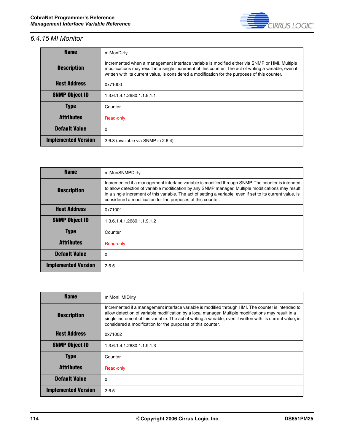

## *6.4.15 MI Monitor*

| <b>Name</b>                | miMonDirty                                                                                                                                                                                                                                                                                                |
|----------------------------|-----------------------------------------------------------------------------------------------------------------------------------------------------------------------------------------------------------------------------------------------------------------------------------------------------------|
| <b>Description</b>         | Incremented when a management interface variable is modified either via SNMP or HMI. Multiple<br>modifications may result in a single increment of this counter. The act of writing a variable, even if<br>written with its current value, is considered a modification for the purposes of this counter. |
| <b>Host Address</b>        | 0x71000                                                                                                                                                                                                                                                                                                   |
| <b>SNMP Object ID</b>      | 1.3.6.1.4.1.2680.1.1.9.1.1                                                                                                                                                                                                                                                                                |
| <b>Type</b>                | Counter                                                                                                                                                                                                                                                                                                   |
| <b>Attributes</b>          | Read-only                                                                                                                                                                                                                                                                                                 |
| <b>Default Value</b>       | 0                                                                                                                                                                                                                                                                                                         |
| <b>Implemented Version</b> | 2.6.3 (available via SNMP in 2.6.4)                                                                                                                                                                                                                                                                       |

| <b>Name</b>                | miMonSNMPDirty                                                                                                                                                                                                                                                                                                                                                                       |
|----------------------------|--------------------------------------------------------------------------------------------------------------------------------------------------------------------------------------------------------------------------------------------------------------------------------------------------------------------------------------------------------------------------------------|
| <b>Description</b>         | Incremented if a management interface variable is modified through SNMP. The counter is intended<br>to allow detection of variable modification by any SNMP manager. Multiple modifications may result<br>in a single increment of this variable. The act of setting a variable, even if set to its current value, is<br>considered a modification for the purposes of this counter. |
| <b>Host Address</b>        | 0x71001                                                                                                                                                                                                                                                                                                                                                                              |
| <b>SNMP Object ID</b>      | 1.3.6.1.4.1.2680.1.1.9.1.2                                                                                                                                                                                                                                                                                                                                                           |
| <b>Type</b>                | Counter                                                                                                                                                                                                                                                                                                                                                                              |
| <b>Attributes</b>          | Read-only                                                                                                                                                                                                                                                                                                                                                                            |
| <b>Default Value</b>       | 0                                                                                                                                                                                                                                                                                                                                                                                    |
| <b>Implemented Version</b> | 2.6.5                                                                                                                                                                                                                                                                                                                                                                                |

| <b>Name</b>                | miMonHMIDirty                                                                                                                                                                                                                                                                                                                                                                            |
|----------------------------|------------------------------------------------------------------------------------------------------------------------------------------------------------------------------------------------------------------------------------------------------------------------------------------------------------------------------------------------------------------------------------------|
| <b>Description</b>         | Incremented if a management interface variable is modified through HMI. The counter is intended to<br>allow detection of variable modification by a local manager. Multiple modifications may result in a<br>single increment of this variable. The act of writing a variable, even if written with its current value, is<br>considered a modification for the purposes of this counter. |
| <b>Host Address</b>        | 0x71002                                                                                                                                                                                                                                                                                                                                                                                  |
| <b>SNMP Object ID</b>      | 1.3.6.1.4.1.2680.1.1.9.1.3                                                                                                                                                                                                                                                                                                                                                               |
| <b>Type</b>                | Counter                                                                                                                                                                                                                                                                                                                                                                                  |
| <b>Attributes</b>          | Read-only                                                                                                                                                                                                                                                                                                                                                                                |
| <b>Default Value</b>       | 0                                                                                                                                                                                                                                                                                                                                                                                        |
| <b>Implemented Version</b> | 2.6.5                                                                                                                                                                                                                                                                                                                                                                                    |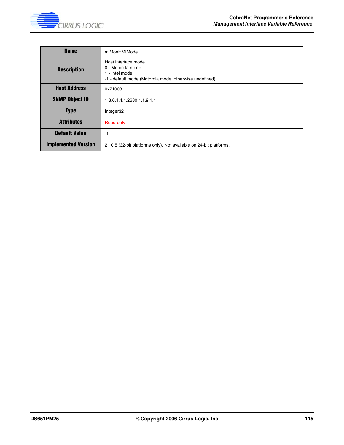

| <b>Name</b>                | miMonHMIMode                                                                                                          |
|----------------------------|-----------------------------------------------------------------------------------------------------------------------|
| <b>Description</b>         | Host interface mode.<br>0 - Motorola mode<br>1 - Intel mode<br>-1 - default mode (Motorola mode, otherwise undefined) |
| <b>Host Address</b>        | 0x71003                                                                                                               |
| <b>SNMP Object ID</b>      | 1.3.6.1.4.1.2680.1.1.9.1.4                                                                                            |
| <b>Type</b>                | Integer32                                                                                                             |
| <b>Attributes</b>          | Read-only                                                                                                             |
| <b>Default Value</b>       | -1                                                                                                                    |
| <b>Implemented Version</b> | 2.10.5 (32-bit platforms only). Not available on 24-bit platforms.                                                    |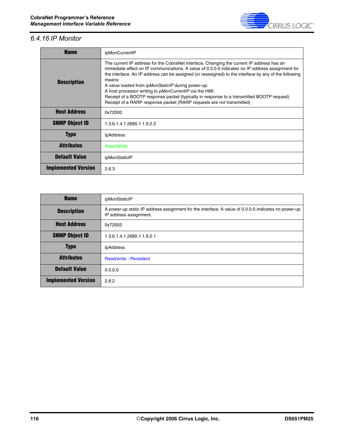

# *6.4.16 IP Monitor*

| <b>Name</b>                | ipMonCurrentIP                                                                                                                                                                                                                                                                                                                                                                                                                                                                                                                                                                                                       |
|----------------------------|----------------------------------------------------------------------------------------------------------------------------------------------------------------------------------------------------------------------------------------------------------------------------------------------------------------------------------------------------------------------------------------------------------------------------------------------------------------------------------------------------------------------------------------------------------------------------------------------------------------------|
| <b>Description</b>         | The current IP address for the CobraNet interface. Changing the current IP address has an<br>immediate effect on IP communications. A value of 0.0.0.0 indicates no IP address assignment for<br>the interface. An IP address can be assigned (or reassigned) to the interface by any of the following<br>means:<br>A value loaded from <i>ipMonStaticIP</i> during power-up.<br>A host processor writing to <i>pMonCurrentIP</i> via the HMI.<br>Receipt of a BOOTP response packet (typically in response to a transmitted BOOTP request)<br>Receipt of a RARP response packet (RARP requests are not transmitted) |
| <b>Host Address</b>        | 0x72000                                                                                                                                                                                                                                                                                                                                                                                                                                                                                                                                                                                                              |
| <b>SNMP Object ID</b>      | 1.3.6.1.4.1.2680.1.1.9.2.2                                                                                                                                                                                                                                                                                                                                                                                                                                                                                                                                                                                           |
| <b>Type</b>                | <b>IpAddress</b>                                                                                                                                                                                                                                                                                                                                                                                                                                                                                                                                                                                                     |
| <b>Attributes</b>          | <b>Read/Write</b>                                                                                                                                                                                                                                                                                                                                                                                                                                                                                                                                                                                                    |
| <b>Default Value</b>       | ipMonStaticIP                                                                                                                                                                                                                                                                                                                                                                                                                                                                                                                                                                                                        |
| <b>Implemented Version</b> | 2.6.3                                                                                                                                                                                                                                                                                                                                                                                                                                                                                                                                                                                                                |

| <b>Name</b>                | ipMonStaticIP                                                                                                                 |
|----------------------------|-------------------------------------------------------------------------------------------------------------------------------|
| <b>Description</b>         | A power-up static IP address assignment for the interface. A value of 0.0.0.0 indicates no power-up<br>IP address assignment. |
| <b>Host Address</b>        | 0x72002                                                                                                                       |
| <b>SNMP Object ID</b>      | 1.3.6.1.4.1.2680.1.1.9.2.1                                                                                                    |
| <b>Type</b>                | <b>IpAddress</b>                                                                                                              |
| <b>Attributes</b>          | <b>Read/write - Persistent</b>                                                                                                |
| <b>Default Value</b>       | 0.0.0.0                                                                                                                       |
| <b>Implemented Version</b> | 2.8.2                                                                                                                         |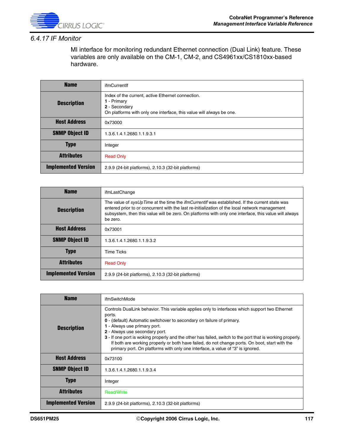

### *6.4.17 IF Monitor*

MI interface for monitoring redundant Ethernet connection (Dual Link) feature. These variables are only available on the CM-1, CM-2, and CS4961xx/CS1810xx-based hardware.

| <b>Name</b>                | ifmCurrentlf                                                                                                                                              |
|----------------------------|-----------------------------------------------------------------------------------------------------------------------------------------------------------|
| <b>Description</b>         | Index of the current, active Ethernet connection.<br>1 - Primary<br>2 - Secondary<br>On platforms with only one interface, this value will always be one. |
| <b>Host Address</b>        | 0x73000                                                                                                                                                   |
| <b>SNMP Object ID</b>      | 1.3.6.1.4.1.2680.1.1.9.3.1                                                                                                                                |
| <b>Type</b>                | Integer                                                                                                                                                   |
| <b>Attributes</b>          | <b>Read Only</b>                                                                                                                                          |
| <b>Implemented Version</b> | 2.9.9 (24-bit platforms), 2.10.3 (32-bit platforms)                                                                                                       |

| <b>Name</b>                | ifmLastChange                                                                                                                                                                                                                                                                                                               |
|----------------------------|-----------------------------------------------------------------------------------------------------------------------------------------------------------------------------------------------------------------------------------------------------------------------------------------------------------------------------|
| <b>Description</b>         | The value of sysUpTime at the time the <i>ifmCurrentif</i> was established. If the current state was<br>entered prior to or concurrent with the last re-initialization of the local network management<br>subsystem, then this value will be zero. On platforms with only one interface, this value will always<br>be zero. |
| <b>Host Address</b>        | 0x73001                                                                                                                                                                                                                                                                                                                     |
| <b>SNMP Object ID</b>      | 1.3.6.1.4.1.2680.1.1.9.3.2                                                                                                                                                                                                                                                                                                  |
| <b>Type</b>                | <b>Time Ticks</b>                                                                                                                                                                                                                                                                                                           |
| <b>Attributes</b>          | <b>Read Only</b>                                                                                                                                                                                                                                                                                                            |
| <b>Implemented Version</b> | 2.9.9 (24-bit platforms), 2.10.3 (32-bit platforms)                                                                                                                                                                                                                                                                         |

| <b>Name</b>                | ifmSwitchMode                                                                                                                                                                                                                                                                                                                                                                                                                                                                                                                                          |
|----------------------------|--------------------------------------------------------------------------------------------------------------------------------------------------------------------------------------------------------------------------------------------------------------------------------------------------------------------------------------------------------------------------------------------------------------------------------------------------------------------------------------------------------------------------------------------------------|
| <b>Description</b>         | Controls DualLink behavior. This variable applies only to interfaces which support two Ethernet<br>ports.<br>0 - (default) Automatic switchover to secondary on failure of primary.<br>1 - Always use primary port.<br>2 - Always use secondary port.<br>3 - If one port is woking properly and the other has failed, switch to the port that is working properly.<br>If both are working properly or both have failed, do not change ports. On boot, start with the<br>primary port. On platforms with only one interface, a value of "3" is ignored. |
| <b>Host Address</b>        | 0x73100                                                                                                                                                                                                                                                                                                                                                                                                                                                                                                                                                |
| <b>SNMP Object ID</b>      | 1.3.6.1.4.1.2680.1.1.9.3.4                                                                                                                                                                                                                                                                                                                                                                                                                                                                                                                             |
| <b>Type</b>                | Integer                                                                                                                                                                                                                                                                                                                                                                                                                                                                                                                                                |
| <b>Attributes</b>          | <b>Read/Write</b>                                                                                                                                                                                                                                                                                                                                                                                                                                                                                                                                      |
| <b>Implemented Version</b> | 2.9.9 (24-bit platforms), 2.10.3 (32-bit platforms)                                                                                                                                                                                                                                                                                                                                                                                                                                                                                                    |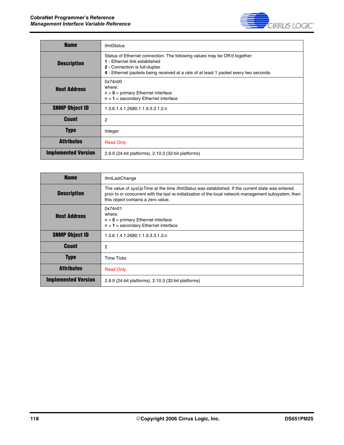

| <b>Name</b>                | ifmtStatus                                                                                                                                                                                                                                  |
|----------------------------|---------------------------------------------------------------------------------------------------------------------------------------------------------------------------------------------------------------------------------------------|
| <b>Description</b>         | Status of Ethernet connection. The following values may be OR'd together:<br>1 - Ethernet link established<br><b>2</b> - Connection is full-duplex<br>4 - Ethernet packets being received at a rate of at least 1 packet every two seconds. |
| <b>Host Address</b>        | 0x74n00<br>where:<br>$n = 0$ = primary Ethernet interface<br>$n = 1$ = secondary Ethernet interface                                                                                                                                         |
| <b>SNMP Object ID</b>      | 1.3.6.1.4.1.2680.1.1.9.3.3.1.2.n                                                                                                                                                                                                            |
| <b>Count</b>               | 2                                                                                                                                                                                                                                           |
| <b>Type</b>                | Integer                                                                                                                                                                                                                                     |
| <b>Attributes</b>          | <b>Read Only</b>                                                                                                                                                                                                                            |
| <b>Implemented Version</b> | 2.9.9 (24-bit platforms), 2.10.3 (32-bit platforms)                                                                                                                                                                                         |

| <b>Name</b>                | ifmtLastChange                                                                                                                                                                                                                                  |
|----------------------------|-------------------------------------------------------------------------------------------------------------------------------------------------------------------------------------------------------------------------------------------------|
| <b>Description</b>         | The value of sysUpTime at the time ifmtStatus was established. If the current state was entered<br>prior to or concurrent with the last re-initialization of the local network management subsystem, then<br>this object contains a zero value. |
| <b>Host Address</b>        | 0x74n01<br>where:<br>$n = 0$ = primary Ethernet interface<br>$n = 1$ = secondary Ethernet interface                                                                                                                                             |
| <b>SNMP Object ID</b>      | 1.3.6.1.4.1.2680.1.1.9.3.3.1.3.n                                                                                                                                                                                                                |
| <b>Count</b>               | 2                                                                                                                                                                                                                                               |
| <b>Type</b>                | <b>Time Ticks</b>                                                                                                                                                                                                                               |
| <b>Attributes</b>          | <b>Read Only</b>                                                                                                                                                                                                                                |
| <b>Implemented Version</b> | 2.9.9 (24-bit platforms), 2.10.3 (32-bit platforms)                                                                                                                                                                                             |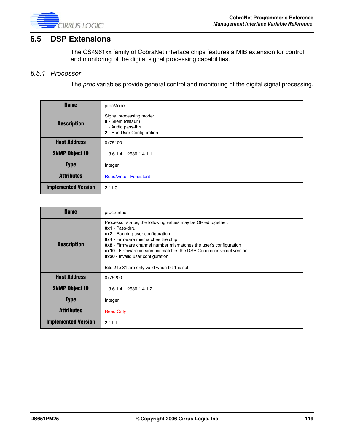

# **6.5 DSP Extensions**

The CS4961xx family of CobraNet interface chips features a MIB extension for control and monitoring of the digital signal processing capabilities.

#### *6.5.1 Processor*

The *proc* variables provide general control and monitoring of the digital signal processing.

| <b>Name</b>                | procMode                                                                                             |
|----------------------------|------------------------------------------------------------------------------------------------------|
| <b>Description</b>         | Signal processing mode:<br>0 - Silent (default)<br>1 - Audio pass-thru<br>2 - Run User Configuration |
| <b>Host Address</b>        | 0x75100                                                                                              |
| <b>SNMP Object ID</b>      | 1.3.6.1.4.1.2680.1.4.1.1                                                                             |
| <b>Type</b>                | Integer                                                                                              |
| <b>Attributes</b>          | <b>Read/write - Persistent</b>                                                                       |
| <b>Implemented Version</b> | 2.11.0                                                                                               |

| <b>Name</b>                | procStatus                                                                                                                                                                                                                                                                                                                                                                                                                  |
|----------------------------|-----------------------------------------------------------------------------------------------------------------------------------------------------------------------------------------------------------------------------------------------------------------------------------------------------------------------------------------------------------------------------------------------------------------------------|
| <b>Description</b>         | Processor status, the following values may be OR'ed together:<br>$0x1 - Pass-thru$<br>ox2 - Running user configuration<br><b>0x4</b> - Firmware mismatches the chip<br><b>0x8</b> - Firmware channel number mismatches the user's configuration<br><b>ox10</b> - Firmware version mismatches the DSP Conductor kernel version<br><b>0x20</b> - Invalid user configuration<br>Bits 2 to 31 are only valid when bit 1 is set. |
| <b>Host Address</b>        | 0x75200                                                                                                                                                                                                                                                                                                                                                                                                                     |
| <b>SNMP Object ID</b>      | 1.3.6.1.4.1.2680.1.4.1.2                                                                                                                                                                                                                                                                                                                                                                                                    |
| <b>Type</b>                | Integer                                                                                                                                                                                                                                                                                                                                                                                                                     |
| <b>Attributes</b>          | <b>Read Only</b>                                                                                                                                                                                                                                                                                                                                                                                                            |
| <b>Implemented Version</b> | 2.11.1                                                                                                                                                                                                                                                                                                                                                                                                                      |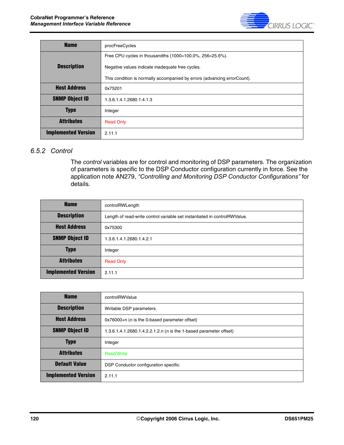

| <b>Name</b>                | procFreeCycles                                                            |
|----------------------------|---------------------------------------------------------------------------|
|                            | Free CPU cycles in thousandths (1000=100.0%, 256=25.6%).                  |
| <b>Description</b>         | Negative values indicate inadequate free cycles.                          |
|                            | This condition is normally accompanied by errors (advancing error Count). |
| <b>Host Address</b>        | 0x75201                                                                   |
| <b>SNMP Object ID</b>      | 1.3.6.1.4.1.2680.1.4.1.3                                                  |
| <b>Type</b>                | Integer                                                                   |
| <b>Attributes</b>          | <b>Read Only</b>                                                          |
| <b>Implemented Version</b> | 2.11.1                                                                    |

### *6.5.2 Control*

The *control* variables are for control and monitoring of DSP parameters. The organization of parameters is specific to the DSP Conductor configuration currently in force. See the application note AN279, *"Controlling and Monitoring DSP Conductor Configurations"* for details.

| <b>Name</b>                | controlRWLength                                                           |
|----------------------------|---------------------------------------------------------------------------|
| <b>Description</b>         | Length of read-write control variable set instantiated in controlRWValue. |
| <b>Host Address</b>        | 0x75300                                                                   |
| <b>SNMP Object ID</b>      | 1.3.6.1.4.1.2680.1.4.2.1                                                  |
| <b>Type</b>                | Integer                                                                   |
| <b>Attributes</b>          | <b>Read Only</b>                                                          |
| <b>Implemented Version</b> | 2.11.1                                                                    |

| <b>Name</b>                | controlRWValue                                                             |
|----------------------------|----------------------------------------------------------------------------|
| <b>Description</b>         | Writable DSP parameters.                                                   |
| <b>Host Address</b>        | $0x76000+n$ ( <i>n</i> is the 0-based parameter offset)                    |
| <b>SNMP Object ID</b>      | 1.3.6.1.4.1.2680.1.4.2.2.1.2.n ( <i>n</i> is the 1-based parameter offset) |
| <b>Type</b>                | Integer                                                                    |
| <b>Attributes</b>          | Read/Write                                                                 |
| <b>Default Value</b>       | DSP Conductor configuration specific.                                      |
| <b>Implemented Version</b> | 2.11.1                                                                     |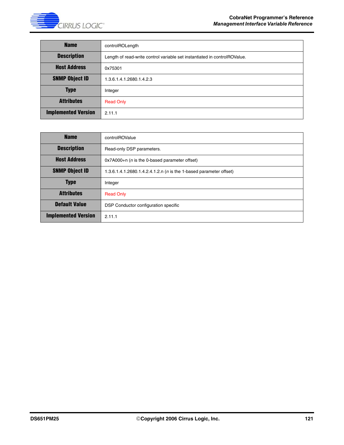

| <b>Name</b>                | controlROLength                                                           |
|----------------------------|---------------------------------------------------------------------------|
| <b>Description</b>         | Length of read-write control variable set instantiated in controlROValue. |
| <b>Host Address</b>        | 0x75301                                                                   |
| <b>SNMP Object ID</b>      | 1.3.6.1.4.1.2680.1.4.2.3                                                  |
| <b>Type</b>                | Integer                                                                   |
| <b>Attributes</b>          | <b>Read Only</b>                                                          |
| <b>Implemented Version</b> | 2.11.1                                                                    |

| <b>Name</b>                                                                    | controlROValue                                                     |  |  |  |  |
|--------------------------------------------------------------------------------|--------------------------------------------------------------------|--|--|--|--|
| <b>Description</b>                                                             | Read-only DSP parameters.                                          |  |  |  |  |
| <b>Host Address</b><br>$0x7A000+n$ ( <i>n</i> is the 0-based parameter offset) |                                                                    |  |  |  |  |
| <b>SNMP Object ID</b>                                                          | 1.3.6.1.4.1.2680.1.4.2.4.1.2.n (n is the 1-based parameter offset) |  |  |  |  |
| <b>Type</b>                                                                    | Integer                                                            |  |  |  |  |
| <b>Attributes</b>                                                              | <b>Read Only</b>                                                   |  |  |  |  |
| <b>Default Value</b>                                                           | DSP Conductor configuration specific                               |  |  |  |  |
| <b>Implemented Version</b>                                                     | 2.11.1                                                             |  |  |  |  |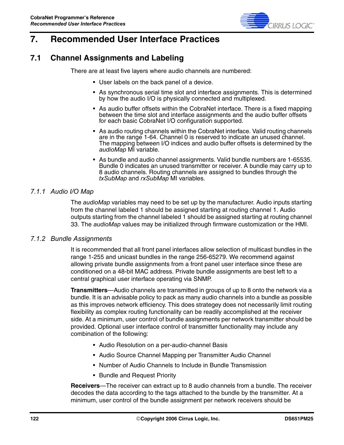

# **7. Recommended User Interface Practices**

# **7.1 Channel Assignments and Labeling**

There are at least five layers where audio channels are numbered:

- User labels on the back panel of a device.
- As synchronous serial time slot and interface assignments. This is determined by how the audio I/O is physically connected and multiplexed.
- As audio buffer offsets within the CobraNet interface. There is a fixed mapping between the time slot and interface assignments and the audio buffer offsets for each basic CobraNet I/O configuration supported.
- As audio routing channels within the CobraNet interface. Valid routing channels are in the range 1-64. Channel 0 is reserved to indicate an unused channel. The mapping between I/O indices and audio buffer offsets is determined by the *audioMap* MI variable.
- As bundle and audio channel assignments. Valid bundle numbers are 1-65535. Bundle 0 indicates an unused transmitter or receiver. A bundle may carry up to 8 audio channels. Routing channels are assigned to bundles through the *txSubMap* and *rxSubMap* MI variables.

### *7.1.1 Audio I/O Map*

The *audioMap* variables may need to be set up by the manufacturer. Audio inputs starting from the channel labeled 1 should be assigned starting at routing channel 1. Audio outputs starting from the channel labeled 1 should be assigned starting at routing channel 33. The *audioMap* values may be initialized through firmware customization or the HMI.

#### *7.1.2 Bundle Assignments*

It is recommended that all front panel interfaces allow selection of multicast bundles in the range 1-255 and unicast bundles in the range 256-65279. We recommend against allowing private bundle assignments from a front panel user interface since these are conditioned on a 48-bit MAC address. Private bundle assignments are best left to a central graphical user interface operating via SNMP.

**Transmitters**—Audio channels are transmitted in groups of up to 8 onto the network via a bundle. It is an advisable policy to pack as many audio channels into a bundle as possible as this improves network efficiency. This does strategey does not necessarily limit routing flexibility as complex routing functionality can be readily accomplished at the receiver side. At a minimum, user control of bundle assignments per network transmitter should be provided. Optional user interface control of transmitter functionality may include any combination of the following:

- Audio Resolution on a per-audio-channel Basis
- Audio Source Channel Mapping per Transmitter Audio Channel
- Number of Audio Channels to Include in Bundle Transmission
- Bundle and Request Priority

**Receivers**—The receiver can extract up to 8 audio channels from a bundle. The receiver decodes the data according to the tags attached to the bundle by the transmitter. At a minimum, user control of the bundle assignment per network receivers should be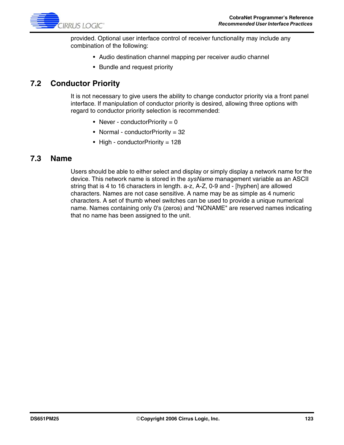

provided. Optional user interface control of receiver functionality may include any combination of the following:

- Audio destination channel mapping per receiver audio channel
- Bundle and request priority

# **7.2 Conductor Priority**

It is not necessary to give users the ability to change conductor priority via a front panel interface. If manipulation of conductor priority is desired, allowing three options with regard to conductor priority selection is recommended:

- Never conductor Priority =  $0$
- Normal conductorPriority = 32
- High conductor Priority = 128

### **7.3 Name**

Users should be able to either select and display or simply display a network name for the device. This network name is stored in the *sysName* management variable as an ASCII string that is 4 to 16 characters in length. a-z, A-Z, 0-9 and - [hyphen] are allowed characters. Names are not case sensitive. A name may be as simple as 4 numeric characters. A set of thumb wheel switches can be used to provide a unique numerical name. Names containing only 0's (zeros) and "NONAME" are reserved names indicating that no name has been assigned to the unit.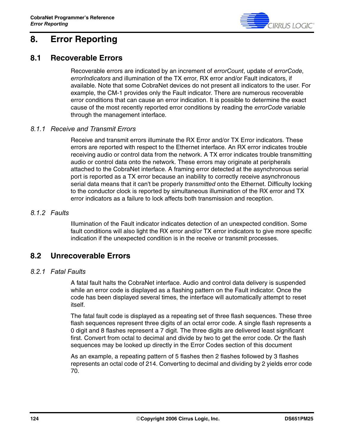

# **8. Error Reporting**

## **8.1 Recoverable Errors**

Recoverable errors are indicated by an increment of *errorCount*, update of *errorCode*, *errorIndicators* and illumination of the TX error, RX error and/or Fault indicators, if available. Note that some CobraNet devices do not present all indicators to the user. For example, the CM-1 provides only the Fault indicator. There are numerous recoverable error conditions that can cause an error indication. It is possible to determine the exact cause of the most recently reported error conditions by reading the *errorCode* variable through the management interface.

### *8.1.1 Receive and Transmit Errors*

Receive and transmit errors illuminate the RX Error and/or TX Error indicators. These errors are reported with respect to the Ethernet interface. An RX error indicates trouble receiving audio or control data from the network. A TX error indicates trouble transmitting audio or control data onto the network. These errors may originate at peripherals attached to the CobraNet interface. A framing error detected at the asynchronous serial port is reported as a TX error because an inability to correctly receive asynchronous serial data means that it can't be properly *transmitted* onto the Ethernet. Difficulty locking to the conductor clock is reported by simultaneous illumination of the RX error and TX error indicators as a failure to lock affects both transmission and reception.

#### *8.1.2 Faults*

Illumination of the Fault indicator indicates detection of an unexpected condition. Some fault conditions will also light the RX error and/or TX error indicators to give more specific indication if the unexpected condition is in the receive or transmit processes.

## **8.2 Unrecoverable Errors**

#### *8.2.1 Fatal Faults*

A fatal fault halts the CobraNet interface. Audio and control data delivery is suspended while an error code is displayed as a flashing pattern on the Fault indicator. Once the code has been displayed several times, the interface will automatically attempt to reset itself.

The fatal fault code is displayed as a repeating set of three flash sequences. These three flash sequences represent three digits of an octal error code. A single flash represents a 0 digit and 8 flashes represent a 7 digit. The three digits are delivered least significant first. Convert from octal to decimal and divide by two to get the error code. Or the flash sequences may be looked up directly in the Error Codes section of this document

As an example, a repeating pattern of 5 flashes then 2 flashes followed by 3 flashes represents an octal code of 214. Converting to decimal and dividing by 2 yields error code 70.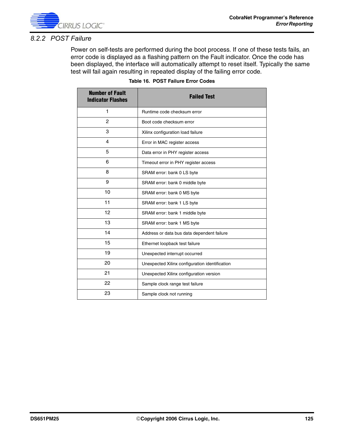

### *8.2.2 POST Failure*

Power on self-tests are performed during the boot process. If one of these tests fails, an error code is displayed as a flashing pattern on the Fault indicator. Once the code has been displayed, the interface will automatically attempt to reset itself. Typically the same test will fail again resulting in repeated display of the failing error code.

| <b>Number of Fault</b><br><b>Indicator Flashes</b> | <b>Failed Test</b>                             |
|----------------------------------------------------|------------------------------------------------|
| 1                                                  | Runtime code checksum error                    |
| $\overline{c}$                                     | Boot code checksum error                       |
| 3                                                  | Xilinx configuration load failure              |
| 4                                                  | Error in MAC register access                   |
| 5                                                  | Data error in PHY register access              |
| 6                                                  | Timeout error in PHY register access           |
| 8                                                  | SRAM error: bank 0 LS byte                     |
| 9                                                  | SRAM error: bank 0 middle byte                 |
| 10                                                 | SRAM error: bank 0 MS byte                     |
| 11                                                 | SRAM error: bank 1 LS byte                     |
| 12                                                 | SRAM error: bank 1 middle byte                 |
| 13                                                 | SRAM error: bank 1 MS byte                     |
| 14                                                 | Address or data bus data dependent failure     |
| 15                                                 | Ethernet loopback test failure                 |
| 19                                                 | Unexpected interrupt occurred                  |
| 20                                                 | Unexpected Xilinx configuration identification |
| 21                                                 | Unexpected Xilinx configuration version        |
| 22                                                 | Sample clock range test failure                |
| 23                                                 | Sample clock not running                       |

#### **Table 16. POST Failure Error Codes**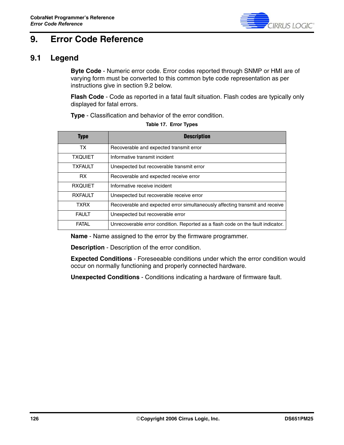

# **9. Error Code Reference**

# <span id="page-125-0"></span>**9.1 Legend**

**Byte Code** - Numeric error code. Error codes reported through SNMP or HMI are of varying form must be converted to this common byte code representation as per instructions give in [section 9.2](#page-126-0) below.

**Flash Code** - Code as reported in a fatal fault situation. Flash codes are typically only displayed for fatal errors.

**Type** - Classification and behavior of the error condition.

| <b>Type</b>    | <b>Description</b>                                                              |
|----------------|---------------------------------------------------------------------------------|
| TX.            | Recoverable and expected transmit error                                         |
| <b>TXQUIET</b> | Informative transmit incident                                                   |
| <b>TXFAULT</b> | Unexpected but recoverable transmit error                                       |
| <b>RX</b>      | Recoverable and expected receive error                                          |
| <b>RXQUIET</b> | Informative receive incident                                                    |
| <b>RXFAULT</b> | Unexpected but recoverable receive error                                        |
| <b>TXRX</b>    | Recoverable and expected error simultaneously affecting transmit and receive    |
| <b>FAULT</b>   | Unexpected but recoverable error                                                |
| FATAL          | Unrecoverable error condition. Reported as a flash code on the fault indicator. |

**Table 17. Error Types**

**Name** - Name assigned to the error by the firmware programmer.

**Description** - Description of the error condition.

**Expected Conditions** - Foreseeable conditions under which the error condition would occur on normally functioning and properly connected hardware.

**Unexpected Conditions** - Conditions indicating a hardware of firmware fault.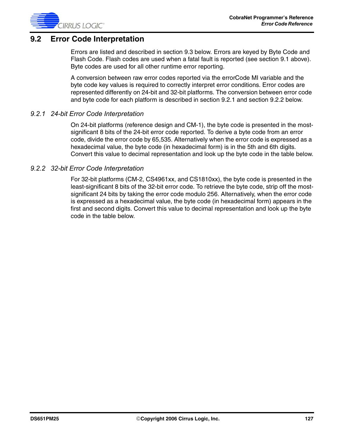

## <span id="page-126-0"></span>**9.2 Error Code Interpretation**

Errors are listed and described in [section 9.3](#page-127-0) below. Errors are keyed by Byte Code and Flash Code. Flash codes are used when a fatal fault is reported (see [section 9.1](#page-125-0) above). Byte codes are used for all other runtime error reporting.

A conversion between raw error codes reported via the errorCode MI variable and the byte code key values is required to correctly interpret error conditions. Error codes are represented differently on 24-bit and 32-bit platforms. The conversion between error code and byte code for each platform is described in [section 9.2.1](#page-126-1) and [section 9.2.2](#page-126-2) below.

#### <span id="page-126-1"></span>*9.2.1 24-bit Error Code Interpretation*

On 24-bit platforms (reference design and CM-1), the byte code is presented in the mostsignificant 8 bits of the 24-bit error code reported. To derive a byte code from an error code, divide the error code by 65,535. Alternatively when the error code is expressed as a hexadecimal value, the byte code (in hexadecimal form) is in the 5th and 6th digits. Convert this value to decimal representation and look up the byte code in the table below.

#### <span id="page-126-2"></span>*9.2.2 32-bit Error Code Interpretation*

For 32-bit platforms (CM-2, CS4961xx, and CS1810xx), the byte code is presented in the least-significant 8 bits of the 32-bit error code. To retrieve the byte code, strip off the mostsignificant 24 bits by taking the error code modulo 256. Alternatively, when the error code is expressed as a hexadecimal value, the byte code (in hexadecimal form) appears in the first and second digits. Convert this value to decimal representation and look up the byte code in the table below.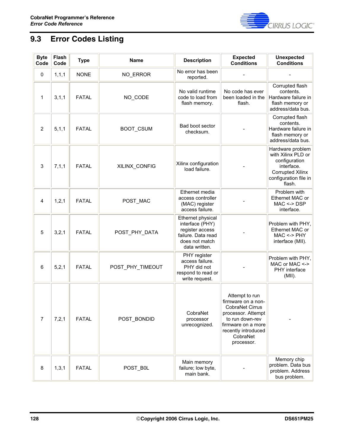

# <span id="page-127-0"></span>**9.3 Error Codes Listing**

| <b>Byte</b><br>Code | Flash<br>Code | <b>Type</b>  | <b>Name</b>      | <b>Description</b>                                                                                               | <b>Expected</b><br><b>Conditions</b>                                                                                                                                    | <b>Unexpected</b><br><b>Conditions</b>                                                                                              |
|---------------------|---------------|--------------|------------------|------------------------------------------------------------------------------------------------------------------|-------------------------------------------------------------------------------------------------------------------------------------------------------------------------|-------------------------------------------------------------------------------------------------------------------------------------|
| $\mathbf 0$         | 1, 1, 1       | <b>NONE</b>  | NO_ERROR         | No error has been<br>reported.                                                                                   |                                                                                                                                                                         |                                                                                                                                     |
| 1                   | 3, 1, 1       | <b>FATAL</b> | NO_CODE          | No valid runtime<br>code to load from<br>flash memory.                                                           | No code has ever<br>been loaded in the<br>flash.                                                                                                                        | Corrupted flash<br>contents.<br>Hardware failure in<br>flash memory or<br>address/data bus.                                         |
| $\overline{c}$      | 5, 1, 1       | <b>FATAL</b> | BOOT_CSUM        | Bad boot sector<br>checksum.                                                                                     |                                                                                                                                                                         | Corrupted flash<br>contents.<br>Hardware failure in<br>flash memory or<br>address/data bus.                                         |
| 3                   | 7, 1, 1       | <b>FATAL</b> | XILINX_CONFIG    | Xilinx configuration<br>load failure.                                                                            |                                                                                                                                                                         | Hardware problem<br>with Xilinx PLD or<br>configuration<br>interface.<br><b>Corrupted Xilinx</b><br>configuration file in<br>flash. |
| 4                   | 1,2,1         | <b>FATAL</b> | POST_MAC         | Ethernet media<br>access controller<br>(MAC) register<br>access failure.                                         |                                                                                                                                                                         | Problem with<br>Ethernet MAC or<br>$MAC \leq$ DSP<br>interface.                                                                     |
| 5                   | 3,2,1         | <b>FATAL</b> | POST_PHY_DATA    | Ethernet physical<br>interface (PHY)<br>register access<br>failure. Data read<br>does not match<br>data written. |                                                                                                                                                                         | Problem with PHY,<br>Ethernet MAC or<br>$MAC \le PHY$<br>interface (MII).                                                           |
| 6                   | 5,2,1         | <b>FATAL</b> | POST_PHY_TIMEOUT | PHY register<br>access failure.<br>PHY did not<br>respond to read or<br>write request.                           |                                                                                                                                                                         | Problem with PHY,<br>MAC or MAC <-><br>PHY interface<br>$(MII)$ .                                                                   |
| $\overline{7}$      | 7,2,1         | FATAL        | POST_BONDID      | CobraNet<br>processor<br>unrecognized.                                                                           | Attempt to run<br>firmware on a non-<br>CobraNet Cirrus<br>processor. Attempt<br>to run down-rev<br>firmware on a more<br>recently introduced<br>CobraNet<br>processor. |                                                                                                                                     |
| 8                   | 1, 3, 1       | <b>FATAL</b> | POST B0L         | Main memory<br>failure; low byte,<br>main bank.                                                                  |                                                                                                                                                                         | Memory chip<br>problem. Data bus<br>problem. Address<br>bus problem.                                                                |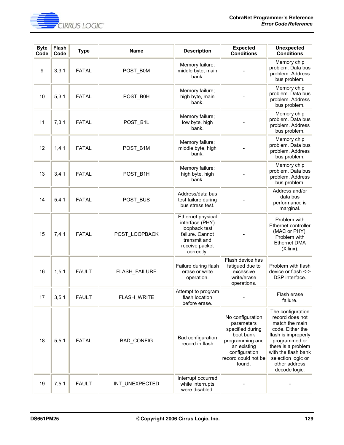

| <b>Byte</b><br>Code | Flash<br>Code | <b>Type</b>  | <b>Name</b>       | <b>Description</b>                                                                                                       | <b>Expected</b><br><b>Conditions</b>                                                                                                                | <b>Unexpected</b><br><b>Conditions</b>                                                                                                                                                                                  |
|---------------------|---------------|--------------|-------------------|--------------------------------------------------------------------------------------------------------------------------|-----------------------------------------------------------------------------------------------------------------------------------------------------|-------------------------------------------------------------------------------------------------------------------------------------------------------------------------------------------------------------------------|
| 9                   | 3,3,1         | <b>FATAL</b> | POST_B0M          | Memory failure;<br>middle byte, main<br>bank.                                                                            |                                                                                                                                                     | Memory chip<br>problem. Data bus<br>problem. Address<br>bus problem.                                                                                                                                                    |
| 10                  | 5, 3, 1       | <b>FATAL</b> | POST_B0H          | Memory failure;<br>high byte, main<br>bank.                                                                              |                                                                                                                                                     | Memory chip<br>problem. Data bus<br>problem. Address<br>bus problem.                                                                                                                                                    |
| 11                  | 7,3,1         | <b>FATAL</b> | POST_B1L          | Memory failure;<br>low byte, high<br>bank.                                                                               |                                                                                                                                                     | Memory chip<br>problem. Data bus<br>problem. Address<br>bus problem.                                                                                                                                                    |
| 12                  | 1, 4, 1       | <b>FATAL</b> | POST_B1M          | Memory failure;<br>middle byte, high<br>bank.                                                                            |                                                                                                                                                     | Memory chip<br>problem. Data bus<br>problem. Address<br>bus problem.                                                                                                                                                    |
| 13                  | 3, 4, 1       | <b>FATAL</b> | POST B1H          | Memory failure;<br>high byte, high<br>bank.                                                                              |                                                                                                                                                     | Memory chip<br>problem. Data bus<br>problem. Address<br>bus problem.                                                                                                                                                    |
| 14                  | 5,4,1         | <b>FATAL</b> | POST_BUS          | Address/data bus<br>test failure during<br>bus stress test.                                                              |                                                                                                                                                     | Address and/or<br>data bus<br>performance is<br>marginal.                                                                                                                                                               |
| 15                  | 7,4,1         | <b>FATAL</b> | POST LOOPBACK     | Ethernet physical<br>interface (PHY)<br>loopback test<br>failure. Cannot<br>transmit and<br>receive packet<br>correctly. |                                                                                                                                                     | Problem with<br>Ethernet controller<br>(MAC or PHY).<br>Problem with<br><b>Ethernet DMA</b><br>(Xilinx).                                                                                                                |
| 16                  | 1, 5, 1       | <b>FAULT</b> | FLASH_FAILURE     | Failure during flash<br>erase or write<br>operation.                                                                     | Flash device has<br>fatigued due to<br>excessive<br>write/erase<br>operations.                                                                      | Problem with flash<br>device or flash <-><br>DSP interface.                                                                                                                                                             |
| 17                  | 3, 5, 1       | <b>FAULT</b> | FLASH_WRITE       | Attempt to program<br>flash location<br>before erase.                                                                    |                                                                                                                                                     | Flash erase<br>failure.                                                                                                                                                                                                 |
| 18                  | 5, 5, 1       | <b>FATAL</b> | <b>BAD_CONFIG</b> | Bad configuration<br>record in flash                                                                                     | No configuration<br>parameters<br>specified during<br>boot bank<br>programming and<br>an existing<br>configuration<br>record could not be<br>found. | The configuration<br>record does not<br>match the main<br>code. Either the<br>flash is improperly<br>programmed or<br>there is a problem<br>with the flash bank<br>selection logic or<br>other address<br>decode logic. |
| 19                  | 7, 5, 1       | <b>FAULT</b> | INT_UNEXPECTED    | Interrupt occurred<br>while interrupts<br>were disabled.                                                                 |                                                                                                                                                     |                                                                                                                                                                                                                         |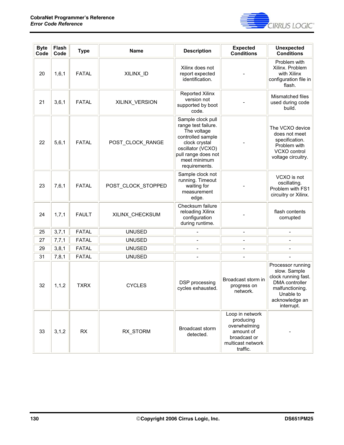

| <b>Byte</b><br>Code | Flash<br>Code | <b>Type</b>  | <b>Name</b>        | <b>Description</b>                                                                                                                                                         | <b>Expected</b><br><b>Conditions</b>                                                                       | <b>Unexpected</b><br><b>Conditions</b>                                                                                                     |
|---------------------|---------------|--------------|--------------------|----------------------------------------------------------------------------------------------------------------------------------------------------------------------------|------------------------------------------------------------------------------------------------------------|--------------------------------------------------------------------------------------------------------------------------------------------|
| 20                  | 1, 6, 1       | <b>FATAL</b> | XILINX_ID          | Xilinx does not<br>report expected<br>identification.                                                                                                                      |                                                                                                            | Problem with<br>Xilinx. Problem<br>with Xilinx<br>configuration file in<br>flash.                                                          |
| 21                  | 3,6,1         | <b>FATAL</b> | XILINX_VERSION     | <b>Reported Xilinx</b><br>version not<br>supported by boot<br>code.                                                                                                        |                                                                                                            | Mismatched files<br>used during code<br>build.                                                                                             |
| 22                  | 5, 6, 1       | <b>FATAL</b> | POST_CLOCK_RANGE   | Sample clock pull<br>range test failure.<br>The voltage<br>controlled sample<br>clock crystal<br>oscillator (VCXO)<br>pull range does not<br>meet minimum<br>requirements. |                                                                                                            | The VCXO device<br>does not meet<br>specification.<br>Problem with<br>VCXO control<br>voltage circuitry.                                   |
| 23                  | 7,6,1         | <b>FATAL</b> | POST_CLOCK_STOPPED | Sample clock not<br>running. Timeout<br>waiting for<br>measurement<br>edge.                                                                                                |                                                                                                            | VCXO is not<br>oscillating.<br>Problem with FS1<br>circuitry or Xilinx.                                                                    |
| 24                  | 1, 7, 1       | <b>FAULT</b> | XILINX_CHECKSUM    | Checksum failure<br>reloading Xilinx<br>configuration<br>during runtime.                                                                                                   |                                                                                                            | flash contents<br>corrupted                                                                                                                |
| 25                  | 3,7,1         | <b>FATAL</b> | <b>UNUSED</b>      |                                                                                                                                                                            |                                                                                                            |                                                                                                                                            |
| 27                  | 7,7,1         | <b>FATAL</b> | <b>UNUSED</b>      |                                                                                                                                                                            | $\overline{\phantom{a}}$                                                                                   |                                                                                                                                            |
| 29                  | 3, 8, 1       | <b>FATAL</b> | <b>UNUSED</b>      |                                                                                                                                                                            |                                                                                                            |                                                                                                                                            |
| 31                  | 7,8,1         | <b>FATAL</b> | <b>UNUSED</b>      |                                                                                                                                                                            |                                                                                                            |                                                                                                                                            |
| 32                  | 1, 1, 2       | <b>TXRX</b>  | <b>CYCLES</b>      | DSP processing<br>cycles exhausted.                                                                                                                                        | Broadcast storm in<br>progress on<br>network.                                                              | Processor running<br>slow. Sample<br>clock running fast.<br>DMA controller<br>malfunctioning.<br>Unable to<br>acknowledge an<br>interrupt. |
| 33                  | 3, 1, 2       | RX           | RX_STORM           | Broadcast storm<br>detected.                                                                                                                                               | Loop in network<br>producing<br>overwhelming<br>amount of<br>broadcast or<br>multicast network<br>traffic. |                                                                                                                                            |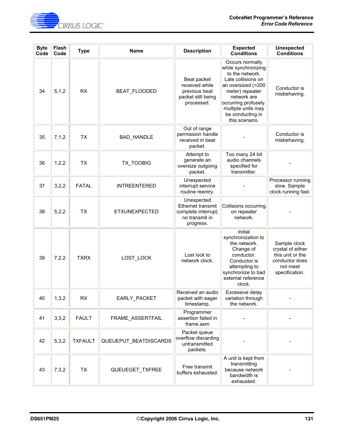

| <b>Byte</b><br>Code | Flash<br>Code | <b>Type</b>    | <b>Name</b>           | <b>Description</b>                                                                    | <b>Expected</b><br><b>Conditions</b>                                                                                                                                                                                        | <b>Unexpected</b><br><b>Conditions</b>                                                                |
|---------------------|---------------|----------------|-----------------------|---------------------------------------------------------------------------------------|-----------------------------------------------------------------------------------------------------------------------------------------------------------------------------------------------------------------------------|-------------------------------------------------------------------------------------------------------|
| 34                  | 5, 1, 2       | <b>RX</b>      | BEAT_FLOODED          | Beat packet<br>received while<br>previous beat<br>packet still being<br>processed.    | Occurs normally<br>while synchronizing<br>to the network.<br>Late collisions on<br>an oversized (>200<br>meter) repeater<br>network are<br>occurring profusely.<br>multiple units may<br>be conducting in<br>this scenario. | Conductor is<br>misbehaving.                                                                          |
| 35                  | 7,1,2         | <b>TX</b>      | <b>BAD_HANDLE</b>     | Out of range<br>permission handle<br>received in beat<br>packet.                      |                                                                                                                                                                                                                             | Conductor is<br>misbehaving.                                                                          |
| 36                  | 1,2,2         | <b>TX</b>      | <b>TX TOOBIG</b>      | Attempt to<br>generate an<br>oversize outgoing<br>packet.                             | Too many 24 bit<br>audio channels<br>specified for<br>transmitter.                                                                                                                                                          |                                                                                                       |
| 37                  | 3,2,2         | <b>FATAL</b>   | <b>INTREENTERED</b>   | Unexpected<br>interrupt service<br>routine reentry.                                   |                                                                                                                                                                                                                             | Processor running<br>slow. Sample<br>clock running fast.                                              |
| 38                  | 5,2,2         | <b>TX</b>      | <b>ETXUNEXPECTED</b>  | Unexpected<br>Ethernet transmit<br>complete interrupt;<br>no transmit in<br>progress. | Collisions occurring<br>on repeater<br>network.                                                                                                                                                                             |                                                                                                       |
| 39                  | 7,2,2         | <b>TXRX</b>    | LOST_LOCK             | Lost lock to<br>network clock.                                                        | Initial<br>synchronization to<br>the network.<br>Change of<br>conductor.<br>Conductor is<br>attempting to<br>synchronize to bad<br>external reference<br>clock.                                                             | Sample clock<br>crystal of either<br>this unit or the<br>conductor does<br>not meet<br>specification. |
| 40                  | 1,3,2         | <b>RX</b>      | EARLY_PACKET          | Received an audio<br>packet with eager<br>timestamp.                                  | Excessive delay<br>variation through<br>the network.                                                                                                                                                                        |                                                                                                       |
| 41                  | 3,3,2         | <b>FAULT</b>   | FRAME ASSERTFAIL      | Programmer<br>assertion failed in<br>frame.asm                                        |                                                                                                                                                                                                                             |                                                                                                       |
| 42                  | 5,3,2         | <b>TXFAULT</b> | QUEUEPUT_BEATDISCARDS | Packet queue<br>overflow discarding<br>untransmitted<br>packets.                      |                                                                                                                                                                                                                             |                                                                                                       |
| 43                  | 7,3,2         | <b>TX</b>      | QUEUEGET_TXFREE       | Free transmit<br>buffers exhausted.                                                   | A unit is kept from<br>transmitting<br>because network<br>bandwidth is<br>exhausted.                                                                                                                                        |                                                                                                       |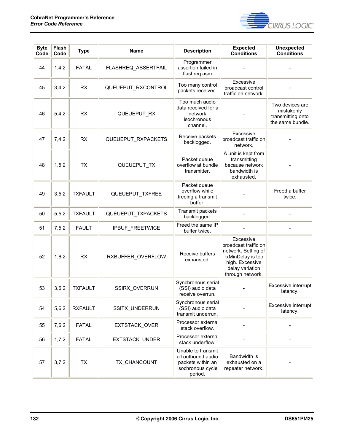

| <b>Byte</b><br>Code | Flash<br>Code | <b>Type</b>    | <b>Name</b>         | <b>Description</b>                                                                            | <b>Expected</b><br><b>Conditions</b>                                                                                                    | <b>Unexpected</b><br><b>Conditions</b>                                 |
|---------------------|---------------|----------------|---------------------|-----------------------------------------------------------------------------------------------|-----------------------------------------------------------------------------------------------------------------------------------------|------------------------------------------------------------------------|
| 44                  | 1,4,2         | <b>FATAL</b>   | FLASHREQ_ASSERTFAIL | Programmer<br>assertion failed in<br>flashreq.asm                                             |                                                                                                                                         |                                                                        |
| 45                  | 3,4,2         | <b>RX</b>      | QUEUEPUT_RXCONTROL  | Too many control<br>packets received.                                                         | Excessive<br>broadcast control<br>traffic on network.                                                                                   |                                                                        |
| 46                  | 5,4,2         | <b>RX</b>      | QUEUEPUT RX         | Too much audio<br>data received for a<br>network<br>isochronous<br>channel.                   |                                                                                                                                         | Two devices are<br>mistakenly<br>transmitting onto<br>the same bundle. |
| 47                  | 7,4,2         | RX             | QUEUEPUT_RXPACKETS  | Receive packets<br>backlogged.                                                                | Excessive<br>broadcast traffic on<br>network.                                                                                           |                                                                        |
| 48                  | 1, 5, 2       | <b>TX</b>      | QUEUEPUT_TX         | Packet queue<br>overflow at bundle<br>transmitter.                                            | A unit is kept from<br>transmitting<br>because network<br>bandwidth is<br>exhausted.                                                    |                                                                        |
| 49                  | 3, 5, 2       | <b>TXFAULT</b> | QUEUEPUT_TXFREE     | Packet queue<br>overflow while<br>freeing a transmit<br>buffer.                               |                                                                                                                                         | Freed a buffer<br>twice.                                               |
| 50                  | 5, 5, 2       | <b>TXFAULT</b> | QUEUEPUT_TXPACKETS  | Transmit packets<br>backlogged.                                                               |                                                                                                                                         |                                                                        |
| 51                  | 7, 5, 2       | <b>FAULT</b>   | IPBUF_FREETWICE     | Freed the same IP<br>buffer twice.                                                            |                                                                                                                                         |                                                                        |
| 52                  | 1,6,2         | <b>RX</b>      | RXBUFFER_OVERFLOW   | Receive buffers<br>exhausted.                                                                 | Excessive<br>broadcast traffic on<br>network. Setting of<br>rxMinDelay is too<br>high. Excessive<br>delay variation<br>through network. |                                                                        |
| 53                  | 3,6,2         | <b>TXFAULT</b> | SSIRX_OVERRUN       | Synchronous serial<br>(SSI) audio data<br>receive overrun.                                    |                                                                                                                                         | Excessive interrupt<br>latency.                                        |
| 54                  | 5,6,2         | <b>RXFAULT</b> | SSITX_UNDERRUN      | Synchronous serial<br>(SSI) audio data<br>transmit underrun.                                  |                                                                                                                                         | Excessive interrupt<br>latency.                                        |
| 55                  | 7,6,2         | <b>FATAL</b>   | EXTSTACK_OVER       | Processor external<br>stack overflow.                                                         |                                                                                                                                         |                                                                        |
| 56                  | 1,7,2         | <b>FATAL</b>   | EXTSTACK_UNDER      | Processor external<br>stack underflow.                                                        |                                                                                                                                         |                                                                        |
| 57                  | 3,7,2         | <b>TX</b>      | TX CHANCOUNT        | Unable to transmit<br>all outbound audio<br>packets within an<br>isochronous cycle<br>period. | Bandwidth is<br>exhausted on a<br>repeater network.                                                                                     |                                                                        |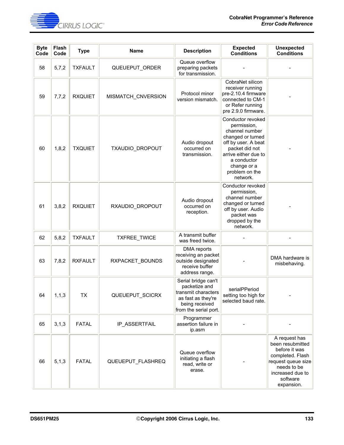

| <b>Byte</b><br>Code | Flash<br>Code | <b>Type</b>    | <b>Name</b>        | <b>Description</b>                                                                                                           | <b>Expected</b><br><b>Conditions</b>                                                                                                                                                                 | <b>Unexpected</b><br><b>Conditions</b>                                                                                                                    |
|---------------------|---------------|----------------|--------------------|------------------------------------------------------------------------------------------------------------------------------|------------------------------------------------------------------------------------------------------------------------------------------------------------------------------------------------------|-----------------------------------------------------------------------------------------------------------------------------------------------------------|
| 58                  | 5,7,2         | <b>TXFAULT</b> | QUEUEPUT_ORDER     | Queue overflow<br>preparing packets<br>for transmission.                                                                     |                                                                                                                                                                                                      |                                                                                                                                                           |
| 59                  | 7,7,2         | <b>RXQUIET</b> | MISMATCH_CNVERSION | Protocol minor<br>version mismatch.                                                                                          | CobraNet silicon<br>receiver running<br>pre-2.10.4 firmware<br>connected to CM-1<br>or Refer running<br>pre 2.9.0 firmware.                                                                          |                                                                                                                                                           |
| 60                  | 1, 8, 2       | <b>TXQUIET</b> | TXAUDIO_DROPOUT    | Audio dropout<br>occurred on<br>transmission.                                                                                | Conductor revoked<br>permission,<br>channel number<br>changed or turned<br>off by user. A beat<br>packet did not<br>arrive either due to<br>a conductor<br>change or a<br>problem on the<br>network. |                                                                                                                                                           |
| 61                  | 3,8,2         | <b>RXQUIET</b> | RXAUDIO_DROPOUT    | Audio dropout<br>occurred on<br>reception.                                                                                   | Conductor revoked<br>permission,<br>channel number<br>changed or turned<br>off by user. Audio<br>packet was<br>dropped by the<br>network.                                                            |                                                                                                                                                           |
| 62                  | 5,8,2         | <b>TXFAULT</b> | TXFREE_TWICE       | A transmit buffer<br>was freed twice.                                                                                        |                                                                                                                                                                                                      |                                                                                                                                                           |
| 63                  | 7,8,2         | <b>RXFAULT</b> | RXPACKET_BOUNDS    | DMA reports<br>receiving an packet<br>outside designated<br>receive buffer<br>address range.                                 |                                                                                                                                                                                                      | DMA hardware is<br>misbehaving.                                                                                                                           |
| 64                  | 1, 1, 3       | <b>TX</b>      | QUEUEPUT_SCICRX    | Serial bridge can't<br>packetize and<br>transmit characters<br>as fast as they're<br>being received<br>from the serial port. | serialPPeriod<br>setting too high for<br>selected baud rate.                                                                                                                                         |                                                                                                                                                           |
| 65                  | 3, 1, 3       | <b>FATAL</b>   | IP_ASSERTFAIL      | Programmer<br>assertion failure in<br>ip.asm                                                                                 |                                                                                                                                                                                                      |                                                                                                                                                           |
| 66                  | 5, 1, 3       | <b>FATAL</b>   | QUEUEPUT FLASHREQ  | Queue overflow<br>initiating a flash<br>read, write or<br>erase.                                                             |                                                                                                                                                                                                      | A request has<br>been resubmitted<br>before it was<br>completed. Flash<br>request queue size<br>needs to be<br>increased due to<br>software<br>expansion. |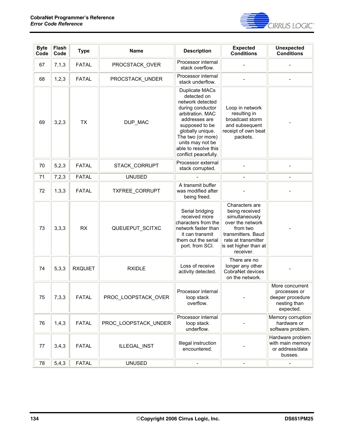

| <b>Byte</b><br>Code | Flash<br>Code | <b>Type</b>    | <b>Name</b>          | <b>Description</b>                                                                                                                                                                                                                               | <b>Expected</b><br><b>Conditions</b>                                                                                                                                  | <b>Unexpected</b><br><b>Conditions</b>                                           |
|---------------------|---------------|----------------|----------------------|--------------------------------------------------------------------------------------------------------------------------------------------------------------------------------------------------------------------------------------------------|-----------------------------------------------------------------------------------------------------------------------------------------------------------------------|----------------------------------------------------------------------------------|
| 67                  | 7,1,3         | <b>FATAL</b>   | PROCSTACK OVER       | Processor internal<br>stack overflow.                                                                                                                                                                                                            |                                                                                                                                                                       |                                                                                  |
| 68                  | 1,2,3         | <b>FATAL</b>   | PROCSTACK_UNDER      | Processor internal<br>stack underflow.                                                                                                                                                                                                           |                                                                                                                                                                       |                                                                                  |
| 69                  | 3,2,3         | <b>TX</b>      | DUP_MAC              | <b>Duplicate MACs</b><br>detected on<br>network detected<br>during conductor<br>arbitration. MAC<br>addresses are<br>supposed to be<br>globally unique.<br>The two (or more)<br>units may not be<br>able to resolve this<br>conflict peacefully. | Loop in network<br>resulting in<br>broadcast storm<br>and subsequent<br>receipt of own beat<br>packets.                                                               |                                                                                  |
| 70                  | 5,2,3         | <b>FATAL</b>   | STACK_CORRUPT        | Processor external<br>stack corrupted.                                                                                                                                                                                                           |                                                                                                                                                                       |                                                                                  |
| 71                  | 7,2,3         | <b>FATAL</b>   | <b>UNUSED</b>        |                                                                                                                                                                                                                                                  | $\overline{a}$                                                                                                                                                        | $\overline{a}$                                                                   |
| 72                  | 1,3,3         | <b>FATAL</b>   | TXFREE_CORRUPT       | A transmit buffer<br>was modified after<br>being freed.                                                                                                                                                                                          |                                                                                                                                                                       |                                                                                  |
| 73                  | 3,3,3         | <b>RX</b>      | QUEUEPUT_SCITXC      | Serial bridging<br>received more<br>characters from the<br>network faster than<br>it can transmit<br>them out the serial<br>port. from SCI.                                                                                                      | Characters are<br>being received<br>simultaneously<br>over the network<br>from two<br>transmitters. Baud<br>rate at transmitter<br>is set higher than at<br>receiver. |                                                                                  |
| 74                  | 5,3,3         | <b>RXQUIET</b> | <b>RXIDLE</b>        | Loss of receive<br>activity detected.                                                                                                                                                                                                            | There are no<br>longer any other<br>CobraNet devices<br>on the network.                                                                                               |                                                                                  |
| 75                  | 7,3,3         | <b>FATAL</b>   | PROC_LOOPSTACK_OVER  | Processor internal<br>loop stack<br>overflow.                                                                                                                                                                                                    |                                                                                                                                                                       | More concurrent<br>processes or<br>deeper procedure<br>nesting than<br>expected. |
| 76                  | 1,4,3         | <b>FATAL</b>   | PROC LOOPSTACK UNDER | Processor internal<br>loop stack<br>underflow.                                                                                                                                                                                                   |                                                                                                                                                                       | Memory corruption<br>hardware or<br>software problem.                            |
| 77                  | 3,4,3         | <b>FATAL</b>   | ILLEGAL_INST         | Illegal instruction<br>encountered.                                                                                                                                                                                                              |                                                                                                                                                                       | Hardware problem<br>with main memory<br>or address/data<br>busses.               |
| 78                  | 5,4,3         | <b>FATAL</b>   | <b>UNUSED</b>        |                                                                                                                                                                                                                                                  |                                                                                                                                                                       |                                                                                  |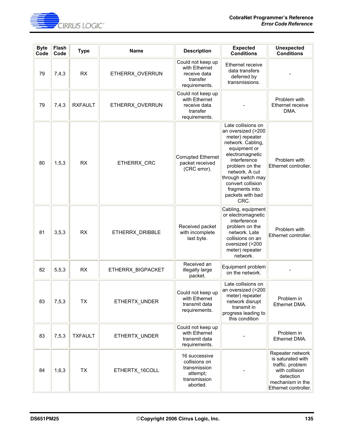

| <b>Byte</b><br>Code | Flash<br>Code | <b>Type</b>    | Name              | <b>Description</b>                                                                     | <b>Expected</b><br><b>Conditions</b>                                                                                                                                                                                                                             | <b>Unexpected</b><br><b>Conditions</b>                                                                                               |
|---------------------|---------------|----------------|-------------------|----------------------------------------------------------------------------------------|------------------------------------------------------------------------------------------------------------------------------------------------------------------------------------------------------------------------------------------------------------------|--------------------------------------------------------------------------------------------------------------------------------------|
| 79                  | 7,4,3         | <b>RX</b>      | ETHERRX_OVERRUN   | Could not keep up<br>with Ethernet<br>receive data<br>transfer<br>requirements.        | Ethernet receive<br>data transfers<br>deferred by<br>transmissions.                                                                                                                                                                                              |                                                                                                                                      |
| 79                  | 7,4,3         | <b>RXFAULT</b> | ETHERRX OVERRUN   | Could not keep up<br>with Ethernet<br>receive data<br>transfer<br>requirements.        |                                                                                                                                                                                                                                                                  | Problem with<br>Ethernet receive<br>DMA.                                                                                             |
| 80                  | 1, 5, 3       | <b>RX</b>      | ETHERRX_CRC       | <b>Corrupted Ethernet</b><br>packet received<br>(CRC error).                           | Late collisions on<br>an oversized (>200<br>meter) repeater<br>network. Cabling,<br>equipment or<br>electromagnetic<br>interference<br>problem on the<br>network. A cut<br>through switch may<br>convert collision<br>fragments into<br>packets with bad<br>CRC. | Problem with<br>Ethernet controller.                                                                                                 |
| 81                  | 3, 5, 3       | <b>RX</b>      | ETHERRX_DRIBBLE   | Received packet<br>with incomplete<br>last byte.                                       | Cabling, equipment<br>or electromagnetic<br>interference<br>problem on the<br>network. Late<br>collisions on an<br>oversized (>200<br>meter) repeater<br>network.                                                                                                | Problem with<br>Ethernet controller.                                                                                                 |
| 82                  | 5,5,3         | <b>RX</b>      | ETHERRX_BIGPACKET | Received an<br>illegally large<br>packet.                                              | Equipment problem<br>on the network.                                                                                                                                                                                                                             |                                                                                                                                      |
| 83                  | 7, 5, 3       | <b>TX</b>      | ETHERTX_UNDER     | Could not keep up<br>with Ethernet<br>transmit data<br>requirements.                   | Late collisions on<br>an oversized (>200<br>meter) repeater<br>network disrupt<br>transmit in<br>progress leading to<br>this condition                                                                                                                           | Problem in<br>Ethernet DMA.                                                                                                          |
| 83                  | 7,5,3         | <b>TXFAULT</b> | ETHERTX_UNDER     | Could not keep up<br>with Ethernet<br>transmit data<br>requirements.                   |                                                                                                                                                                                                                                                                  | Problem in<br>Ethernet DMA.                                                                                                          |
| 84                  | 1,6,3         | <b>TX</b>      | ETHERTX_16COLL    | 16 successive<br>collisions on<br>transmission<br>attempt;<br>transmission<br>aborted. |                                                                                                                                                                                                                                                                  | Repeater network<br>is saturated with<br>traffic. problem<br>with collision<br>detection<br>mechanism in the<br>Ethernet controller. |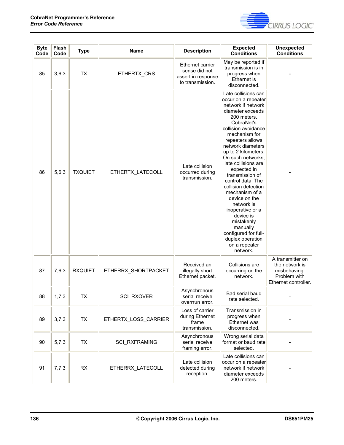

| <b>Byte</b><br>Code | <b>Flash</b><br>Code | <b>Type</b>    | <b>Name</b>          | <b>Description</b>                                                          | <b>Expected</b><br><b>Conditions</b>                                                                                                                                                                                                                                                                                                                                                                                                                                                                                                     | <b>Unexpected</b><br><b>Conditions</b>                                                     |
|---------------------|----------------------|----------------|----------------------|-----------------------------------------------------------------------------|------------------------------------------------------------------------------------------------------------------------------------------------------------------------------------------------------------------------------------------------------------------------------------------------------------------------------------------------------------------------------------------------------------------------------------------------------------------------------------------------------------------------------------------|--------------------------------------------------------------------------------------------|
| 85                  | 3,6,3                | <b>TX</b>      | ETHERTX CRS          | Ethernet carrier<br>sense did not<br>assert in response<br>to transmission. | May be reported if<br>transmission is in<br>progress when<br>Ethernet is<br>disconnected.                                                                                                                                                                                                                                                                                                                                                                                                                                                |                                                                                            |
| 86                  | 5,6,3                | <b>TXQUIET</b> | ETHERTX_LATECOLL     | Late collision<br>occurred during<br>transmission.                          | Late collisions can<br>occur on a repeater<br>network if network<br>diameter exceeds<br>200 meters.<br>CobraNet's<br>collision avoidance<br>mechanism for<br>repeaters allows<br>network diameters<br>up to 2 kilometers.<br>On such networks,<br>late collisions are<br>expected in<br>transmission of<br>control data. The<br>collision detection<br>mechanism of a<br>device on the<br>network is<br>inoperative or a<br>device is<br>mistakenly<br>manually<br>configured for full-<br>duplex operation<br>on a repeater<br>network. |                                                                                            |
| 87                  | 7,6,3                | <b>RXQUIET</b> | ETHERRX_SHORTPACKET  | Received an<br>illegally short<br>Ethernet packet.                          | Collisions are<br>occurring on the<br>network.                                                                                                                                                                                                                                                                                                                                                                                                                                                                                           | A transmitter on<br>the network is<br>misbehaving.<br>Problem with<br>Ethernet controller. |
| 88                  | 1,7,3                | TX             | SCI_RXOVER           | Asynchronous<br>serial receive<br>overrrun error.                           | Bad serial baud<br>rate selected.                                                                                                                                                                                                                                                                                                                                                                                                                                                                                                        |                                                                                            |
| 89                  | 3,7,3                | <b>TX</b>      | ETHERTX_LOSS_CARRIER | Loss of carrier<br>during Ethernet<br>frame<br>transmission.                | Transmission in<br>progress when<br>Ethernet was<br>disconnected.                                                                                                                                                                                                                                                                                                                                                                                                                                                                        |                                                                                            |
| 90                  | 5,7,3                | <b>TX</b>      | <b>SCI RXFRAMING</b> | Asynchronous<br>serial receive<br>framing error.                            | Wrong serial data<br>format or baud rate<br>selected.                                                                                                                                                                                                                                                                                                                                                                                                                                                                                    |                                                                                            |
| 91                  | 7,7,3                | RX             | ETHERRX_LATECOLL     | Late collision<br>detected during<br>reception.                             | Late collisions can<br>occur on a repeater<br>network if network<br>diameter exceeds<br>200 meters.                                                                                                                                                                                                                                                                                                                                                                                                                                      |                                                                                            |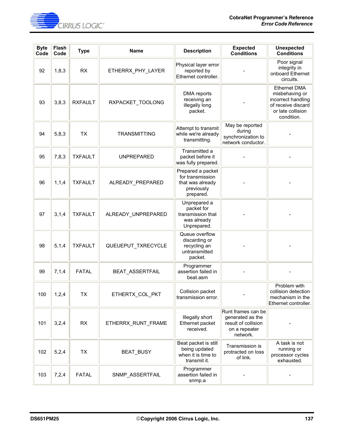

| <b>Byte</b><br>Code | Flash<br>Code | <b>Type</b>    | <b>Name</b>         | <b>Description</b>                                                                   | <b>Expected</b><br><b>Conditions</b>                                                       | <b>Unexpected</b><br><b>Conditions</b>                                                                               |
|---------------------|---------------|----------------|---------------------|--------------------------------------------------------------------------------------|--------------------------------------------------------------------------------------------|----------------------------------------------------------------------------------------------------------------------|
| 92                  | 1,8,3         | <b>RX</b>      | ETHERRX_PHY_LAYER   | Physical layer error<br>reported by<br>Ethernet controller.                          |                                                                                            | Poor signal<br>integrity in<br>onboard Ethernet<br>circuits.                                                         |
| 93                  | 3,8,3         | <b>RXFAULT</b> | RXPACKET_TOOLONG    | DMA reports<br>receiving an<br>illegally long<br>packet.                             |                                                                                            | <b>Ethernet DMA</b><br>misbehaving or<br>incorrect handling<br>of receive discard<br>or late collision<br>condition. |
| 94                  | 5,8,3         | <b>TX</b>      | <b>TRANSMITTING</b> | Attempt to transmit<br>while we're already<br>transmitting.                          | May be reported<br>during<br>synchronization to<br>network conductor.                      |                                                                                                                      |
| 95                  | 7,8,3         | <b>TXFAULT</b> | <b>UNPREPARED</b>   | Transmitted a<br>packet before it<br>was fully prepared.                             |                                                                                            |                                                                                                                      |
| 96                  | 1, 1, 4       | <b>TXFAULT</b> | ALREADY PREPARED    | Prepared a packet<br>for transmission<br>that was already<br>previously<br>prepared. |                                                                                            |                                                                                                                      |
| 97                  | 3, 1, 4       | <b>TXFAULT</b> | ALREADY_UNPREPARED  | Unprepared a<br>packet for<br>transmission that<br>was already<br>Unprepared.        |                                                                                            |                                                                                                                      |
| 98                  | 5, 1, 4       | <b>TXFAULT</b> | QUEUEPUT_TXRECYCLE  | Queue overflow<br>discarding or<br>recycling an<br>untransmitted<br>packet.          |                                                                                            |                                                                                                                      |
| 99                  | 7,1,4         | <b>FATAL</b>   | BEAT_ASSERTFAIL     | Programmer<br>assertion failed in<br>beat.asm                                        |                                                                                            |                                                                                                                      |
| 100                 | 1,2,4         | TX             | ETHERTX_COL_PKT     | Collision packet<br>transmission error.                                              |                                                                                            | Problem with<br>collision detection<br>mechanism in the<br>Ethernet controller.                                      |
| 101                 | 3,2,4         | <b>RX</b>      | ETHERRX_RUNT_FRAME  | Illegally short<br>Ethernet packet<br>received.                                      | Runt frames can be<br>generated as the<br>result of collision<br>on a repeater<br>network. |                                                                                                                      |
| 102                 | 5,2,4         | <b>TX</b>      | BEAT_BUSY           | Beat packet is still<br>being updated<br>when it is time to<br>transmit it.          | Transmission is<br>protracted on loss<br>of link.                                          | A task is not<br>running or<br>processor cycles<br>exhausted.                                                        |
| 103                 | 7,2,4         | <b>FATAL</b>   | SNMP_ASSERTFAIL     | Programmer<br>assertion failed in<br>snmp.a                                          |                                                                                            |                                                                                                                      |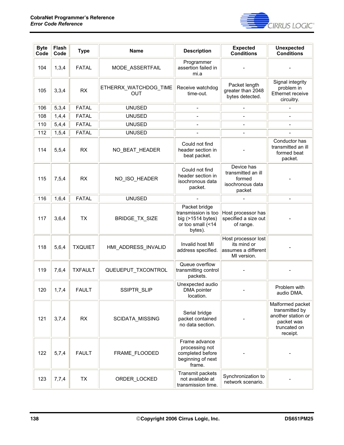

| <b>Byte</b><br>Code | Flash<br>Code | <b>Type</b>    | <b>Name</b>                         | <b>Description</b>                                                                        | <b>Expected</b><br><b>Conditions</b>                                     | <b>Unexpected</b><br><b>Conditions</b>                                                             |
|---------------------|---------------|----------------|-------------------------------------|-------------------------------------------------------------------------------------------|--------------------------------------------------------------------------|----------------------------------------------------------------------------------------------------|
| 104                 | 1,3,4         | <b>FATAL</b>   | MODE_ASSERTFAIL                     | Programmer<br>assertion failed in<br>mi.a                                                 |                                                                          |                                                                                                    |
| 105                 | 3,3,4         | RX             | ETHERRX_WATCHDOG_TIME<br><b>OUT</b> | Receive watchdog<br>time-out.                                                             | Packet length<br>greater than 2048<br>bytes detected.                    | Signal integrity<br>problem in<br>Ethernet receive<br>circuitry.                                   |
| 106                 | 5,3,4         | <b>FATAL</b>   | <b>UNUSED</b>                       | $\qquad \qquad \blacksquare$                                                              | $\qquad \qquad \blacksquare$                                             |                                                                                                    |
| 108                 | 1,4,4         | <b>FATAL</b>   | <b>UNUSED</b>                       |                                                                                           |                                                                          |                                                                                                    |
| 110                 | 5,4,4         | <b>FATAL</b>   | <b>UNUSED</b>                       | $\qquad \qquad \blacksquare$                                                              | $\overline{\phantom{0}}$                                                 |                                                                                                    |
| 112                 | 1,5,4         | <b>FATAL</b>   | <b>UNUSED</b>                       |                                                                                           | $\overline{\phantom{a}}$                                                 | $\overline{\phantom{a}}$                                                                           |
| 114                 | 5, 5, 4       | <b>RX</b>      | NO_BEAT_HEADER                      | Could not find<br>header section in<br>beat packet.                                       |                                                                          | Conductor has<br>transmitted an ill<br>formed beat<br>packet.                                      |
| 115                 | 7,5,4         | <b>RX</b>      | NO_ISO_HEADER                       | Could not find<br>header section in<br>isochronous data<br>packet.                        | Device has<br>transmitted an ill<br>formed<br>isochronous data<br>packet |                                                                                                    |
| 116                 | 1,6,4         | <b>FATAL</b>   | <b>UNUSED</b>                       |                                                                                           | $\overline{a}$                                                           | $\blacksquare$                                                                                     |
| 117                 | 3,6,4         | <b>TX</b>      | BRIDGE_TX_SIZE                      | Packet bridge<br>transmission is too<br>big (>1514 bytes)<br>or too small (<14<br>bytes). | Host processor has<br>specified a size out<br>of range.                  |                                                                                                    |
| 118                 | 5,6,4         | <b>TXQUIET</b> | HMI_ADDRESS_INVALID                 | Invalid host MI<br>address specified.                                                     | Host processor lost<br>its mind or<br>assumes a different<br>MI version. |                                                                                                    |
| 119                 | 7,6,4         | <b>TXFAULT</b> | QUEUEPUT_TXCONTROL                  | Queue overflow<br>transmitting control<br>packets.                                        |                                                                          |                                                                                                    |
| 120                 | 1,7,4         | <b>FAULT</b>   | SSIPTR_SLIP                         | Unexpected audio<br>DMA pointer<br>location.                                              |                                                                          | Problem with<br>audio DMA.                                                                         |
| 121                 | 3,7,4         | <b>RX</b>      | SCIDATA_MISSING                     | Serial bridge<br>packet contained<br>no data section.                                     |                                                                          | Malformed packet<br>transmitted by<br>another station or<br>packet was<br>truncated on<br>receipt. |
| 122                 | 5,7,4         | <b>FAULT</b>   | FRAME_FLOODED                       | Frame advance<br>processing not<br>completed before<br>beginning of next<br>frame.        |                                                                          |                                                                                                    |
| 123                 | 7,7,4         | <b>TX</b>      | ORDER_LOCKED                        | Transmit packets<br>not available at<br>transmission time.                                | Synchronization to<br>network scenario.                                  |                                                                                                    |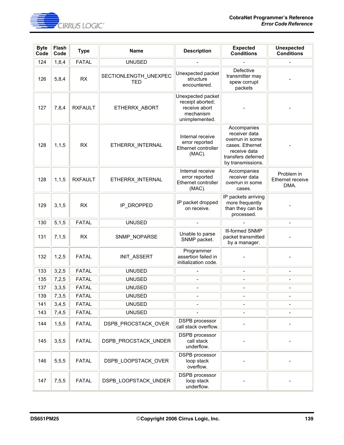

| <b>Byte</b><br>Code | Flash<br>Code | <b>Type</b>    | <b>Name</b>                         | <b>Description</b>                                                                    | <b>Expected</b><br><b>Conditions</b>                                                                                          | <b>Unexpected</b><br><b>Conditions</b> |
|---------------------|---------------|----------------|-------------------------------------|---------------------------------------------------------------------------------------|-------------------------------------------------------------------------------------------------------------------------------|----------------------------------------|
| 124                 | 1,8,4         | <b>FATAL</b>   | <b>UNUSED</b>                       |                                                                                       |                                                                                                                               |                                        |
| 126                 | 5,8,4         | RX             | SECTIONLENGTH_UNEXPEC<br><b>TED</b> | Unexpected packet<br>structure<br>encountered.                                        | Defective<br>transmitter may<br>spew corrupt<br>packets                                                                       |                                        |
| 127                 | 7,8,4         | <b>RXFAULT</b> | ETHERRX_ABORT                       | Unexpected packet<br>receipt aborted;<br>receive abort<br>mechanism<br>unimplemented. |                                                                                                                               |                                        |
| 128                 | 1, 1, 5       | <b>RX</b>      | ETHERRX_INTERNAL                    | Internal receive<br>error reported<br>Ethernet controller<br>(MAC).                   | Accompanies<br>receiver data<br>overrun in some<br>cases. Ethernet<br>receive data<br>transfers deferred<br>by transmissions. |                                        |
| 128                 | 1, 1, 5       | <b>RXFAULT</b> | ETHERRX INTERNAL                    | Internal receive<br>error reported<br>Ethernet controller<br>(MAC).                   | Accompanies<br>receiver data<br>overrun in some<br>cases.                                                                     | Problem in<br>Ethernet receive<br>DMA. |
| 129                 | 3, 1, 5       | <b>RX</b>      | IP DROPPED                          | IP packet dropped<br>on receive.                                                      | IP packets arriving<br>more frequently<br>than they can be<br>processed.                                                      |                                        |
| 130                 | 5, 1, 5       | <b>FATAL</b>   | <b>UNUSED</b>                       |                                                                                       |                                                                                                                               | $\overline{a}$                         |
| 131                 | 7,1,5         | <b>RX</b>      | SNMP_NOPARSE                        | Unable to parse<br>SNMP packet.                                                       | <b>III-formed SNMP</b><br>packet transmitted<br>by a manager.                                                                 |                                        |
| 132                 | 1,2,5         | <b>FATAL</b>   | INIT_ASSERT                         | Programmer<br>assertion failed in<br>initialization code.                             |                                                                                                                               |                                        |
| 133                 | 3,2,5         | <b>FATAL</b>   | <b>UNUSED</b>                       |                                                                                       |                                                                                                                               |                                        |
| 135                 | 7,2,5         | <b>FATAL</b>   | <b>UNUSED</b>                       |                                                                                       | $\overline{a}$                                                                                                                | $\overline{a}$                         |
| 137                 | 3,3,5         | <b>FATAL</b>   | <b>UNUSED</b>                       |                                                                                       | $\overline{\phantom{a}}$                                                                                                      |                                        |
| 139                 | 7,3,5         | <b>FATAL</b>   | <b>UNUSED</b>                       |                                                                                       |                                                                                                                               |                                        |
| 141                 | 3,4,5         | <b>FATAL</b>   | <b>UNUSED</b>                       | -                                                                                     | $\overline{\phantom{0}}$                                                                                                      | $\overline{\phantom{a}}$               |
| 143                 | 7,4,5         | <b>FATAL</b>   | <b>UNUSED</b>                       |                                                                                       | $\qquad \qquad \blacksquare$                                                                                                  |                                        |
| 144                 | 1, 5, 5       | <b>FATAL</b>   | DSPB_PROCSTACK_OVER                 | <b>DSPB</b> processor<br>call stack overflow.                                         |                                                                                                                               |                                        |
| 145                 | 3, 5, 5       | <b>FATAL</b>   | DSPB_PROCSTACK_UNDER                | DSPB processor<br>call stack<br>underflow.                                            |                                                                                                                               |                                        |
| 146                 | 5,5,5         | <b>FATAL</b>   | DSPB_LOOPSTACK_OVER                 | DSPB processor<br>loop stack<br>overflow.                                             |                                                                                                                               |                                        |
| 147                 | 7, 5, 5       | <b>FATAL</b>   | DSPB_LOOPSTACK_UNDER                | DSPB processor<br>loop stack<br>underflow.                                            |                                                                                                                               |                                        |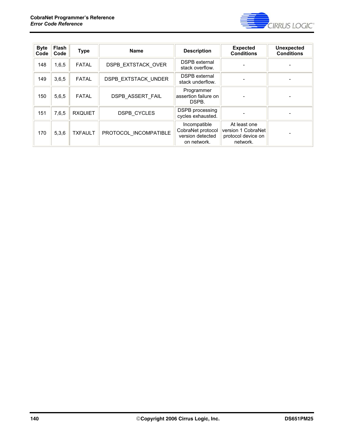

| <b>Byte</b><br>Code | <b>Flash</b><br>Code | <b>Type</b>    | <b>Name</b>                | <b>Description</b>                                                   | <b>Expected</b><br><b>Conditions</b>                                 | <b>Unexpected</b><br><b>Conditions</b> |
|---------------------|----------------------|----------------|----------------------------|----------------------------------------------------------------------|----------------------------------------------------------------------|----------------------------------------|
| 148                 | 1,6,5                | <b>FATAL</b>   | <b>DSPB EXTSTACK OVER</b>  | <b>DSPB</b> external<br>stack overflow.                              |                                                                      |                                        |
| 149                 | 3,6,5                | <b>FATAL</b>   | <b>DSPB EXTSTACK UNDER</b> | <b>DSPB</b> external<br>stack underflow.                             |                                                                      |                                        |
| 150                 | 5,6,5                | <b>FATAL</b>   | <b>DSPB ASSERT FAIL</b>    | Programmer<br>assertion failure on<br>DSPB.                          |                                                                      |                                        |
| 151                 | 7.6.5                | <b>RXQUIET</b> | <b>DSPB CYCLES</b>         | <b>DSPB</b> processing<br>cycles exhausted.                          |                                                                      |                                        |
| 170                 | 5,3,6                | <b>TXFAULT</b> | PROTOCOL INCOMPATIBLE      | Incompatible<br>CobraNet protocol<br>version detected<br>on network. | At least one<br>version 1 CobraNet<br>protocol device on<br>network. |                                        |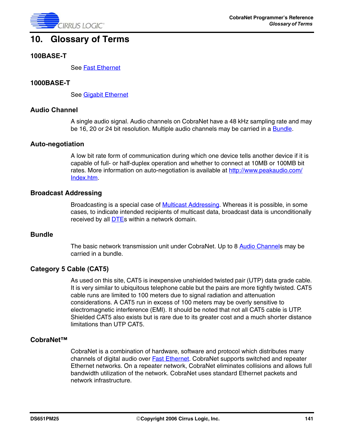

# **10. Glossary of Terms**

#### **100BASE-T**

See [Fast Ethernet](#page-141-0)

#### **1000BASE-T**

See [Gigabit Ethernet](#page-141-1)

#### <span id="page-140-1"></span>**Audio Channel**

A single audio signal. Audio channels on CobraNet have a 48 kHz sampling rate and may be 16, 20 or 24 bit resolution. Multiple audio channels may be carried in a **Bundle**.

#### **Auto-negotiation**

A low bit rate form of communication during which one device tells another device if it is capable of full- or half-duplex operation and whether to connect at 10MB or 100MB bit rates. More information on auto-negotiation is available at http://www.peakaudio.com/ Index.htm.

#### **Broadcast Addressing**

Broadcasting is a special case of **Multicast Addressing**. Whereas it is possible, in some cases, to indicate intended recipients of multicast data, broadcast data is unconditionally received by all **DTE**s within a network domain.

#### <span id="page-140-0"></span>**Bundle**

The basic network transmission unit under CobraNet. Up to 8 [Audio Channels](#page-140-1) may be carried in a bundle.

#### **Category 5 Cable (CAT5)**

As used on this site, CAT5 is inexpensive unshielded twisted pair (UTP) data grade cable. It is very similar to ubiquitous telephone cable but the pairs are more tightly twisted. CAT5 cable runs are limited to 100 meters due to signal radiation and attenuation considerations. A CAT5 run in excess of 100 meters may be overly sensitive to electromagnetic interference (EMI). It should be noted that not all CAT5 cable is UTP. Shielded CAT5 also exists but is rare due to its greater cost and a much shorter distance limitations than UTP CAT5.

#### **CobraNet™**

CobraNet is a combination of hardware, software and protocol which distributes many channels of digital audio over **Fast Ethernet**. CobraNet supports switched and repeater Ethernet networks. On a repeater network, CobraNet eliminates collisions and allows full bandwidth utilization of the network. CobraNet uses standard Ethernet packets and network infrastructure.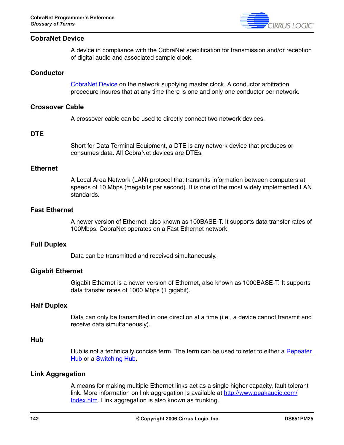

#### <span id="page-141-3"></span>**CobraNet Device**

A device in compliance with the CobraNet specification for transmission and/or reception of digital audio and associated sample clock.

#### **Conductor**

[CobraNet Device](#page-141-3) on the network supplying master clock. A conductor arbitration procedure insures that at any time there is one and only one conductor per network.

#### **Crossover Cable**

A crossover cable can be used to directly connect two network devices.

#### <span id="page-141-2"></span>**DTE**

Short for Data Terminal Equipment, a DTE is any network device that produces or consumes data. All CobraNet devices are DTEs.

### **Ethernet**

A Local Area Network (LAN) protocol that transmits information between computers at speeds of 10 Mbps (megabits per second). It is one of the most widely implemented LAN standards.

#### <span id="page-141-0"></span>**Fast Ethernet**

A newer version of Ethernet, also known as 100BASE-T. It supports data transfer rates of 100Mbps. CobraNet operates on a Fast Ethernet network.

#### **Full Duplex**

Data can be transmitted and received simultaneously.

#### <span id="page-141-1"></span>**Gigabit Ethernet**

Gigabit Ethernet is a newer version of Ethernet, also known as 1000BASE-T. It supports data transfer rates of 1000 Mbps (1 gigabit).

#### **Half Duplex**

Data can only be transmitted in one direction at a time (i.e., a device cannot transmit and receive data simultaneously).

#### **Hub**

Hub is not a technically concise term. The term can be used to refer to either a Repeater [Hub](#page-143-0) or a **Switching Hub**.

#### <span id="page-141-4"></span>**Link Aggregation**

A means for making multiple Ethernet links act as a single higher capacity, fault tolerant link. More information on link aggregation is available at http://www.peakaudio.com/ Index.htm. Link aggregation is also known as trunking.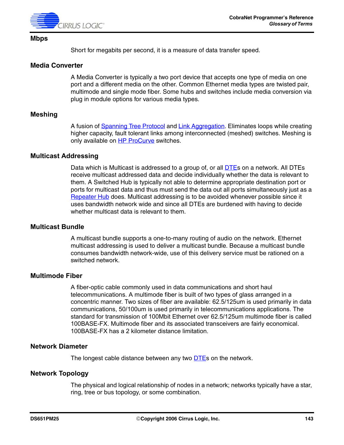

#### **Mbps**

Short for megabits per second, it is a measure of data transfer speed.

#### **Media Converter**

A Media Converter is typically a two port device that accepts one type of media on one port and a different media on the other. Common Ethernet media types are twisted pair, multimode and single mode fiber. Some hubs and switches include media conversion via plug in module options for various media types.

#### **Meshing**

A fusion of [Spanning Tree Protocol](#page-144-1) and [Link Aggregation.](#page-141-4) Eliminates loops while creating higher capacity, fault tolerant links among interconnected (meshed) switches. Meshing is only available on HP ProCurve switches.

#### <span id="page-142-0"></span>**Multicast Addressing**

Data which is Multicast is addressed to a group of, or all **DTEs** on a network. All [DTE](#page-141-2)s receive multicast addressed data and decide individually whether the data is relevant to them. A Switched Hub is typically not able to determine appropriate destination port or ports for multicast data and thus must send the data out all ports simultaneously just as a [Repeater Hub](#page-143-0) does. Multicast addressing is to be avoided whenever possible since it uses bandwidth network wide and since all DTEs are burdened with having to decide whether multicast data is relevant to them.

#### **Multicast Bundle**

A multicast bundle supports a one-to-many routing of audio on the network. Ethernet multicast addressing is used to deliver a multicast bundle. Because a multicast bundle consumes bandwidth network-wide, use of this delivery service must be rationed on a switched network.

### **Multimode Fiber**

A fiber-optic cable commonly used in data communications and short haul telecommunications. A multimode fiber is built of two types of glass arranged in a concentric manner. Two sizes of fiber are available: 62.5/125um is used primarily in data communications, 50/100um is used primarily in telecommunications applications. The standard for transmission of 100Mbit Ethernet over 62.5/125um multimode fiber is called 100BASE-FX. Multimode fiber and its associated transceivers are fairly economical. 100BASE-FX has a 2 kilometer distance limitation.

### **Network Diameter**

The longest cable distance between any two **DTEs** on the network.

#### **Network Topology**

The physical and logical relationship of nodes in a network; networks typically have a star, ring, tree or bus topology, or some combination.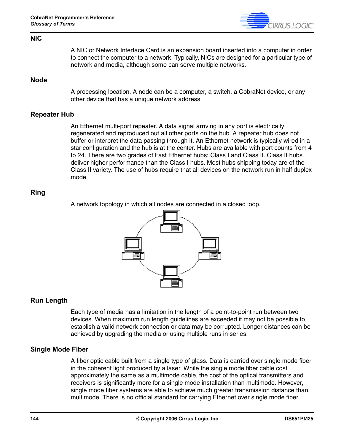

#### **NIC**

A NIC or Network Interface Card is an expansion board inserted into a computer in order to connect the computer to a network. Typically, NICs are designed for a particular type of network and media, although some can serve multiple networks.

#### **Node**

A processing location. A node can be a computer, a switch, a CobraNet device, or any other device that has a unique network address.

#### <span id="page-143-0"></span>**Repeater Hub**

An Ethernet multi-port repeater. A data signal arriving in any port is electrically regenerated and reproduced out all other ports on the hub. A repeater hub does not buffer or interpret the data passing through it. An Ethernet network is typically wired in a star configuration and the hub is at the center. Hubs are available with port counts from 4 to 24. There are two grades of Fast Ethernet hubs: Class I and Class II. Class II hubs deliver higher performance than the Class I hubs. Most hubs shipping today are of the Class II variety. The use of hubs require that all devices on the network run in half duplex mode.

### **Ring**

A network topology in which all nodes are connected in a closed loop.



### **Run Length**

Each type of media has a limitation in the length of a point-to-point run between two devices. When maximum run length guidelines are exceeded it may not be possible to establish a valid network connection or data may be corrupted. Longer distances can be achieved by upgrading the media or using multiple runs in series.

#### **Single Mode Fiber**

A fiber optic cable built from a single type of glass. Data is carried over single mode fiber in the coherent light produced by a laser. While the single mode fiber cable cost approximately the same as a multimode cable, the cost of the optical transmitters and receivers is significantly more for a single mode installation than multimode. However, single mode fiber systems are able to achieve much greater transmission distance than multimode. There is no official standard for carrying Ethernet over single mode fiber.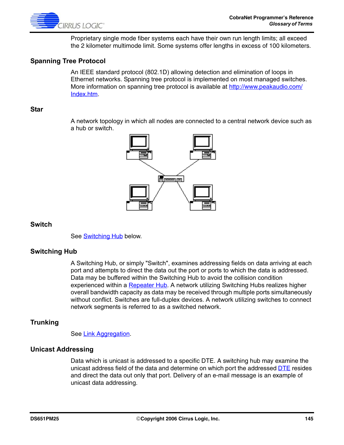

Proprietary single mode fiber systems each have their own run length limits; all exceed the 2 kilometer multimode limit. Some systems offer lengths in excess of 100 kilometers.

# **Spanning Tree Protocol**

An IEEE standard protocol (802.1D) allowing detection and elimination of loops in Ethernet networks. Spanning tree protocol is implemented on most managed switches. More information on spanning tree protocol is available at http://www.peakaudio.com/ Index.htm.

#### **Star**

A network topology in which all nodes are connected to a central network device such as a hub or switch.



### **Switch**

See **Switching Hub** below.

### <span id="page-144-0"></span>**Switching Hub**

A Switching Hub, or simply "Switch", examines addressing fields on data arriving at each port and attempts to direct the data out the port or ports to which the data is addressed. Data may be buffered within the Switching Hub to avoid the collision condition experienced within a [Repeater Hub.](#page-143-0) A network utilizing Switching Hubs realizes higher overall bandwidth capacity as data may be received through multiple ports simultaneously without conflict. Switches are full-duplex devices. A network utilizing switches to connect network segments is referred to as a switched network.

### **Trunking**

See [Link Aggregation.](#page-141-0)

### **Unicast Addressing**

Data which is unicast is addressed to a specific DTE. A switching hub may examine the unicast address field of the data and determine on which port the addressed [DTE](#page-141-1) resides and direct the data out only that port. Delivery of an e-mail message is an example of unicast data addressing.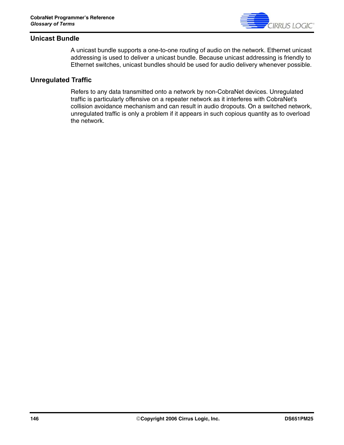

# **Unicast Bundle**

A unicast bundle supports a one-to-one routing of audio on the network. Ethernet unicast addressing is used to deliver a unicast bundle. Because unicast addressing is friendly to Ethernet switches, unicast bundles should be used for audio delivery whenever possible.

# **Unregulated Traffic**

Refers to any data transmitted onto a network by non-CobraNet devices. Unregulated traffic is particularly offensive on a repeater network as it interferes with CobraNet's collision avoidance mechanism and can result in audio dropouts. On a switched network, unregulated traffic is only a problem if it appears in such copious quantity as to overload the network.